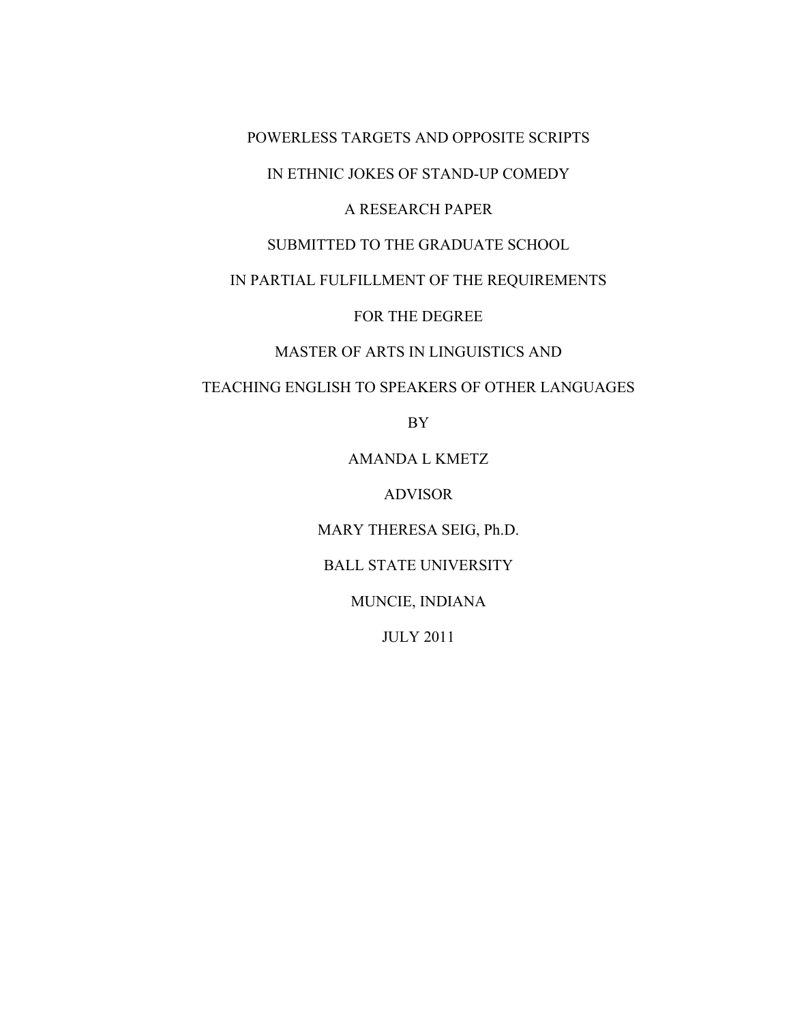## POWERLESS TARGETS AND OPPOSITE SCRIPTS

## IN ETHNIC JOKES OF STAND-UP COMEDY

## A RESEARCH PAPER

## SUBMITTED TO THE GRADUATE SCHOOL

## IN PARTIAL FULFILLMENT OF THE REQUIREMENTS

FOR THE DEGREE

## MASTER OF ARTS IN LINGUISTICS AND

## TEACHING ENGLISH TO SPEAKERS OF OTHER LANGUAGES

BY

AMANDA L KMETZ

ADVISOR

MARY THERESA SEIG, Ph.D.

BALL STATE UNIVERSITY

MUNCIE, INDIANA

JULY 2011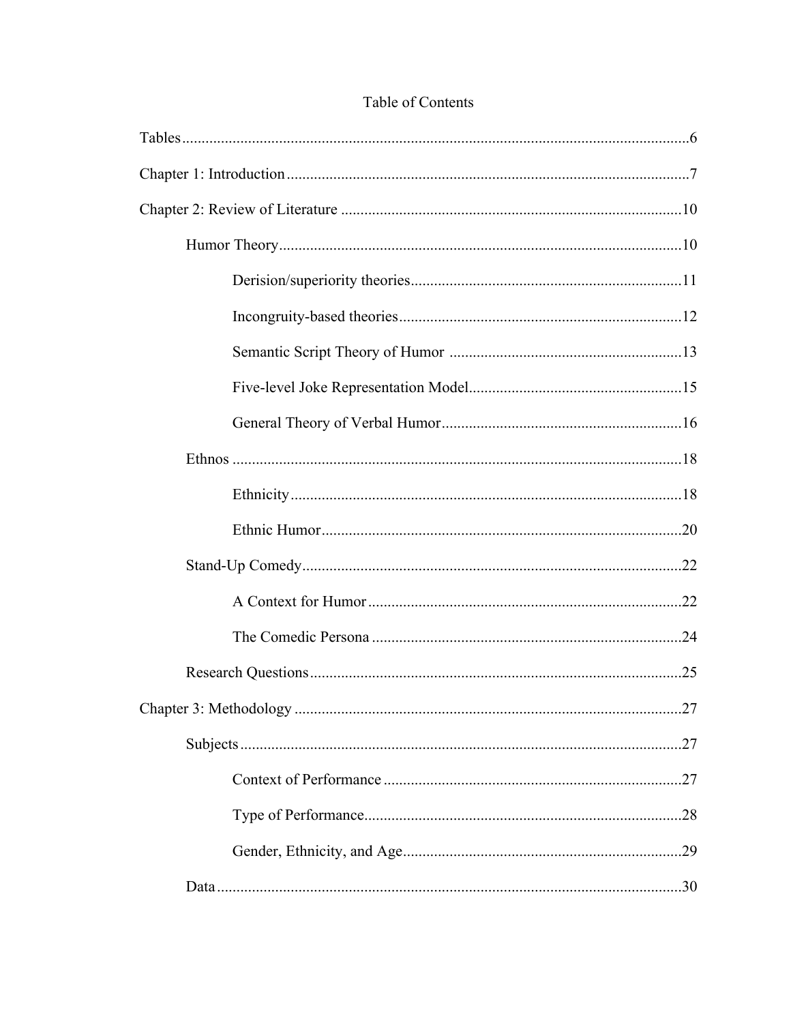| .27 |
|-----|
|     |
|     |
|     |
|     |
|     |

# Table of Contents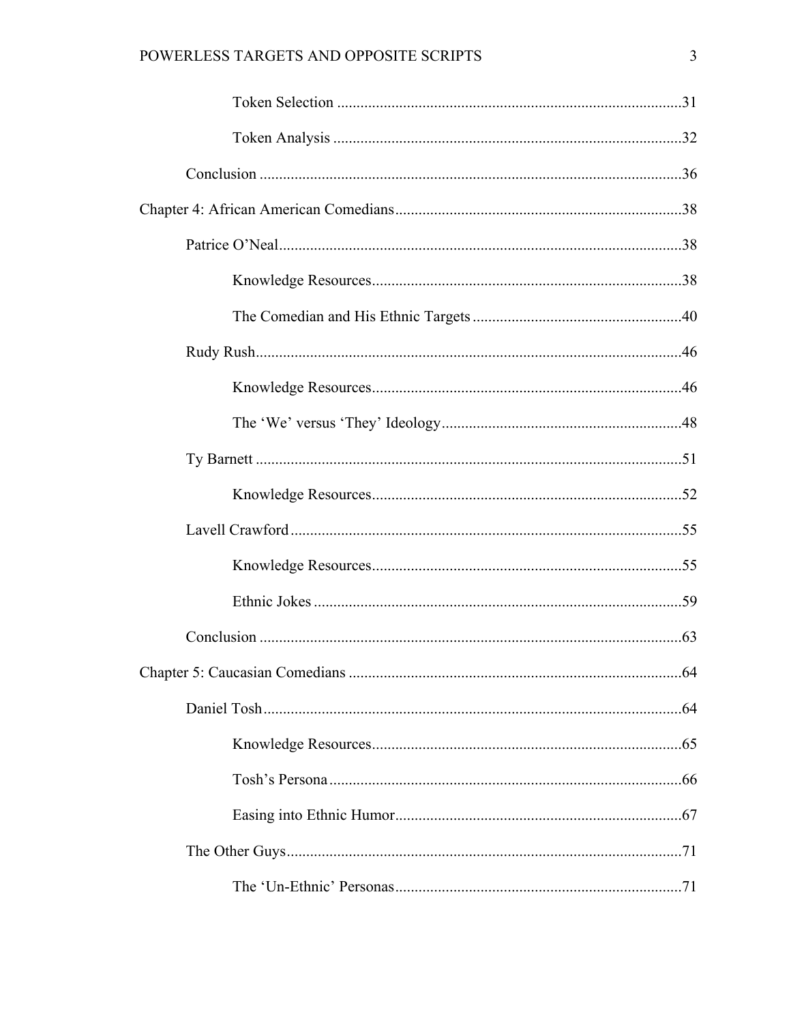# POWERLESS TARGETS AND OPPOSITE SCRIPTS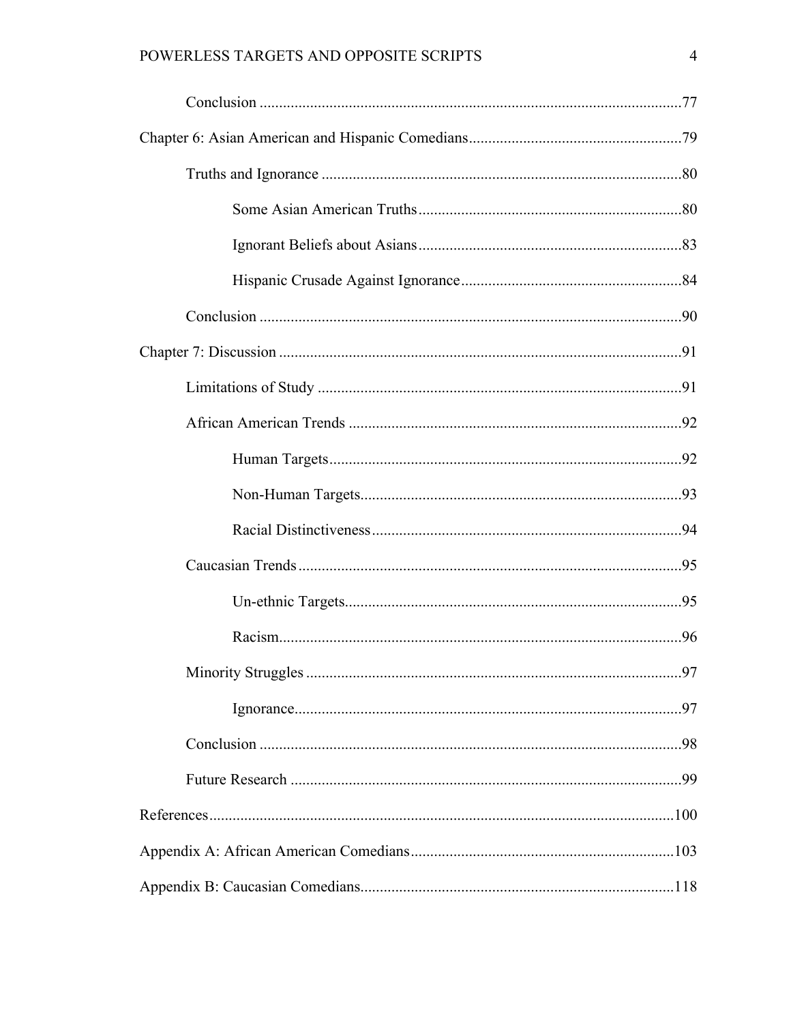# POWERLESS TARGETS AND OPPOSITE SCRIPTS

| .97 |
|-----|
|     |
|     |
|     |
|     |
|     |
|     |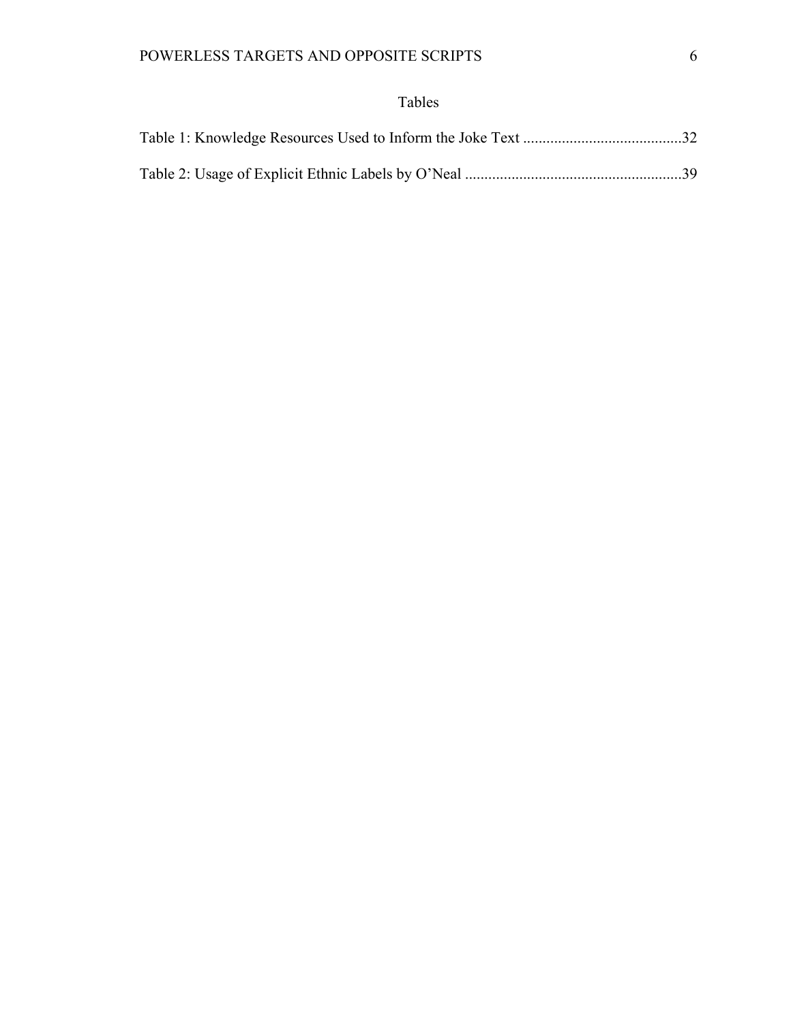# Tables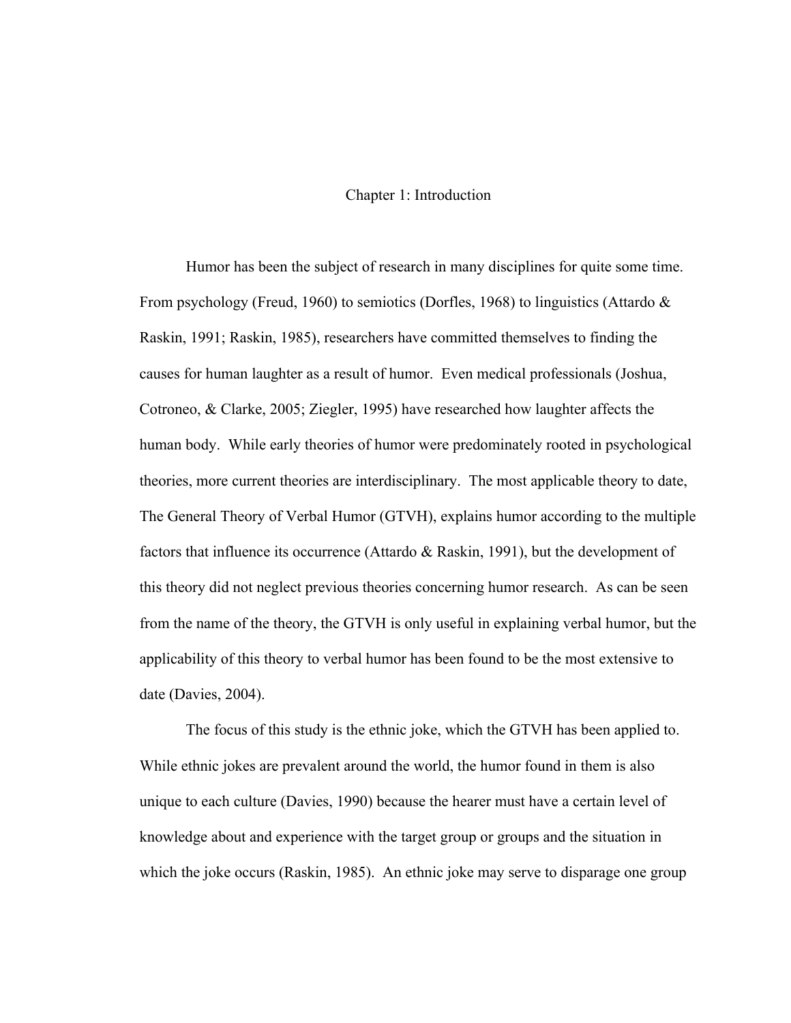## Chapter 1: Introduction

Humor has been the subject of research in many disciplines for quite some time. From psychology (Freud, 1960) to semiotics (Dorfles, 1968) to linguistics (Attardo & Raskin, 1991; Raskin, 1985), researchers have committed themselves to finding the causes for human laughter as a result of humor. Even medical professionals (Joshua, Cotroneo, & Clarke, 2005; Ziegler, 1995) have researched how laughter affects the human body. While early theories of humor were predominately rooted in psychological theories, more current theories are interdisciplinary. The most applicable theory to date, The General Theory of Verbal Humor (GTVH), explains humor according to the multiple factors that influence its occurrence (Attardo & Raskin, 1991), but the development of this theory did not neglect previous theories concerning humor research. As can be seen from the name of the theory, the GTVH is only useful in explaining verbal humor, but the applicability of this theory to verbal humor has been found to be the most extensive to date (Davies, 2004).

The focus of this study is the ethnic joke, which the GTVH has been applied to. While ethnic jokes are prevalent around the world, the humor found in them is also unique to each culture (Davies, 1990) because the hearer must have a certain level of knowledge about and experience with the target group or groups and the situation in which the joke occurs (Raskin, 1985). An ethnic joke may serve to disparage one group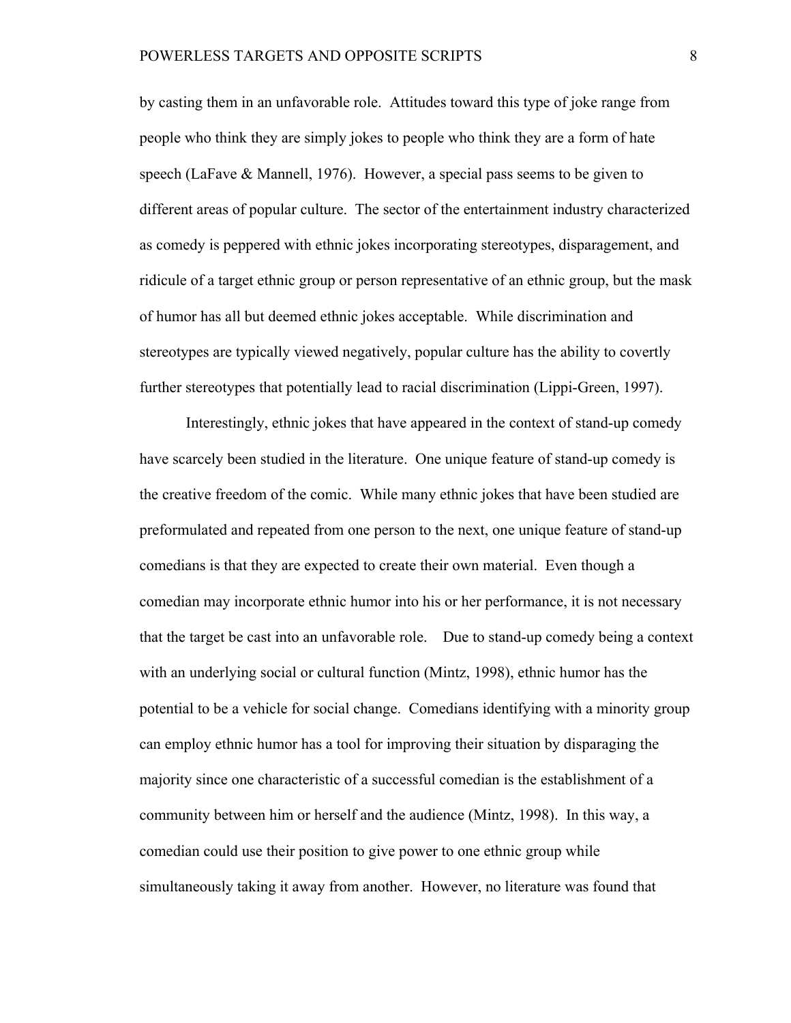by casting them in an unfavorable role. Attitudes toward this type of joke range from people who think they are simply jokes to people who think they are a form of hate speech (LaFave & Mannell, 1976). However, a special pass seems to be given to different areas of popular culture. The sector of the entertainment industry characterized as comedy is peppered with ethnic jokes incorporating stereotypes, disparagement, and ridicule of a target ethnic group or person representative of an ethnic group, but the mask of humor has all but deemed ethnic jokes acceptable. While discrimination and stereotypes are typically viewed negatively, popular culture has the ability to covertly further stereotypes that potentially lead to racial discrimination (Lippi-Green, 1997).

Interestingly, ethnic jokes that have appeared in the context of stand-up comedy have scarcely been studied in the literature. One unique feature of stand-up comedy is the creative freedom of the comic. While many ethnic jokes that have been studied are preformulated and repeated from one person to the next, one unique feature of stand-up comedians is that they are expected to create their own material. Even though a comedian may incorporate ethnic humor into his or her performance, it is not necessary that the target be cast into an unfavorable role. Due to stand-up comedy being a context with an underlying social or cultural function (Mintz, 1998), ethnic humor has the potential to be a vehicle for social change. Comedians identifying with a minority group can employ ethnic humor has a tool for improving their situation by disparaging the majority since one characteristic of a successful comedian is the establishment of a community between him or herself and the audience (Mintz, 1998). In this way, a comedian could use their position to give power to one ethnic group while simultaneously taking it away from another. However, no literature was found that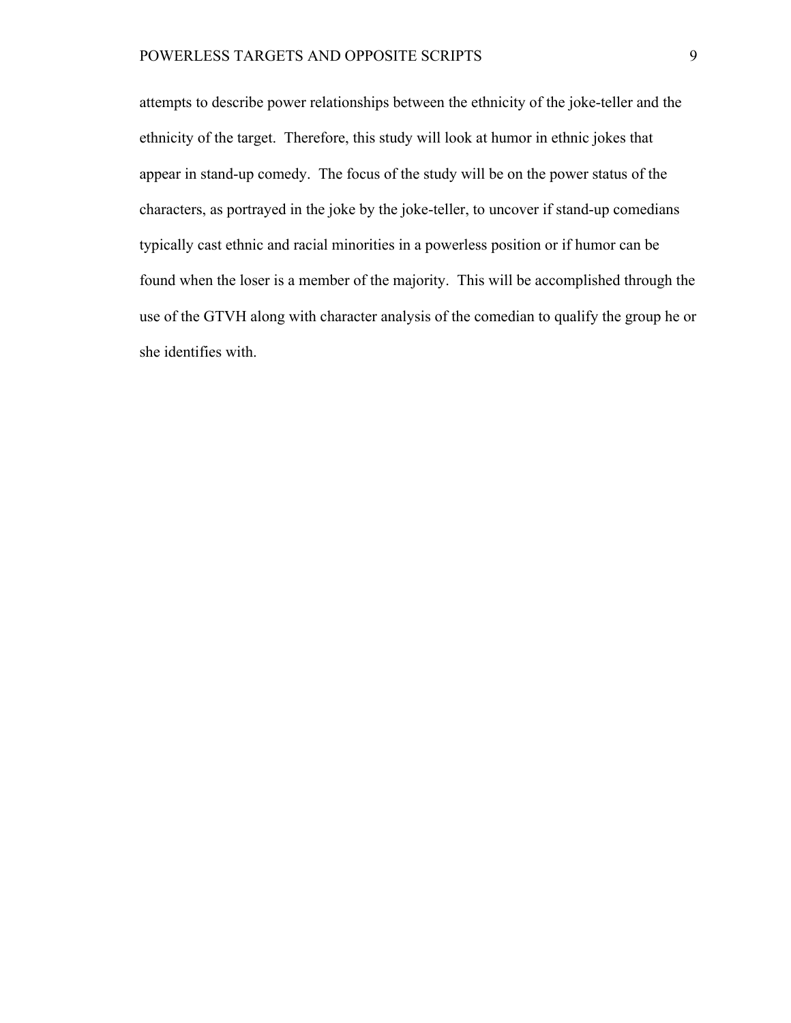attempts to describe power relationships between the ethnicity of the joke-teller and the ethnicity of the target. Therefore, this study will look at humor in ethnic jokes that appear in stand-up comedy. The focus of the study will be on the power status of the characters, as portrayed in the joke by the joke-teller, to uncover if stand-up comedians typically cast ethnic and racial minorities in a powerless position or if humor can be found when the loser is a member of the majority. This will be accomplished through the use of the GTVH along with character analysis of the comedian to qualify the group he or she identifies with.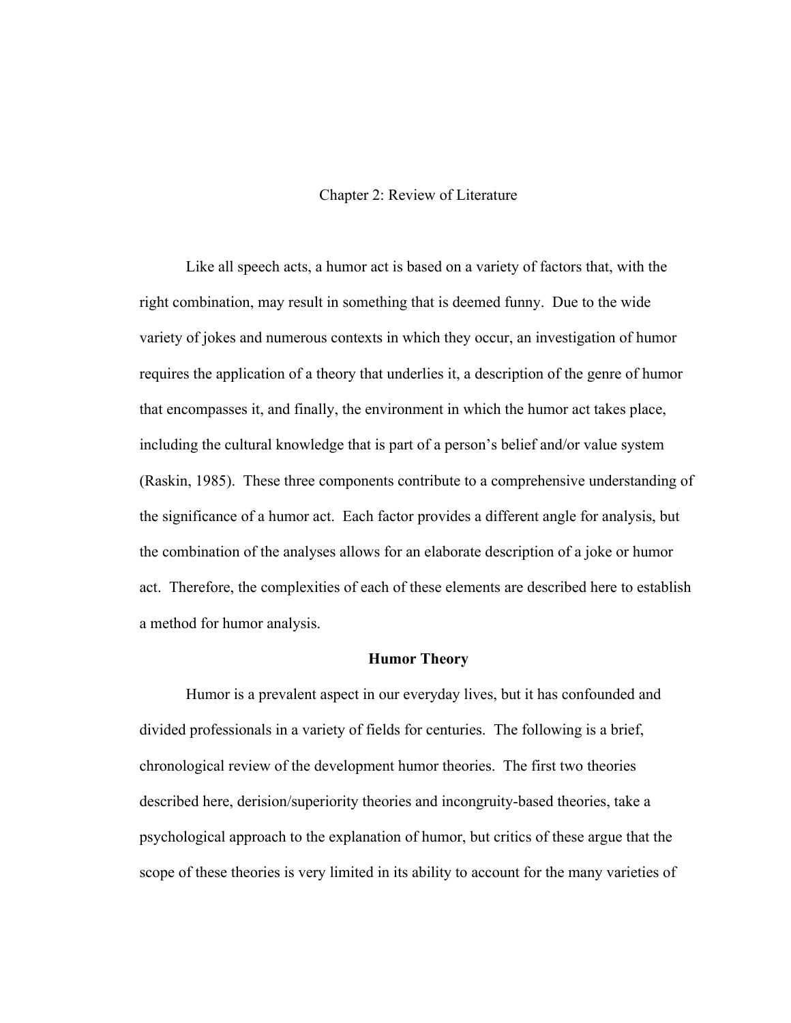## Chapter 2: Review of Literature

Like all speech acts, a humor act is based on a variety of factors that, with the right combination, may result in something that is deemed funny. Due to the wide variety of jokes and numerous contexts in which they occur, an investigation of humor requires the application of a theory that underlies it, a description of the genre of humor that encompasses it, and finally, the environment in which the humor act takes place, including the cultural knowledge that is part of a person's belief and/or value system (Raskin, 1985). These three components contribute to a comprehensive understanding of the significance of a humor act. Each factor provides a different angle for analysis, but the combination of the analyses allows for an elaborate description of a joke or humor act. Therefore, the complexities of each of these elements are described here to establish a method for humor analysis.

#### **Humor Theory**

Humor is a prevalent aspect in our everyday lives, but it has confounded and divided professionals in a variety of fields for centuries. The following is a brief, chronological review of the development humor theories. The first two theories described here, derision/superiority theories and incongruity-based theories, take a psychological approach to the explanation of humor, but critics of these argue that the scope of these theories is very limited in its ability to account for the many varieties of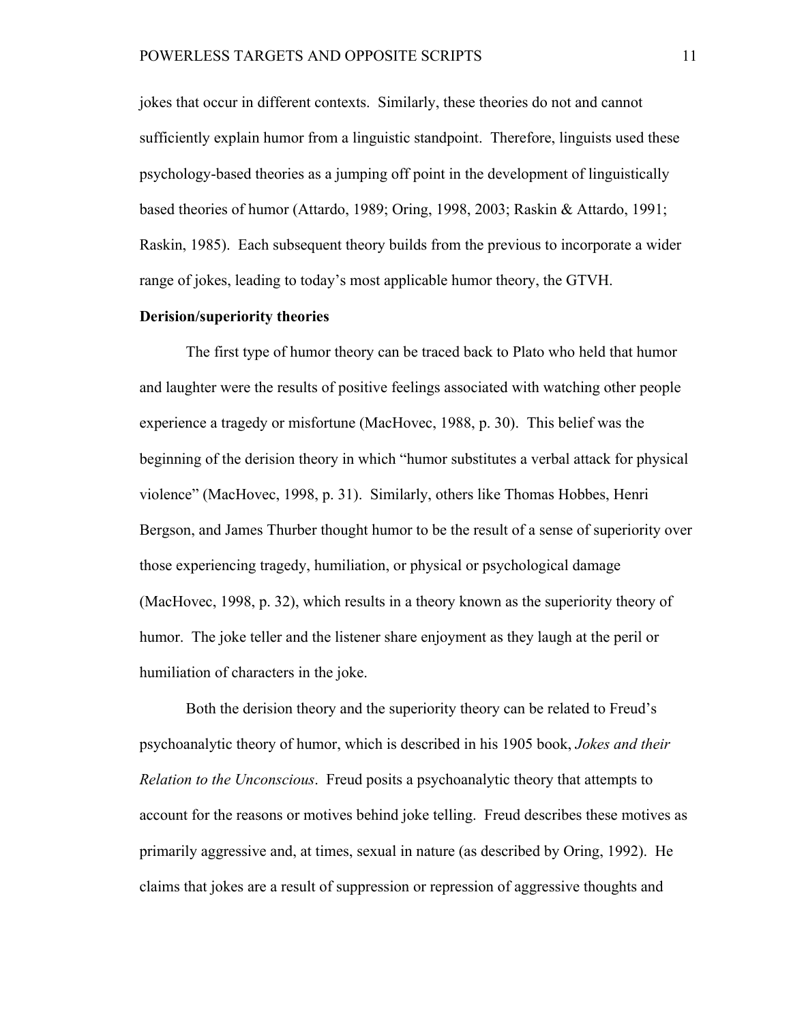jokes that occur in different contexts. Similarly, these theories do not and cannot sufficiently explain humor from a linguistic standpoint. Therefore, linguists used these psychology-based theories as a jumping off point in the development of linguistically based theories of humor (Attardo, 1989; Oring, 1998, 2003; Raskin & Attardo, 1991; Raskin, 1985). Each subsequent theory builds from the previous to incorporate a wider range of jokes, leading to today's most applicable humor theory, the GTVH.

## **Derision/superiority theories**

The first type of humor theory can be traced back to Plato who held that humor and laughter were the results of positive feelings associated with watching other people experience a tragedy or misfortune (MacHovec, 1988, p. 30). This belief was the beginning of the derision theory in which "humor substitutes a verbal attack for physical violence" (MacHovec, 1998, p. 31). Similarly, others like Thomas Hobbes, Henri Bergson, and James Thurber thought humor to be the result of a sense of superiority over those experiencing tragedy, humiliation, or physical or psychological damage (MacHovec, 1998, p. 32), which results in a theory known as the superiority theory of humor. The joke teller and the listener share enjoyment as they laugh at the peril or humiliation of characters in the joke.

Both the derision theory and the superiority theory can be related to Freud's psychoanalytic theory of humor, which is described in his 1905 book, *Jokes and their Relation to the Unconscious*. Freud posits a psychoanalytic theory that attempts to account for the reasons or motives behind joke telling. Freud describes these motives as primarily aggressive and, at times, sexual in nature (as described by Oring, 1992). He claims that jokes are a result of suppression or repression of aggressive thoughts and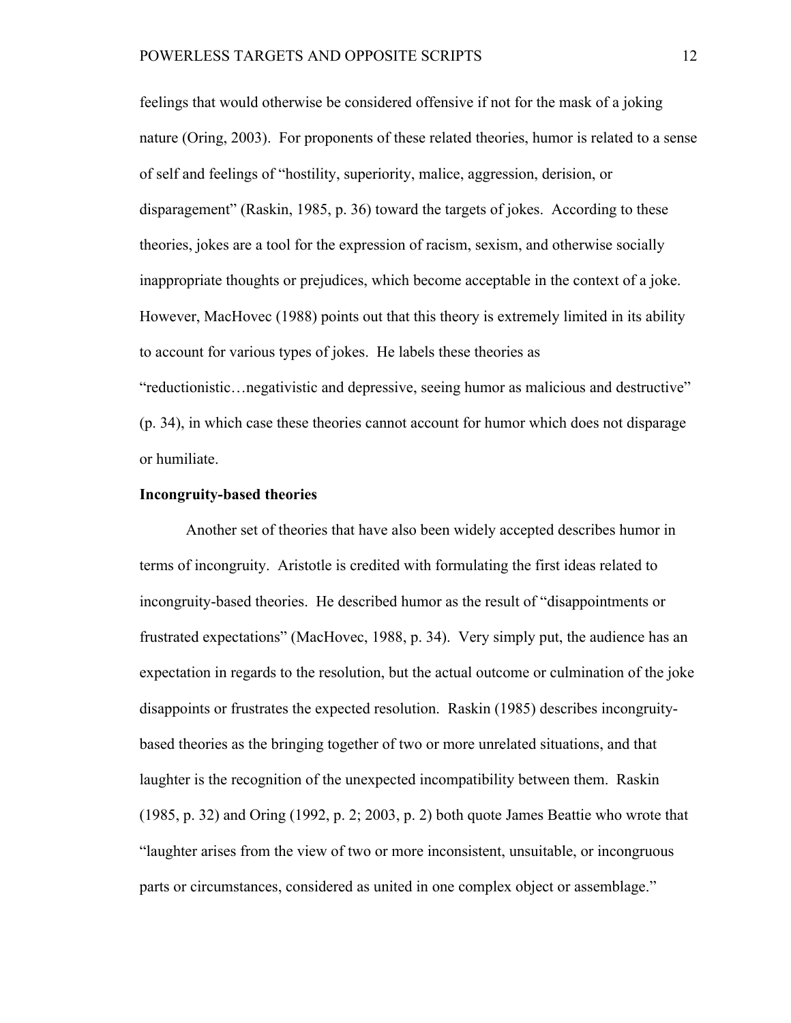feelings that would otherwise be considered offensive if not for the mask of a joking nature (Oring, 2003). For proponents of these related theories, humor is related to a sense of self and feelings of "hostility, superiority, malice, aggression, derision, or disparagement" (Raskin, 1985, p. 36) toward the targets of jokes. According to these theories, jokes are a tool for the expression of racism, sexism, and otherwise socially inappropriate thoughts or prejudices, which become acceptable in the context of a joke. However, MacHovec (1988) points out that this theory is extremely limited in its ability to account for various types of jokes. He labels these theories as "reductionistic…negativistic and depressive, seeing humor as malicious and destructive" (p. 34), in which case these theories cannot account for humor which does not disparage or humiliate.

### **Incongruity-based theories**

Another set of theories that have also been widely accepted describes humor in terms of incongruity. Aristotle is credited with formulating the first ideas related to incongruity-based theories. He described humor as the result of "disappointments or frustrated expectations" (MacHovec, 1988, p. 34). Very simply put, the audience has an expectation in regards to the resolution, but the actual outcome or culmination of the joke disappoints or frustrates the expected resolution. Raskin (1985) describes incongruitybased theories as the bringing together of two or more unrelated situations, and that laughter is the recognition of the unexpected incompatibility between them. Raskin (1985, p. 32) and Oring (1992, p. 2; 2003, p. 2) both quote James Beattie who wrote that "laughter arises from the view of two or more inconsistent, unsuitable, or incongruous parts or circumstances, considered as united in one complex object or assemblage."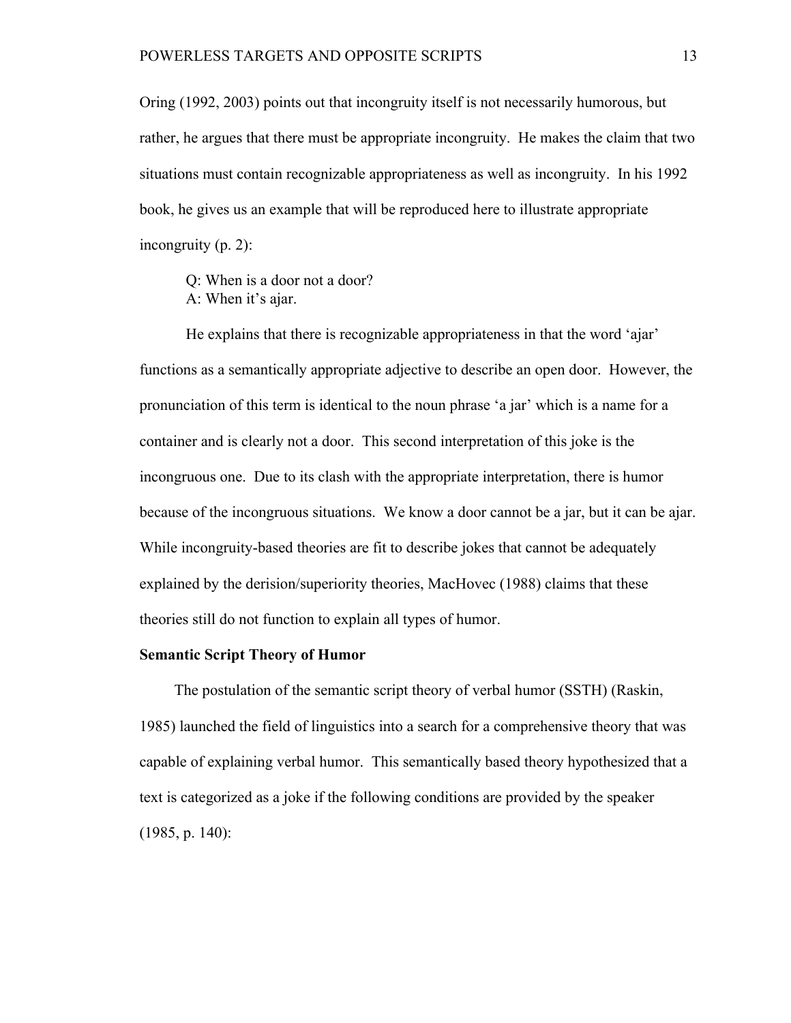Oring (1992, 2003) points out that incongruity itself is not necessarily humorous, but rather, he argues that there must be appropriate incongruity. He makes the claim that two situations must contain recognizable appropriateness as well as incongruity. In his 1992 book, he gives us an example that will be reproduced here to illustrate appropriate incongruity (p. 2):

Q: When is a door not a door? A: When it's ajar.

He explains that there is recognizable appropriateness in that the word 'ajar' functions as a semantically appropriate adjective to describe an open door. However, the pronunciation of this term is identical to the noun phrase 'a jar' which is a name for a container and is clearly not a door. This second interpretation of this joke is the incongruous one. Due to its clash with the appropriate interpretation, there is humor because of the incongruous situations. We know a door cannot be a jar, but it can be ajar. While incongruity-based theories are fit to describe jokes that cannot be adequately explained by the derision/superiority theories, MacHovec (1988) claims that these theories still do not function to explain all types of humor.

### **Semantic Script Theory of Humor**

The postulation of the semantic script theory of verbal humor (SSTH) (Raskin, 1985) launched the field of linguistics into a search for a comprehensive theory that was capable of explaining verbal humor. This semantically based theory hypothesized that a text is categorized as a joke if the following conditions are provided by the speaker (1985, p. 140):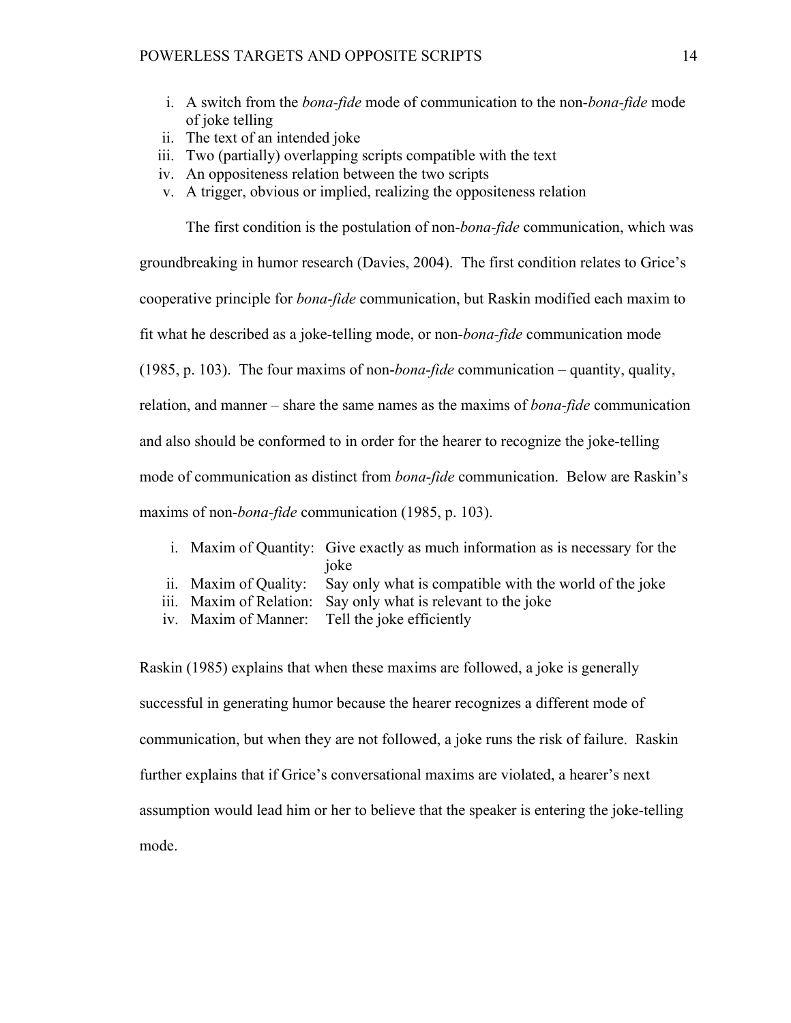- i. A switch from the *bona-fide* mode of communication to the non-*bona-fide* mode of joke telling
- ii. The text of an intended joke
- iii. Two (partially) overlapping scripts compatible with the text
- iv. An oppositeness relation between the two scripts
- v. A trigger, obvious or implied, realizing the oppositeness relation

The first condition is the postulation of non-*bona-fide* communication, which was

groundbreaking in humor research (Davies, 2004). The first condition relates to Grice's

cooperative principle for *bona-fide* communication, but Raskin modified each maxim to

fit what he described as a joke-telling mode, or non-*bona-fide* communication mode

(1985, p. 103). The four maxims of non-*bona-fide* communication – quantity, quality,

relation, and manner – share the same names as the maxims of *bona-fide* communication

and also should be conformed to in order for the hearer to recognize the joke-telling

mode of communication as distinct from *bona-fide* communication. Below are Raskin's

maxims of non-*bona-fide* communication (1985, p. 103).

- i. Maxim of Quantity: Give exactly as much information as is necessary for the joke
- ii. Maxim of Quality: Say only what is compatible with the world of the joke
- iii. Maxim of Relation: Say only what is relevant to the joke
- iv. Maxim of Manner: Tell the joke efficiently

Raskin (1985) explains that when these maxims are followed, a joke is generally successful in generating humor because the hearer recognizes a different mode of communication, but when they are not followed, a joke runs the risk of failure. Raskin further explains that if Grice's conversational maxims are violated, a hearer's next assumption would lead him or her to believe that the speaker is entering the joke-telling mode.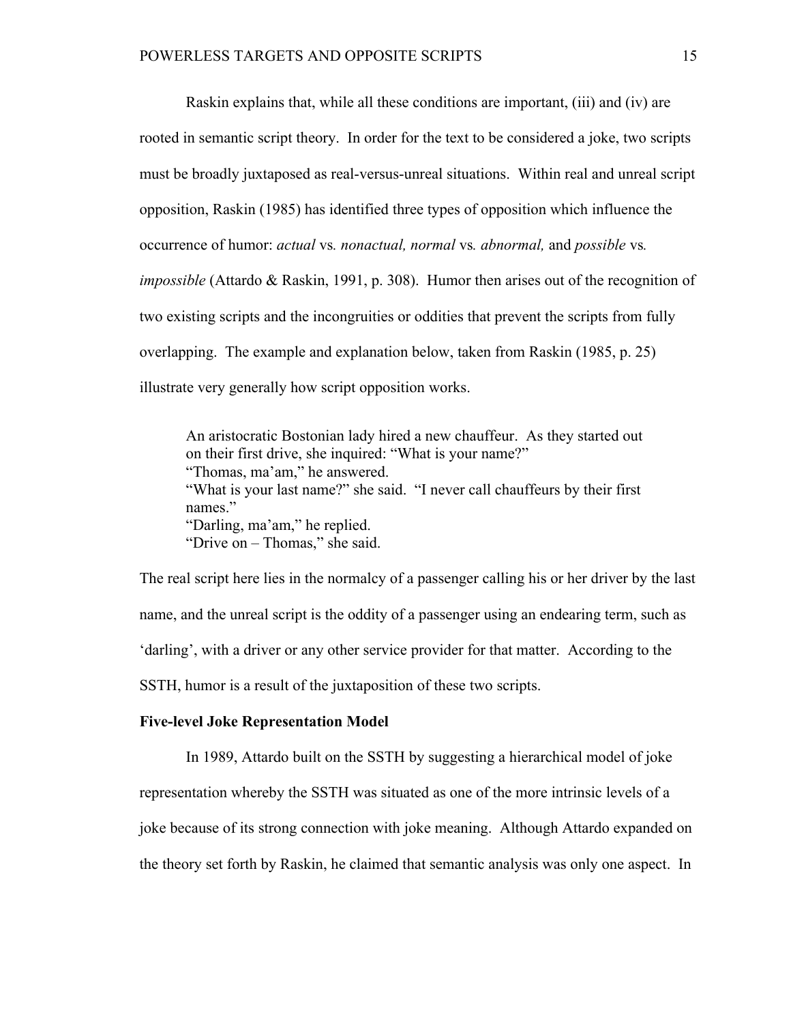Raskin explains that, while all these conditions are important, (iii) and (iv) are rooted in semantic script theory. In order for the text to be considered a joke, two scripts must be broadly juxtaposed as real-versus-unreal situations. Within real and unreal script opposition, Raskin (1985) has identified three types of opposition which influence the occurrence of humor: *actual* vs*. nonactual, normal* vs*. abnormal,* and *possible* vs*. impossible* (Attardo & Raskin, 1991, p. 308). Humor then arises out of the recognition of two existing scripts and the incongruities or oddities that prevent the scripts from fully overlapping. The example and explanation below, taken from Raskin (1985, p. 25) illustrate very generally how script opposition works.

An aristocratic Bostonian lady hired a new chauffeur. As they started out on their first drive, she inquired: "What is your name?" "Thomas, ma'am," he answered. "What is your last name?" she said. "I never call chauffeurs by their first names" "Darling, ma'am," he replied. "Drive on – Thomas," she said.

The real script here lies in the normalcy of a passenger calling his or her driver by the last name, and the unreal script is the oddity of a passenger using an endearing term, such as 'darling', with a driver or any other service provider for that matter. According to the SSTH, humor is a result of the juxtaposition of these two scripts.

## **Five-level Joke Representation Model**

In 1989, Attardo built on the SSTH by suggesting a hierarchical model of joke representation whereby the SSTH was situated as one of the more intrinsic levels of a joke because of its strong connection with joke meaning. Although Attardo expanded on the theory set forth by Raskin, he claimed that semantic analysis was only one aspect. In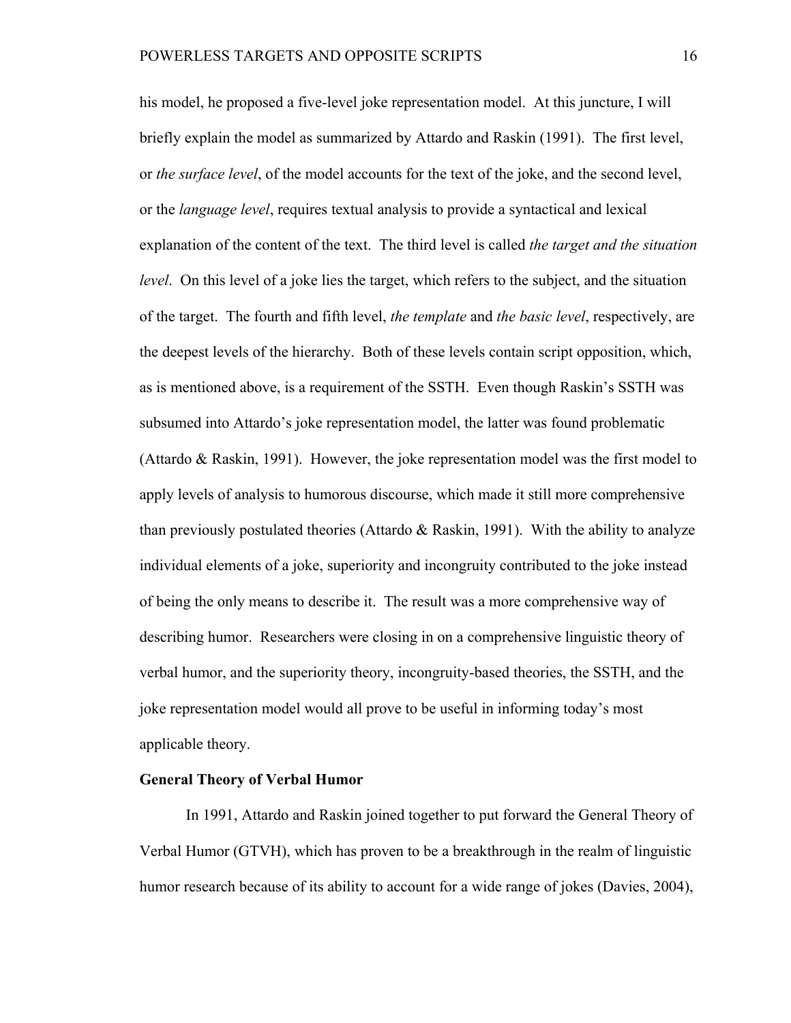his model, he proposed a five-level joke representation model. At this juncture, I will briefly explain the model as summarized by Attardo and Raskin (1991). The first level, or *the surface level*, of the model accounts for the text of the joke, and the second level, or the *language level*, requires textual analysis to provide a syntactical and lexical explanation of the content of the text. The third level is called *the target and the situation level*. On this level of a joke lies the target, which refers to the subject, and the situation of the target. The fourth and fifth level, *the template* and *the basic level*, respectively, are the deepest levels of the hierarchy. Both of these levels contain script opposition, which, as is mentioned above, is a requirement of the SSTH. Even though Raskin's SSTH was subsumed into Attardo's joke representation model, the latter was found problematic (Attardo & Raskin, 1991). However, the joke representation model was the first model to apply levels of analysis to humorous discourse, which made it still more comprehensive than previously postulated theories (Attardo & Raskin, 1991). With the ability to analyze individual elements of a joke, superiority and incongruity contributed to the joke instead of being the only means to describe it. The result was a more comprehensive way of describing humor. Researchers were closing in on a comprehensive linguistic theory of verbal humor, and the superiority theory, incongruity-based theories, the SSTH, and the joke representation model would all prove to be useful in informing today's most applicable theory.

#### **General Theory of Verbal Humor**

In 1991, Attardo and Raskin joined together to put forward the General Theory of Verbal Humor (GTVH), which has proven to be a breakthrough in the realm of linguistic humor research because of its ability to account for a wide range of jokes (Davies, 2004),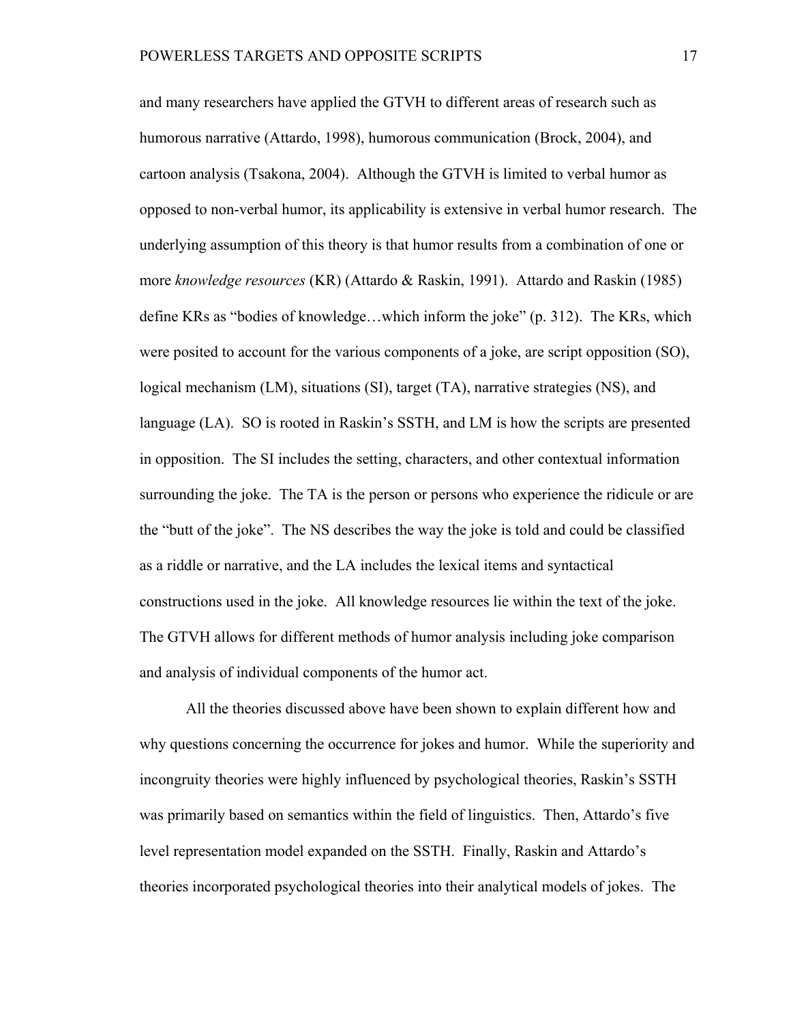and many researchers have applied the GTVH to different areas of research such as humorous narrative (Attardo, 1998), humorous communication (Brock, 2004), and cartoon analysis (Tsakona, 2004). Although the GTVH is limited to verbal humor as opposed to non-verbal humor, its applicability is extensive in verbal humor research. The underlying assumption of this theory is that humor results from a combination of one or more *knowledge resources* (KR) (Attardo & Raskin, 1991). Attardo and Raskin (1985) define KRs as "bodies of knowledge…which inform the joke" (p. 312). The KRs, which were posited to account for the various components of a joke, are script opposition (SO), logical mechanism (LM), situations (SI), target (TA), narrative strategies (NS), and language (LA). SO is rooted in Raskin's SSTH, and LM is how the scripts are presented in opposition. The SI includes the setting, characters, and other contextual information surrounding the joke. The TA is the person or persons who experience the ridicule or are the "butt of the joke". The NS describes the way the joke is told and could be classified as a riddle or narrative, and the LA includes the lexical items and syntactical constructions used in the joke. All knowledge resources lie within the text of the joke. The GTVH allows for different methods of humor analysis including joke comparison and analysis of individual components of the humor act.

All the theories discussed above have been shown to explain different how and why questions concerning the occurrence for jokes and humor. While the superiority and incongruity theories were highly influenced by psychological theories, Raskin's SSTH was primarily based on semantics within the field of linguistics. Then, Attardo's five level representation model expanded on the SSTH. Finally, Raskin and Attardo's theories incorporated psychological theories into their analytical models of jokes. The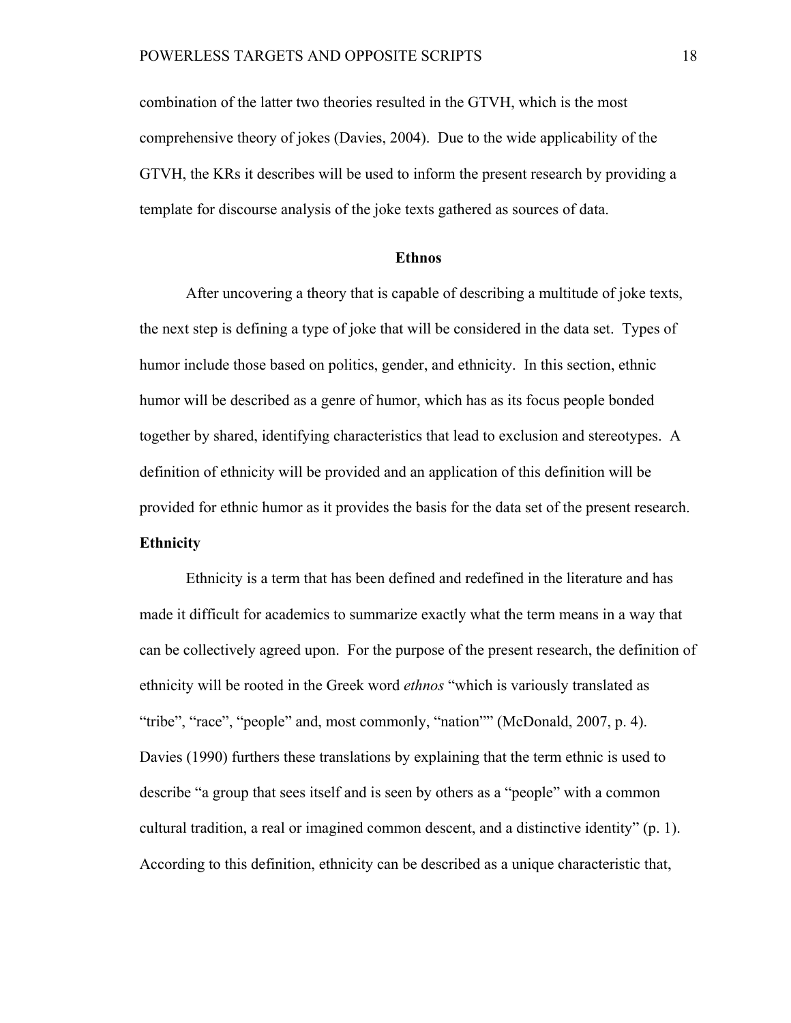combination of the latter two theories resulted in the GTVH, which is the most comprehensive theory of jokes (Davies, 2004). Due to the wide applicability of the GTVH, the KRs it describes will be used to inform the present research by providing a template for discourse analysis of the joke texts gathered as sources of data.

#### **Ethnos**

After uncovering a theory that is capable of describing a multitude of joke texts, the next step is defining a type of joke that will be considered in the data set. Types of humor include those based on politics, gender, and ethnicity. In this section, ethnic humor will be described as a genre of humor, which has as its focus people bonded together by shared, identifying characteristics that lead to exclusion and stereotypes. A definition of ethnicity will be provided and an application of this definition will be provided for ethnic humor as it provides the basis for the data set of the present research. **Ethnicity** 

Ethnicity is a term that has been defined and redefined in the literature and has made it difficult for academics to summarize exactly what the term means in a way that can be collectively agreed upon. For the purpose of the present research, the definition of ethnicity will be rooted in the Greek word *ethnos* "which is variously translated as "tribe", "race", "people" and, most commonly, "nation"" (McDonald, 2007, p. 4). Davies (1990) furthers these translations by explaining that the term ethnic is used to describe "a group that sees itself and is seen by others as a "people" with a common cultural tradition, a real or imagined common descent, and a distinctive identity" (p. 1). According to this definition, ethnicity can be described as a unique characteristic that,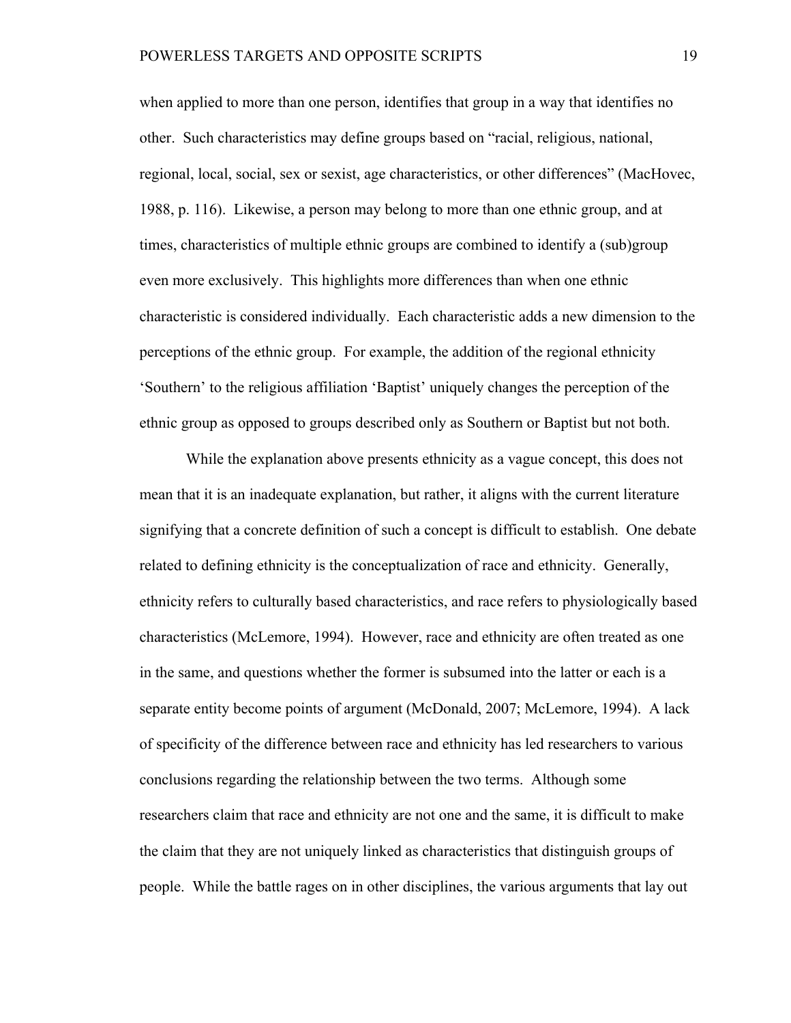when applied to more than one person, identifies that group in a way that identifies no other. Such characteristics may define groups based on "racial, religious, national, regional, local, social, sex or sexist, age characteristics, or other differences" (MacHovec, 1988, p. 116). Likewise, a person may belong to more than one ethnic group, and at times, characteristics of multiple ethnic groups are combined to identify a (sub)group even more exclusively. This highlights more differences than when one ethnic characteristic is considered individually. Each characteristic adds a new dimension to the perceptions of the ethnic group. For example, the addition of the regional ethnicity 'Southern' to the religious affiliation 'Baptist' uniquely changes the perception of the ethnic group as opposed to groups described only as Southern or Baptist but not both.

While the explanation above presents ethnicity as a vague concept, this does not mean that it is an inadequate explanation, but rather, it aligns with the current literature signifying that a concrete definition of such a concept is difficult to establish. One debate related to defining ethnicity is the conceptualization of race and ethnicity. Generally, ethnicity refers to culturally based characteristics, and race refers to physiologically based characteristics (McLemore, 1994). However, race and ethnicity are often treated as one in the same, and questions whether the former is subsumed into the latter or each is a separate entity become points of argument (McDonald, 2007; McLemore, 1994). A lack of specificity of the difference between race and ethnicity has led researchers to various conclusions regarding the relationship between the two terms. Although some researchers claim that race and ethnicity are not one and the same, it is difficult to make the claim that they are not uniquely linked as characteristics that distinguish groups of people. While the battle rages on in other disciplines, the various arguments that lay out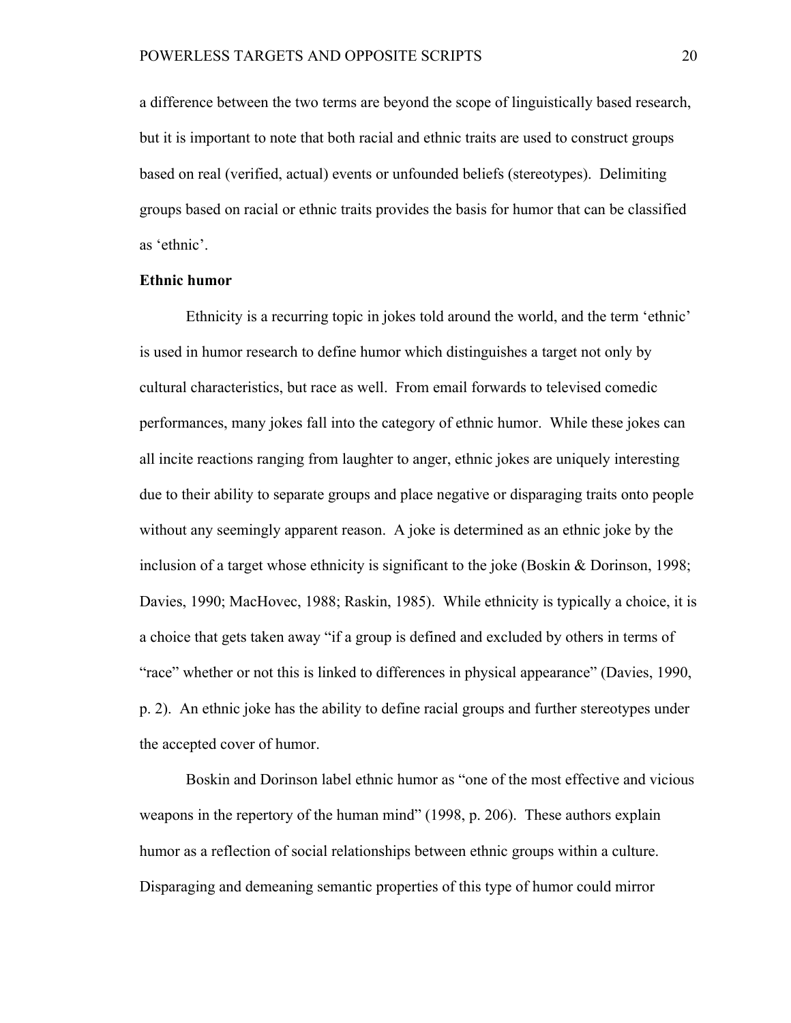a difference between the two terms are beyond the scope of linguistically based research, but it is important to note that both racial and ethnic traits are used to construct groups based on real (verified, actual) events or unfounded beliefs (stereotypes). Delimiting groups based on racial or ethnic traits provides the basis for humor that can be classified as 'ethnic'.

### **Ethnic humor**

Ethnicity is a recurring topic in jokes told around the world, and the term 'ethnic' is used in humor research to define humor which distinguishes a target not only by cultural characteristics, but race as well. From email forwards to televised comedic performances, many jokes fall into the category of ethnic humor. While these jokes can all incite reactions ranging from laughter to anger, ethnic jokes are uniquely interesting due to their ability to separate groups and place negative or disparaging traits onto people without any seemingly apparent reason. A joke is determined as an ethnic joke by the inclusion of a target whose ethnicity is significant to the joke (Boskin & Dorinson, 1998; Davies, 1990; MacHovec, 1988; Raskin, 1985). While ethnicity is typically a choice, it is a choice that gets taken away "if a group is defined and excluded by others in terms of "race" whether or not this is linked to differences in physical appearance" (Davies, 1990, p. 2). An ethnic joke has the ability to define racial groups and further stereotypes under the accepted cover of humor.

Boskin and Dorinson label ethnic humor as "one of the most effective and vicious weapons in the repertory of the human mind" (1998, p. 206). These authors explain humor as a reflection of social relationships between ethnic groups within a culture. Disparaging and demeaning semantic properties of this type of humor could mirror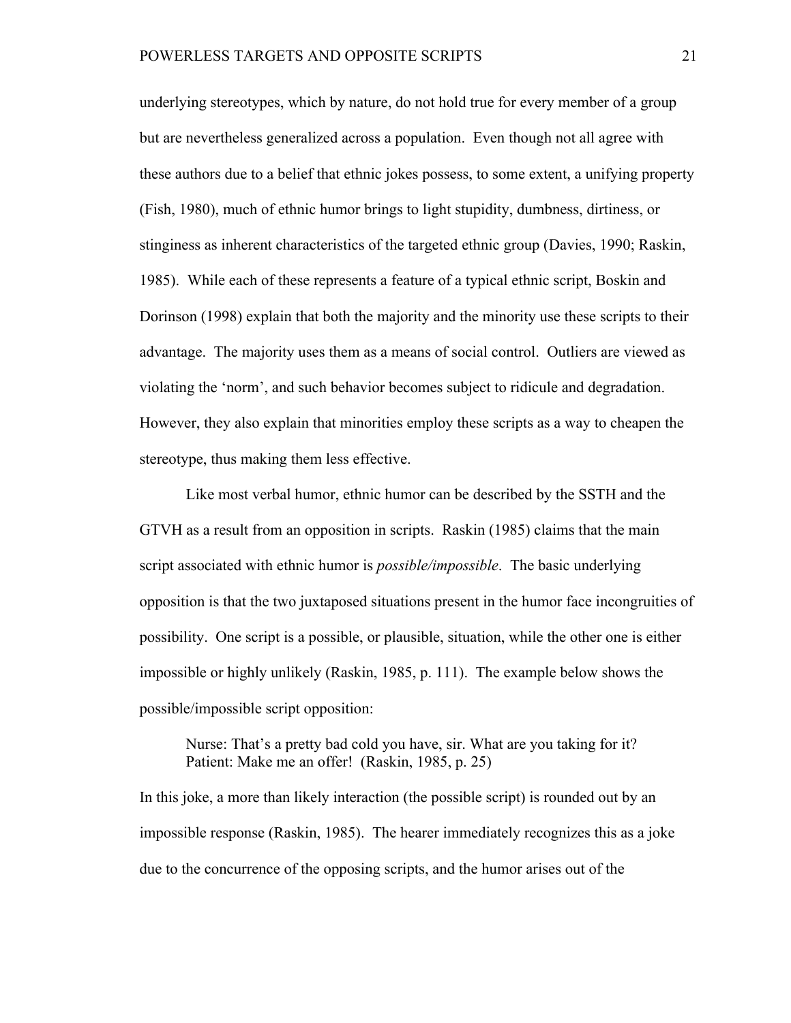underlying stereotypes, which by nature, do not hold true for every member of a group but are nevertheless generalized across a population. Even though not all agree with these authors due to a belief that ethnic jokes possess, to some extent, a unifying property (Fish, 1980), much of ethnic humor brings to light stupidity, dumbness, dirtiness, or stinginess as inherent characteristics of the targeted ethnic group (Davies, 1990; Raskin, 1985). While each of these represents a feature of a typical ethnic script, Boskin and Dorinson (1998) explain that both the majority and the minority use these scripts to their advantage. The majority uses them as a means of social control. Outliers are viewed as violating the 'norm', and such behavior becomes subject to ridicule and degradation. However, they also explain that minorities employ these scripts as a way to cheapen the stereotype, thus making them less effective.

Like most verbal humor, ethnic humor can be described by the SSTH and the GTVH as a result from an opposition in scripts. Raskin (1985) claims that the main script associated with ethnic humor is *possible/impossible*. The basic underlying opposition is that the two juxtaposed situations present in the humor face incongruities of possibility. One script is a possible, or plausible, situation, while the other one is either impossible or highly unlikely (Raskin, 1985, p. 111). The example below shows the possible/impossible script opposition:

Nurse: That's a pretty bad cold you have, sir. What are you taking for it? Patient: Make me an offer! (Raskin, 1985, p. 25)

In this joke, a more than likely interaction (the possible script) is rounded out by an impossible response (Raskin, 1985). The hearer immediately recognizes this as a joke due to the concurrence of the opposing scripts, and the humor arises out of the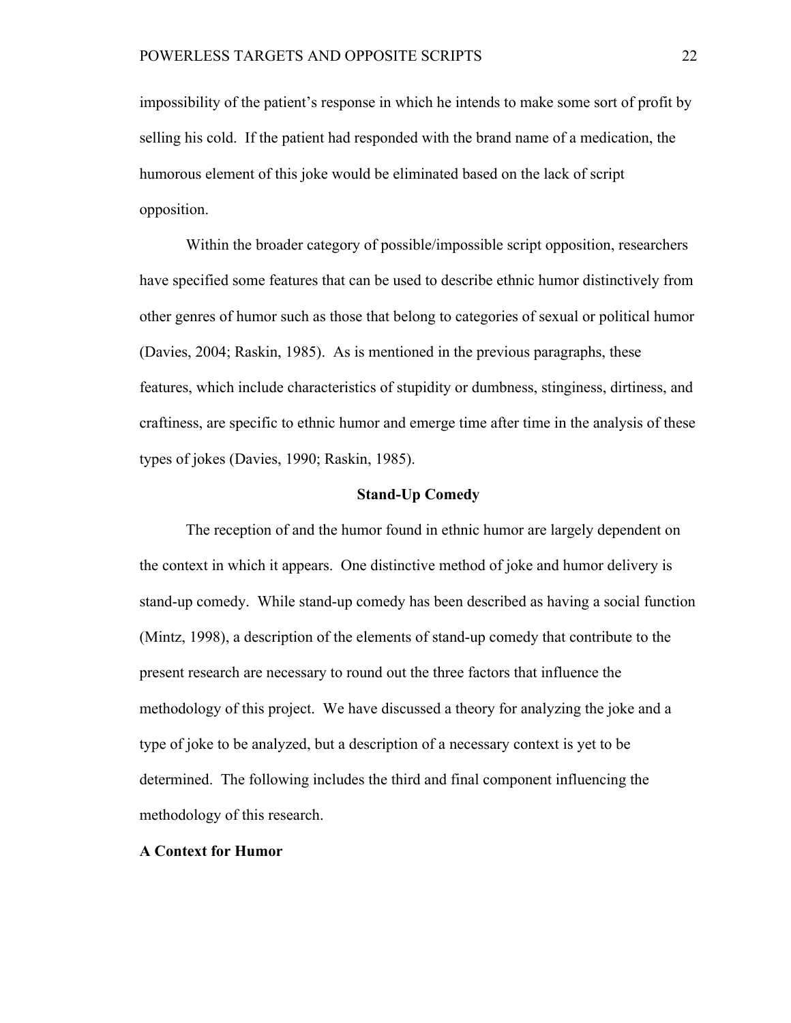impossibility of the patient's response in which he intends to make some sort of profit by selling his cold. If the patient had responded with the brand name of a medication, the humorous element of this joke would be eliminated based on the lack of script opposition.

Within the broader category of possible/impossible script opposition, researchers have specified some features that can be used to describe ethnic humor distinctively from other genres of humor such as those that belong to categories of sexual or political humor (Davies, 2004; Raskin, 1985). As is mentioned in the previous paragraphs, these features, which include characteristics of stupidity or dumbness, stinginess, dirtiness, and craftiness, are specific to ethnic humor and emerge time after time in the analysis of these types of jokes (Davies, 1990; Raskin, 1985).

#### **Stand-Up Comedy**

The reception of and the humor found in ethnic humor are largely dependent on the context in which it appears. One distinctive method of joke and humor delivery is stand-up comedy. While stand-up comedy has been described as having a social function (Mintz, 1998), a description of the elements of stand-up comedy that contribute to the present research are necessary to round out the three factors that influence the methodology of this project. We have discussed a theory for analyzing the joke and a type of joke to be analyzed, but a description of a necessary context is yet to be determined. The following includes the third and final component influencing the methodology of this research.

#### **A Context for Humor**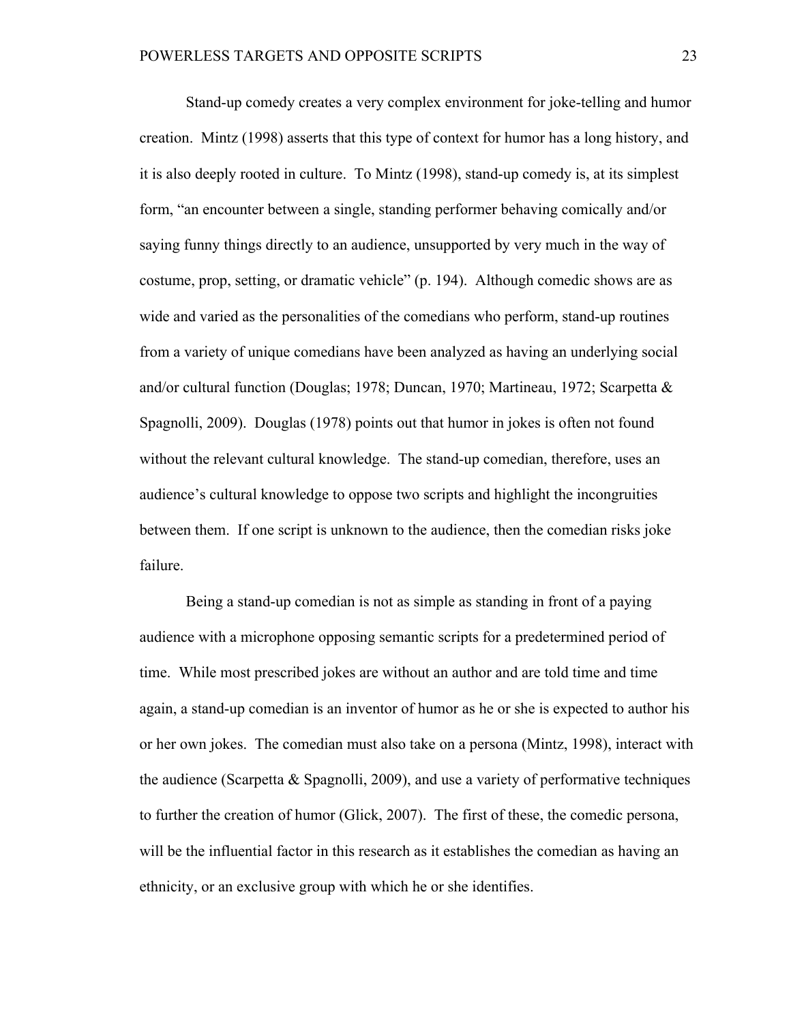Stand-up comedy creates a very complex environment for joke-telling and humor creation. Mintz (1998) asserts that this type of context for humor has a long history, and it is also deeply rooted in culture. To Mintz (1998), stand-up comedy is, at its simplest form, "an encounter between a single, standing performer behaving comically and/or saying funny things directly to an audience, unsupported by very much in the way of costume, prop, setting, or dramatic vehicle" (p. 194). Although comedic shows are as wide and varied as the personalities of the comedians who perform, stand-up routines from a variety of unique comedians have been analyzed as having an underlying social and/or cultural function (Douglas; 1978; Duncan, 1970; Martineau, 1972; Scarpetta & Spagnolli, 2009). Douglas (1978) points out that humor in jokes is often not found without the relevant cultural knowledge. The stand-up comedian, therefore, uses an audience's cultural knowledge to oppose two scripts and highlight the incongruities between them. If one script is unknown to the audience, then the comedian risks joke failure.

Being a stand-up comedian is not as simple as standing in front of a paying audience with a microphone opposing semantic scripts for a predetermined period of time. While most prescribed jokes are without an author and are told time and time again, a stand-up comedian is an inventor of humor as he or she is expected to author his or her own jokes. The comedian must also take on a persona (Mintz, 1998), interact with the audience (Scarpetta & Spagnolli, 2009), and use a variety of performative techniques to further the creation of humor (Glick, 2007). The first of these, the comedic persona, will be the influential factor in this research as it establishes the comedian as having an ethnicity, or an exclusive group with which he or she identifies.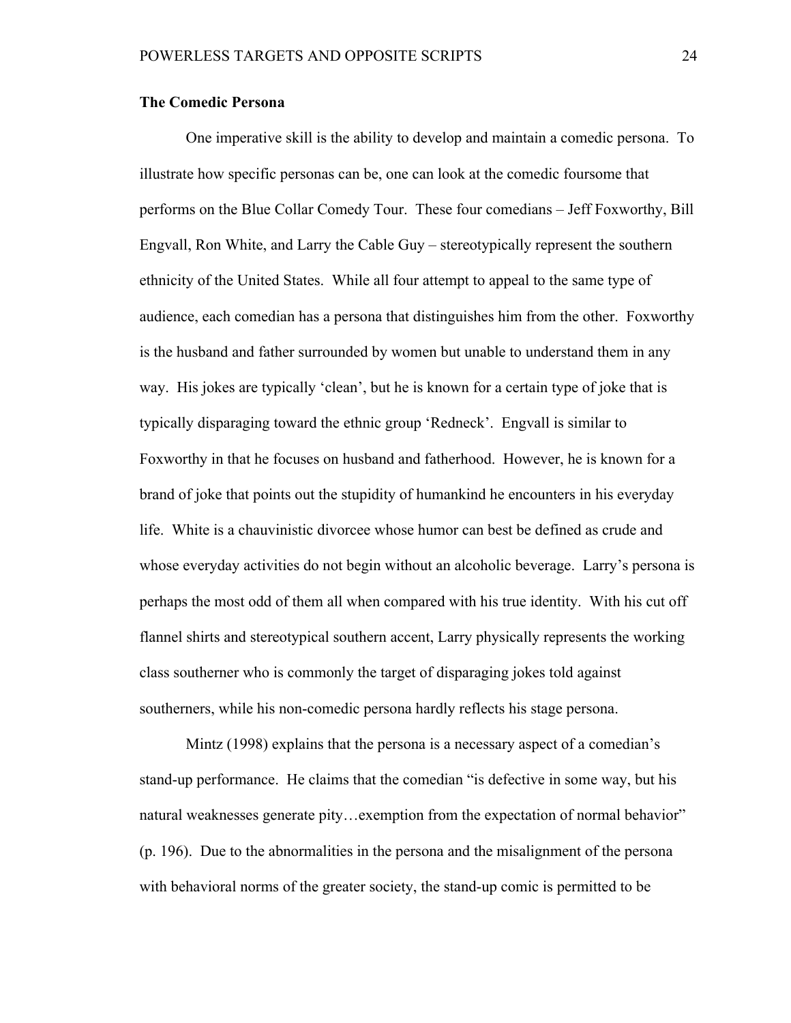### **The Comedic Persona**

One imperative skill is the ability to develop and maintain a comedic persona. To illustrate how specific personas can be, one can look at the comedic foursome that performs on the Blue Collar Comedy Tour. These four comedians – Jeff Foxworthy, Bill Engvall, Ron White, and Larry the Cable Guy – stereotypically represent the southern ethnicity of the United States. While all four attempt to appeal to the same type of audience, each comedian has a persona that distinguishes him from the other. Foxworthy is the husband and father surrounded by women but unable to understand them in any way. His jokes are typically 'clean', but he is known for a certain type of joke that is typically disparaging toward the ethnic group 'Redneck'. Engvall is similar to Foxworthy in that he focuses on husband and fatherhood. However, he is known for a brand of joke that points out the stupidity of humankind he encounters in his everyday life. White is a chauvinistic divorcee whose humor can best be defined as crude and whose everyday activities do not begin without an alcoholic beverage. Larry's persona is perhaps the most odd of them all when compared with his true identity. With his cut off flannel shirts and stereotypical southern accent, Larry physically represents the working class southerner who is commonly the target of disparaging jokes told against southerners, while his non-comedic persona hardly reflects his stage persona.

Mintz (1998) explains that the persona is a necessary aspect of a comedian's stand-up performance. He claims that the comedian "is defective in some way, but his natural weaknesses generate pity…exemption from the expectation of normal behavior" (p. 196). Due to the abnormalities in the persona and the misalignment of the persona with behavioral norms of the greater society, the stand-up comic is permitted to be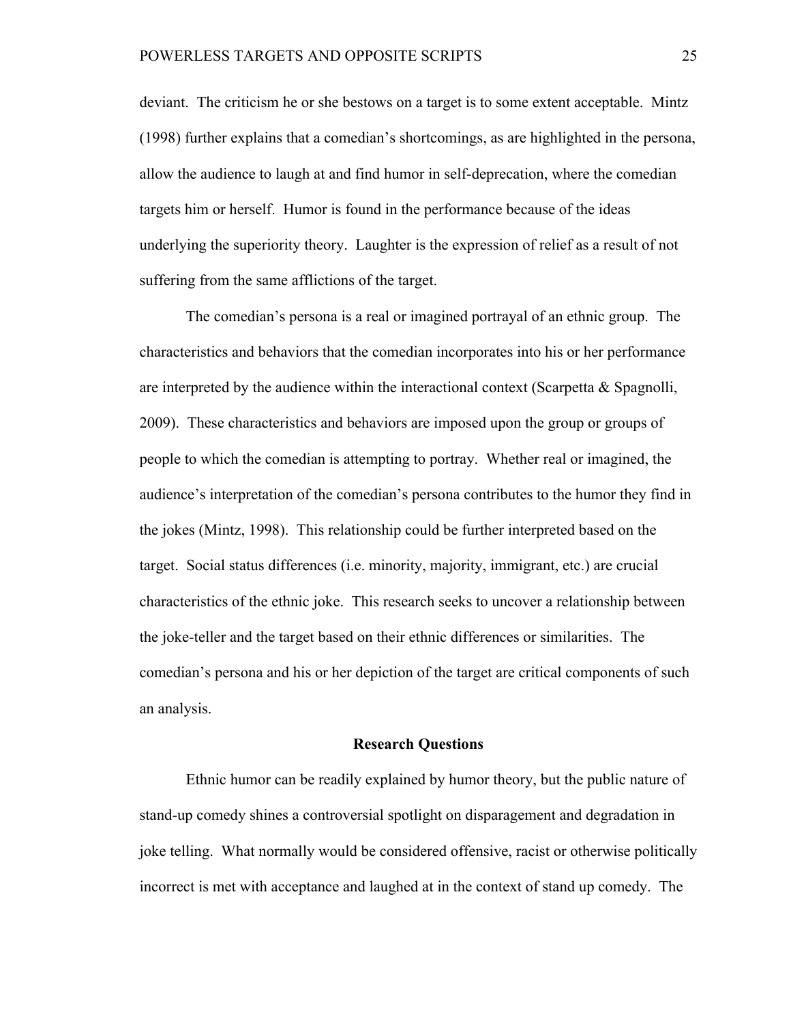deviant. The criticism he or she bestows on a target is to some extent acceptable. Mintz (1998) further explains that a comedian's shortcomings, as are highlighted in the persona, allow the audience to laugh at and find humor in self-deprecation, where the comedian targets him or herself. Humor is found in the performance because of the ideas underlying the superiority theory. Laughter is the expression of relief as a result of not suffering from the same afflictions of the target.

The comedian's persona is a real or imagined portrayal of an ethnic group. The characteristics and behaviors that the comedian incorporates into his or her performance are interpreted by the audience within the interactional context (Scarpetta & Spagnolli, 2009). These characteristics and behaviors are imposed upon the group or groups of people to which the comedian is attempting to portray. Whether real or imagined, the audience's interpretation of the comedian's persona contributes to the humor they find in the jokes (Mintz, 1998). This relationship could be further interpreted based on the target. Social status differences (i.e. minority, majority, immigrant, etc.) are crucial characteristics of the ethnic joke. This research seeks to uncover a relationship between the joke-teller and the target based on their ethnic differences or similarities. The comedian's persona and his or her depiction of the target are critical components of such an analysis.

#### **Research Questions**

Ethnic humor can be readily explained by humor theory, but the public nature of stand-up comedy shines a controversial spotlight on disparagement and degradation in joke telling. What normally would be considered offensive, racist or otherwise politically incorrect is met with acceptance and laughed at in the context of stand up comedy. The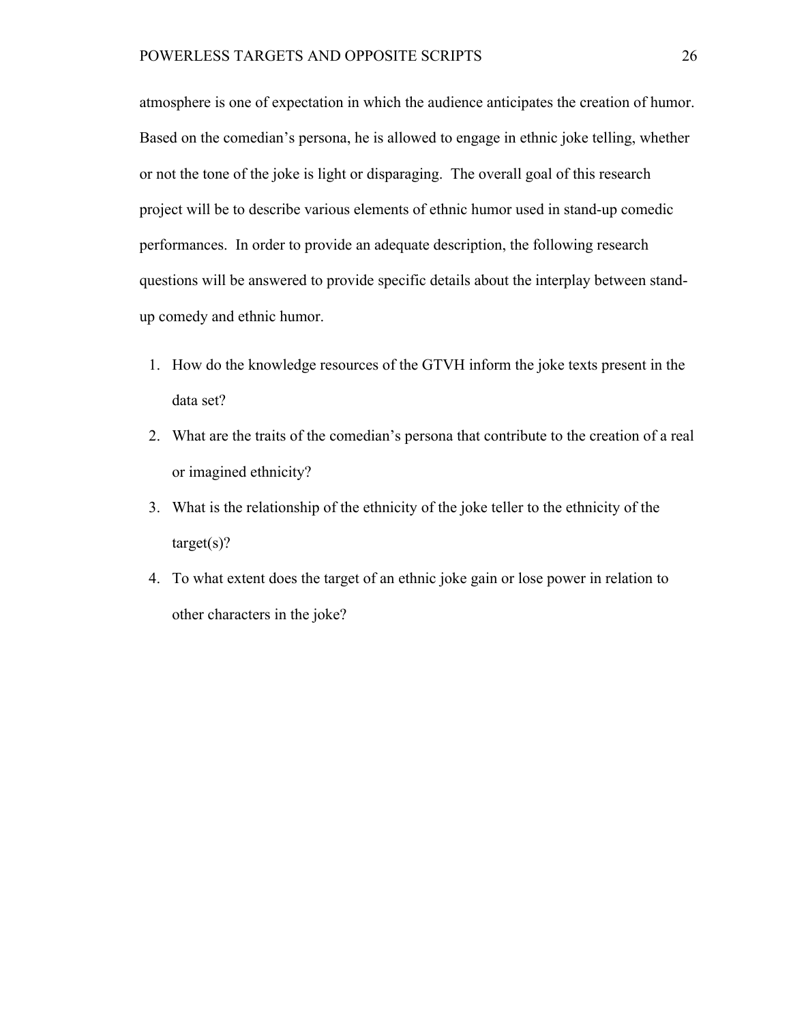atmosphere is one of expectation in which the audience anticipates the creation of humor. Based on the comedian's persona, he is allowed to engage in ethnic joke telling, whether or not the tone of the joke is light or disparaging. The overall goal of this research project will be to describe various elements of ethnic humor used in stand-up comedic performances. In order to provide an adequate description, the following research questions will be answered to provide specific details about the interplay between standup comedy and ethnic humor.

- 1. How do the knowledge resources of the GTVH inform the joke texts present in the data set?
- 2. What are the traits of the comedian's persona that contribute to the creation of a real or imagined ethnicity?
- 3. What is the relationship of the ethnicity of the joke teller to the ethnicity of the  $target(s)?$
- 4. To what extent does the target of an ethnic joke gain or lose power in relation to other characters in the joke?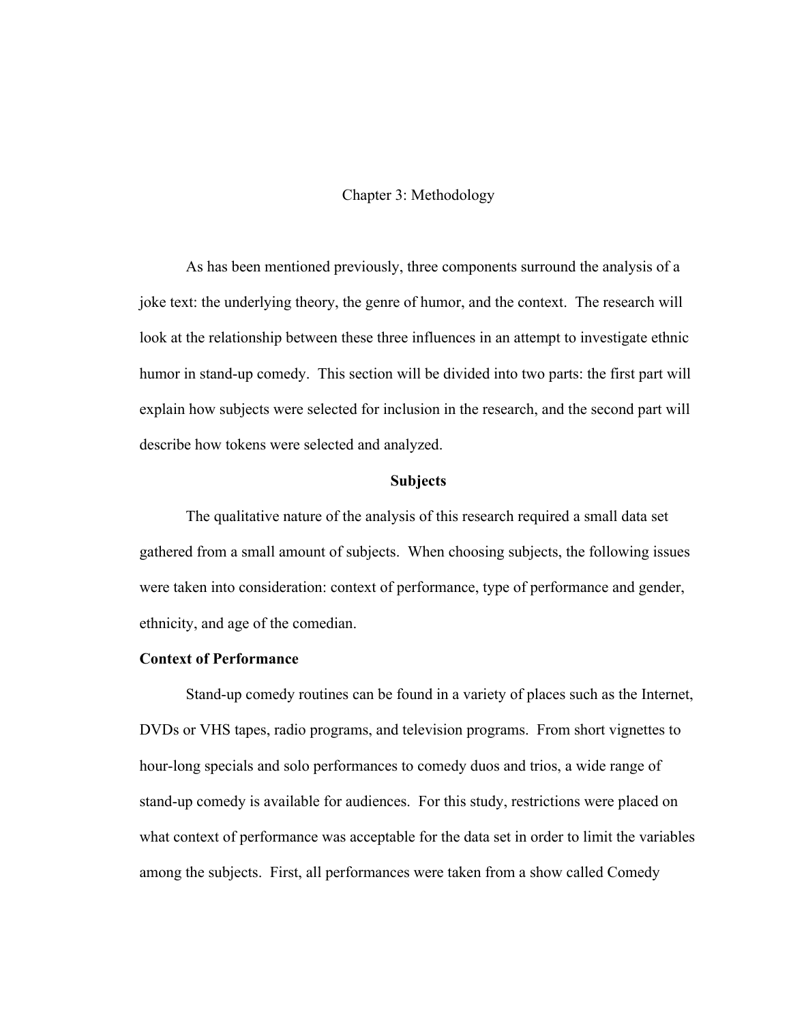## Chapter 3: Methodology

As has been mentioned previously, three components surround the analysis of a joke text: the underlying theory, the genre of humor, and the context. The research will look at the relationship between these three influences in an attempt to investigate ethnic humor in stand-up comedy. This section will be divided into two parts: the first part will explain how subjects were selected for inclusion in the research, and the second part will describe how tokens were selected and analyzed.

#### **Subjects**

The qualitative nature of the analysis of this research required a small data set gathered from a small amount of subjects. When choosing subjects, the following issues were taken into consideration: context of performance, type of performance and gender, ethnicity, and age of the comedian.

### **Context of Performance**

Stand-up comedy routines can be found in a variety of places such as the Internet, DVDs or VHS tapes, radio programs, and television programs. From short vignettes to hour-long specials and solo performances to comedy duos and trios, a wide range of stand-up comedy is available for audiences. For this study, restrictions were placed on what context of performance was acceptable for the data set in order to limit the variables among the subjects. First, all performances were taken from a show called Comedy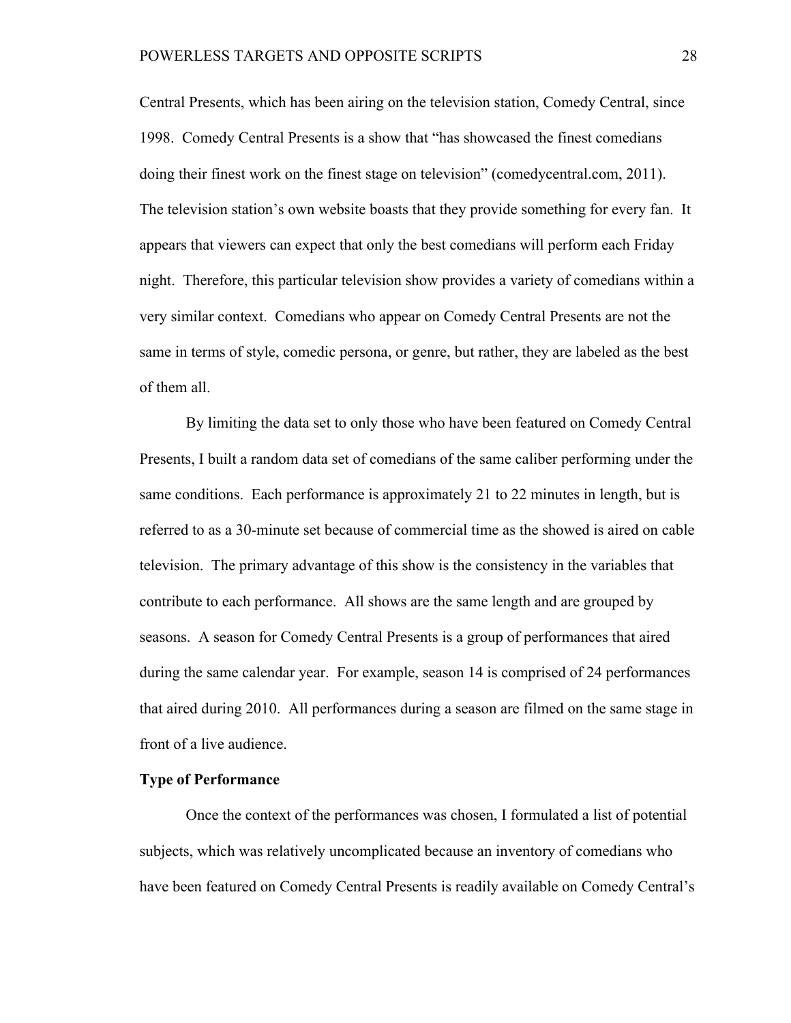Central Presents, which has been airing on the television station, Comedy Central, since 1998. Comedy Central Presents is a show that "has showcased the finest comedians doing their finest work on the finest stage on television" (comedycentral.com, 2011). The television station's own website boasts that they provide something for every fan. It appears that viewers can expect that only the best comedians will perform each Friday night. Therefore, this particular television show provides a variety of comedians within a very similar context. Comedians who appear on Comedy Central Presents are not the same in terms of style, comedic persona, or genre, but rather, they are labeled as the best of them all.

By limiting the data set to only those who have been featured on Comedy Central Presents, I built a random data set of comedians of the same caliber performing under the same conditions. Each performance is approximately 21 to 22 minutes in length, but is referred to as a 30-minute set because of commercial time as the showed is aired on cable television. The primary advantage of this show is the consistency in the variables that contribute to each performance. All shows are the same length and are grouped by seasons. A season for Comedy Central Presents is a group of performances that aired during the same calendar year. For example, season 14 is comprised of 24 performances that aired during 2010. All performances during a season are filmed on the same stage in front of a live audience.

#### **Type of Performance**

Once the context of the performances was chosen, I formulated a list of potential subjects, which was relatively uncomplicated because an inventory of comedians who have been featured on Comedy Central Presents is readily available on Comedy Central's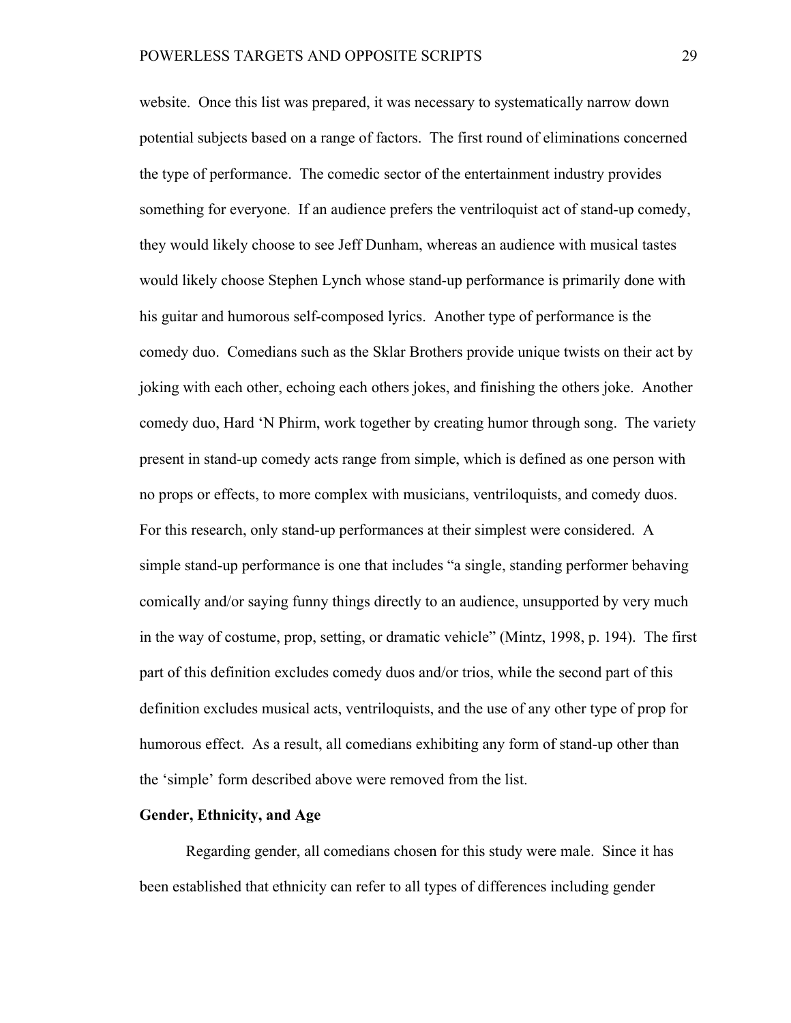website. Once this list was prepared, it was necessary to systematically narrow down potential subjects based on a range of factors. The first round of eliminations concerned the type of performance. The comedic sector of the entertainment industry provides something for everyone. If an audience prefers the ventriloquist act of stand-up comedy, they would likely choose to see Jeff Dunham, whereas an audience with musical tastes would likely choose Stephen Lynch whose stand-up performance is primarily done with his guitar and humorous self-composed lyrics. Another type of performance is the comedy duo. Comedians such as the Sklar Brothers provide unique twists on their act by joking with each other, echoing each others jokes, and finishing the others joke. Another comedy duo, Hard 'N Phirm, work together by creating humor through song. The variety present in stand-up comedy acts range from simple, which is defined as one person with no props or effects, to more complex with musicians, ventriloquists, and comedy duos. For this research, only stand-up performances at their simplest were considered. A simple stand-up performance is one that includes "a single, standing performer behaving comically and/or saying funny things directly to an audience, unsupported by very much in the way of costume, prop, setting, or dramatic vehicle" (Mintz, 1998, p. 194). The first part of this definition excludes comedy duos and/or trios, while the second part of this definition excludes musical acts, ventriloquists, and the use of any other type of prop for humorous effect. As a result, all comedians exhibiting any form of stand-up other than the 'simple' form described above were removed from the list.

## **Gender, Ethnicity, and Age**

Regarding gender, all comedians chosen for this study were male. Since it has been established that ethnicity can refer to all types of differences including gender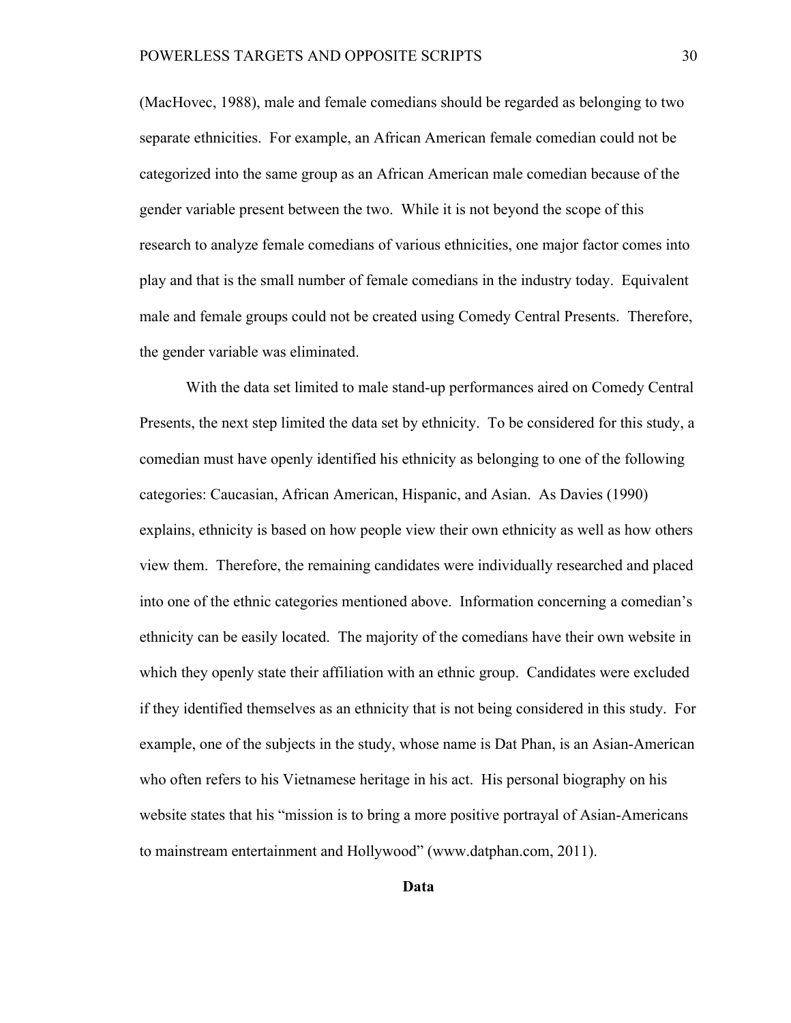(MacHovec, 1988), male and female comedians should be regarded as belonging to two separate ethnicities. For example, an African American female comedian could not be categorized into the same group as an African American male comedian because of the gender variable present between the two. While it is not beyond the scope of this research to analyze female comedians of various ethnicities, one major factor comes into play and that is the small number of female comedians in the industry today. Equivalent male and female groups could not be created using Comedy Central Presents. Therefore, the gender variable was eliminated.

With the data set limited to male stand-up performances aired on Comedy Central Presents, the next step limited the data set by ethnicity. To be considered for this study, a comedian must have openly identified his ethnicity as belonging to one of the following categories: Caucasian, African American, Hispanic, and Asian. As Davies (1990) explains, ethnicity is based on how people view their own ethnicity as well as how others view them. Therefore, the remaining candidates were individually researched and placed into one of the ethnic categories mentioned above. Information concerning a comedian's ethnicity can be easily located. The majority of the comedians have their own website in which they openly state their affiliation with an ethnic group. Candidates were excluded if they identified themselves as an ethnicity that is not being considered in this study. For example, one of the subjects in the study, whose name is Dat Phan, is an Asian-American who often refers to his Vietnamese heritage in his act. His personal biography on his website states that his "mission is to bring a more positive portrayal of Asian-Americans to mainstream entertainment and Hollywood" (www.datphan.com, 2011).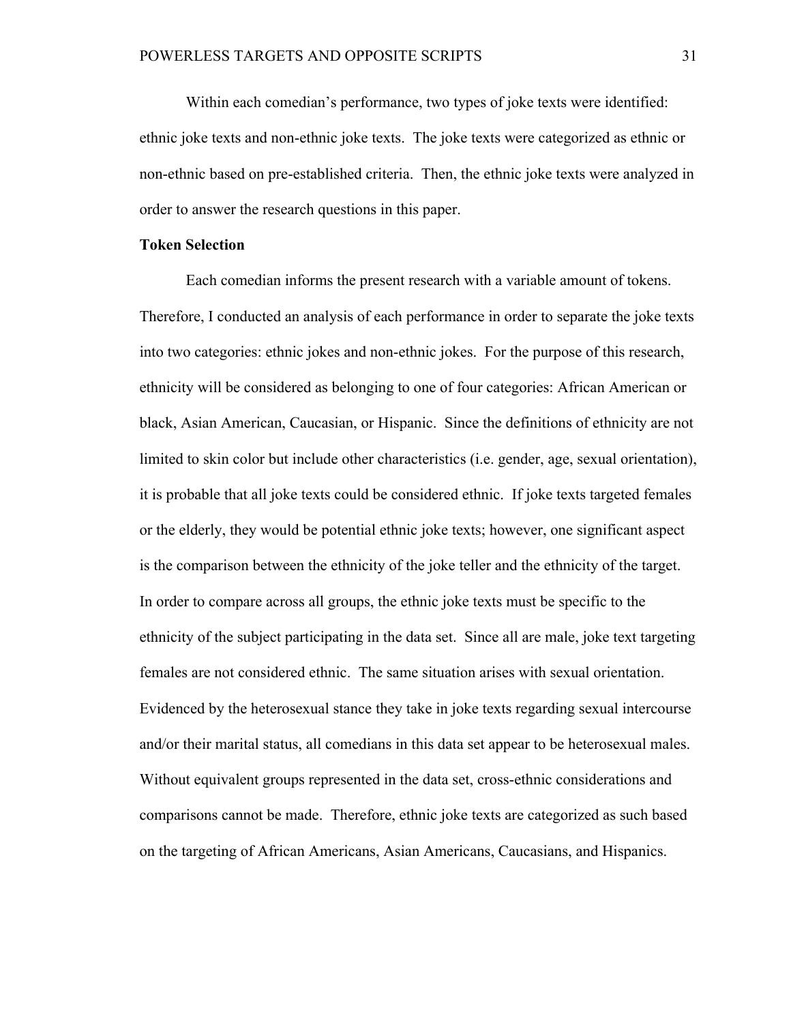Within each comedian's performance, two types of joke texts were identified: ethnic joke texts and non-ethnic joke texts. The joke texts were categorized as ethnic or non-ethnic based on pre-established criteria. Then, the ethnic joke texts were analyzed in order to answer the research questions in this paper.

### **Token Selection**

Each comedian informs the present research with a variable amount of tokens. Therefore, I conducted an analysis of each performance in order to separate the joke texts into two categories: ethnic jokes and non-ethnic jokes. For the purpose of this research, ethnicity will be considered as belonging to one of four categories: African American or black, Asian American, Caucasian, or Hispanic. Since the definitions of ethnicity are not limited to skin color but include other characteristics (i.e. gender, age, sexual orientation), it is probable that all joke texts could be considered ethnic. If joke texts targeted females or the elderly, they would be potential ethnic joke texts; however, one significant aspect is the comparison between the ethnicity of the joke teller and the ethnicity of the target. In order to compare across all groups, the ethnic joke texts must be specific to the ethnicity of the subject participating in the data set. Since all are male, joke text targeting females are not considered ethnic. The same situation arises with sexual orientation. Evidenced by the heterosexual stance they take in joke texts regarding sexual intercourse and/or their marital status, all comedians in this data set appear to be heterosexual males. Without equivalent groups represented in the data set, cross-ethnic considerations and comparisons cannot be made. Therefore, ethnic joke texts are categorized as such based on the targeting of African Americans, Asian Americans, Caucasians, and Hispanics.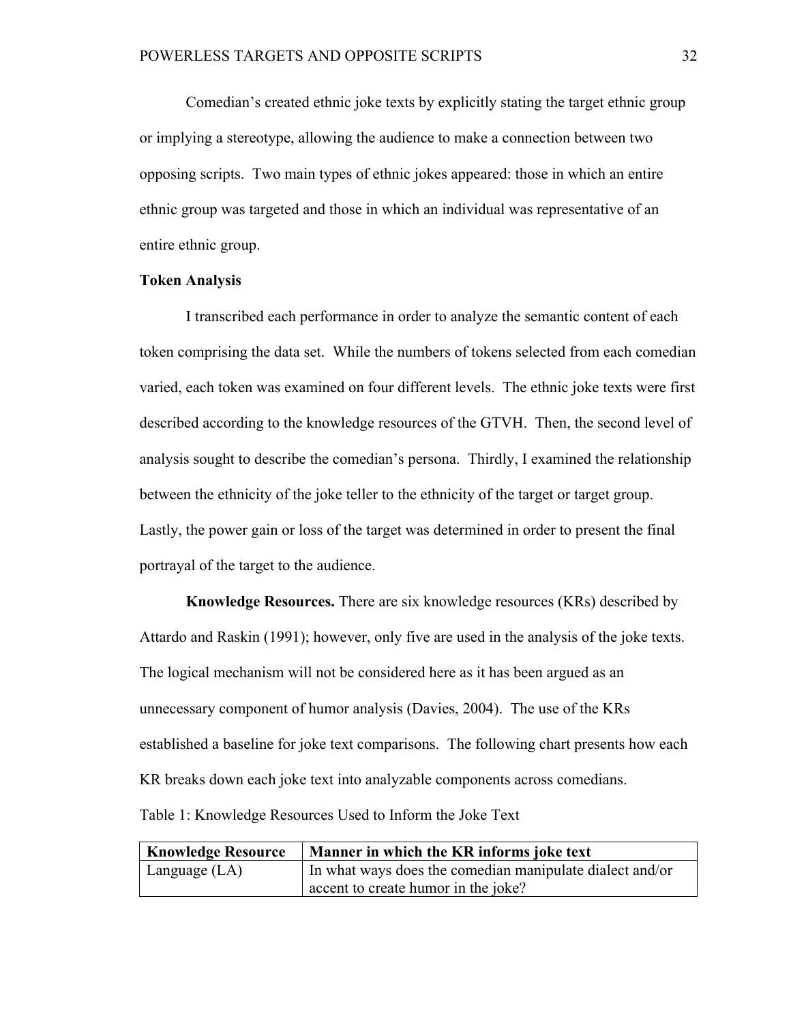Comedian's created ethnic joke texts by explicitly stating the target ethnic group or implying a stereotype, allowing the audience to make a connection between two opposing scripts. Two main types of ethnic jokes appeared: those in which an entire ethnic group was targeted and those in which an individual was representative of an entire ethnic group.

## **Token Analysis**

I transcribed each performance in order to analyze the semantic content of each token comprising the data set. While the numbers of tokens selected from each comedian varied, each token was examined on four different levels. The ethnic joke texts were first described according to the knowledge resources of the GTVH. Then, the second level of analysis sought to describe the comedian's persona. Thirdly, I examined the relationship between the ethnicity of the joke teller to the ethnicity of the target or target group. Lastly, the power gain or loss of the target was determined in order to present the final portrayal of the target to the audience.

**Knowledge Resources.** There are six knowledge resources (KRs) described by Attardo and Raskin (1991); however, only five are used in the analysis of the joke texts. The logical mechanism will not be considered here as it has been argued as an unnecessary component of humor analysis (Davies, 2004). The use of the KRs established a baseline for joke text comparisons. The following chart presents how each KR breaks down each joke text into analyzable components across comedians. Table 1: Knowledge Resources Used to Inform the Joke Text

| <b>Knowledge Resource</b> | Manner in which the KR informs joke text                 |
|---------------------------|----------------------------------------------------------|
| Language $(LA)$           | In what ways does the comedian manipulate dialect and/or |
|                           | accent to create humor in the joke?                      |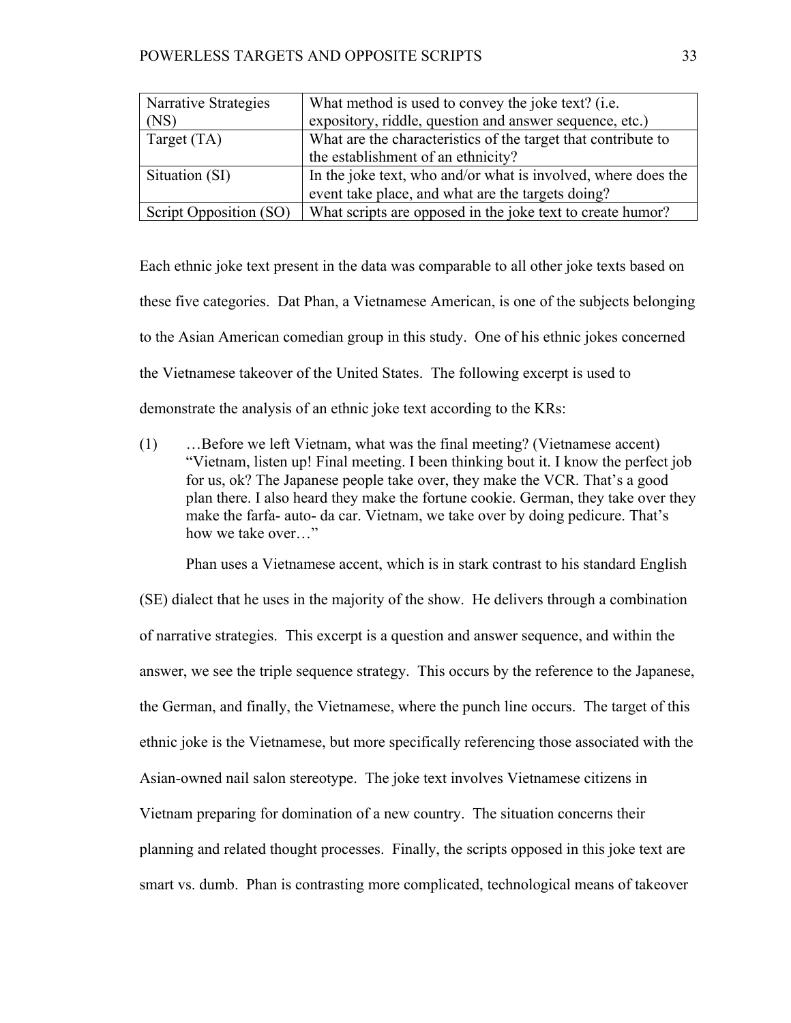| Narrative Strategies   | What method is used to convey the joke text? (i.e.            |
|------------------------|---------------------------------------------------------------|
| (NS)                   | expository, riddle, question and answer sequence, etc.)       |
| Target $(TA)$          | What are the characteristics of the target that contribute to |
|                        | the establishment of an ethnicity?                            |
| Situation (SI)         | In the joke text, who and/or what is involved, where does the |
|                        | event take place, and what are the targets doing?             |
| Script Opposition (SO) | What scripts are opposed in the joke text to create humor?    |

Each ethnic joke text present in the data was comparable to all other joke texts based on these five categories. Dat Phan, a Vietnamese American, is one of the subjects belonging to the Asian American comedian group in this study. One of his ethnic jokes concerned the Vietnamese takeover of the United States. The following excerpt is used to demonstrate the analysis of an ethnic joke text according to the KRs:

(1) …Before we left Vietnam, what was the final meeting? (Vietnamese accent) "Vietnam, listen up! Final meeting. I been thinking bout it. I know the perfect job for us, ok? The Japanese people take over, they make the VCR. That's a good plan there. I also heard they make the fortune cookie. German, they take over they make the farfa- auto- da car. Vietnam, we take over by doing pedicure. That's how we take over "

Phan uses a Vietnamese accent, which is in stark contrast to his standard English (SE) dialect that he uses in the majority of the show. He delivers through a combination of narrative strategies. This excerpt is a question and answer sequence, and within the answer, we see the triple sequence strategy. This occurs by the reference to the Japanese, the German, and finally, the Vietnamese, where the punch line occurs. The target of this ethnic joke is the Vietnamese, but more specifically referencing those associated with the Asian-owned nail salon stereotype. The joke text involves Vietnamese citizens in Vietnam preparing for domination of a new country. The situation concerns their planning and related thought processes. Finally, the scripts opposed in this joke text are smart vs. dumb. Phan is contrasting more complicated, technological means of takeover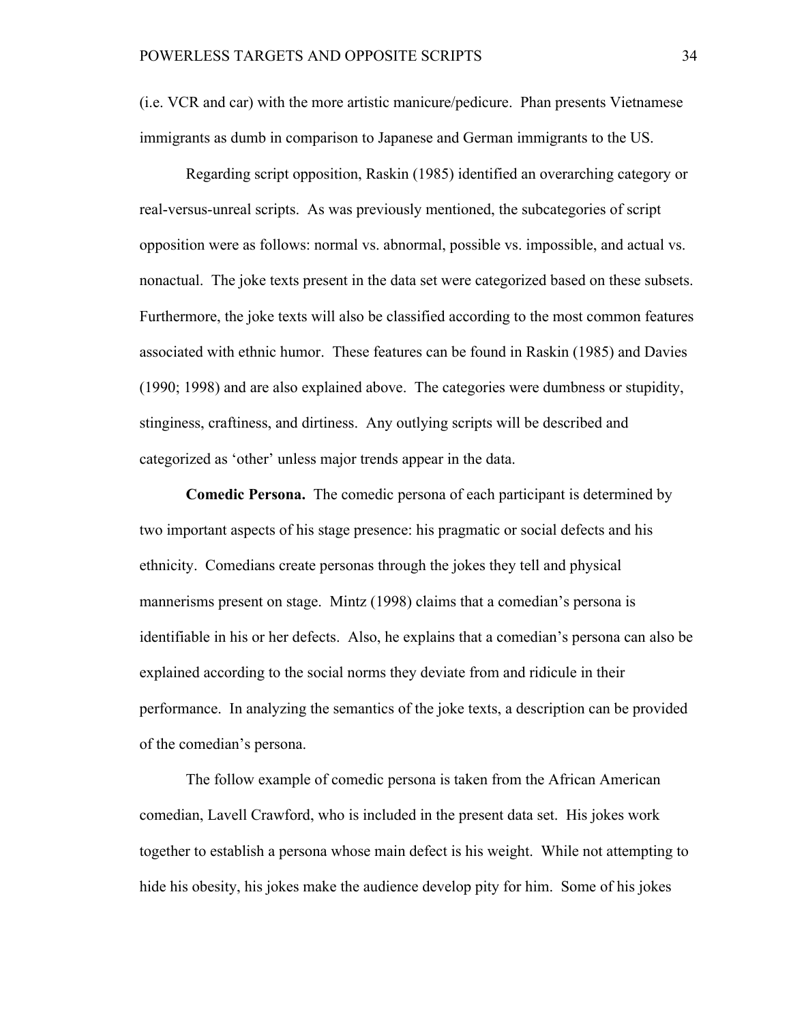(i.e. VCR and car) with the more artistic manicure/pedicure. Phan presents Vietnamese immigrants as dumb in comparison to Japanese and German immigrants to the US.

Regarding script opposition, Raskin (1985) identified an overarching category or real-versus-unreal scripts. As was previously mentioned, the subcategories of script opposition were as follows: normal vs. abnormal, possible vs. impossible, and actual vs. nonactual. The joke texts present in the data set were categorized based on these subsets. Furthermore, the joke texts will also be classified according to the most common features associated with ethnic humor. These features can be found in Raskin (1985) and Davies (1990; 1998) and are also explained above. The categories were dumbness or stupidity, stinginess, craftiness, and dirtiness. Any outlying scripts will be described and categorized as 'other' unless major trends appear in the data.

**Comedic Persona.** The comedic persona of each participant is determined by two important aspects of his stage presence: his pragmatic or social defects and his ethnicity. Comedians create personas through the jokes they tell and physical mannerisms present on stage. Mintz (1998) claims that a comedian's persona is identifiable in his or her defects. Also, he explains that a comedian's persona can also be explained according to the social norms they deviate from and ridicule in their performance. In analyzing the semantics of the joke texts, a description can be provided of the comedian's persona.

The follow example of comedic persona is taken from the African American comedian, Lavell Crawford, who is included in the present data set. His jokes work together to establish a persona whose main defect is his weight. While not attempting to hide his obesity, his jokes make the audience develop pity for him. Some of his jokes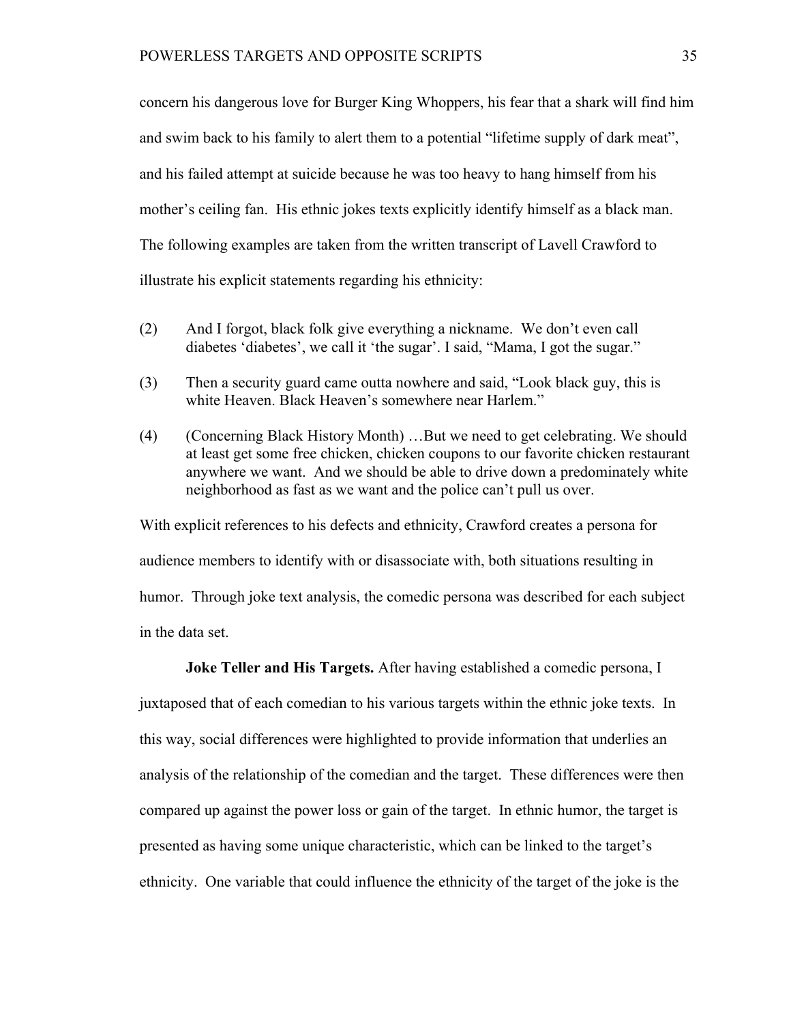concern his dangerous love for Burger King Whoppers, his fear that a shark will find him and swim back to his family to alert them to a potential "lifetime supply of dark meat", and his failed attempt at suicide because he was too heavy to hang himself from his mother's ceiling fan. His ethnic jokes texts explicitly identify himself as a black man. The following examples are taken from the written transcript of Lavell Crawford to illustrate his explicit statements regarding his ethnicity:

- (2) And I forgot, black folk give everything a nickname. We don't even call diabetes 'diabetes', we call it 'the sugar'. I said, "Mama, I got the sugar."
- (3) Then a security guard came outta nowhere and said, "Look black guy, this is white Heaven. Black Heaven's somewhere near Harlem."
- (4) (Concerning Black History Month) …But we need to get celebrating. We should at least get some free chicken, chicken coupons to our favorite chicken restaurant anywhere we want. And we should be able to drive down a predominately white neighborhood as fast as we want and the police can't pull us over.

With explicit references to his defects and ethnicity, Crawford creates a persona for audience members to identify with or disassociate with, both situations resulting in humor. Through joke text analysis, the comedic persona was described for each subject in the data set.

**Joke Teller and His Targets.** After having established a comedic persona, I juxtaposed that of each comedian to his various targets within the ethnic joke texts. In this way, social differences were highlighted to provide information that underlies an analysis of the relationship of the comedian and the target. These differences were then compared up against the power loss or gain of the target. In ethnic humor, the target is presented as having some unique characteristic, which can be linked to the target's ethnicity. One variable that could influence the ethnicity of the target of the joke is the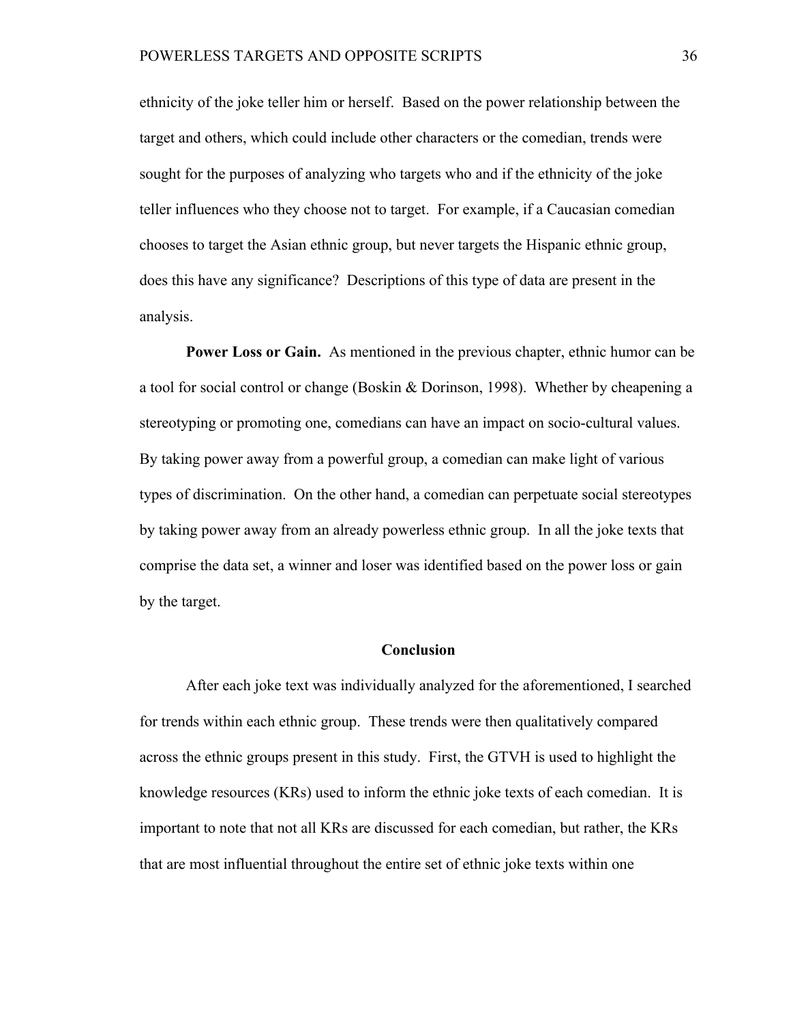ethnicity of the joke teller him or herself. Based on the power relationship between the target and others, which could include other characters or the comedian, trends were sought for the purposes of analyzing who targets who and if the ethnicity of the joke teller influences who they choose not to target. For example, if a Caucasian comedian chooses to target the Asian ethnic group, but never targets the Hispanic ethnic group, does this have any significance? Descriptions of this type of data are present in the analysis.

**Power Loss or Gain.** As mentioned in the previous chapter, ethnic humor can be a tool for social control or change (Boskin & Dorinson, 1998). Whether by cheapening a stereotyping or promoting one, comedians can have an impact on socio-cultural values. By taking power away from a powerful group, a comedian can make light of various types of discrimination. On the other hand, a comedian can perpetuate social stereotypes by taking power away from an already powerless ethnic group. In all the joke texts that comprise the data set, a winner and loser was identified based on the power loss or gain by the target.

### **Conclusion**

After each joke text was individually analyzed for the aforementioned, I searched for trends within each ethnic group. These trends were then qualitatively compared across the ethnic groups present in this study. First, the GTVH is used to highlight the knowledge resources (KRs) used to inform the ethnic joke texts of each comedian. It is important to note that not all KRs are discussed for each comedian, but rather, the KRs that are most influential throughout the entire set of ethnic joke texts within one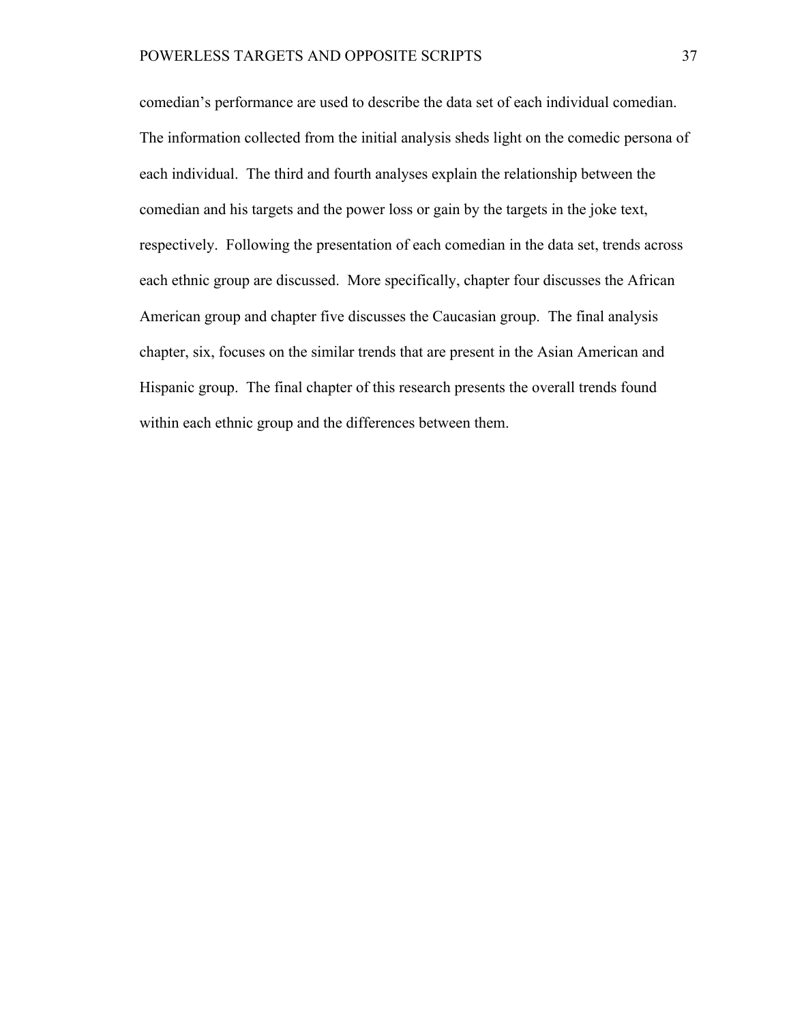comedian's performance are used to describe the data set of each individual comedian. The information collected from the initial analysis sheds light on the comedic persona of each individual. The third and fourth analyses explain the relationship between the comedian and his targets and the power loss or gain by the targets in the joke text, respectively. Following the presentation of each comedian in the data set, trends across each ethnic group are discussed. More specifically, chapter four discusses the African American group and chapter five discusses the Caucasian group. The final analysis chapter, six, focuses on the similar trends that are present in the Asian American and Hispanic group. The final chapter of this research presents the overall trends found within each ethnic group and the differences between them.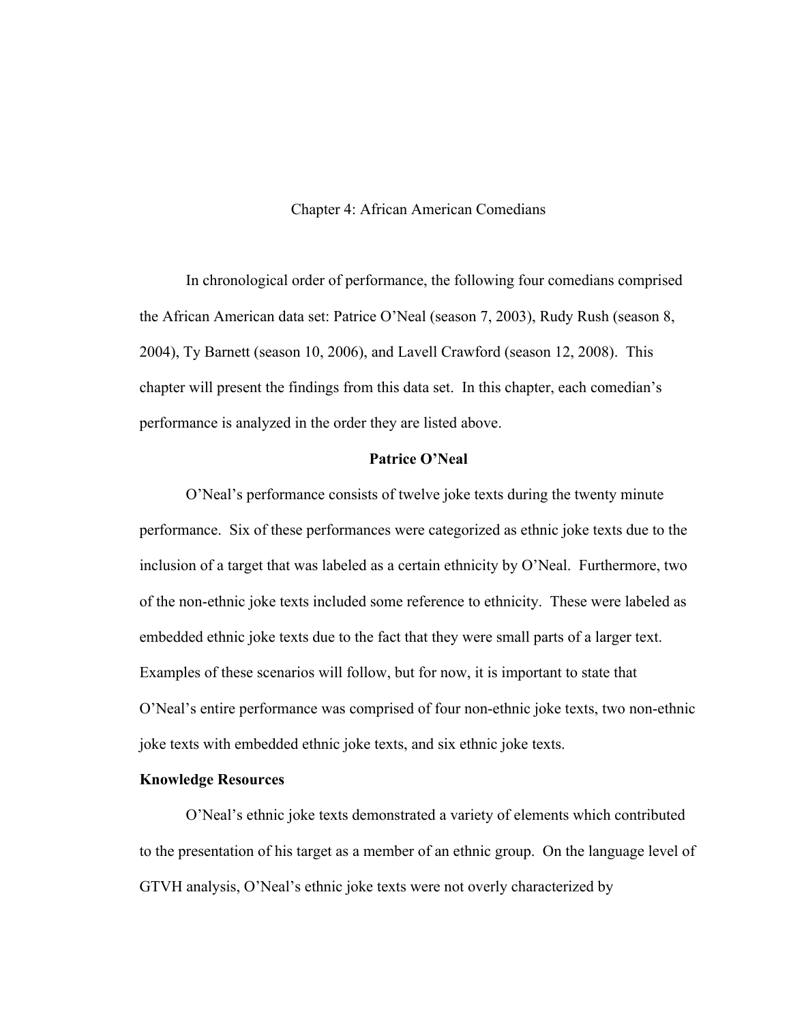### Chapter 4: African American Comedians

In chronological order of performance, the following four comedians comprised the African American data set: Patrice O'Neal (season 7, 2003), Rudy Rush (season 8, 2004), Ty Barnett (season 10, 2006), and Lavell Crawford (season 12, 2008). This chapter will present the findings from this data set. In this chapter, each comedian's performance is analyzed in the order they are listed above.

### **Patrice O'Neal**

O'Neal's performance consists of twelve joke texts during the twenty minute performance. Six of these performances were categorized as ethnic joke texts due to the inclusion of a target that was labeled as a certain ethnicity by O'Neal. Furthermore, two of the non-ethnic joke texts included some reference to ethnicity. These were labeled as embedded ethnic joke texts due to the fact that they were small parts of a larger text. Examples of these scenarios will follow, but for now, it is important to state that O'Neal's entire performance was comprised of four non-ethnic joke texts, two non-ethnic joke texts with embedded ethnic joke texts, and six ethnic joke texts.

### **Knowledge Resources**

O'Neal's ethnic joke texts demonstrated a variety of elements which contributed to the presentation of his target as a member of an ethnic group. On the language level of GTVH analysis, O'Neal's ethnic joke texts were not overly characterized by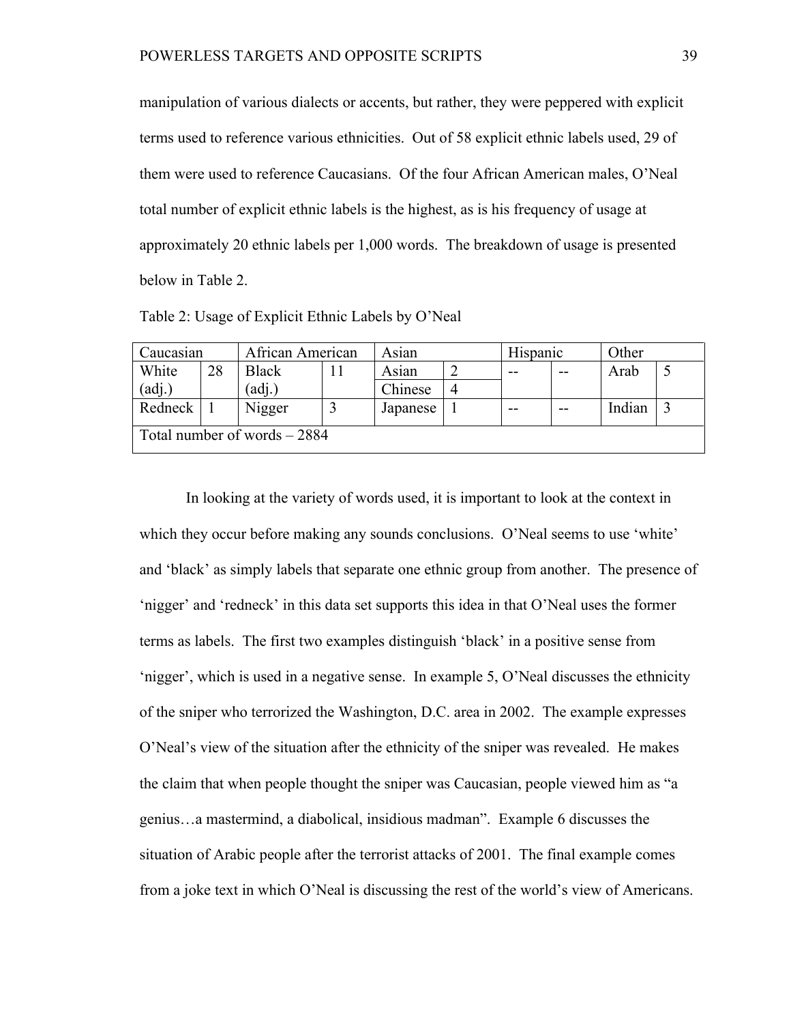manipulation of various dialects or accents, but rather, they were peppered with explicit terms used to reference various ethnicities. Out of 58 explicit ethnic labels used, 29 of them were used to reference Caucasians. Of the four African American males, O'Neal total number of explicit ethnic labels is the highest, as is his frequency of usage at approximately 20 ethnic labels per 1,000 words. The breakdown of usage is presented below in Table 2.

| Caucasian                     |    | African American |  | Asian    |  | Hispanic |       | Other  |  |
|-------------------------------|----|------------------|--|----------|--|----------|-------|--------|--|
| White                         | 28 | <b>Black</b>     |  | Asian    |  | --       | $- -$ | Arab   |  |
| (adj.)                        |    | 'adj.)           |  | Chinese  |  |          |       |        |  |
| Redneck                       |    | Nigger           |  | Japanese |  | --       | $- -$ | Indian |  |
| Total number of words $-2884$ |    |                  |  |          |  |          |       |        |  |

Table 2: Usage of Explicit Ethnic Labels by O'Neal

In looking at the variety of words used, it is important to look at the context in which they occur before making any sounds conclusions. O'Neal seems to use 'white' and 'black' as simply labels that separate one ethnic group from another. The presence of 'nigger' and 'redneck' in this data set supports this idea in that O'Neal uses the former terms as labels. The first two examples distinguish 'black' in a positive sense from 'nigger', which is used in a negative sense. In example 5, O'Neal discusses the ethnicity of the sniper who terrorized the Washington, D.C. area in 2002. The example expresses O'Neal's view of the situation after the ethnicity of the sniper was revealed. He makes the claim that when people thought the sniper was Caucasian, people viewed him as "a genius…a mastermind, a diabolical, insidious madman". Example 6 discusses the situation of Arabic people after the terrorist attacks of 2001. The final example comes from a joke text in which O'Neal is discussing the rest of the world's view of Americans.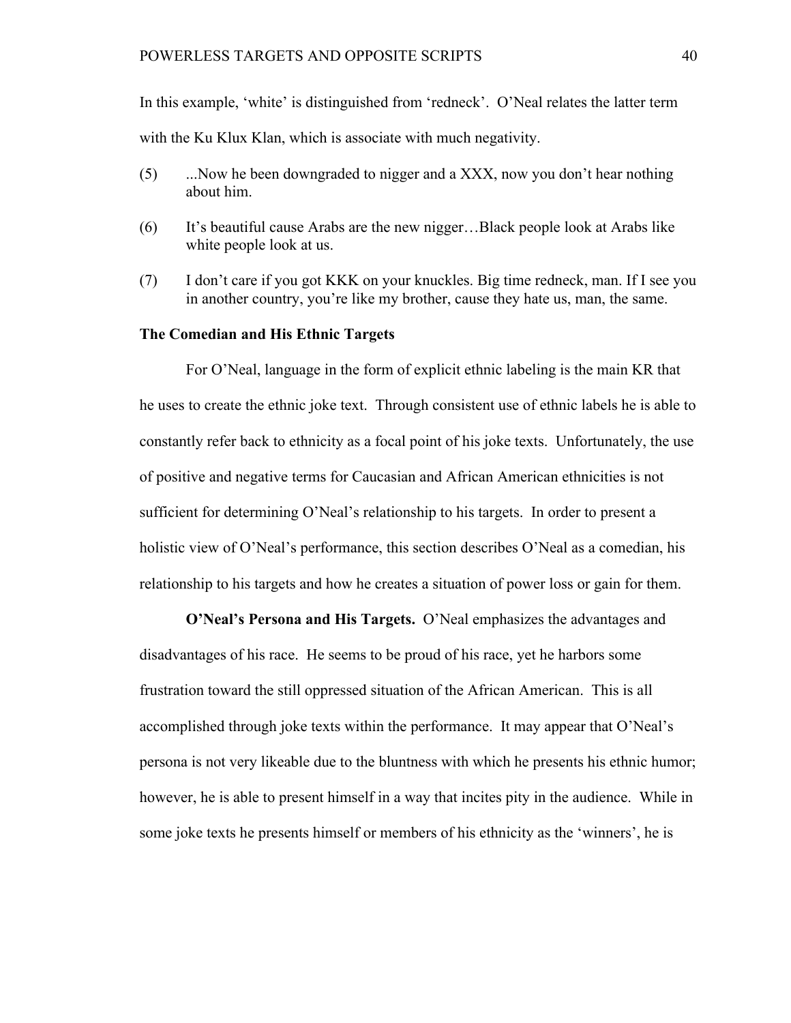In this example, 'white' is distinguished from 'redneck'. O'Neal relates the latter term with the Ku Klux Klan, which is associate with much negativity.

- (5) ...Now he been downgraded to nigger and a XXX, now you don't hear nothing about him.
- (6) It's beautiful cause Arabs are the new nigger…Black people look at Arabs like white people look at us.
- (7) I don't care if you got KKK on your knuckles. Big time redneck, man. If I see you in another country, you're like my brother, cause they hate us, man, the same.

### **The Comedian and His Ethnic Targets**

For O'Neal, language in the form of explicit ethnic labeling is the main KR that he uses to create the ethnic joke text. Through consistent use of ethnic labels he is able to constantly refer back to ethnicity as a focal point of his joke texts. Unfortunately, the use of positive and negative terms for Caucasian and African American ethnicities is not sufficient for determining O'Neal's relationship to his targets. In order to present a holistic view of O'Neal's performance, this section describes O'Neal as a comedian, his relationship to his targets and how he creates a situation of power loss or gain for them.

**O'Neal's Persona and His Targets.** O'Neal emphasizes the advantages and disadvantages of his race. He seems to be proud of his race, yet he harbors some frustration toward the still oppressed situation of the African American. This is all accomplished through joke texts within the performance. It may appear that O'Neal's persona is not very likeable due to the bluntness with which he presents his ethnic humor; however, he is able to present himself in a way that incites pity in the audience. While in some joke texts he presents himself or members of his ethnicity as the 'winners', he is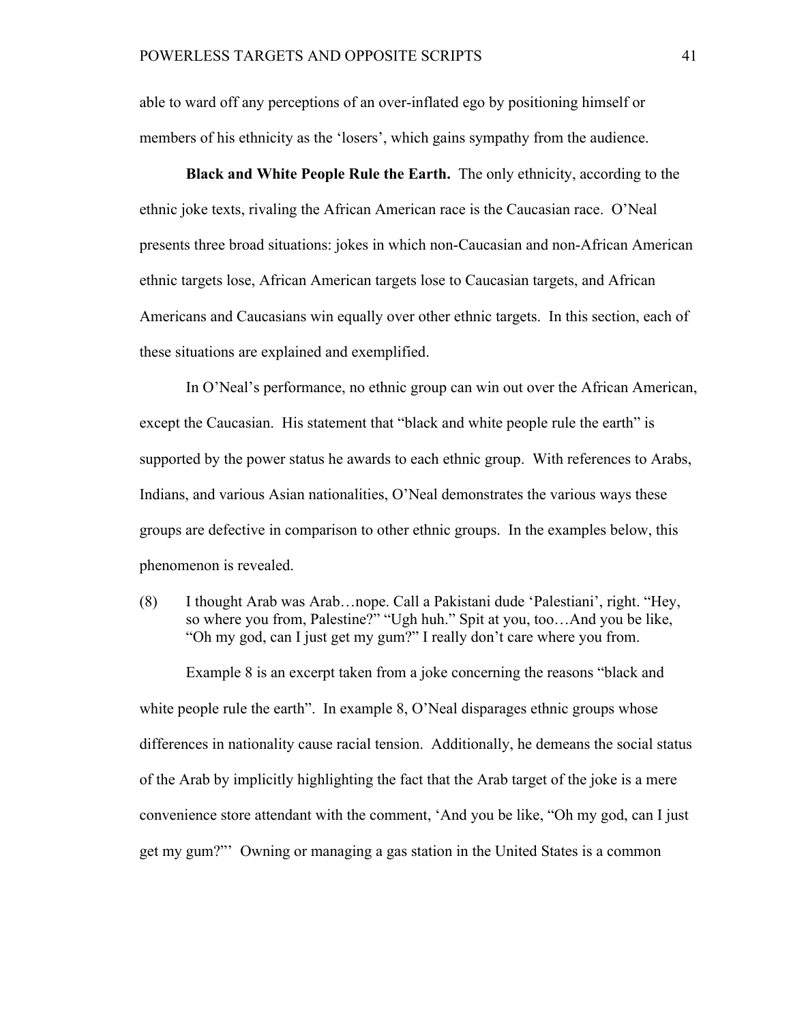able to ward off any perceptions of an over-inflated ego by positioning himself or members of his ethnicity as the 'losers', which gains sympathy from the audience.

**Black and White People Rule the Earth.** The only ethnicity, according to the ethnic joke texts, rivaling the African American race is the Caucasian race. O'Neal presents three broad situations: jokes in which non-Caucasian and non-African American ethnic targets lose, African American targets lose to Caucasian targets, and African Americans and Caucasians win equally over other ethnic targets. In this section, each of these situations are explained and exemplified.

In O'Neal's performance, no ethnic group can win out over the African American, except the Caucasian. His statement that "black and white people rule the earth" is supported by the power status he awards to each ethnic group. With references to Arabs, Indians, and various Asian nationalities, O'Neal demonstrates the various ways these groups are defective in comparison to other ethnic groups. In the examples below, this phenomenon is revealed.

(8) I thought Arab was Arab…nope. Call a Pakistani dude 'Palestiani', right. "Hey, so where you from, Palestine?" "Ugh huh." Spit at you, too…And you be like, "Oh my god, can I just get my gum?" I really don't care where you from.

Example 8 is an excerpt taken from a joke concerning the reasons "black and white people rule the earth". In example 8, O'Neal disparages ethnic groups whose differences in nationality cause racial tension. Additionally, he demeans the social status of the Arab by implicitly highlighting the fact that the Arab target of the joke is a mere convenience store attendant with the comment, 'And you be like, "Oh my god, can I just get my gum?"' Owning or managing a gas station in the United States is a common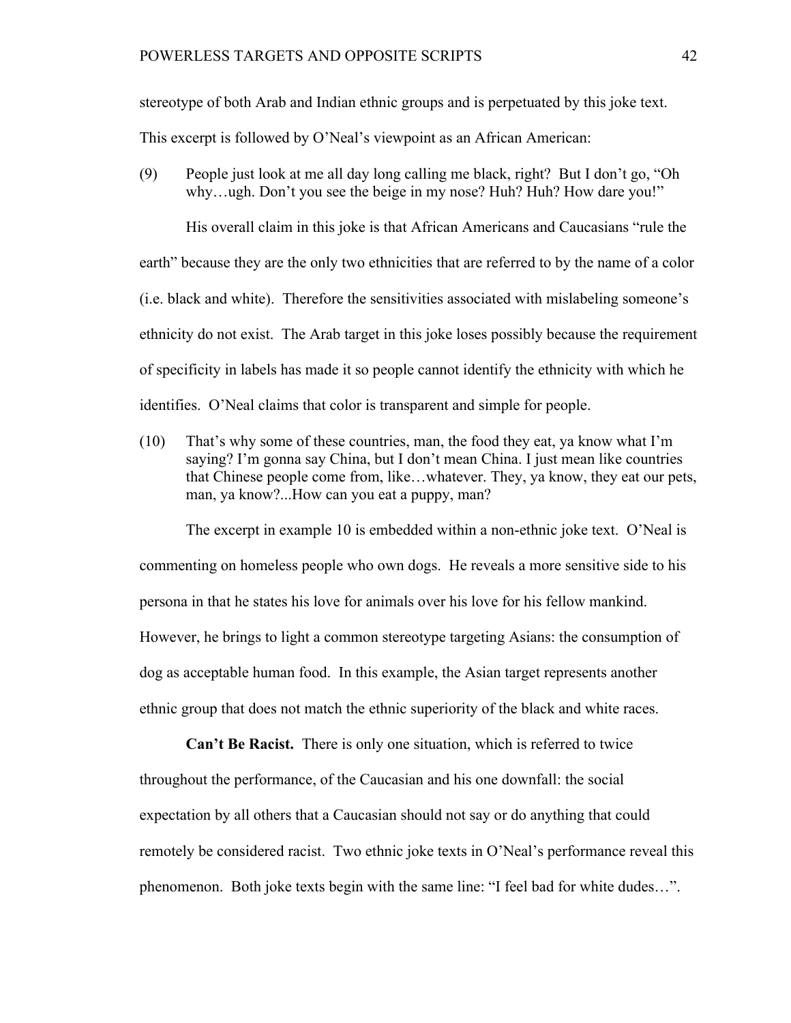stereotype of both Arab and Indian ethnic groups and is perpetuated by this joke text.

This excerpt is followed by O'Neal's viewpoint as an African American:

(9) People just look at me all day long calling me black, right? But I don't go, "Oh why...ugh. Don't you see the beige in my nose? Huh? Huh? How dare you!"

His overall claim in this joke is that African Americans and Caucasians "rule the earth" because they are the only two ethnicities that are referred to by the name of a color (i.e. black and white). Therefore the sensitivities associated with mislabeling someone's ethnicity do not exist. The Arab target in this joke loses possibly because the requirement of specificity in labels has made it so people cannot identify the ethnicity with which he identifies. O'Neal claims that color is transparent and simple for people.

(10) That's why some of these countries, man, the food they eat, ya know what I'm saying? I'm gonna say China, but I don't mean China. I just mean like countries that Chinese people come from, like…whatever. They, ya know, they eat our pets, man, ya know?...How can you eat a puppy, man?

The excerpt in example 10 is embedded within a non-ethnic joke text. O'Neal is commenting on homeless people who own dogs. He reveals a more sensitive side to his persona in that he states his love for animals over his love for his fellow mankind. However, he brings to light a common stereotype targeting Asians: the consumption of dog as acceptable human food. In this example, the Asian target represents another ethnic group that does not match the ethnic superiority of the black and white races.

**Can't Be Racist.** There is only one situation, which is referred to twice throughout the performance, of the Caucasian and his one downfall: the social expectation by all others that a Caucasian should not say or do anything that could remotely be considered racist. Two ethnic joke texts in O'Neal's performance reveal this phenomenon. Both joke texts begin with the same line: "I feel bad for white dudes…".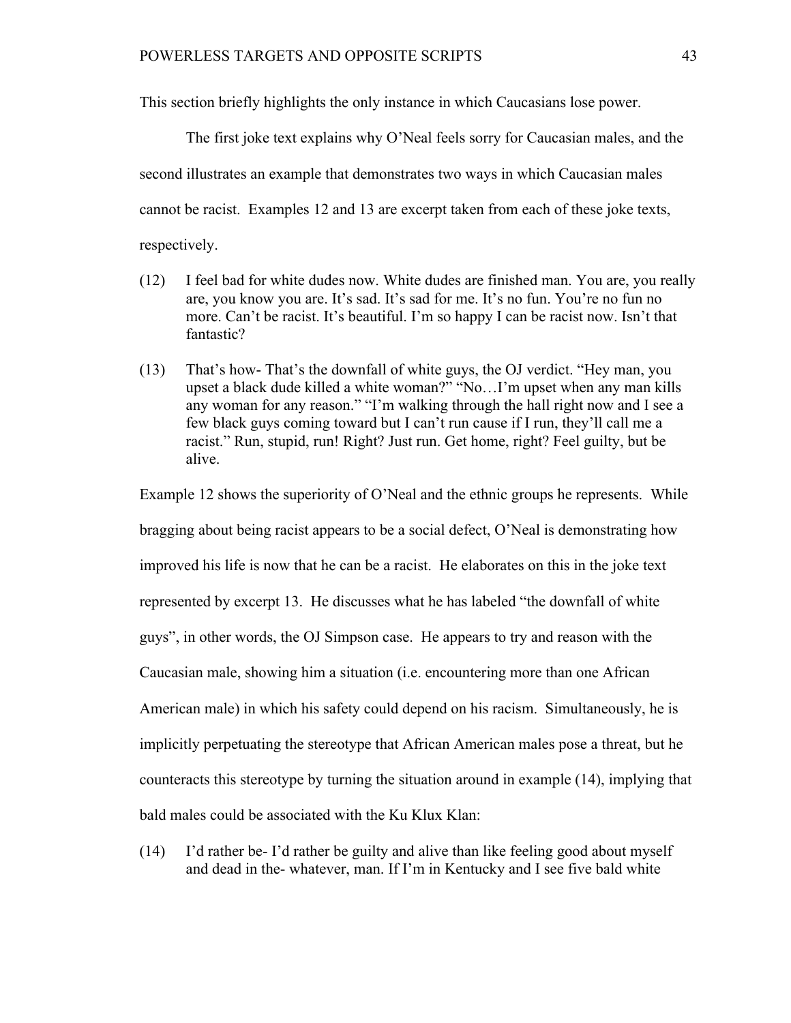This section briefly highlights the only instance in which Caucasians lose power.

The first joke text explains why O'Neal feels sorry for Caucasian males, and the second illustrates an example that demonstrates two ways in which Caucasian males cannot be racist. Examples 12 and 13 are excerpt taken from each of these joke texts, respectively.

- (12) I feel bad for white dudes now. White dudes are finished man. You are, you really are, you know you are. It's sad. It's sad for me. It's no fun. You're no fun no more. Can't be racist. It's beautiful. I'm so happy I can be racist now. Isn't that fantastic?
- (13) That's how- That's the downfall of white guys, the OJ verdict. "Hey man, you upset a black dude killed a white woman?" "No...I'm upset when any man kills any woman for any reason." "I'm walking through the hall right now and I see a few black guys coming toward but I can't run cause if I run, they'll call me a racist." Run, stupid, run! Right? Just run. Get home, right? Feel guilty, but be alive.

Example 12 shows the superiority of O'Neal and the ethnic groups he represents. While bragging about being racist appears to be a social defect, O'Neal is demonstrating how improved his life is now that he can be a racist. He elaborates on this in the joke text represented by excerpt 13. He discusses what he has labeled "the downfall of white guys", in other words, the OJ Simpson case. He appears to try and reason with the Caucasian male, showing him a situation (i.e. encountering more than one African American male) in which his safety could depend on his racism. Simultaneously, he is implicitly perpetuating the stereotype that African American males pose a threat, but he counteracts this stereotype by turning the situation around in example (14), implying that bald males could be associated with the Ku Klux Klan:

(14) I'd rather be- I'd rather be guilty and alive than like feeling good about myself and dead in the- whatever, man. If I'm in Kentucky and I see five bald white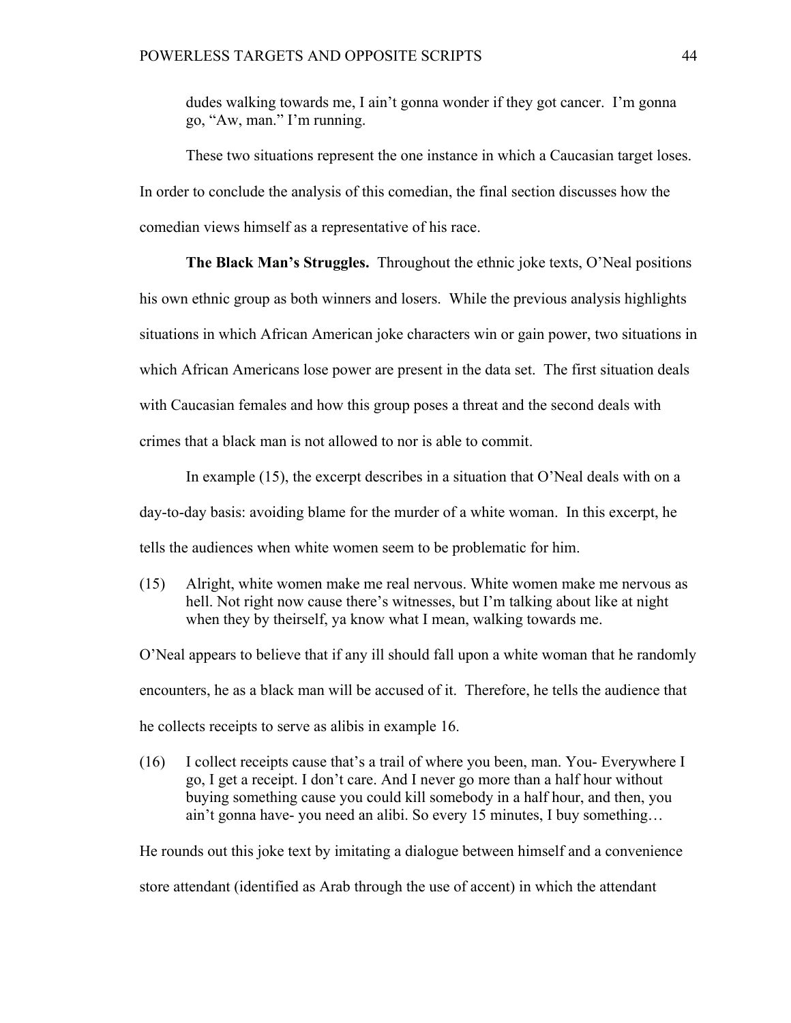dudes walking towards me, I ain't gonna wonder if they got cancer. I'm gonna go, "Aw, man." I'm running.

These two situations represent the one instance in which a Caucasian target loses. In order to conclude the analysis of this comedian, the final section discusses how the comedian views himself as a representative of his race.

**The Black Man's Struggles.** Throughout the ethnic joke texts, O'Neal positions his own ethnic group as both winners and losers. While the previous analysis highlights situations in which African American joke characters win or gain power, two situations in which African Americans lose power are present in the data set. The first situation deals with Caucasian females and how this group poses a threat and the second deals with crimes that a black man is not allowed to nor is able to commit.

In example  $(15)$ , the excerpt describes in a situation that O'Neal deals with on a day-to-day basis: avoiding blame for the murder of a white woman. In this excerpt, he tells the audiences when white women seem to be problematic for him.

(15) Alright, white women make me real nervous. White women make me nervous as hell. Not right now cause there's witnesses, but I'm talking about like at night when they by theirself, ya know what I mean, walking towards me.

O'Neal appears to believe that if any ill should fall upon a white woman that he randomly encounters, he as a black man will be accused of it. Therefore, he tells the audience that he collects receipts to serve as alibis in example 16.

(16) I collect receipts cause that's a trail of where you been, man. You- Everywhere I go, I get a receipt. I don't care. And I never go more than a half hour without buying something cause you could kill somebody in a half hour, and then, you ain't gonna have- you need an alibi. So every 15 minutes, I buy something…

He rounds out this joke text by imitating a dialogue between himself and a convenience store attendant (identified as Arab through the use of accent) in which the attendant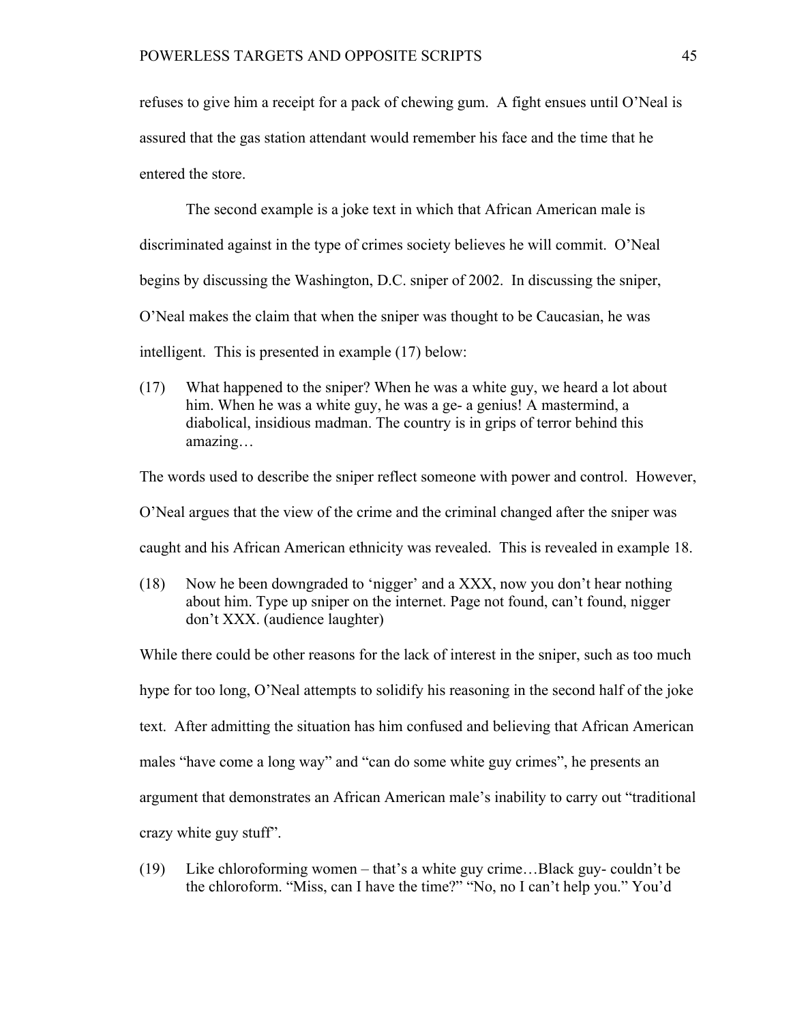refuses to give him a receipt for a pack of chewing gum. A fight ensues until O'Neal is assured that the gas station attendant would remember his face and the time that he entered the store.

The second example is a joke text in which that African American male is discriminated against in the type of crimes society believes he will commit. O'Neal begins by discussing the Washington, D.C. sniper of 2002. In discussing the sniper, O'Neal makes the claim that when the sniper was thought to be Caucasian, he was intelligent. This is presented in example (17) below:

(17) What happened to the sniper? When he was a white guy, we heard a lot about him. When he was a white guy, he was a ge- a genius! A mastermind, a diabolical, insidious madman. The country is in grips of terror behind this amazing…

The words used to describe the sniper reflect someone with power and control. However,

O'Neal argues that the view of the crime and the criminal changed after the sniper was

caught and his African American ethnicity was revealed. This is revealed in example 18.

(18) Now he been downgraded to 'nigger' and a XXX, now you don't hear nothing about him. Type up sniper on the internet. Page not found, can't found, nigger don't XXX. (audience laughter)

While there could be other reasons for the lack of interest in the sniper, such as too much hype for too long, O'Neal attempts to solidify his reasoning in the second half of the joke text. After admitting the situation has him confused and believing that African American males "have come a long way" and "can do some white guy crimes", he presents an argument that demonstrates an African American male's inability to carry out "traditional crazy white guy stuff".

(19) Like chloroforming women – that's a white guy crime…Black guy- couldn't be the chloroform. "Miss, can I have the time?" "No, no I can't help you." You'd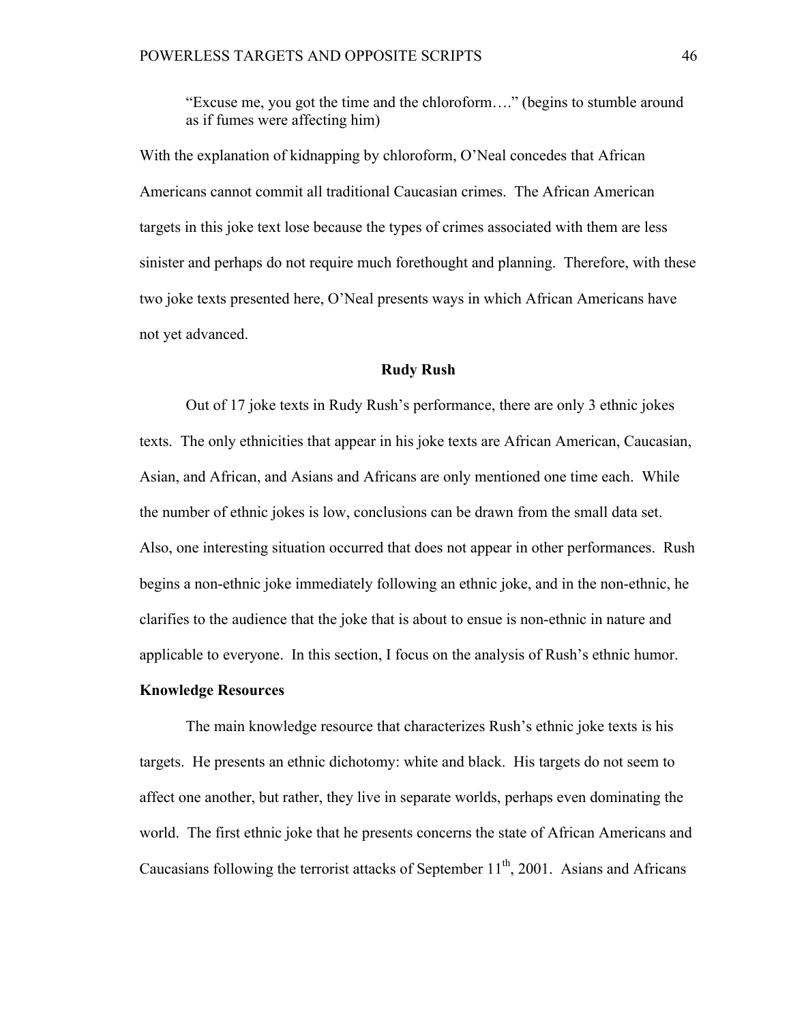"Excuse me, you got the time and the chloroform…." (begins to stumble around as if fumes were affecting him)

With the explanation of kidnapping by chloroform, O'Neal concedes that African Americans cannot commit all traditional Caucasian crimes. The African American targets in this joke text lose because the types of crimes associated with them are less sinister and perhaps do not require much forethought and planning. Therefore, with these two joke texts presented here, O'Neal presents ways in which African Americans have not yet advanced.

## **Rudy Rush**

Out of 17 joke texts in Rudy Rush's performance, there are only 3 ethnic jokes texts. The only ethnicities that appear in his joke texts are African American, Caucasian, Asian, and African, and Asians and Africans are only mentioned one time each. While the number of ethnic jokes is low, conclusions can be drawn from the small data set. Also, one interesting situation occurred that does not appear in other performances. Rush begins a non-ethnic joke immediately following an ethnic joke, and in the non-ethnic, he clarifies to the audience that the joke that is about to ensue is non-ethnic in nature and applicable to everyone. In this section, I focus on the analysis of Rush's ethnic humor.

# **Knowledge Resources**

The main knowledge resource that characterizes Rush's ethnic joke texts is his targets. He presents an ethnic dichotomy: white and black. His targets do not seem to affect one another, but rather, they live in separate worlds, perhaps even dominating the world. The first ethnic joke that he presents concerns the state of African Americans and Caucasians following the terrorist attacks of September  $11<sup>th</sup>$ , 2001. Asians and Africans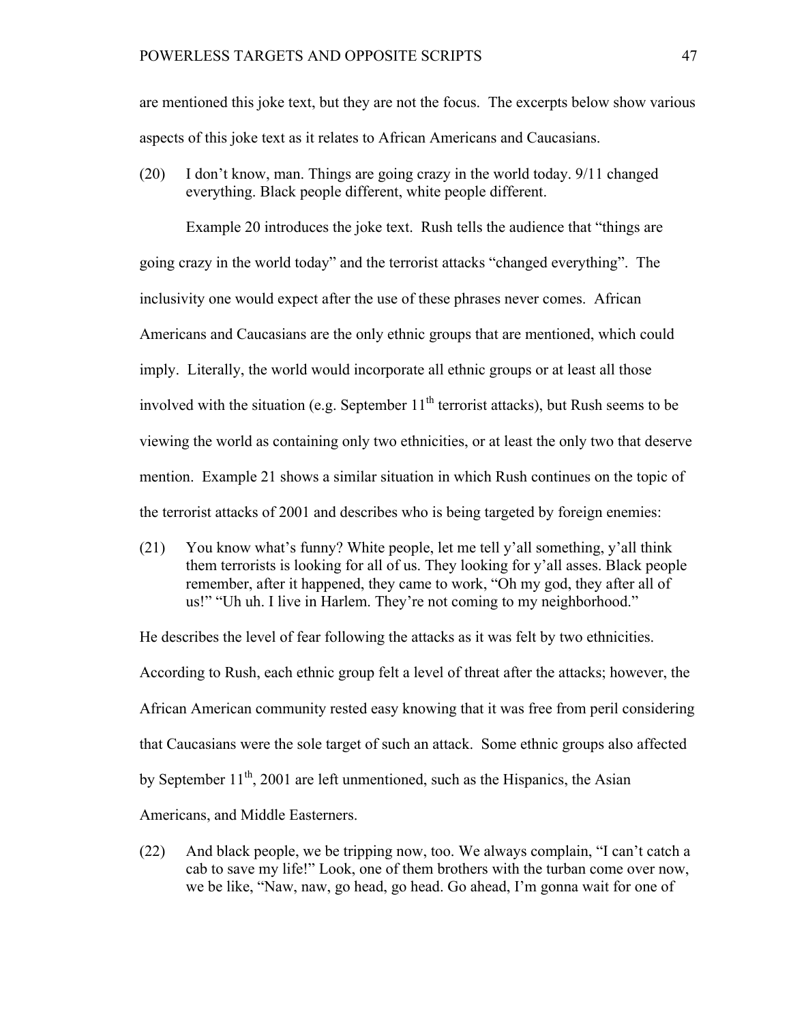are mentioned this joke text, but they are not the focus. The excerpts below show various aspects of this joke text as it relates to African Americans and Caucasians.

(20) I don't know, man. Things are going crazy in the world today. 9/11 changed everything. Black people different, white people different.

Example 20 introduces the joke text. Rush tells the audience that "things are going crazy in the world today" and the terrorist attacks "changed everything". The inclusivity one would expect after the use of these phrases never comes. African Americans and Caucasians are the only ethnic groups that are mentioned, which could imply. Literally, the world would incorporate all ethnic groups or at least all those involved with the situation (e.g. September  $11<sup>th</sup>$  terrorist attacks), but Rush seems to be viewing the world as containing only two ethnicities, or at least the only two that deserve mention. Example 21 shows a similar situation in which Rush continues on the topic of the terrorist attacks of 2001 and describes who is being targeted by foreign enemies:

(21) You know what's funny? White people, let me tell y'all something, y'all think them terrorists is looking for all of us. They looking for y'all asses. Black people remember, after it happened, they came to work, "Oh my god, they after all of us!" "Uh uh. I live in Harlem. They're not coming to my neighborhood."

He describes the level of fear following the attacks as it was felt by two ethnicities. According to Rush, each ethnic group felt a level of threat after the attacks; however, the African American community rested easy knowing that it was free from peril considering that Caucasians were the sole target of such an attack. Some ethnic groups also affected by September  $11^{th}$ , 2001 are left unmentioned, such as the Hispanics, the Asian Americans, and Middle Easterners.

(22) And black people, we be tripping now, too. We always complain, "I can't catch a cab to save my life!" Look, one of them brothers with the turban come over now, we be like, "Naw, naw, go head, go head. Go ahead, I'm gonna wait for one of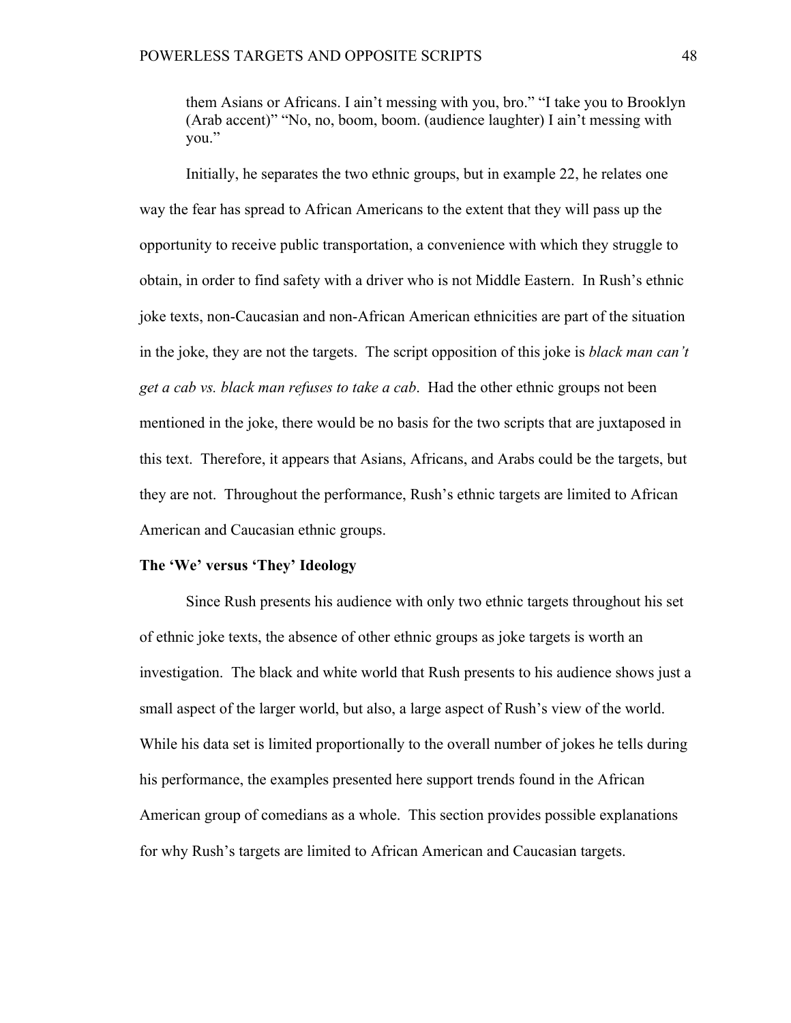them Asians or Africans. I ain't messing with you, bro." "I take you to Brooklyn (Arab accent)" "No, no, boom, boom. (audience laughter) I ain't messing with you."

Initially, he separates the two ethnic groups, but in example 22, he relates one way the fear has spread to African Americans to the extent that they will pass up the opportunity to receive public transportation, a convenience with which they struggle to obtain, in order to find safety with a driver who is not Middle Eastern. In Rush's ethnic joke texts, non-Caucasian and non-African American ethnicities are part of the situation in the joke, they are not the targets. The script opposition of this joke is *black man can't get a cab vs. black man refuses to take a cab*. Had the other ethnic groups not been mentioned in the joke, there would be no basis for the two scripts that are juxtaposed in this text. Therefore, it appears that Asians, Africans, and Arabs could be the targets, but they are not. Throughout the performance, Rush's ethnic targets are limited to African American and Caucasian ethnic groups.

#### **The 'We' versus 'They' Ideology**

Since Rush presents his audience with only two ethnic targets throughout his set of ethnic joke texts, the absence of other ethnic groups as joke targets is worth an investigation. The black and white world that Rush presents to his audience shows just a small aspect of the larger world, but also, a large aspect of Rush's view of the world. While his data set is limited proportionally to the overall number of jokes he tells during his performance, the examples presented here support trends found in the African American group of comedians as a whole. This section provides possible explanations for why Rush's targets are limited to African American and Caucasian targets.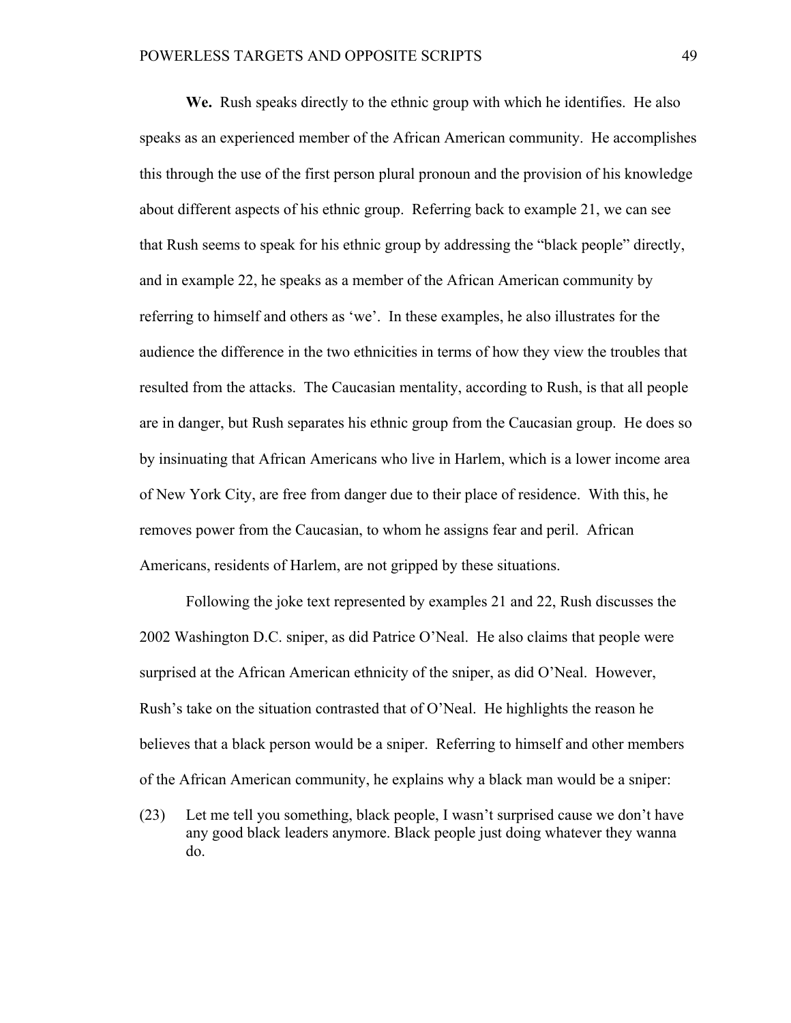**We.** Rush speaks directly to the ethnic group with which he identifies. He also speaks as an experienced member of the African American community. He accomplishes this through the use of the first person plural pronoun and the provision of his knowledge about different aspects of his ethnic group. Referring back to example 21, we can see that Rush seems to speak for his ethnic group by addressing the "black people" directly, and in example 22, he speaks as a member of the African American community by referring to himself and others as 'we'. In these examples, he also illustrates for the audience the difference in the two ethnicities in terms of how they view the troubles that resulted from the attacks. The Caucasian mentality, according to Rush, is that all people are in danger, but Rush separates his ethnic group from the Caucasian group. He does so by insinuating that African Americans who live in Harlem, which is a lower income area of New York City, are free from danger due to their place of residence. With this, he removes power from the Caucasian, to whom he assigns fear and peril. African Americans, residents of Harlem, are not gripped by these situations.

Following the joke text represented by examples 21 and 22, Rush discusses the 2002 Washington D.C. sniper, as did Patrice O'Neal. He also claims that people were surprised at the African American ethnicity of the sniper, as did O'Neal. However, Rush's take on the situation contrasted that of O'Neal. He highlights the reason he believes that a black person would be a sniper. Referring to himself and other members of the African American community, he explains why a black man would be a sniper:

(23) Let me tell you something, black people, I wasn't surprised cause we don't have any good black leaders anymore. Black people just doing whatever they wanna do.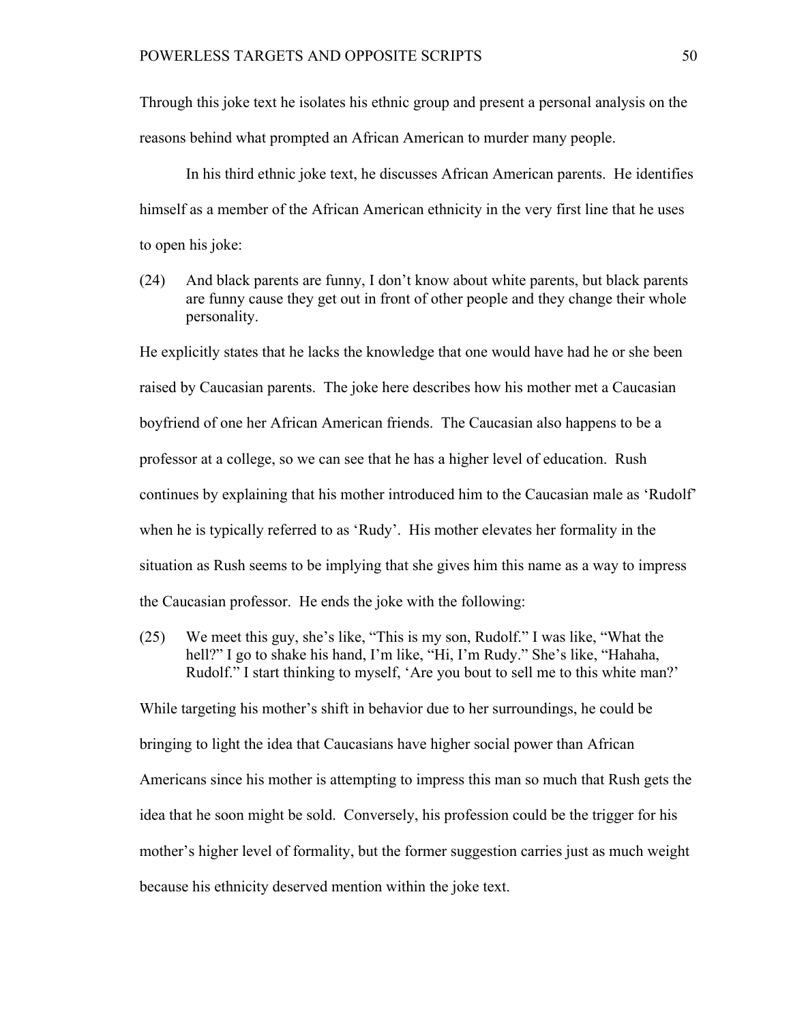Through this joke text he isolates his ethnic group and present a personal analysis on the reasons behind what prompted an African American to murder many people.

In his third ethnic joke text, he discusses African American parents. He identifies himself as a member of the African American ethnicity in the very first line that he uses to open his joke:

(24) And black parents are funny, I don't know about white parents, but black parents are funny cause they get out in front of other people and they change their whole personality.

He explicitly states that he lacks the knowledge that one would have had he or she been raised by Caucasian parents. The joke here describes how his mother met a Caucasian boyfriend of one her African American friends. The Caucasian also happens to be a professor at a college, so we can see that he has a higher level of education. Rush continues by explaining that his mother introduced him to the Caucasian male as 'Rudolf' when he is typically referred to as 'Rudy'. His mother elevates her formality in the situation as Rush seems to be implying that she gives him this name as a way to impress the Caucasian professor. He ends the joke with the following:

(25) We meet this guy, she's like, "This is my son, Rudolf." I was like, "What the hell?" I go to shake his hand, I'm like, "Hi, I'm Rudy." She's like, "Hahaha, Rudolf." I start thinking to myself, 'Are you bout to sell me to this white man?'

While targeting his mother's shift in behavior due to her surroundings, he could be bringing to light the idea that Caucasians have higher social power than African Americans since his mother is attempting to impress this man so much that Rush gets the idea that he soon might be sold. Conversely, his profession could be the trigger for his mother's higher level of formality, but the former suggestion carries just as much weight because his ethnicity deserved mention within the joke text.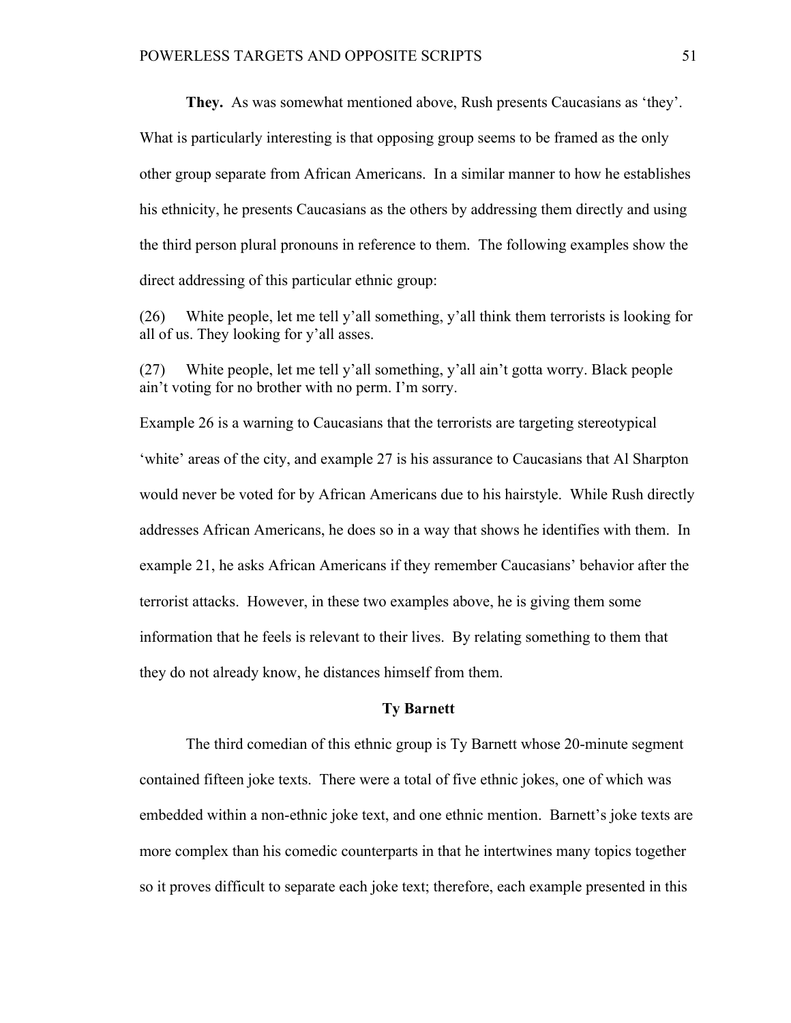**They.** As was somewhat mentioned above, Rush presents Caucasians as 'they'. What is particularly interesting is that opposing group seems to be framed as the only other group separate from African Americans. In a similar manner to how he establishes his ethnicity, he presents Caucasians as the others by addressing them directly and using the third person plural pronouns in reference to them. The following examples show the

direct addressing of this particular ethnic group:

(26) White people, let me tell y'all something, y'all think them terrorists is looking for all of us. They looking for y'all asses.

(27) White people, let me tell y'all something, y'all ain't gotta worry. Black people ain't voting for no brother with no perm. I'm sorry.

Example 26 is a warning to Caucasians that the terrorists are targeting stereotypical 'white' areas of the city, and example 27 is his assurance to Caucasians that Al Sharpton would never be voted for by African Americans due to his hairstyle. While Rush directly addresses African Americans, he does so in a way that shows he identifies with them. In example 21, he asks African Americans if they remember Caucasians' behavior after the terrorist attacks. However, in these two examples above, he is giving them some information that he feels is relevant to their lives. By relating something to them that they do not already know, he distances himself from them.

### **Ty Barnett**

The third comedian of this ethnic group is Ty Barnett whose 20-minute segment contained fifteen joke texts. There were a total of five ethnic jokes, one of which was embedded within a non-ethnic joke text, and one ethnic mention. Barnett's joke texts are more complex than his comedic counterparts in that he intertwines many topics together so it proves difficult to separate each joke text; therefore, each example presented in this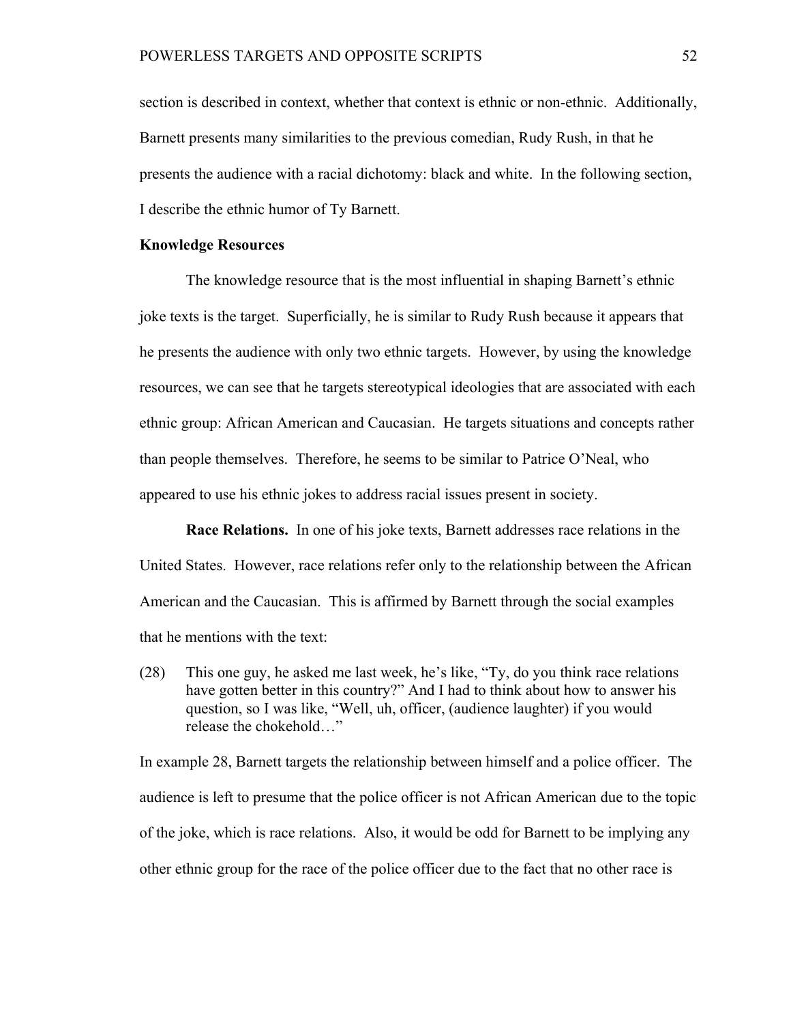section is described in context, whether that context is ethnic or non-ethnic. Additionally, Barnett presents many similarities to the previous comedian, Rudy Rush, in that he presents the audience with a racial dichotomy: black and white. In the following section, I describe the ethnic humor of Ty Barnett.

#### **Knowledge Resources**

The knowledge resource that is the most influential in shaping Barnett's ethnic joke texts is the target. Superficially, he is similar to Rudy Rush because it appears that he presents the audience with only two ethnic targets. However, by using the knowledge resources, we can see that he targets stereotypical ideologies that are associated with each ethnic group: African American and Caucasian. He targets situations and concepts rather than people themselves. Therefore, he seems to be similar to Patrice O'Neal, who appeared to use his ethnic jokes to address racial issues present in society.

**Race Relations.** In one of his joke texts, Barnett addresses race relations in the United States. However, race relations refer only to the relationship between the African American and the Caucasian. This is affirmed by Barnett through the social examples that he mentions with the text:

(28) This one guy, he asked me last week, he's like, "Ty, do you think race relations have gotten better in this country?" And I had to think about how to answer his question, so I was like, "Well, uh, officer, (audience laughter) if you would release the chokehold…"

In example 28, Barnett targets the relationship between himself and a police officer. The audience is left to presume that the police officer is not African American due to the topic of the joke, which is race relations. Also, it would be odd for Barnett to be implying any other ethnic group for the race of the police officer due to the fact that no other race is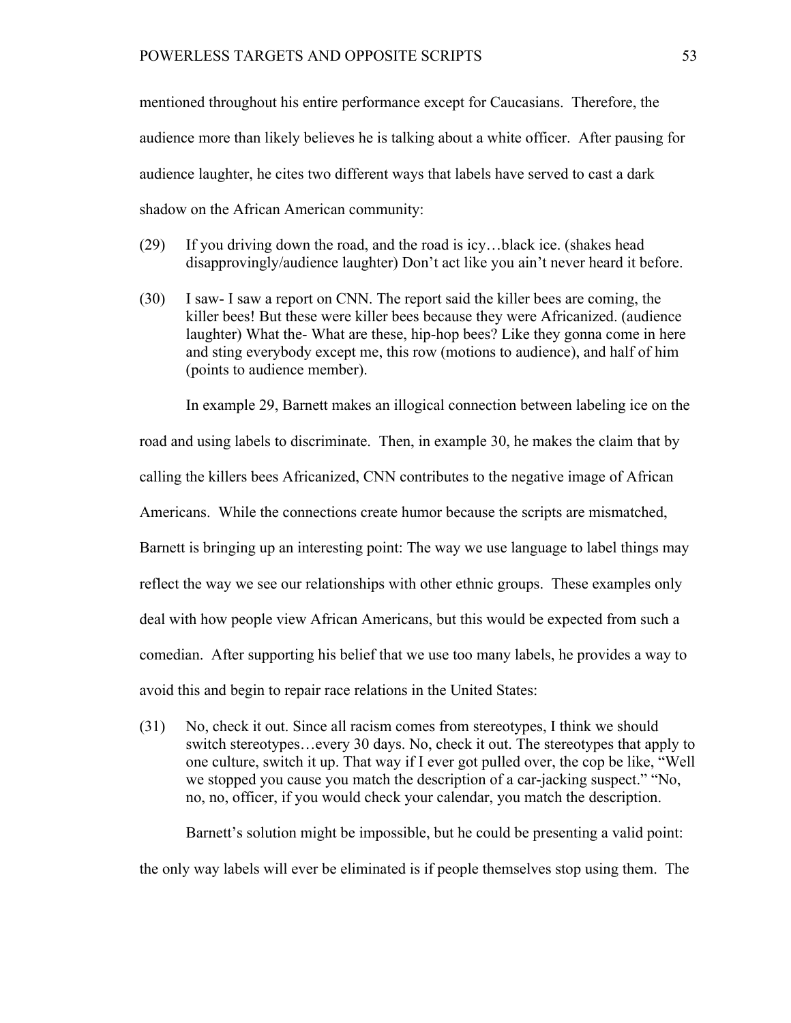mentioned throughout his entire performance except for Caucasians. Therefore, the audience more than likely believes he is talking about a white officer. After pausing for audience laughter, he cites two different ways that labels have served to cast a dark shadow on the African American community:

- (29) If you driving down the road, and the road is icy…black ice. (shakes head disapprovingly/audience laughter) Don't act like you ain't never heard it before.
- (30) I saw- I saw a report on CNN. The report said the killer bees are coming, the killer bees! But these were killer bees because they were Africanized. (audience laughter) What the- What are these, hip-hop bees? Like they gonna come in here and sting everybody except me, this row (motions to audience), and half of him (points to audience member).

In example 29, Barnett makes an illogical connection between labeling ice on the

road and using labels to discriminate. Then, in example 30, he makes the claim that by

calling the killers bees Africanized, CNN contributes to the negative image of African

Americans. While the connections create humor because the scripts are mismatched,

Barnett is bringing up an interesting point: The way we use language to label things may

reflect the way we see our relationships with other ethnic groups. These examples only

deal with how people view African Americans, but this would be expected from such a

comedian. After supporting his belief that we use too many labels, he provides a way to

avoid this and begin to repair race relations in the United States:

(31) No, check it out. Since all racism comes from stereotypes, I think we should switch stereotypes…every 30 days. No, check it out. The stereotypes that apply to one culture, switch it up. That way if I ever got pulled over, the cop be like, "Well we stopped you cause you match the description of a car-jacking suspect." "No, no, no, officer, if you would check your calendar, you match the description.

Barnett's solution might be impossible, but he could be presenting a valid point: the only way labels will ever be eliminated is if people themselves stop using them. The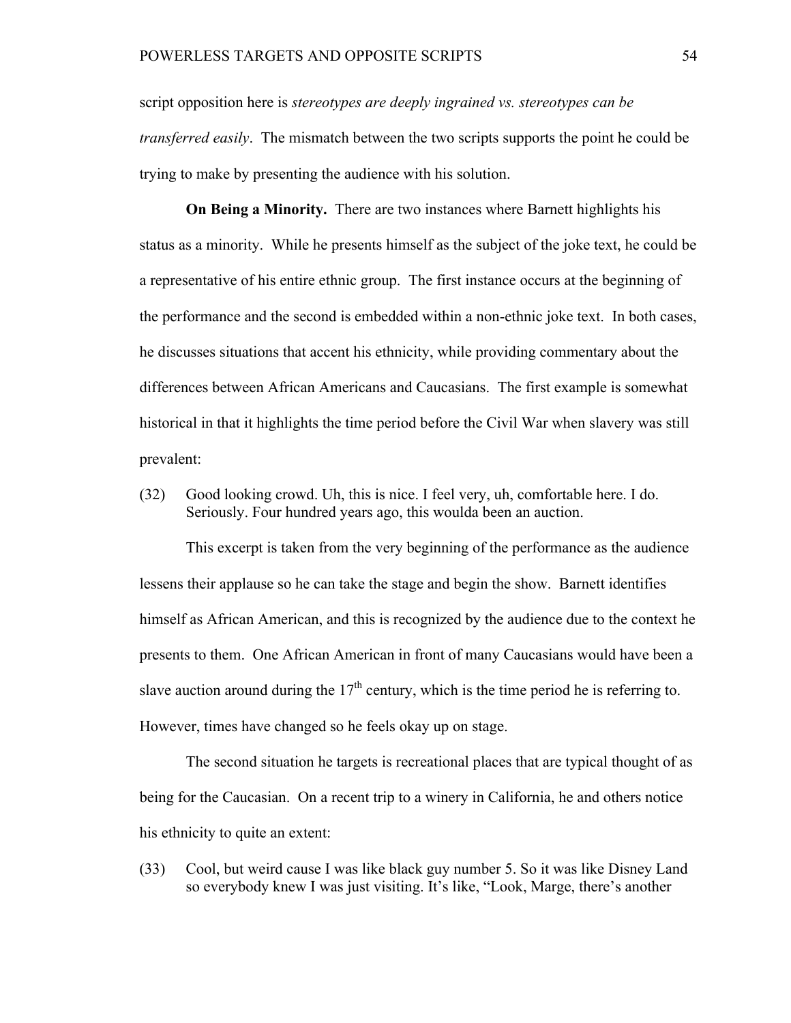script opposition here is *stereotypes are deeply ingrained vs. stereotypes can be transferred easily*. The mismatch between the two scripts supports the point he could be trying to make by presenting the audience with his solution.

**On Being a Minority.** There are two instances where Barnett highlights his status as a minority. While he presents himself as the subject of the joke text, he could be a representative of his entire ethnic group. The first instance occurs at the beginning of the performance and the second is embedded within a non-ethnic joke text. In both cases, he discusses situations that accent his ethnicity, while providing commentary about the differences between African Americans and Caucasians. The first example is somewhat historical in that it highlights the time period before the Civil War when slavery was still prevalent:

(32) Good looking crowd. Uh, this is nice. I feel very, uh, comfortable here. I do. Seriously. Four hundred years ago, this woulda been an auction.

This excerpt is taken from the very beginning of the performance as the audience lessens their applause so he can take the stage and begin the show. Barnett identifies himself as African American, and this is recognized by the audience due to the context he presents to them. One African American in front of many Caucasians would have been a slave auction around during the  $17<sup>th</sup>$  century, which is the time period he is referring to. However, times have changed so he feels okay up on stage.

The second situation he targets is recreational places that are typical thought of as being for the Caucasian. On a recent trip to a winery in California, he and others notice his ethnicity to quite an extent:

(33) Cool, but weird cause I was like black guy number 5. So it was like Disney Land so everybody knew I was just visiting. It's like, "Look, Marge, there's another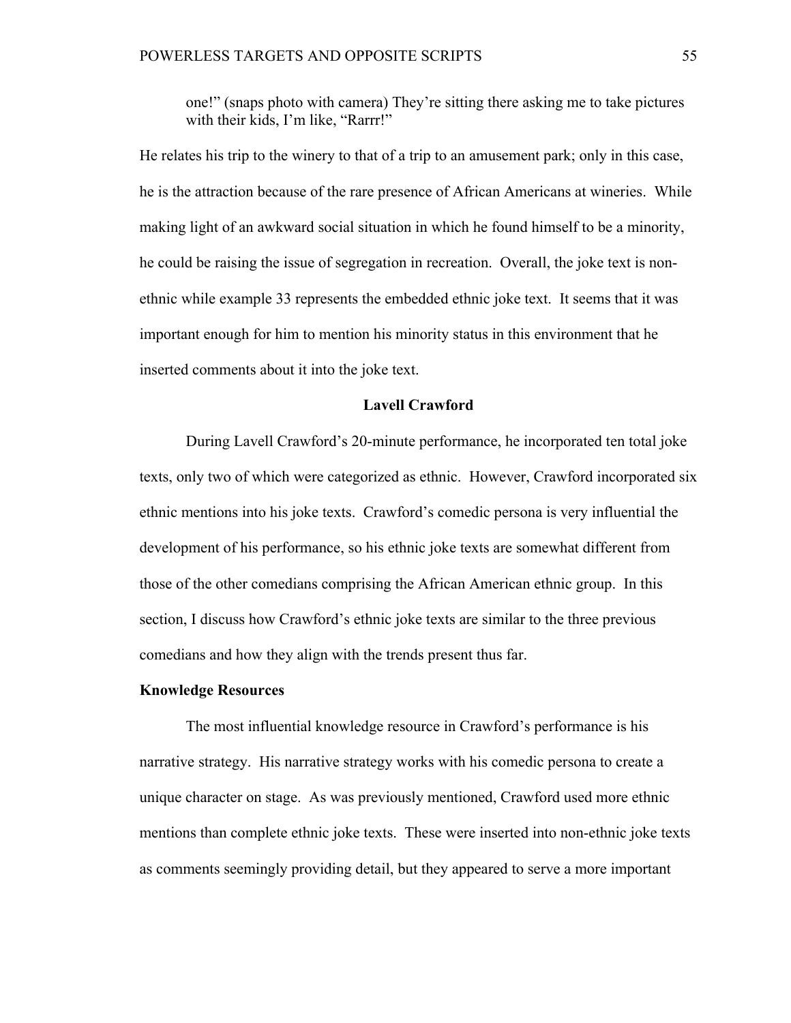one!" (snaps photo with camera) They're sitting there asking me to take pictures with their kids, I'm like, "Rarrr!"

He relates his trip to the winery to that of a trip to an amusement park; only in this case, he is the attraction because of the rare presence of African Americans at wineries. While making light of an awkward social situation in which he found himself to be a minority, he could be raising the issue of segregation in recreation. Overall, the joke text is nonethnic while example 33 represents the embedded ethnic joke text. It seems that it was important enough for him to mention his minority status in this environment that he inserted comments about it into the joke text.

## **Lavell Crawford**

During Lavell Crawford's 20-minute performance, he incorporated ten total joke texts, only two of which were categorized as ethnic. However, Crawford incorporated six ethnic mentions into his joke texts. Crawford's comedic persona is very influential the development of his performance, so his ethnic joke texts are somewhat different from those of the other comedians comprising the African American ethnic group. In this section, I discuss how Crawford's ethnic joke texts are similar to the three previous comedians and how they align with the trends present thus far.

## **Knowledge Resources**

The most influential knowledge resource in Crawford's performance is his narrative strategy. His narrative strategy works with his comedic persona to create a unique character on stage. As was previously mentioned, Crawford used more ethnic mentions than complete ethnic joke texts. These were inserted into non-ethnic joke texts as comments seemingly providing detail, but they appeared to serve a more important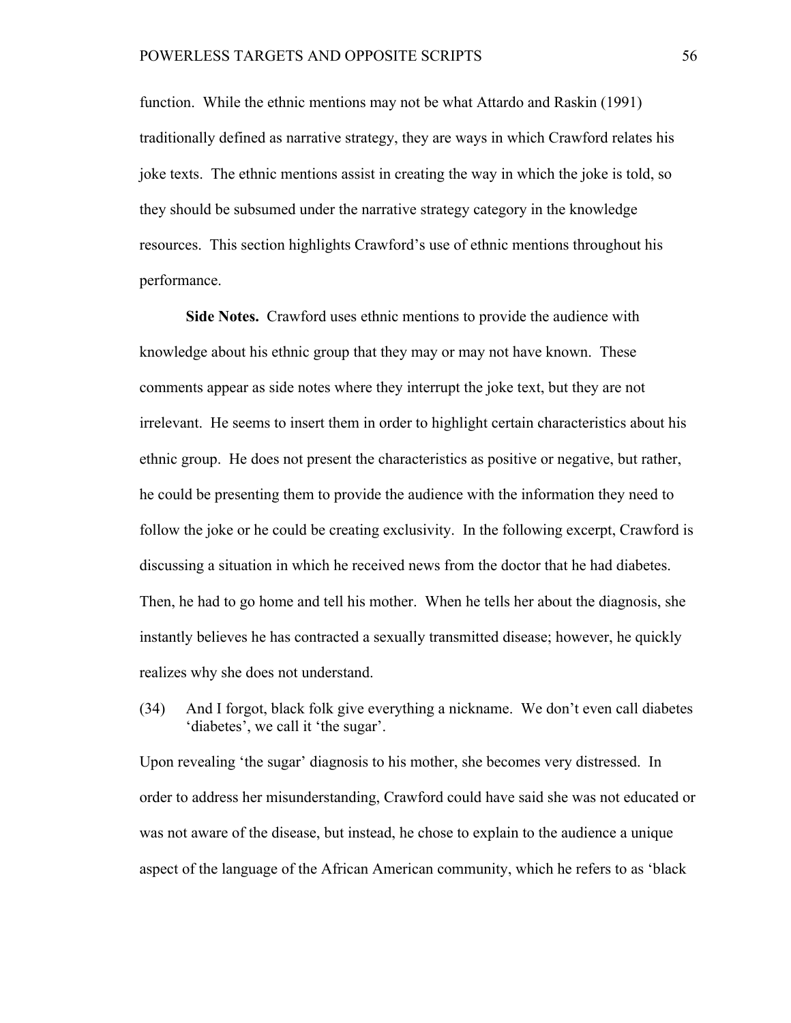function. While the ethnic mentions may not be what Attardo and Raskin (1991) traditionally defined as narrative strategy, they are ways in which Crawford relates his joke texts. The ethnic mentions assist in creating the way in which the joke is told, so they should be subsumed under the narrative strategy category in the knowledge resources. This section highlights Crawford's use of ethnic mentions throughout his performance.

**Side Notes.** Crawford uses ethnic mentions to provide the audience with knowledge about his ethnic group that they may or may not have known. These comments appear as side notes where they interrupt the joke text, but they are not irrelevant. He seems to insert them in order to highlight certain characteristics about his ethnic group. He does not present the characteristics as positive or negative, but rather, he could be presenting them to provide the audience with the information they need to follow the joke or he could be creating exclusivity. In the following excerpt, Crawford is discussing a situation in which he received news from the doctor that he had diabetes. Then, he had to go home and tell his mother. When he tells her about the diagnosis, she instantly believes he has contracted a sexually transmitted disease; however, he quickly realizes why she does not understand.

(34) And I forgot, black folk give everything a nickname. We don't even call diabetes 'diabetes', we call it 'the sugar'.

Upon revealing 'the sugar' diagnosis to his mother, she becomes very distressed. In order to address her misunderstanding, Crawford could have said she was not educated or was not aware of the disease, but instead, he chose to explain to the audience a unique aspect of the language of the African American community, which he refers to as 'black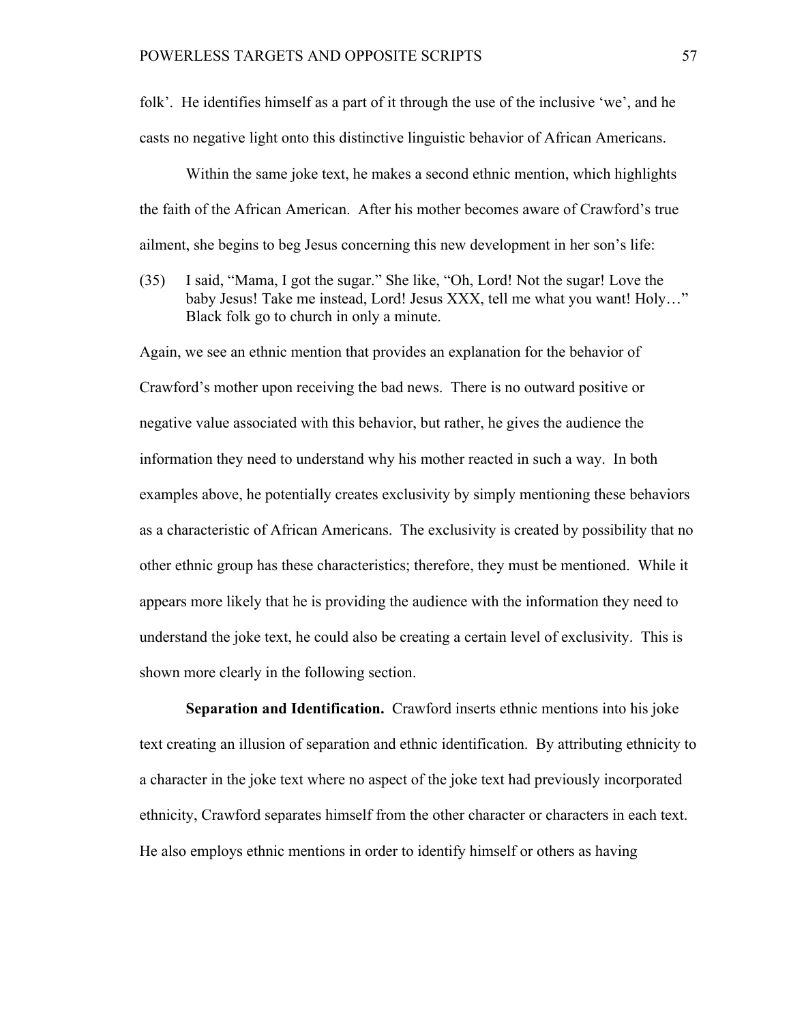folk'. He identifies himself as a part of it through the use of the inclusive 'we', and he casts no negative light onto this distinctive linguistic behavior of African Americans.

Within the same joke text, he makes a second ethnic mention, which highlights the faith of the African American. After his mother becomes aware of Crawford's true ailment, she begins to beg Jesus concerning this new development in her son's life:

(35) I said, "Mama, I got the sugar." She like, "Oh, Lord! Not the sugar! Love the baby Jesus! Take me instead, Lord! Jesus XXX, tell me what you want! Holy…" Black folk go to church in only a minute.

Again, we see an ethnic mention that provides an explanation for the behavior of Crawford's mother upon receiving the bad news. There is no outward positive or negative value associated with this behavior, but rather, he gives the audience the information they need to understand why his mother reacted in such a way. In both examples above, he potentially creates exclusivity by simply mentioning these behaviors as a characteristic of African Americans. The exclusivity is created by possibility that no other ethnic group has these characteristics; therefore, they must be mentioned. While it appears more likely that he is providing the audience with the information they need to understand the joke text, he could also be creating a certain level of exclusivity. This is shown more clearly in the following section.

**Separation and Identification.** Crawford inserts ethnic mentions into his joke text creating an illusion of separation and ethnic identification. By attributing ethnicity to a character in the joke text where no aspect of the joke text had previously incorporated ethnicity, Crawford separates himself from the other character or characters in each text. He also employs ethnic mentions in order to identify himself or others as having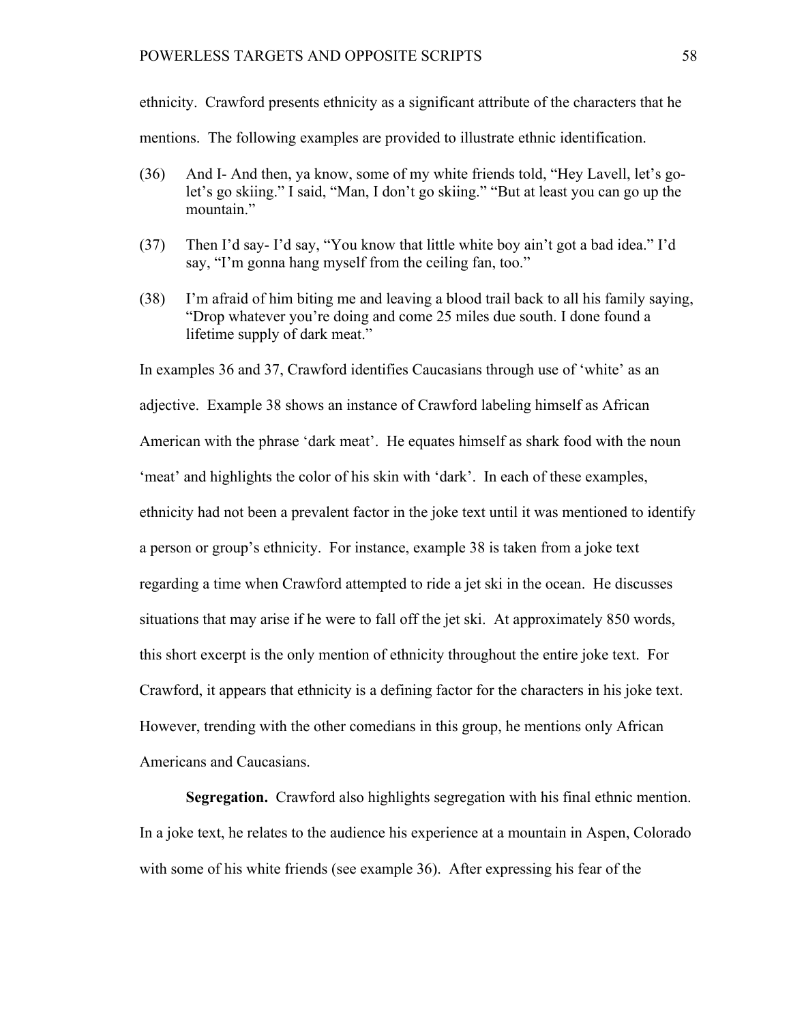### POWERLESS TARGETS AND OPPOSITE SCRIPTS 58

ethnicity. Crawford presents ethnicity as a significant attribute of the characters that he mentions. The following examples are provided to illustrate ethnic identification.

- (36) And I- And then, ya know, some of my white friends told, "Hey Lavell, let's golet's go skiing." I said, "Man, I don't go skiing." "But at least you can go up the mountain."
- (37) Then I'd say- I'd say, "You know that little white boy ain't got a bad idea." I'd say, "I'm gonna hang myself from the ceiling fan, too."
- (38) I'm afraid of him biting me and leaving a blood trail back to all his family saying, "Drop whatever you're doing and come 25 miles due south. I done found a lifetime supply of dark meat."

In examples 36 and 37, Crawford identifies Caucasians through use of 'white' as an adjective. Example 38 shows an instance of Crawford labeling himself as African American with the phrase 'dark meat'. He equates himself as shark food with the noun 'meat' and highlights the color of his skin with 'dark'. In each of these examples, ethnicity had not been a prevalent factor in the joke text until it was mentioned to identify a person or group's ethnicity. For instance, example 38 is taken from a joke text regarding a time when Crawford attempted to ride a jet ski in the ocean. He discusses situations that may arise if he were to fall off the jet ski. At approximately 850 words, this short excerpt is the only mention of ethnicity throughout the entire joke text. For Crawford, it appears that ethnicity is a defining factor for the characters in his joke text. However, trending with the other comedians in this group, he mentions only African Americans and Caucasians.

**Segregation.** Crawford also highlights segregation with his final ethnic mention. In a joke text, he relates to the audience his experience at a mountain in Aspen, Colorado with some of his white friends (see example 36). After expressing his fear of the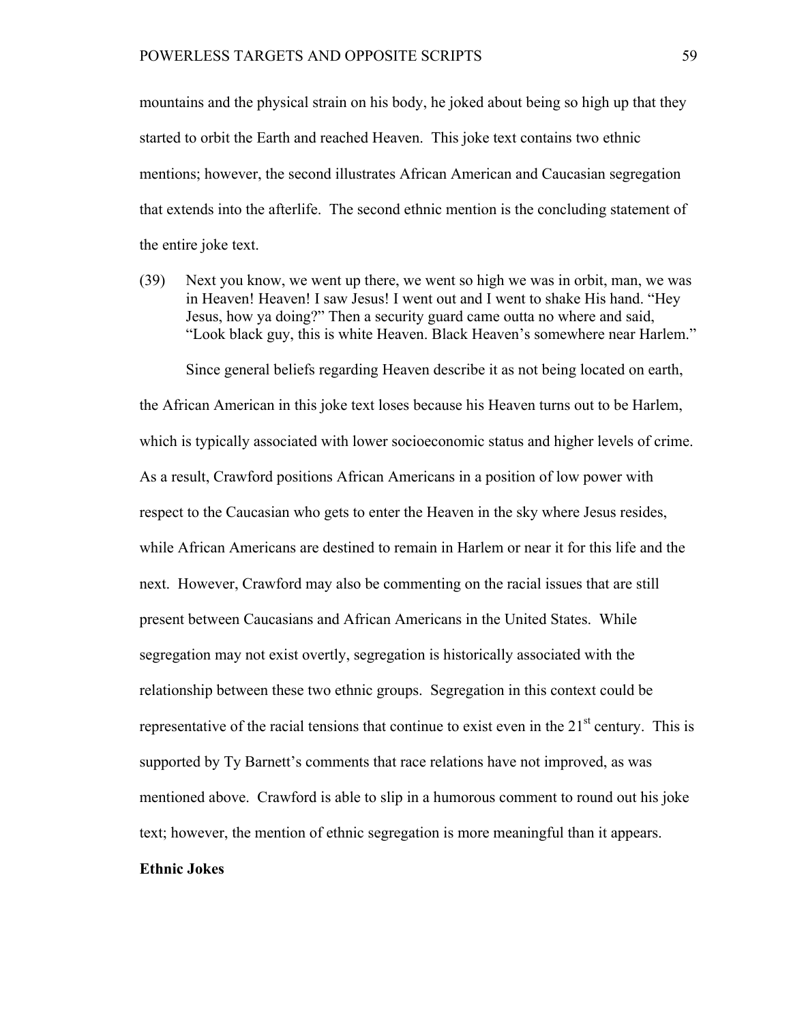mountains and the physical strain on his body, he joked about being so high up that they started to orbit the Earth and reached Heaven. This joke text contains two ethnic mentions; however, the second illustrates African American and Caucasian segregation that extends into the afterlife. The second ethnic mention is the concluding statement of the entire joke text.

(39) Next you know, we went up there, we went so high we was in orbit, man, we was in Heaven! Heaven! I saw Jesus! I went out and I went to shake His hand. "Hey Jesus, how ya doing?" Then a security guard came outta no where and said, "Look black guy, this is white Heaven. Black Heaven's somewhere near Harlem."

Since general beliefs regarding Heaven describe it as not being located on earth, the African American in this joke text loses because his Heaven turns out to be Harlem, which is typically associated with lower socioeconomic status and higher levels of crime. As a result, Crawford positions African Americans in a position of low power with respect to the Caucasian who gets to enter the Heaven in the sky where Jesus resides, while African Americans are destined to remain in Harlem or near it for this life and the next. However, Crawford may also be commenting on the racial issues that are still present between Caucasians and African Americans in the United States. While segregation may not exist overtly, segregation is historically associated with the relationship between these two ethnic groups. Segregation in this context could be representative of the racial tensions that continue to exist even in the  $21<sup>st</sup>$  century. This is supported by Ty Barnett's comments that race relations have not improved, as was mentioned above. Crawford is able to slip in a humorous comment to round out his joke text; however, the mention of ethnic segregation is more meaningful than it appears.

## **Ethnic Jokes**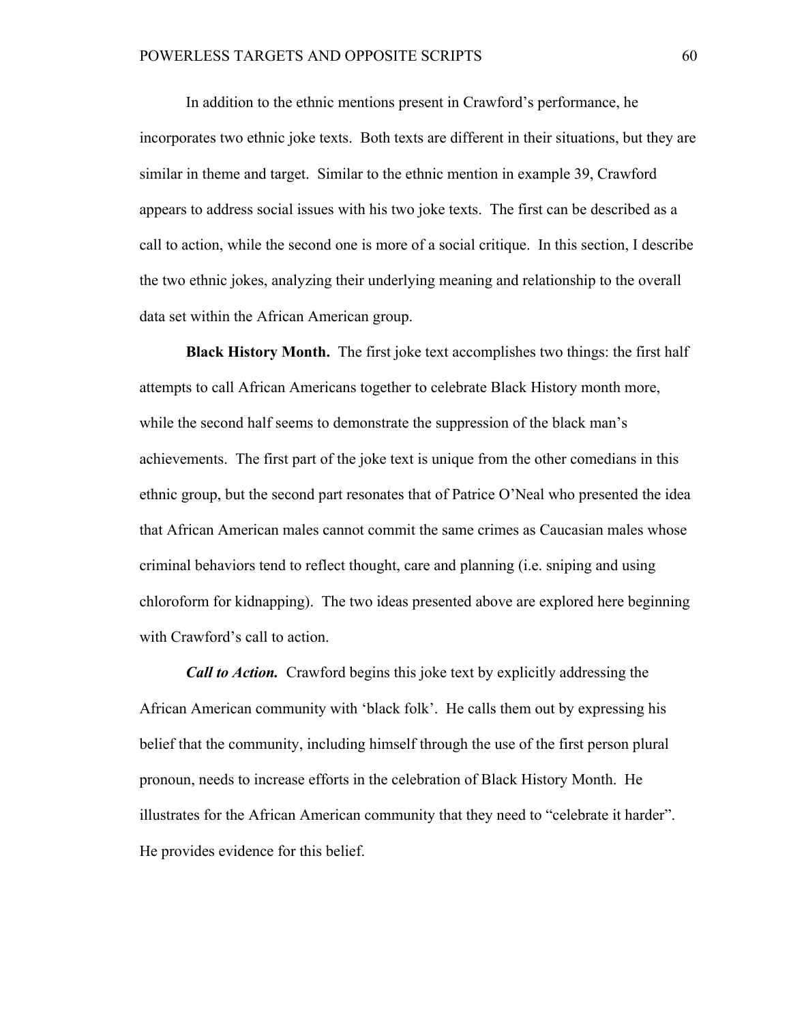In addition to the ethnic mentions present in Crawford's performance, he incorporates two ethnic joke texts. Both texts are different in their situations, but they are similar in theme and target. Similar to the ethnic mention in example 39, Crawford appears to address social issues with his two joke texts. The first can be described as a call to action, while the second one is more of a social critique. In this section, I describe the two ethnic jokes, analyzing their underlying meaning and relationship to the overall data set within the African American group.

**Black History Month.** The first joke text accomplishes two things: the first half attempts to call African Americans together to celebrate Black History month more, while the second half seems to demonstrate the suppression of the black man's achievements. The first part of the joke text is unique from the other comedians in this ethnic group, but the second part resonates that of Patrice O'Neal who presented the idea that African American males cannot commit the same crimes as Caucasian males whose criminal behaviors tend to reflect thought, care and planning (i.e. sniping and using chloroform for kidnapping). The two ideas presented above are explored here beginning with Crawford's call to action.

*Call to Action.* Crawford begins this joke text by explicitly addressing the African American community with 'black folk'. He calls them out by expressing his belief that the community, including himself through the use of the first person plural pronoun, needs to increase efforts in the celebration of Black History Month. He illustrates for the African American community that they need to "celebrate it harder". He provides evidence for this belief.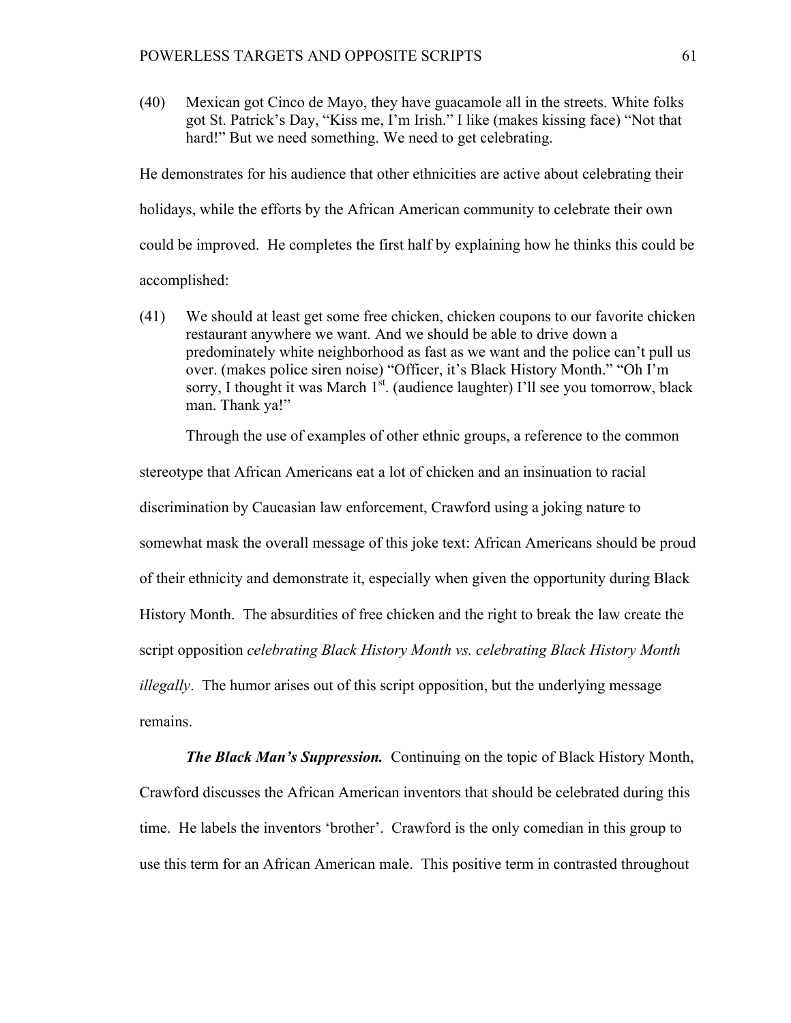(40) Mexican got Cinco de Mayo, they have guacamole all in the streets. White folks got St. Patrick's Day, "Kiss me, I'm Irish." I like (makes kissing face) "Not that hard!" But we need something. We need to get celebrating.

He demonstrates for his audience that other ethnicities are active about celebrating their holidays, while the efforts by the African American community to celebrate their own could be improved. He completes the first half by explaining how he thinks this could be accomplished:

(41) We should at least get some free chicken, chicken coupons to our favorite chicken restaurant anywhere we want. And we should be able to drive down a predominately white neighborhood as fast as we want and the police can't pull us over. (makes police siren noise) "Officer, it's Black History Month." "Oh I'm sorry, I thought it was March  $1<sup>st</sup>$ . (audience laughter) I'll see you tomorrow, black man. Thank ya!"

Through the use of examples of other ethnic groups, a reference to the common

stereotype that African Americans eat a lot of chicken and an insinuation to racial discrimination by Caucasian law enforcement, Crawford using a joking nature to somewhat mask the overall message of this joke text: African Americans should be proud of their ethnicity and demonstrate it, especially when given the opportunity during Black History Month. The absurdities of free chicken and the right to break the law create the script opposition *celebrating Black History Month vs. celebrating Black History Month illegally*. The humor arises out of this script opposition, but the underlying message remains.

*The Black Man's Suppression.* Continuing on the topic of Black History Month, Crawford discusses the African American inventors that should be celebrated during this time. He labels the inventors 'brother'. Crawford is the only comedian in this group to use this term for an African American male. This positive term in contrasted throughout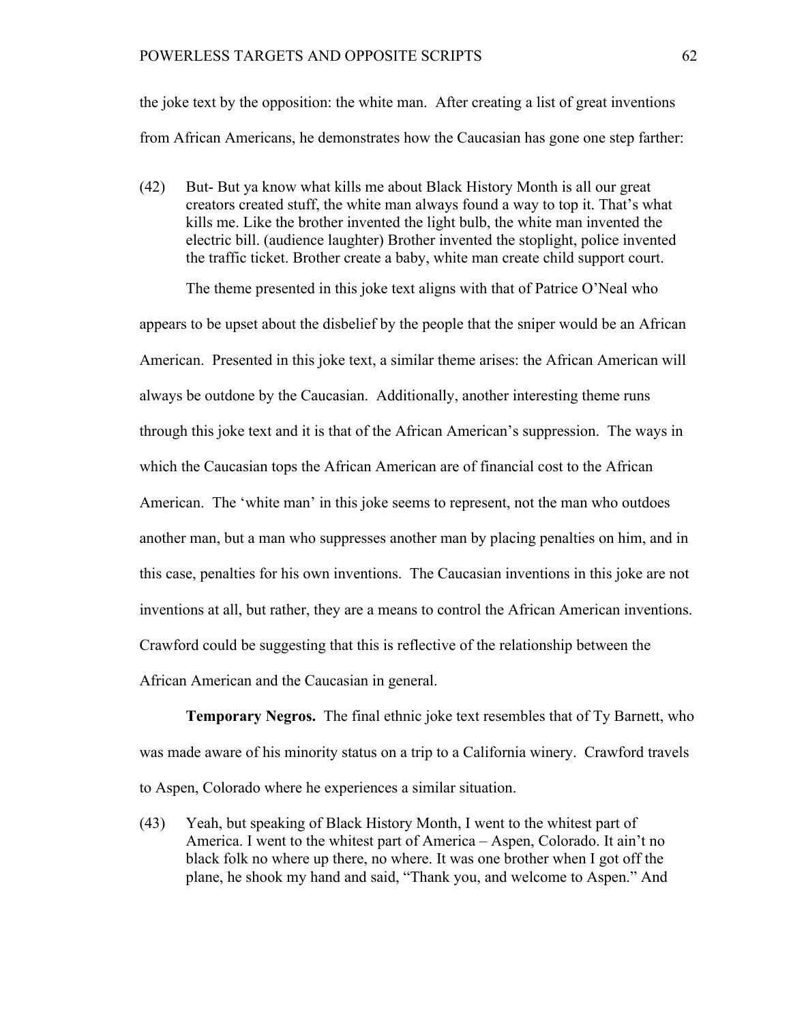the joke text by the opposition: the white man. After creating a list of great inventions from African Americans, he demonstrates how the Caucasian has gone one step farther:

(42) But- But ya know what kills me about Black History Month is all our great creators created stuff, the white man always found a way to top it. That's what kills me. Like the brother invented the light bulb, the white man invented the electric bill. (audience laughter) Brother invented the stoplight, police invented the traffic ticket. Brother create a baby, white man create child support court.

The theme presented in this joke text aligns with that of Patrice O'Neal who

appears to be upset about the disbelief by the people that the sniper would be an African American. Presented in this joke text, a similar theme arises: the African American will always be outdone by the Caucasian. Additionally, another interesting theme runs through this joke text and it is that of the African American's suppression. The ways in which the Caucasian tops the African American are of financial cost to the African American. The 'white man' in this joke seems to represent, not the man who outdoes another man, but a man who suppresses another man by placing penalties on him, and in this case, penalties for his own inventions. The Caucasian inventions in this joke are not inventions at all, but rather, they are a means to control the African American inventions. Crawford could be suggesting that this is reflective of the relationship between the African American and the Caucasian in general.

**Temporary Negros.** The final ethnic joke text resembles that of Ty Barnett, who was made aware of his minority status on a trip to a California winery. Crawford travels to Aspen, Colorado where he experiences a similar situation.

(43) Yeah, but speaking of Black History Month, I went to the whitest part of America. I went to the whitest part of America – Aspen, Colorado. It ain't no black folk no where up there, no where. It was one brother when I got off the plane, he shook my hand and said, "Thank you, and welcome to Aspen." And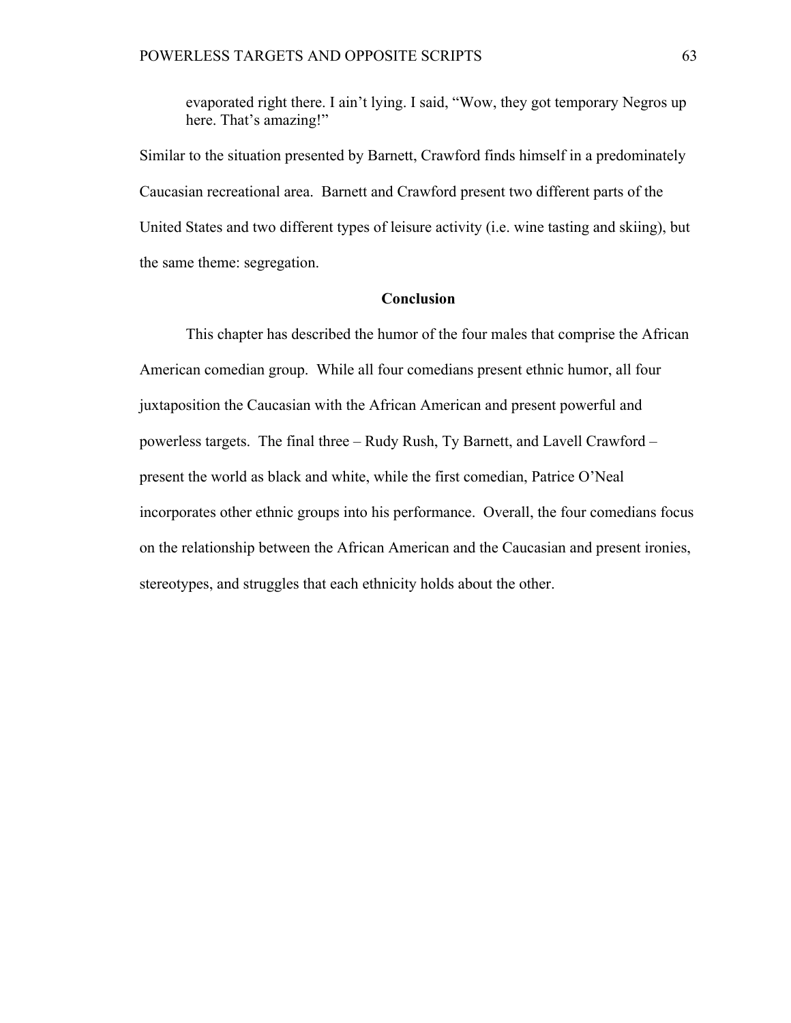evaporated right there. I ain't lying. I said, "Wow, they got temporary Negros up here. That's amazing!"

Similar to the situation presented by Barnett, Crawford finds himself in a predominately Caucasian recreational area. Barnett and Crawford present two different parts of the United States and two different types of leisure activity (i.e. wine tasting and skiing), but the same theme: segregation.

# **Conclusion**

This chapter has described the humor of the four males that comprise the African American comedian group. While all four comedians present ethnic humor, all four juxtaposition the Caucasian with the African American and present powerful and powerless targets. The final three – Rudy Rush, Ty Barnett, and Lavell Crawford – present the world as black and white, while the first comedian, Patrice O'Neal incorporates other ethnic groups into his performance. Overall, the four comedians focus on the relationship between the African American and the Caucasian and present ironies, stereotypes, and struggles that each ethnicity holds about the other.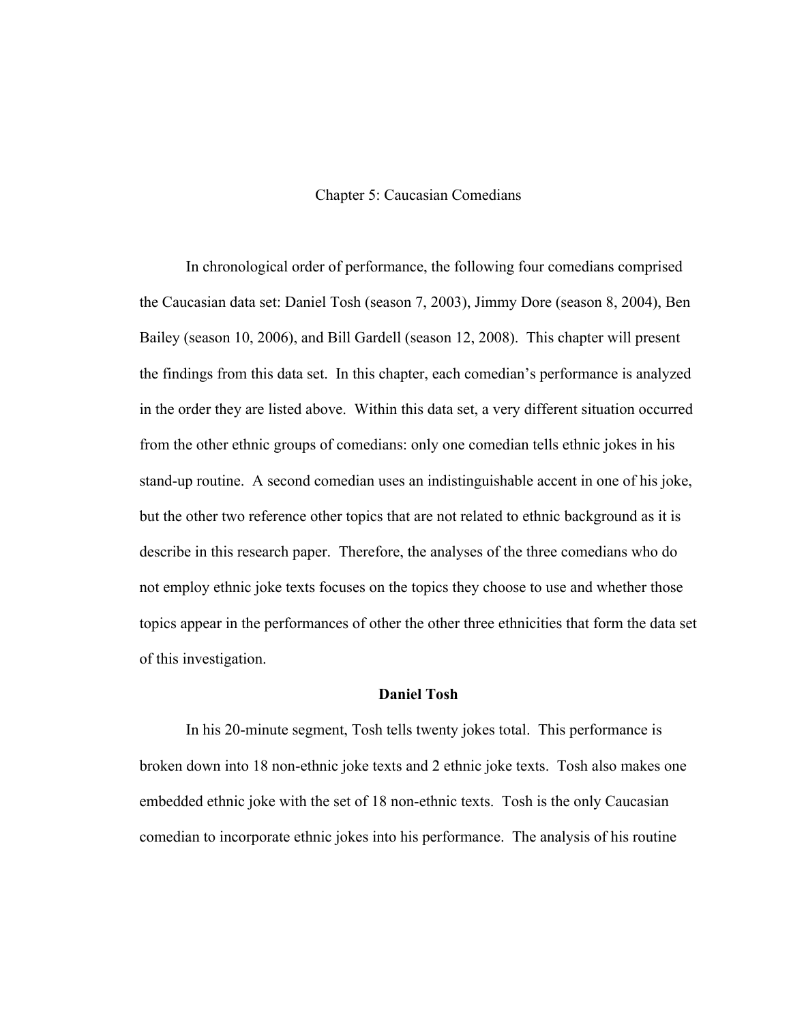## Chapter 5: Caucasian Comedians

In chronological order of performance, the following four comedians comprised the Caucasian data set: Daniel Tosh (season 7, 2003), Jimmy Dore (season 8, 2004), Ben Bailey (season 10, 2006), and Bill Gardell (season 12, 2008). This chapter will present the findings from this data set. In this chapter, each comedian's performance is analyzed in the order they are listed above. Within this data set, a very different situation occurred from the other ethnic groups of comedians: only one comedian tells ethnic jokes in his stand-up routine. A second comedian uses an indistinguishable accent in one of his joke, but the other two reference other topics that are not related to ethnic background as it is describe in this research paper. Therefore, the analyses of the three comedians who do not employ ethnic joke texts focuses on the topics they choose to use and whether those topics appear in the performances of other the other three ethnicities that form the data set of this investigation.

#### **Daniel Tosh**

In his 20-minute segment, Tosh tells twenty jokes total. This performance is broken down into 18 non-ethnic joke texts and 2 ethnic joke texts. Tosh also makes one embedded ethnic joke with the set of 18 non-ethnic texts. Tosh is the only Caucasian comedian to incorporate ethnic jokes into his performance. The analysis of his routine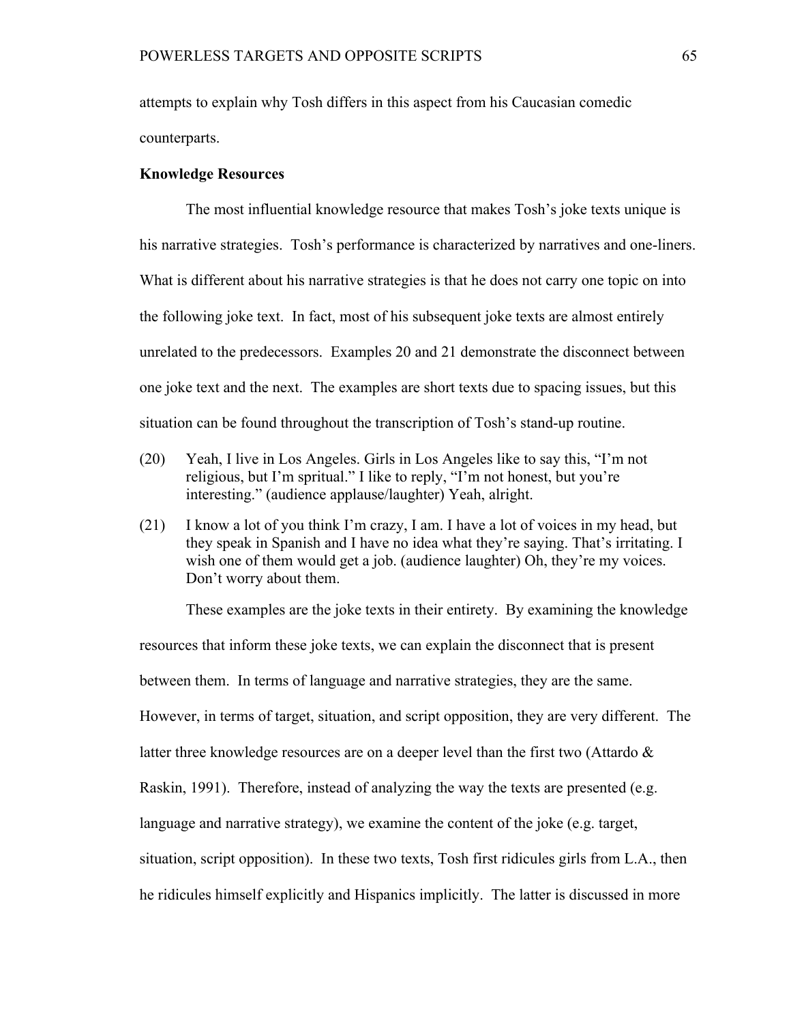attempts to explain why Tosh differs in this aspect from his Caucasian comedic counterparts.

### **Knowledge Resources**

The most influential knowledge resource that makes Tosh's joke texts unique is his narrative strategies. Tosh's performance is characterized by narratives and one-liners. What is different about his narrative strategies is that he does not carry one topic on into the following joke text. In fact, most of his subsequent joke texts are almost entirely unrelated to the predecessors. Examples 20 and 21 demonstrate the disconnect between one joke text and the next. The examples are short texts due to spacing issues, but this situation can be found throughout the transcription of Tosh's stand-up routine.

- (20) Yeah, I live in Los Angeles. Girls in Los Angeles like to say this, "I'm not religious, but I'm spritual." I like to reply, "I'm not honest, but you're interesting." (audience applause/laughter) Yeah, alright.
- (21) I know a lot of you think I'm crazy, I am. I have a lot of voices in my head, but they speak in Spanish and I have no idea what they're saying. That's irritating. I wish one of them would get a job. (audience laughter) Oh, they're my voices. Don't worry about them.

These examples are the joke texts in their entirety. By examining the knowledge

resources that inform these joke texts, we can explain the disconnect that is present between them. In terms of language and narrative strategies, they are the same. However, in terms of target, situation, and script opposition, they are very different. The latter three knowledge resources are on a deeper level than the first two (Attardo  $\&$ Raskin, 1991). Therefore, instead of analyzing the way the texts are presented (e.g. language and narrative strategy), we examine the content of the joke (e.g. target, situation, script opposition). In these two texts, Tosh first ridicules girls from L.A., then he ridicules himself explicitly and Hispanics implicitly. The latter is discussed in more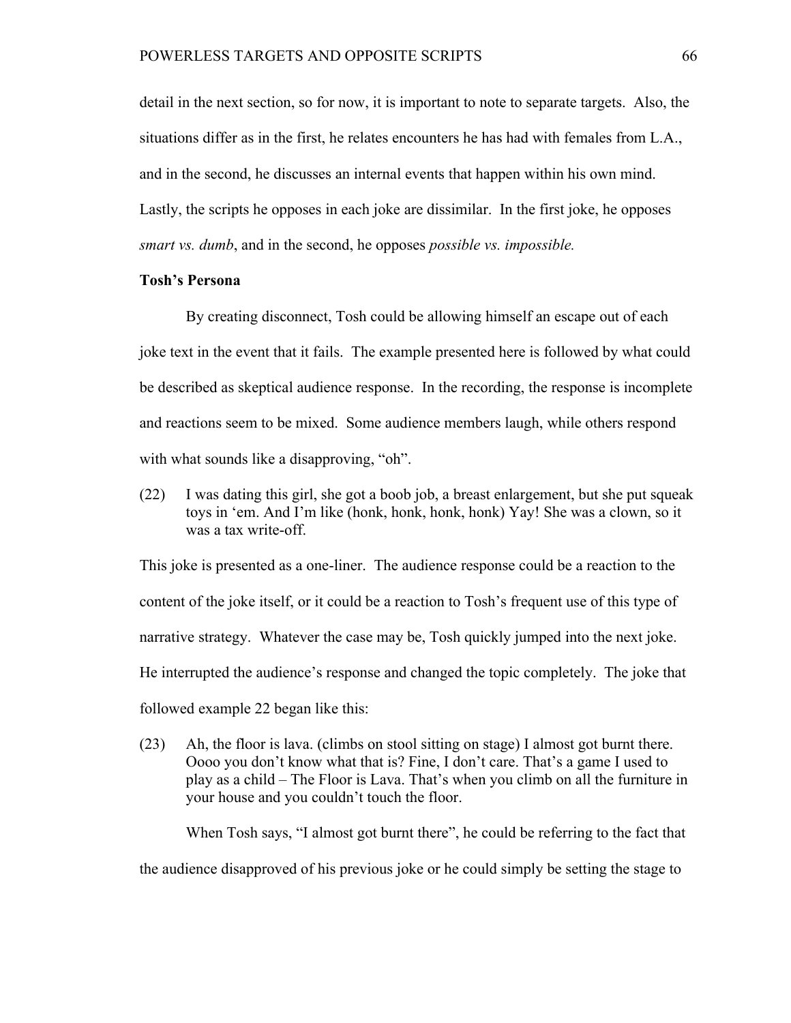detail in the next section, so for now, it is important to note to separate targets. Also, the situations differ as in the first, he relates encounters he has had with females from L.A., and in the second, he discusses an internal events that happen within his own mind. Lastly, the scripts he opposes in each joke are dissimilar. In the first joke, he opposes *smart vs. dumb*, and in the second, he opposes *possible vs. impossible.*

### **Tosh's Persona**

By creating disconnect, Tosh could be allowing himself an escape out of each joke text in the event that it fails. The example presented here is followed by what could be described as skeptical audience response. In the recording, the response is incomplete and reactions seem to be mixed. Some audience members laugh, while others respond with what sounds like a disapproving, "oh".

(22) I was dating this girl, she got a boob job, a breast enlargement, but she put squeak toys in 'em. And I'm like (honk, honk, honk, honk) Yay! She was a clown, so it was a tax write-off.

This joke is presented as a one-liner. The audience response could be a reaction to the content of the joke itself, or it could be a reaction to Tosh's frequent use of this type of narrative strategy. Whatever the case may be, Tosh quickly jumped into the next joke. He interrupted the audience's response and changed the topic completely. The joke that followed example 22 began like this:

(23) Ah, the floor is lava. (climbs on stool sitting on stage) I almost got burnt there. Oooo you don't know what that is? Fine, I don't care. That's a game I used to play as a child – The Floor is Lava. That's when you climb on all the furniture in your house and you couldn't touch the floor.

When Tosh says, "I almost got burnt there", he could be referring to the fact that the audience disapproved of his previous joke or he could simply be setting the stage to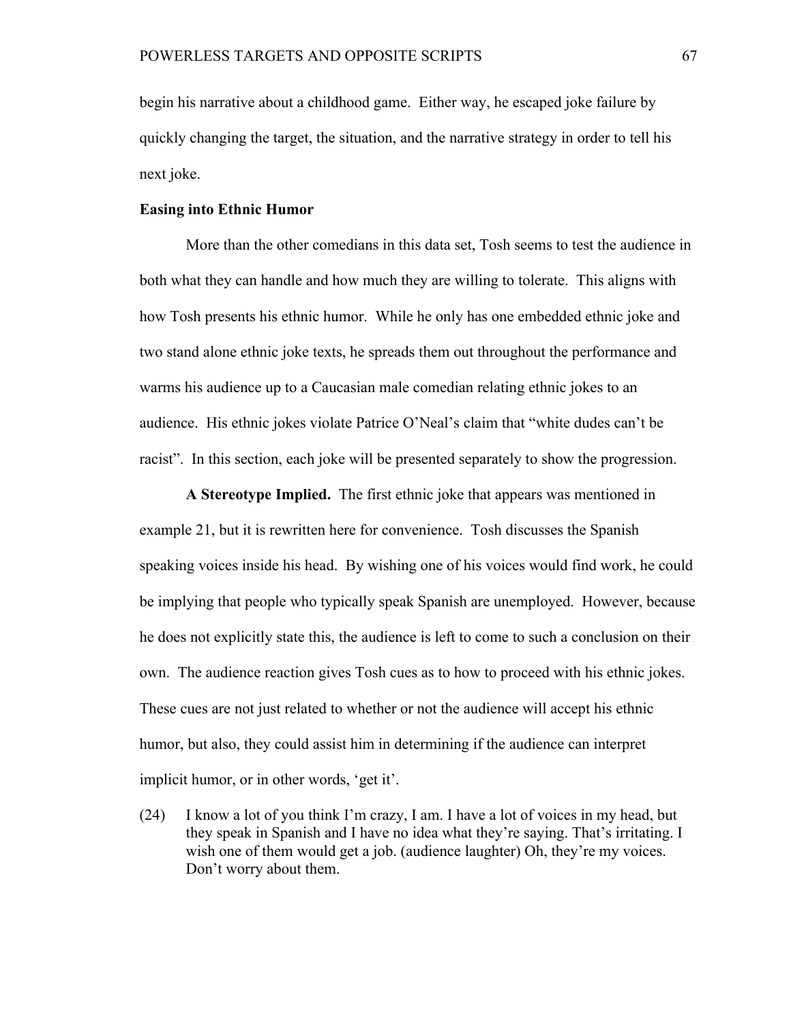begin his narrative about a childhood game. Either way, he escaped joke failure by quickly changing the target, the situation, and the narrative strategy in order to tell his next joke.

### **Easing into Ethnic Humor**

More than the other comedians in this data set, Tosh seems to test the audience in both what they can handle and how much they are willing to tolerate. This aligns with how Tosh presents his ethnic humor. While he only has one embedded ethnic joke and two stand alone ethnic joke texts, he spreads them out throughout the performance and warms his audience up to a Caucasian male comedian relating ethnic jokes to an audience. His ethnic jokes violate Patrice O'Neal's claim that "white dudes can't be racist". In this section, each joke will be presented separately to show the progression.

**A Stereotype Implied.** The first ethnic joke that appears was mentioned in example 21, but it is rewritten here for convenience. Tosh discusses the Spanish speaking voices inside his head. By wishing one of his voices would find work, he could be implying that people who typically speak Spanish are unemployed. However, because he does not explicitly state this, the audience is left to come to such a conclusion on their own. The audience reaction gives Tosh cues as to how to proceed with his ethnic jokes. These cues are not just related to whether or not the audience will accept his ethnic humor, but also, they could assist him in determining if the audience can interpret implicit humor, or in other words, 'get it'.

(24) I know a lot of you think I'm crazy, I am. I have a lot of voices in my head, but they speak in Spanish and I have no idea what they're saying. That's irritating. I wish one of them would get a job. (audience laughter) Oh, they're my voices. Don't worry about them.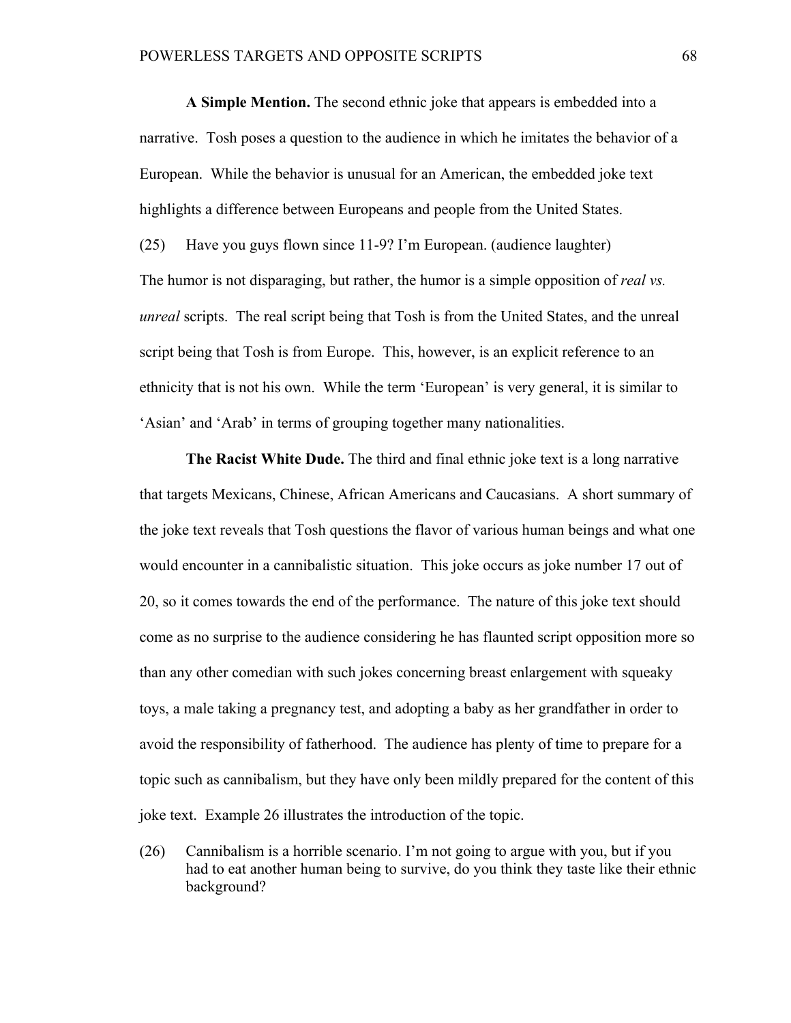**A Simple Mention.** The second ethnic joke that appears is embedded into a narrative. Tosh poses a question to the audience in which he imitates the behavior of a European. While the behavior is unusual for an American, the embedded joke text highlights a difference between Europeans and people from the United States. (25) Have you guys flown since 11-9? I'm European. (audience laughter) The humor is not disparaging, but rather, the humor is a simple opposition of *real vs. unreal* scripts. The real script being that Tosh is from the United States, and the unreal script being that Tosh is from Europe. This, however, is an explicit reference to an ethnicity that is not his own. While the term 'European' is very general, it is similar to 'Asian' and 'Arab' in terms of grouping together many nationalities.

**The Racist White Dude.** The third and final ethnic joke text is a long narrative that targets Mexicans, Chinese, African Americans and Caucasians. A short summary of the joke text reveals that Tosh questions the flavor of various human beings and what one would encounter in a cannibalistic situation. This joke occurs as joke number 17 out of 20, so it comes towards the end of the performance. The nature of this joke text should come as no surprise to the audience considering he has flaunted script opposition more so than any other comedian with such jokes concerning breast enlargement with squeaky toys, a male taking a pregnancy test, and adopting a baby as her grandfather in order to avoid the responsibility of fatherhood. The audience has plenty of time to prepare for a topic such as cannibalism, but they have only been mildly prepared for the content of this joke text. Example 26 illustrates the introduction of the topic.

(26) Cannibalism is a horrible scenario. I'm not going to argue with you, but if you had to eat another human being to survive, do you think they taste like their ethnic background?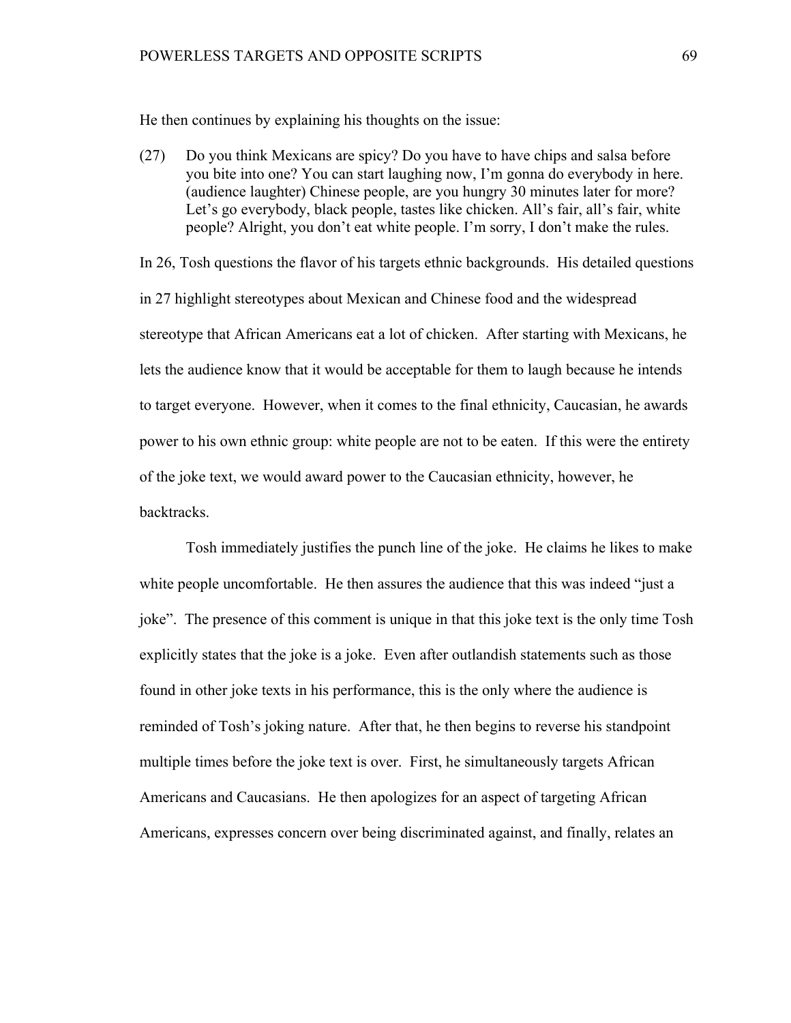He then continues by explaining his thoughts on the issue:

(27) Do you think Mexicans are spicy? Do you have to have chips and salsa before you bite into one? You can start laughing now, I'm gonna do everybody in here. (audience laughter) Chinese people, are you hungry 30 minutes later for more? Let's go everybody, black people, tastes like chicken. All's fair, all's fair, white people? Alright, you don't eat white people. I'm sorry, I don't make the rules.

In 26, Tosh questions the flavor of his targets ethnic backgrounds. His detailed questions in 27 highlight stereotypes about Mexican and Chinese food and the widespread stereotype that African Americans eat a lot of chicken. After starting with Mexicans, he lets the audience know that it would be acceptable for them to laugh because he intends to target everyone. However, when it comes to the final ethnicity, Caucasian, he awards power to his own ethnic group: white people are not to be eaten. If this were the entirety of the joke text, we would award power to the Caucasian ethnicity, however, he backtracks.

Tosh immediately justifies the punch line of the joke. He claims he likes to make white people uncomfortable. He then assures the audience that this was indeed "just a joke". The presence of this comment is unique in that this joke text is the only time Tosh explicitly states that the joke is a joke. Even after outlandish statements such as those found in other joke texts in his performance, this is the only where the audience is reminded of Tosh's joking nature. After that, he then begins to reverse his standpoint multiple times before the joke text is over. First, he simultaneously targets African Americans and Caucasians. He then apologizes for an aspect of targeting African Americans, expresses concern over being discriminated against, and finally, relates an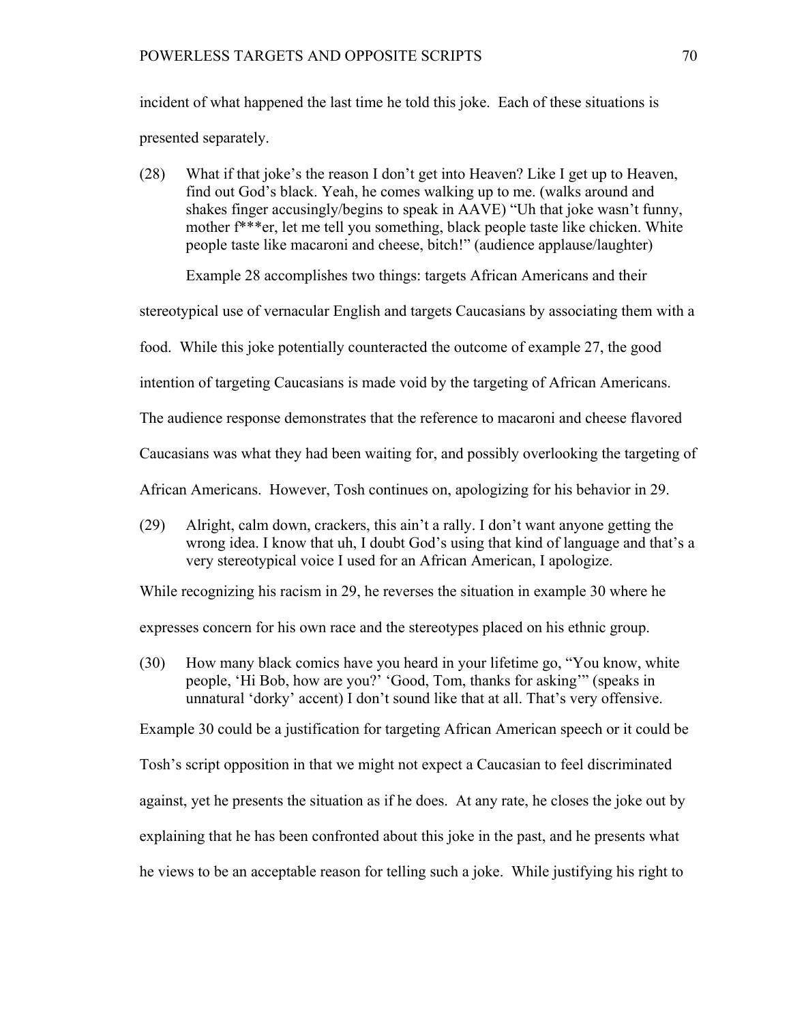incident of what happened the last time he told this joke. Each of these situations is presented separately.

(28) What if that joke's the reason I don't get into Heaven? Like I get up to Heaven, find out God's black. Yeah, he comes walking up to me. (walks around and shakes finger accusingly/begins to speak in AAVE) "Uh that joke wasn't funny, mother f\*\*\*er, let me tell you something, black people taste like chicken. White people taste like macaroni and cheese, bitch!" (audience applause/laughter)

Example 28 accomplishes two things: targets African Americans and their

stereotypical use of vernacular English and targets Caucasians by associating them with a

food. While this joke potentially counteracted the outcome of example 27, the good

intention of targeting Caucasians is made void by the targeting of African Americans.

The audience response demonstrates that the reference to macaroni and cheese flavored

Caucasians was what they had been waiting for, and possibly overlooking the targeting of

African Americans. However, Tosh continues on, apologizing for his behavior in 29.

(29) Alright, calm down, crackers, this ain't a rally. I don't want anyone getting the wrong idea. I know that uh, I doubt God's using that kind of language and that's a very stereotypical voice I used for an African American, I apologize.

While recognizing his racism in 29, he reverses the situation in example 30 where he

expresses concern for his own race and the stereotypes placed on his ethnic group.

(30) How many black comics have you heard in your lifetime go, "You know, white people, 'Hi Bob, how are you?' 'Good, Tom, thanks for asking'" (speaks in unnatural 'dorky' accent) I don't sound like that at all. That's very offensive.

Example 30 could be a justification for targeting African American speech or it could be

Tosh's script opposition in that we might not expect a Caucasian to feel discriminated

against, yet he presents the situation as if he does. At any rate, he closes the joke out by

explaining that he has been confronted about this joke in the past, and he presents what

he views to be an acceptable reason for telling such a joke. While justifying his right to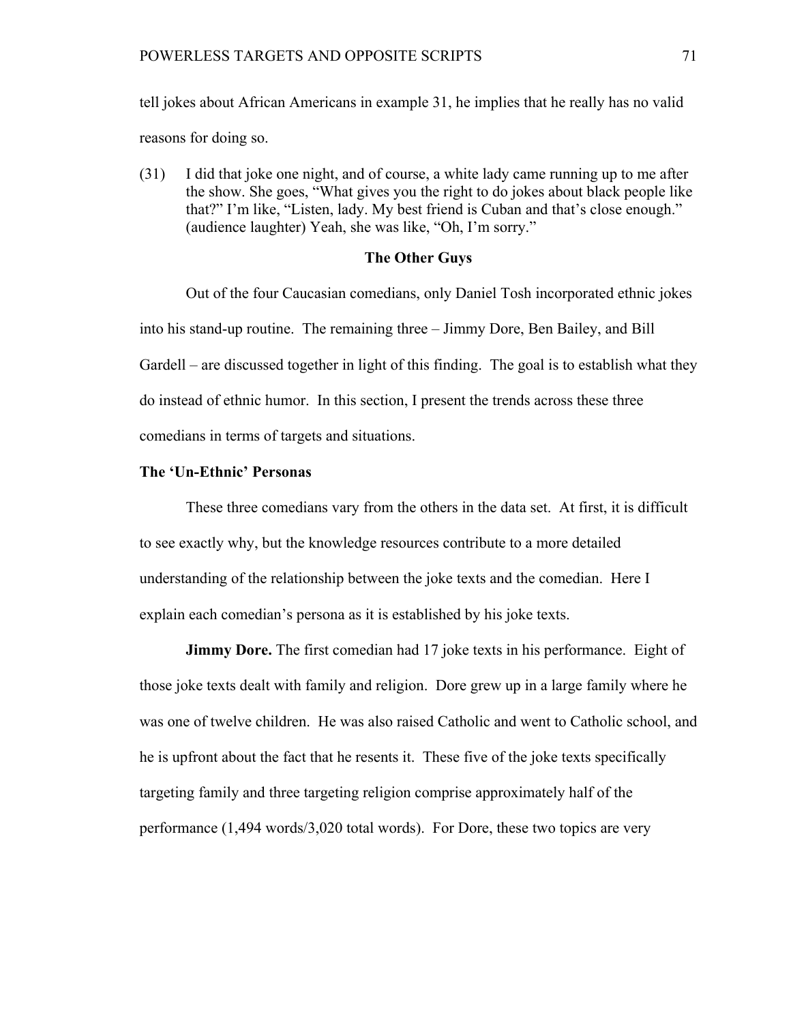tell jokes about African Americans in example 31, he implies that he really has no valid reasons for doing so.

(31) I did that joke one night, and of course, a white lady came running up to me after the show. She goes, "What gives you the right to do jokes about black people like that?" I'm like, "Listen, lady. My best friend is Cuban and that's close enough." (audience laughter) Yeah, she was like, "Oh, I'm sorry."

# **The Other Guys**

Out of the four Caucasian comedians, only Daniel Tosh incorporated ethnic jokes into his stand-up routine. The remaining three – Jimmy Dore, Ben Bailey, and Bill Gardell – are discussed together in light of this finding. The goal is to establish what they do instead of ethnic humor. In this section, I present the trends across these three comedians in terms of targets and situations.

## **The 'Un-Ethnic' Personas**

These three comedians vary from the others in the data set. At first, it is difficult to see exactly why, but the knowledge resources contribute to a more detailed understanding of the relationship between the joke texts and the comedian. Here I explain each comedian's persona as it is established by his joke texts.

**Jimmy Dore.** The first comedian had 17 joke texts in his performance. Eight of those joke texts dealt with family and religion. Dore grew up in a large family where he was one of twelve children. He was also raised Catholic and went to Catholic school, and he is upfront about the fact that he resents it. These five of the joke texts specifically targeting family and three targeting religion comprise approximately half of the performance (1,494 words/3,020 total words). For Dore, these two topics are very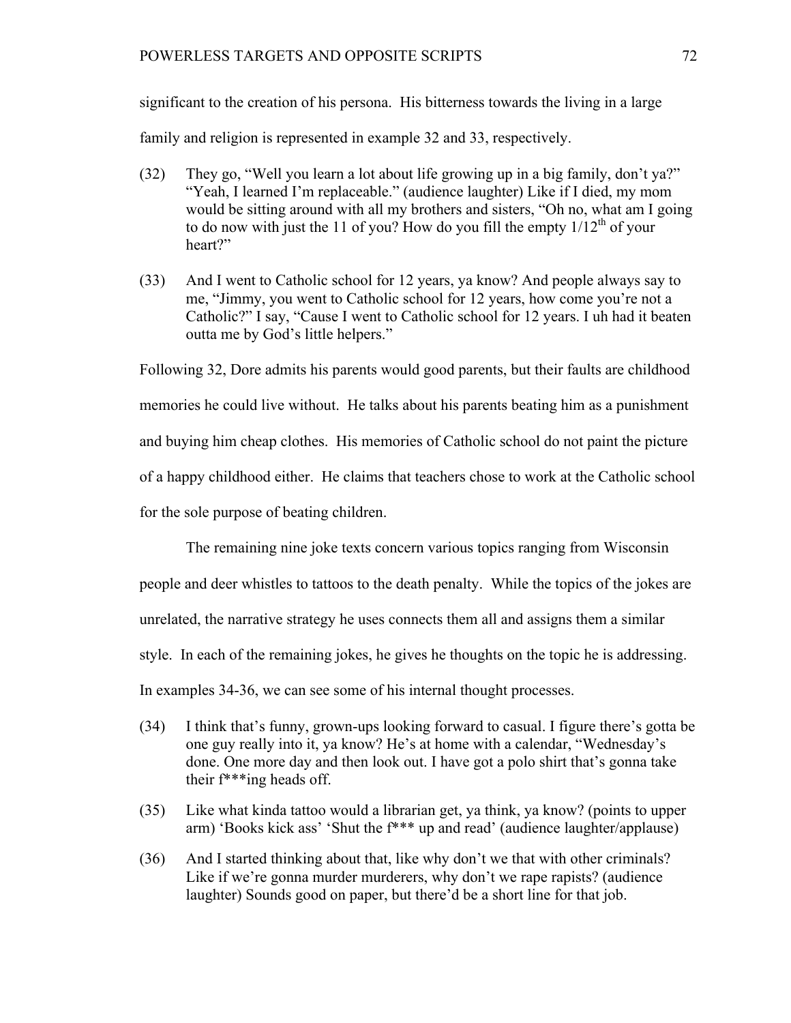### POWERLESS TARGETS AND OPPOSITE SCRIPTS 72

significant to the creation of his persona. His bitterness towards the living in a large

family and religion is represented in example 32 and 33, respectively.

- (32) They go, "Well you learn a lot about life growing up in a big family, don't ya?" "Yeah, I learned I'm replaceable." (audience laughter) Like if I died, my mom would be sitting around with all my brothers and sisters, "Oh no, what am I going to do now with just the 11 of you? How do you fill the empty  $1/12^{th}$  of your heart?"
- (33) And I went to Catholic school for 12 years, ya know? And people always say to me, "Jimmy, you went to Catholic school for 12 years, how come you're not a Catholic?" I say, "Cause I went to Catholic school for 12 years. I uh had it beaten outta me by God's little helpers."

Following 32, Dore admits his parents would good parents, but their faults are childhood memories he could live without. He talks about his parents beating him as a punishment and buying him cheap clothes. His memories of Catholic school do not paint the picture of a happy childhood either. He claims that teachers chose to work at the Catholic school for the sole purpose of beating children.

The remaining nine joke texts concern various topics ranging from Wisconsin

people and deer whistles to tattoos to the death penalty. While the topics of the jokes are

unrelated, the narrative strategy he uses connects them all and assigns them a similar

style. In each of the remaining jokes, he gives he thoughts on the topic he is addressing.

In examples 34-36, we can see some of his internal thought processes.

- (34) I think that's funny, grown-ups looking forward to casual. I figure there's gotta be one guy really into it, ya know? He's at home with a calendar, "Wednesday's done. One more day and then look out. I have got a polo shirt that's gonna take their f\*\*\*ing heads off.
- (35) Like what kinda tattoo would a librarian get, ya think, ya know? (points to upper arm) 'Books kick ass' 'Shut the f\*\*\* up and read' (audience laughter/applause)
- (36) And I started thinking about that, like why don't we that with other criminals? Like if we're gonna murder murderers, why don't we rape rapists? (audience laughter) Sounds good on paper, but there'd be a short line for that job.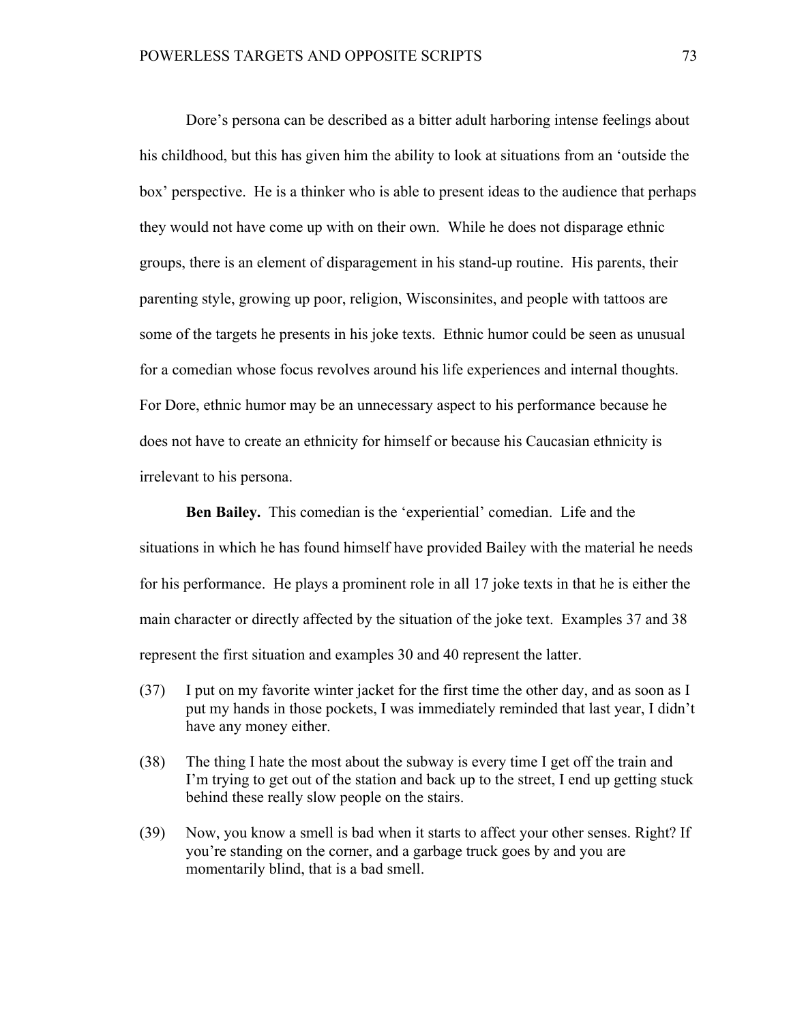Dore's persona can be described as a bitter adult harboring intense feelings about his childhood, but this has given him the ability to look at situations from an 'outside the box' perspective. He is a thinker who is able to present ideas to the audience that perhaps they would not have come up with on their own. While he does not disparage ethnic groups, there is an element of disparagement in his stand-up routine. His parents, their parenting style, growing up poor, religion, Wisconsinites, and people with tattoos are some of the targets he presents in his joke texts. Ethnic humor could be seen as unusual for a comedian whose focus revolves around his life experiences and internal thoughts. For Dore, ethnic humor may be an unnecessary aspect to his performance because he does not have to create an ethnicity for himself or because his Caucasian ethnicity is irrelevant to his persona.

**Ben Bailey.** This comedian is the 'experiential' comedian. Life and the situations in which he has found himself have provided Bailey with the material he needs for his performance. He plays a prominent role in all 17 joke texts in that he is either the main character or directly affected by the situation of the joke text. Examples 37 and 38 represent the first situation and examples 30 and 40 represent the latter.

- (37) I put on my favorite winter jacket for the first time the other day, and as soon as I put my hands in those pockets, I was immediately reminded that last year, I didn't have any money either.
- (38) The thing I hate the most about the subway is every time I get off the train and I'm trying to get out of the station and back up to the street, I end up getting stuck behind these really slow people on the stairs.
- (39) Now, you know a smell is bad when it starts to affect your other senses. Right? If you're standing on the corner, and a garbage truck goes by and you are momentarily blind, that is a bad smell.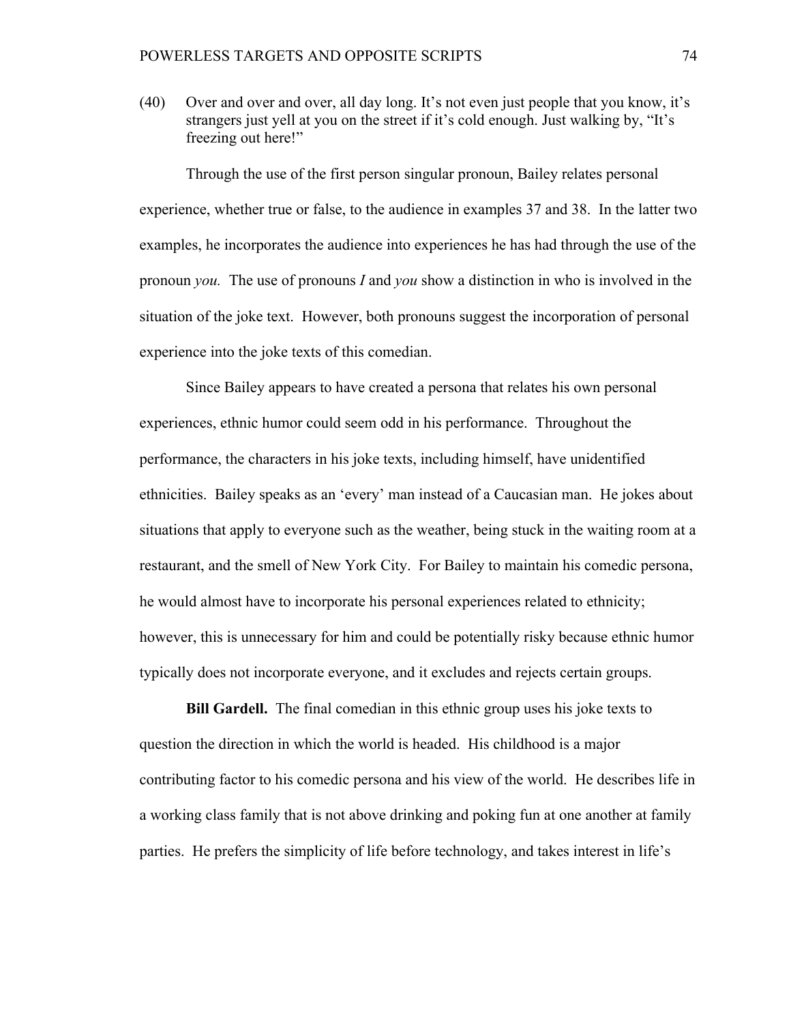(40) Over and over and over, all day long. It's not even just people that you know, it's strangers just yell at you on the street if it's cold enough. Just walking by, "It's freezing out here!"

Through the use of the first person singular pronoun, Bailey relates personal experience, whether true or false, to the audience in examples 37 and 38. In the latter two examples, he incorporates the audience into experiences he has had through the use of the pronoun *you.* The use of pronouns *I* and *you* show a distinction in who is involved in the situation of the joke text. However, both pronouns suggest the incorporation of personal experience into the joke texts of this comedian.

Since Bailey appears to have created a persona that relates his own personal experiences, ethnic humor could seem odd in his performance. Throughout the performance, the characters in his joke texts, including himself, have unidentified ethnicities. Bailey speaks as an 'every' man instead of a Caucasian man. He jokes about situations that apply to everyone such as the weather, being stuck in the waiting room at a restaurant, and the smell of New York City. For Bailey to maintain his comedic persona, he would almost have to incorporate his personal experiences related to ethnicity; however, this is unnecessary for him and could be potentially risky because ethnic humor typically does not incorporate everyone, and it excludes and rejects certain groups.

**Bill Gardell.** The final comedian in this ethnic group uses his joke texts to question the direction in which the world is headed. His childhood is a major contributing factor to his comedic persona and his view of the world. He describes life in a working class family that is not above drinking and poking fun at one another at family parties. He prefers the simplicity of life before technology, and takes interest in life's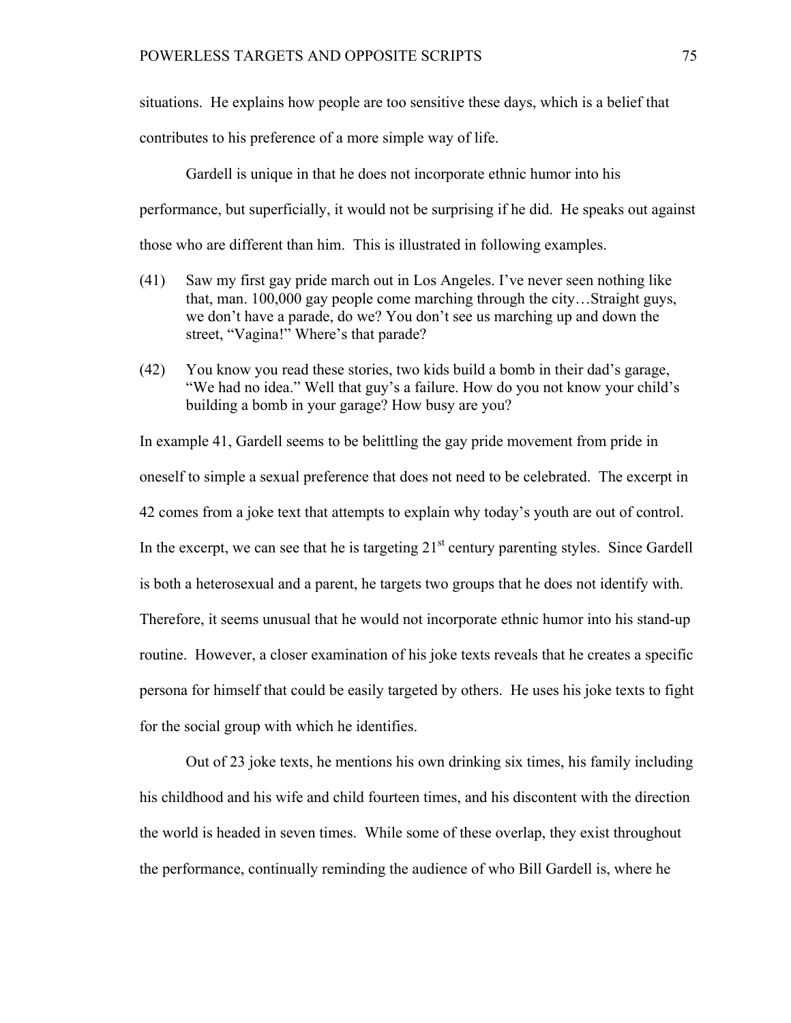situations. He explains how people are too sensitive these days, which is a belief that

contributes to his preference of a more simple way of life.

Gardell is unique in that he does not incorporate ethnic humor into his performance, but superficially, it would not be surprising if he did. He speaks out against those who are different than him. This is illustrated in following examples.

- (41) Saw my first gay pride march out in Los Angeles. I've never seen nothing like that, man. 100,000 gay people come marching through the city…Straight guys, we don't have a parade, do we? You don't see us marching up and down the street, "Vagina!" Where's that parade?
- (42) You know you read these stories, two kids build a bomb in their dad's garage, "We had no idea." Well that guy's a failure. How do you not know your child's building a bomb in your garage? How busy are you?

In example 41, Gardell seems to be belittling the gay pride movement from pride in oneself to simple a sexual preference that does not need to be celebrated. The excerpt in 42 comes from a joke text that attempts to explain why today's youth are out of control. In the excerpt, we can see that he is targeting  $21<sup>st</sup>$  century parenting styles. Since Gardell is both a heterosexual and a parent, he targets two groups that he does not identify with. Therefore, it seems unusual that he would not incorporate ethnic humor into his stand-up routine. However, a closer examination of his joke texts reveals that he creates a specific persona for himself that could be easily targeted by others. He uses his joke texts to fight for the social group with which he identifies.

Out of 23 joke texts, he mentions his own drinking six times, his family including his childhood and his wife and child fourteen times, and his discontent with the direction the world is headed in seven times. While some of these overlap, they exist throughout the performance, continually reminding the audience of who Bill Gardell is, where he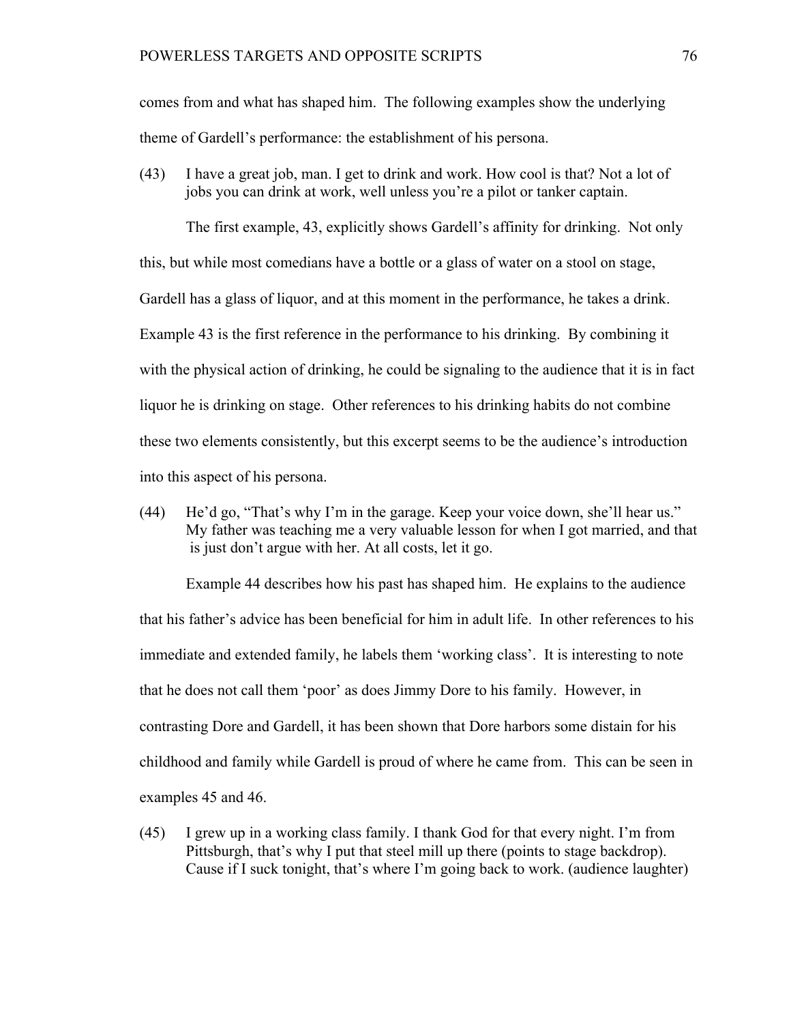comes from and what has shaped him. The following examples show the underlying theme of Gardell's performance: the establishment of his persona.

(43) I have a great job, man. I get to drink and work. How cool is that? Not a lot of jobs you can drink at work, well unless you're a pilot or tanker captain.

The first example, 43, explicitly shows Gardell's affinity for drinking. Not only this, but while most comedians have a bottle or a glass of water on a stool on stage, Gardell has a glass of liquor, and at this moment in the performance, he takes a drink. Example 43 is the first reference in the performance to his drinking. By combining it with the physical action of drinking, he could be signaling to the audience that it is in fact liquor he is drinking on stage. Other references to his drinking habits do not combine these two elements consistently, but this excerpt seems to be the audience's introduction into this aspect of his persona.

(44) He'd go, "That's why I'm in the garage. Keep your voice down, she'll hear us." My father was teaching me a very valuable lesson for when I got married, and that is just don't argue with her. At all costs, let it go.

Example 44 describes how his past has shaped him. He explains to the audience that his father's advice has been beneficial for him in adult life. In other references to his immediate and extended family, he labels them 'working class'. It is interesting to note that he does not call them 'poor' as does Jimmy Dore to his family. However, in contrasting Dore and Gardell, it has been shown that Dore harbors some distain for his childhood and family while Gardell is proud of where he came from. This can be seen in examples 45 and 46.

(45) I grew up in a working class family. I thank God for that every night. I'm from Pittsburgh, that's why I put that steel mill up there (points to stage backdrop). Cause if I suck tonight, that's where I'm going back to work. (audience laughter)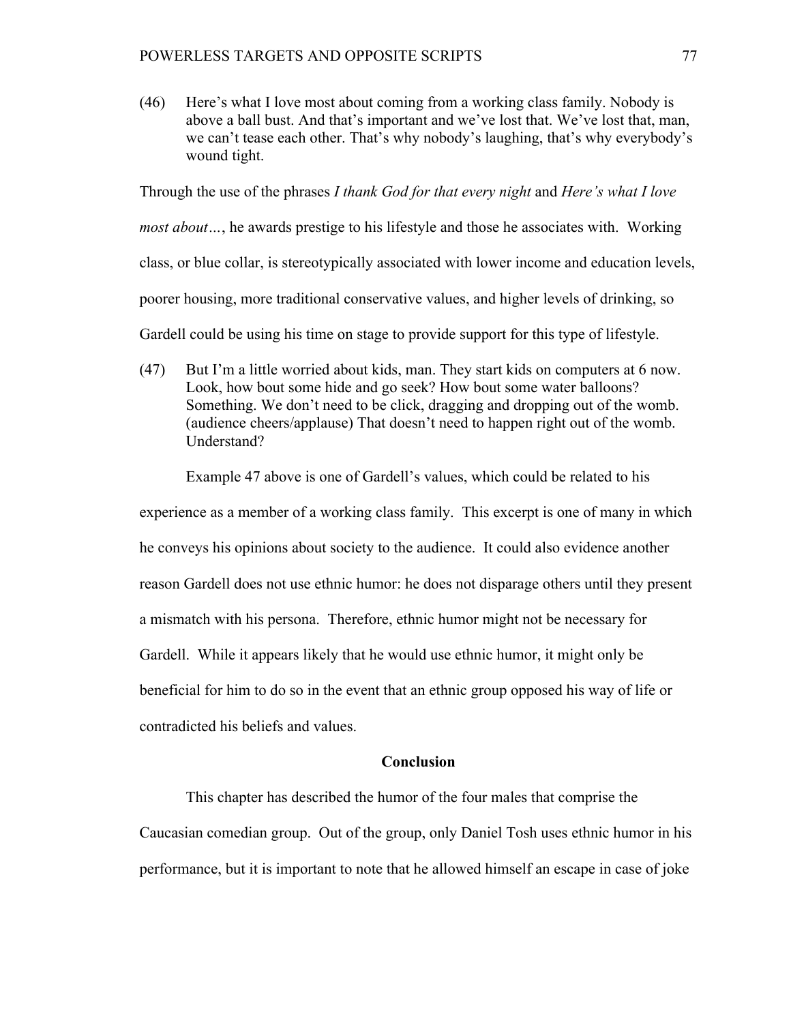(46) Here's what I love most about coming from a working class family. Nobody is above a ball bust. And that's important and we've lost that. We've lost that, man, we can't tease each other. That's why nobody's laughing, that's why everybody's wound tight.

Through the use of the phrases *I thank God for that every night* and *Here's what I love most about…*, he awards prestige to his lifestyle and those he associates with. Working class, or blue collar, is stereotypically associated with lower income and education levels, poorer housing, more traditional conservative values, and higher levels of drinking, so Gardell could be using his time on stage to provide support for this type of lifestyle.

(47) But I'm a little worried about kids, man. They start kids on computers at 6 now. Look, how bout some hide and go seek? How bout some water balloons? Something. We don't need to be click, dragging and dropping out of the womb. (audience cheers/applause) That doesn't need to happen right out of the womb. Understand?

Example 47 above is one of Gardell's values, which could be related to his

experience as a member of a working class family. This excerpt is one of many in which he conveys his opinions about society to the audience. It could also evidence another reason Gardell does not use ethnic humor: he does not disparage others until they present a mismatch with his persona. Therefore, ethnic humor might not be necessary for Gardell. While it appears likely that he would use ethnic humor, it might only be beneficial for him to do so in the event that an ethnic group opposed his way of life or contradicted his beliefs and values.

# **Conclusion**

This chapter has described the humor of the four males that comprise the

Caucasian comedian group. Out of the group, only Daniel Tosh uses ethnic humor in his performance, but it is important to note that he allowed himself an escape in case of joke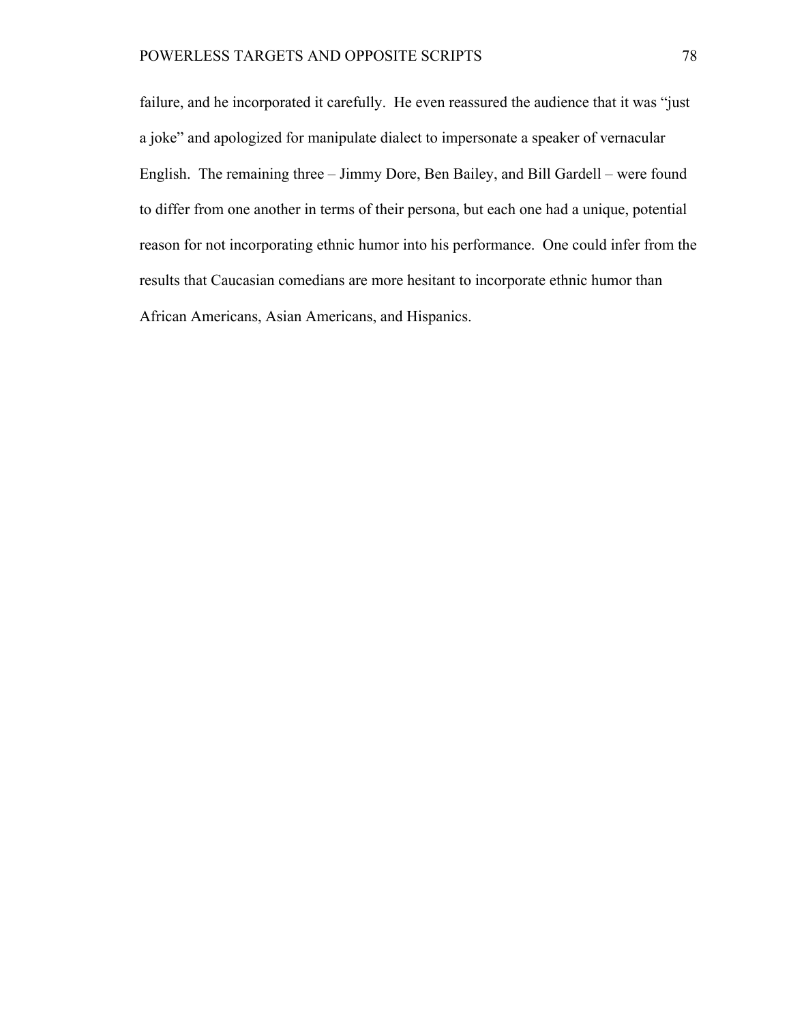failure, and he incorporated it carefully. He even reassured the audience that it was "just a joke" and apologized for manipulate dialect to impersonate a speaker of vernacular English. The remaining three – Jimmy Dore, Ben Bailey, and Bill Gardell – were found to differ from one another in terms of their persona, but each one had a unique, potential reason for not incorporating ethnic humor into his performance. One could infer from the results that Caucasian comedians are more hesitant to incorporate ethnic humor than African Americans, Asian Americans, and Hispanics.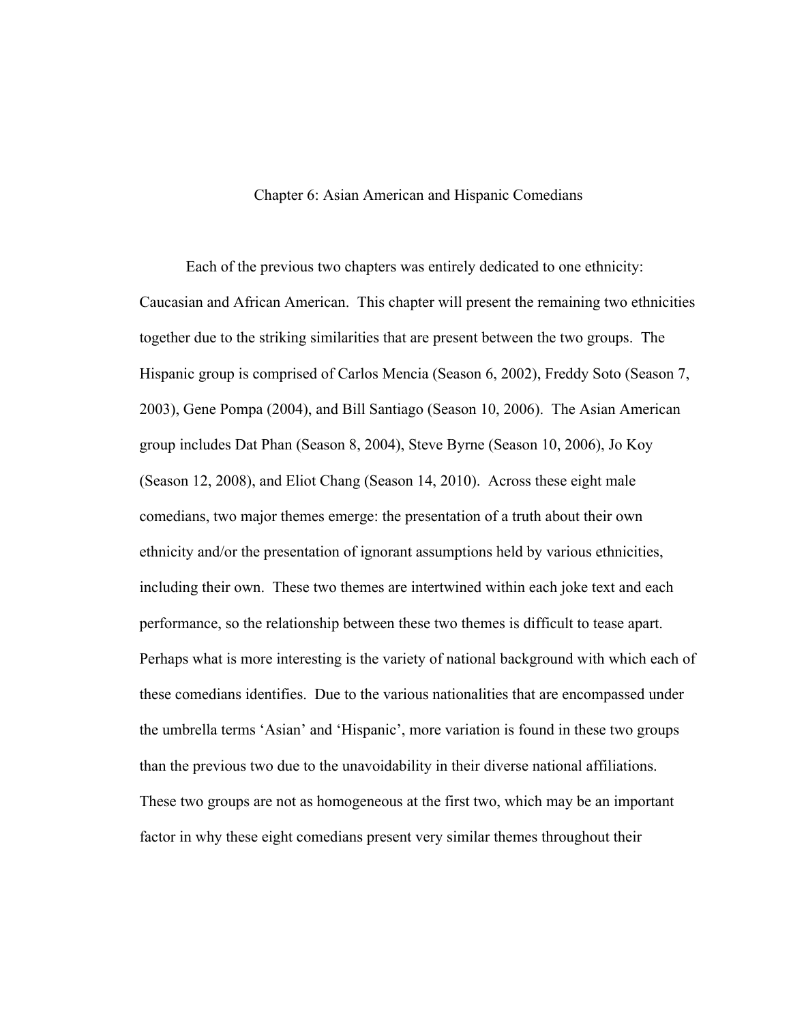# Chapter 6: Asian American and Hispanic Comedians

Each of the previous two chapters was entirely dedicated to one ethnicity: Caucasian and African American. This chapter will present the remaining two ethnicities together due to the striking similarities that are present between the two groups. The Hispanic group is comprised of Carlos Mencia (Season 6, 2002), Freddy Soto (Season 7, 2003), Gene Pompa (2004), and Bill Santiago (Season 10, 2006). The Asian American group includes Dat Phan (Season 8, 2004), Steve Byrne (Season 10, 2006), Jo Koy (Season 12, 2008), and Eliot Chang (Season 14, 2010). Across these eight male comedians, two major themes emerge: the presentation of a truth about their own ethnicity and/or the presentation of ignorant assumptions held by various ethnicities, including their own. These two themes are intertwined within each joke text and each performance, so the relationship between these two themes is difficult to tease apart. Perhaps what is more interesting is the variety of national background with which each of these comedians identifies. Due to the various nationalities that are encompassed under the umbrella terms 'Asian' and 'Hispanic', more variation is found in these two groups than the previous two due to the unavoidability in their diverse national affiliations. These two groups are not as homogeneous at the first two, which may be an important factor in why these eight comedians present very similar themes throughout their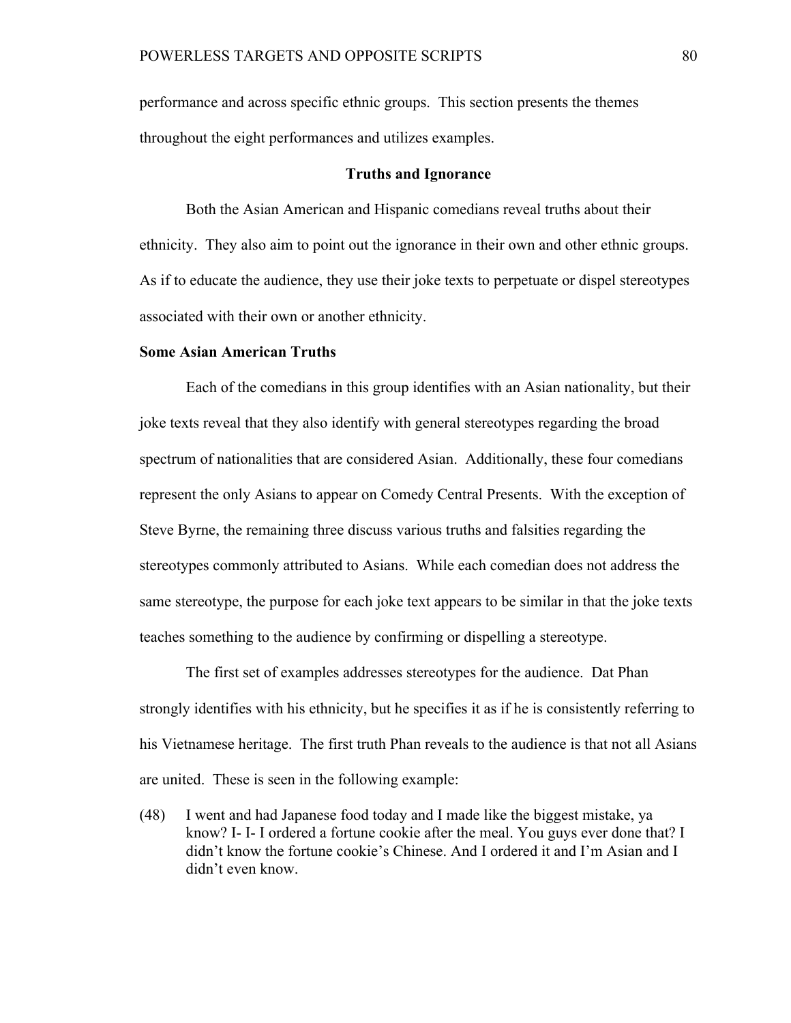performance and across specific ethnic groups. This section presents the themes throughout the eight performances and utilizes examples.

### **Truths and Ignorance**

Both the Asian American and Hispanic comedians reveal truths about their ethnicity. They also aim to point out the ignorance in their own and other ethnic groups. As if to educate the audience, they use their joke texts to perpetuate or dispel stereotypes associated with their own or another ethnicity.

### **Some Asian American Truths**

Each of the comedians in this group identifies with an Asian nationality, but their joke texts reveal that they also identify with general stereotypes regarding the broad spectrum of nationalities that are considered Asian. Additionally, these four comedians represent the only Asians to appear on Comedy Central Presents. With the exception of Steve Byrne, the remaining three discuss various truths and falsities regarding the stereotypes commonly attributed to Asians. While each comedian does not address the same stereotype, the purpose for each joke text appears to be similar in that the joke texts teaches something to the audience by confirming or dispelling a stereotype.

The first set of examples addresses stereotypes for the audience. Dat Phan strongly identifies with his ethnicity, but he specifies it as if he is consistently referring to his Vietnamese heritage. The first truth Phan reveals to the audience is that not all Asians are united. These is seen in the following example:

(48) I went and had Japanese food today and I made like the biggest mistake, ya know? I- I- I ordered a fortune cookie after the meal. You guys ever done that? I didn't know the fortune cookie's Chinese. And I ordered it and I'm Asian and I didn't even know.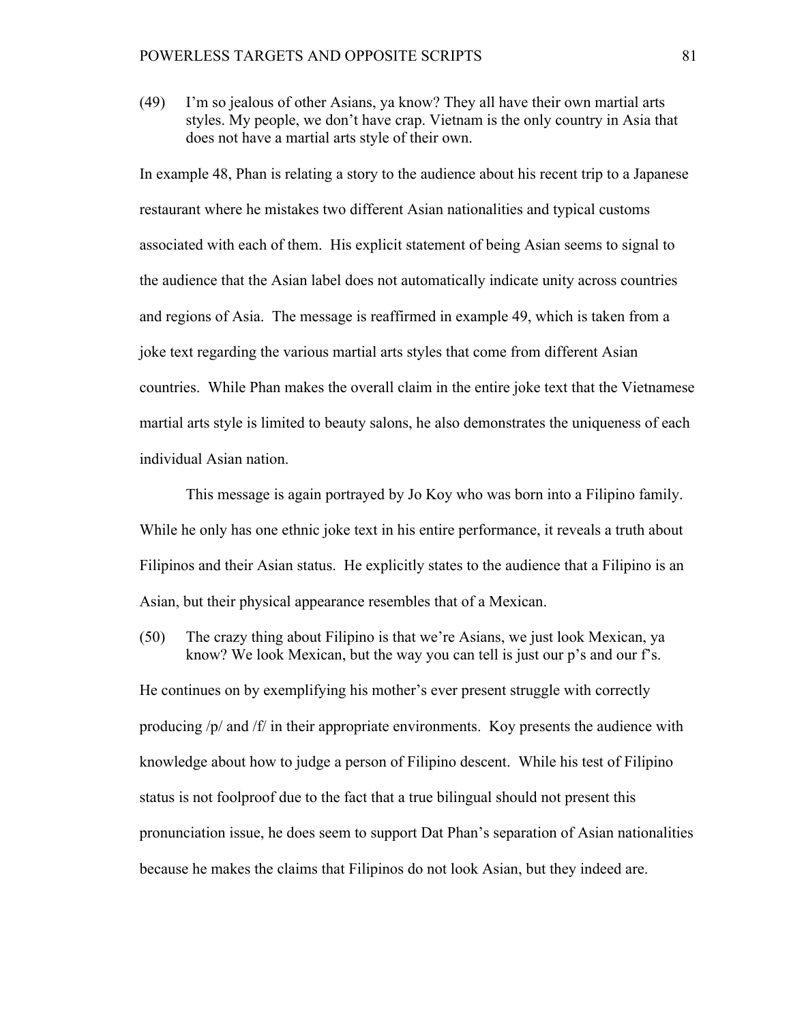(49) I'm so jealous of other Asians, ya know? They all have their own martial arts styles. My people, we don't have crap. Vietnam is the only country in Asia that does not have a martial arts style of their own.

In example 48, Phan is relating a story to the audience about his recent trip to a Japanese restaurant where he mistakes two different Asian nationalities and typical customs associated with each of them. His explicit statement of being Asian seems to signal to the audience that the Asian label does not automatically indicate unity across countries and regions of Asia. The message is reaffirmed in example 49, which is taken from a joke text regarding the various martial arts styles that come from different Asian countries. While Phan makes the overall claim in the entire joke text that the Vietnamese martial arts style is limited to beauty salons, he also demonstrates the uniqueness of each individual Asian nation.

This message is again portrayed by Jo Koy who was born into a Filipino family. While he only has one ethnic joke text in his entire performance, it reveals a truth about Filipinos and their Asian status. He explicitly states to the audience that a Filipino is an Asian, but their physical appearance resembles that of a Mexican.

(50) The crazy thing about Filipino is that we're Asians, we just look Mexican, ya know? We look Mexican, but the way you can tell is just our p's and our f's.

He continues on by exemplifying his mother's ever present struggle with correctly producing  $/p$  and  $/f$  in their appropriate environments. Koy presents the audience with knowledge about how to judge a person of Filipino descent. While his test of Filipino status is not foolproof due to the fact that a true bilingual should not present this pronunciation issue, he does seem to support Dat Phan's separation of Asian nationalities because he makes the claims that Filipinos do not look Asian, but they indeed are.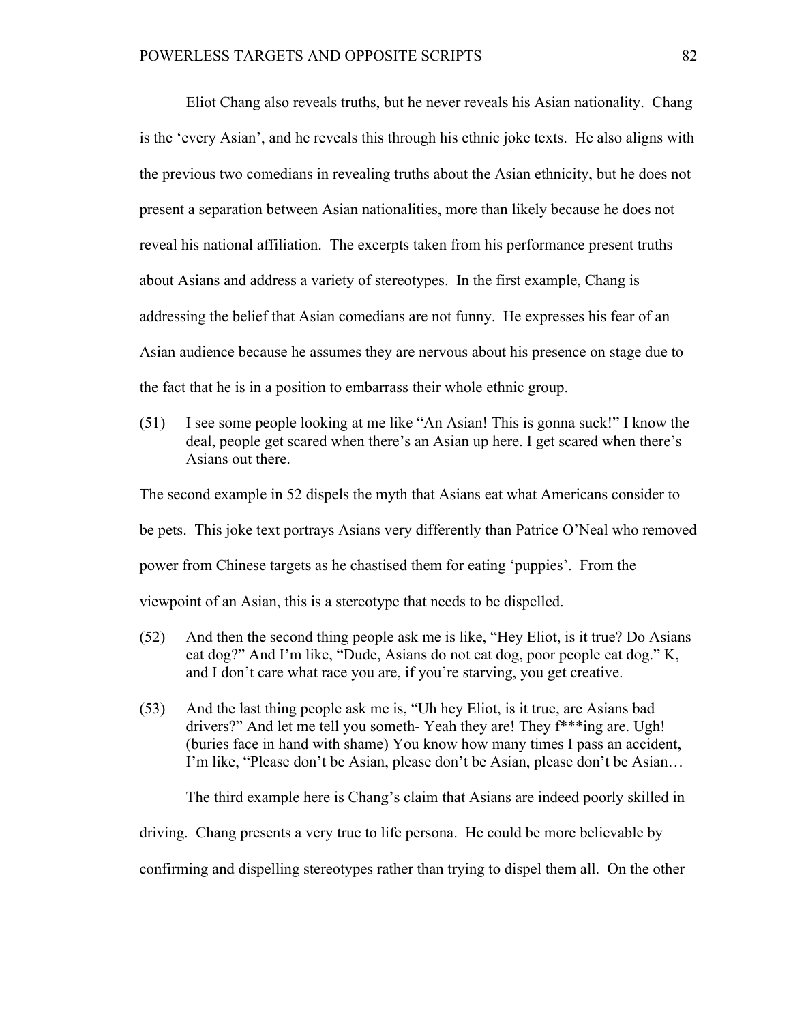Eliot Chang also reveals truths, but he never reveals his Asian nationality. Chang is the 'every Asian', and he reveals this through his ethnic joke texts. He also aligns with the previous two comedians in revealing truths about the Asian ethnicity, but he does not present a separation between Asian nationalities, more than likely because he does not reveal his national affiliation. The excerpts taken from his performance present truths about Asians and address a variety of stereotypes. In the first example, Chang is addressing the belief that Asian comedians are not funny. He expresses his fear of an Asian audience because he assumes they are nervous about his presence on stage due to the fact that he is in a position to embarrass their whole ethnic group.

(51) I see some people looking at me like "An Asian! This is gonna suck!" I know the deal, people get scared when there's an Asian up here. I get scared when there's Asians out there.

The second example in 52 dispels the myth that Asians eat what Americans consider to be pets. This joke text portrays Asians very differently than Patrice O'Neal who removed power from Chinese targets as he chastised them for eating 'puppies'. From the viewpoint of an Asian, this is a stereotype that needs to be dispelled.

- (52) And then the second thing people ask me is like, "Hey Eliot, is it true? Do Asians eat dog?" And I'm like, "Dude, Asians do not eat dog, poor people eat dog." K, and I don't care what race you are, if you're starving, you get creative.
- (53) And the last thing people ask me is, "Uh hey Eliot, is it true, are Asians bad drivers?" And let me tell you someth- Yeah they are! They f\*\*\*ing are. Ugh! (buries face in hand with shame) You know how many times I pass an accident, I'm like, "Please don't be Asian, please don't be Asian, please don't be Asian…

The third example here is Chang's claim that Asians are indeed poorly skilled in

driving. Chang presents a very true to life persona. He could be more believable by

confirming and dispelling stereotypes rather than trying to dispel them all. On the other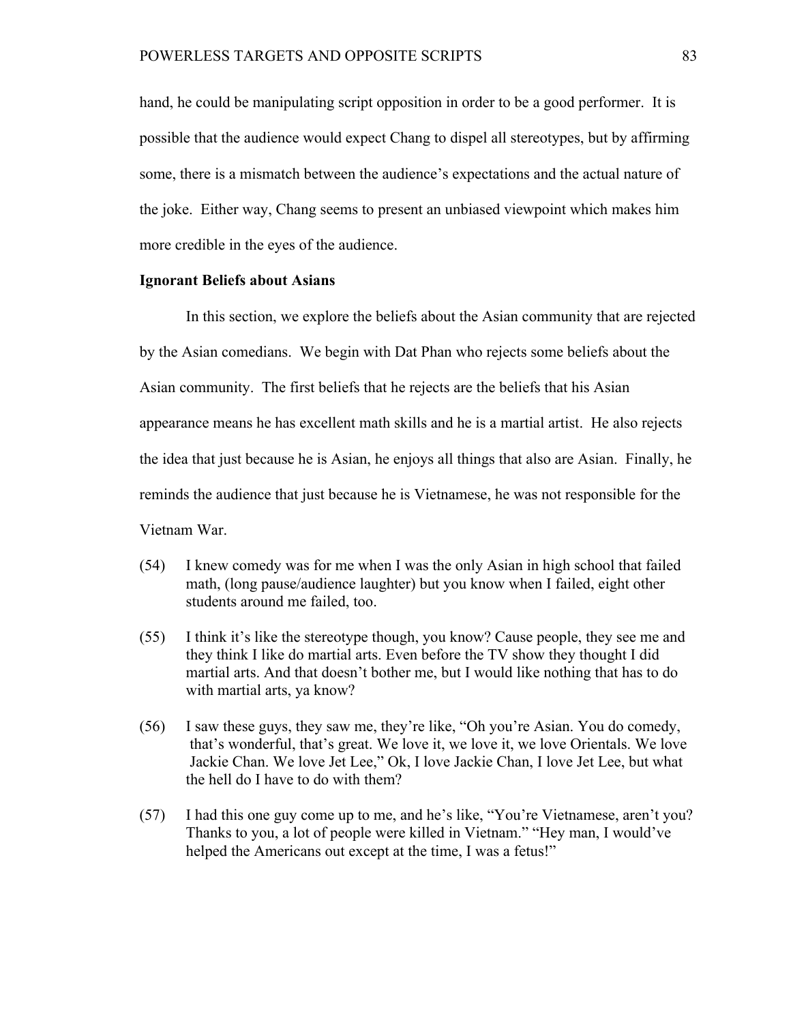hand, he could be manipulating script opposition in order to be a good performer. It is possible that the audience would expect Chang to dispel all stereotypes, but by affirming some, there is a mismatch between the audience's expectations and the actual nature of the joke. Either way, Chang seems to present an unbiased viewpoint which makes him more credible in the eyes of the audience.

# **Ignorant Beliefs about Asians**

In this section, we explore the beliefs about the Asian community that are rejected by the Asian comedians. We begin with Dat Phan who rejects some beliefs about the Asian community. The first beliefs that he rejects are the beliefs that his Asian appearance means he has excellent math skills and he is a martial artist. He also rejects the idea that just because he is Asian, he enjoys all things that also are Asian. Finally, he reminds the audience that just because he is Vietnamese, he was not responsible for the Vietnam War.

- (54) I knew comedy was for me when I was the only Asian in high school that failed math, (long pause/audience laughter) but you know when I failed, eight other students around me failed, too.
- (55) I think it's like the stereotype though, you know? Cause people, they see me and they think I like do martial arts. Even before the TV show they thought I did martial arts. And that doesn't bother me, but I would like nothing that has to do with martial arts, ya know?
- (56) I saw these guys, they saw me, they're like, "Oh you're Asian. You do comedy, that's wonderful, that's great. We love it, we love it, we love Orientals. We love Jackie Chan. We love Jet Lee," Ok, I love Jackie Chan, I love Jet Lee, but what the hell do I have to do with them?
- (57) I had this one guy come up to me, and he's like, "You're Vietnamese, aren't you? Thanks to you, a lot of people were killed in Vietnam." "Hey man, I would've helped the Americans out except at the time, I was a fetus!"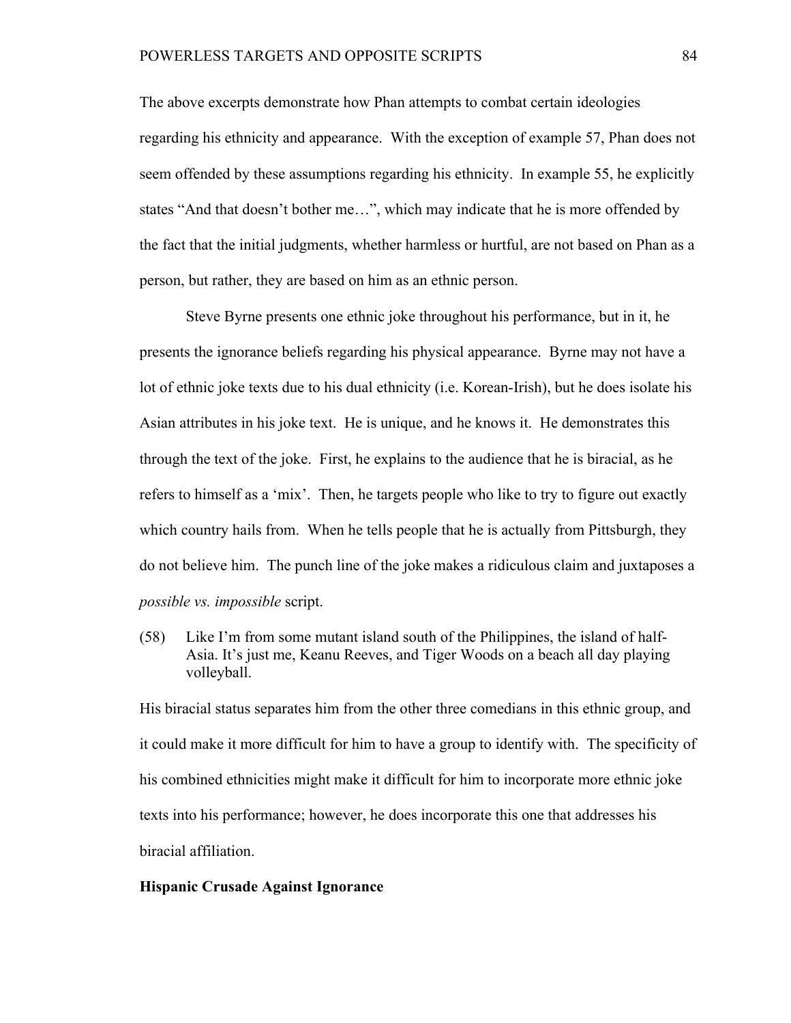The above excerpts demonstrate how Phan attempts to combat certain ideologies regarding his ethnicity and appearance. With the exception of example 57, Phan does not seem offended by these assumptions regarding his ethnicity. In example 55, he explicitly states "And that doesn't bother me…", which may indicate that he is more offended by the fact that the initial judgments, whether harmless or hurtful, are not based on Phan as a person, but rather, they are based on him as an ethnic person.

Steve Byrne presents one ethnic joke throughout his performance, but in it, he presents the ignorance beliefs regarding his physical appearance. Byrne may not have a lot of ethnic joke texts due to his dual ethnicity (i.e. Korean-Irish), but he does isolate his Asian attributes in his joke text. He is unique, and he knows it. He demonstrates this through the text of the joke. First, he explains to the audience that he is biracial, as he refers to himself as a 'mix'. Then, he targets people who like to try to figure out exactly which country hails from. When he tells people that he is actually from Pittsburgh, they do not believe him. The punch line of the joke makes a ridiculous claim and juxtaposes a *possible vs. impossible* script.

(58) Like I'm from some mutant island south of the Philippines, the island of half-Asia. It's just me, Keanu Reeves, and Tiger Woods on a beach all day playing volleyball.

His biracial status separates him from the other three comedians in this ethnic group, and it could make it more difficult for him to have a group to identify with. The specificity of his combined ethnicities might make it difficult for him to incorporate more ethnic joke texts into his performance; however, he does incorporate this one that addresses his biracial affiliation.

# **Hispanic Crusade Against Ignorance**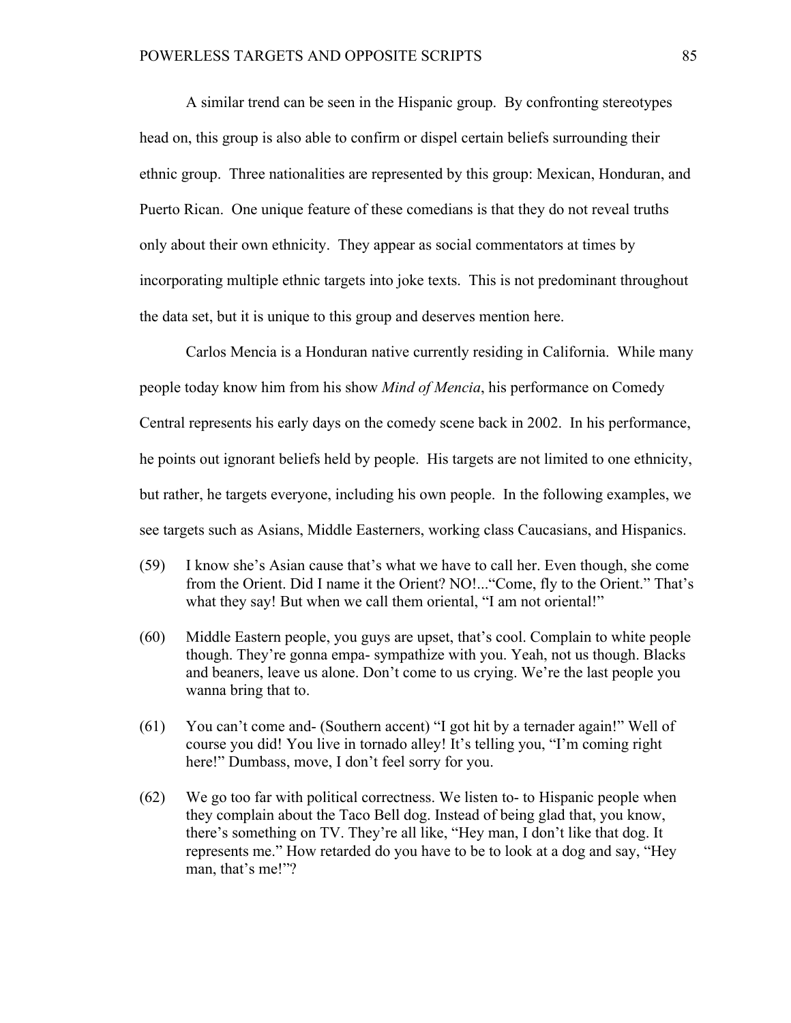A similar trend can be seen in the Hispanic group. By confronting stereotypes head on, this group is also able to confirm or dispel certain beliefs surrounding their ethnic group. Three nationalities are represented by this group: Mexican, Honduran, and Puerto Rican. One unique feature of these comedians is that they do not reveal truths only about their own ethnicity. They appear as social commentators at times by incorporating multiple ethnic targets into joke texts. This is not predominant throughout the data set, but it is unique to this group and deserves mention here.

Carlos Mencia is a Honduran native currently residing in California. While many people today know him from his show *Mind of Mencia*, his performance on Comedy Central represents his early days on the comedy scene back in 2002. In his performance, he points out ignorant beliefs held by people. His targets are not limited to one ethnicity, but rather, he targets everyone, including his own people. In the following examples, we see targets such as Asians, Middle Easterners, working class Caucasians, and Hispanics.

- (59) I know she's Asian cause that's what we have to call her. Even though, she come from the Orient. Did I name it the Orient? NO!..."Come, fly to the Orient." That's what they say! But when we call them oriental, "I am not oriental!"
- (60) Middle Eastern people, you guys are upset, that's cool. Complain to white people though. They're gonna empa- sympathize with you. Yeah, not us though. Blacks and beaners, leave us alone. Don't come to us crying. We're the last people you wanna bring that to.
- (61) You can't come and- (Southern accent) "I got hit by a ternader again!" Well of course you did! You live in tornado alley! It's telling you, "I'm coming right here!" Dumbass, move, I don't feel sorry for you.
- (62) We go too far with political correctness. We listen to- to Hispanic people when they complain about the Taco Bell dog. Instead of being glad that, you know, there's something on TV. They're all like, "Hey man, I don't like that dog. It represents me." How retarded do you have to be to look at a dog and say, "Hey man, that's me!"?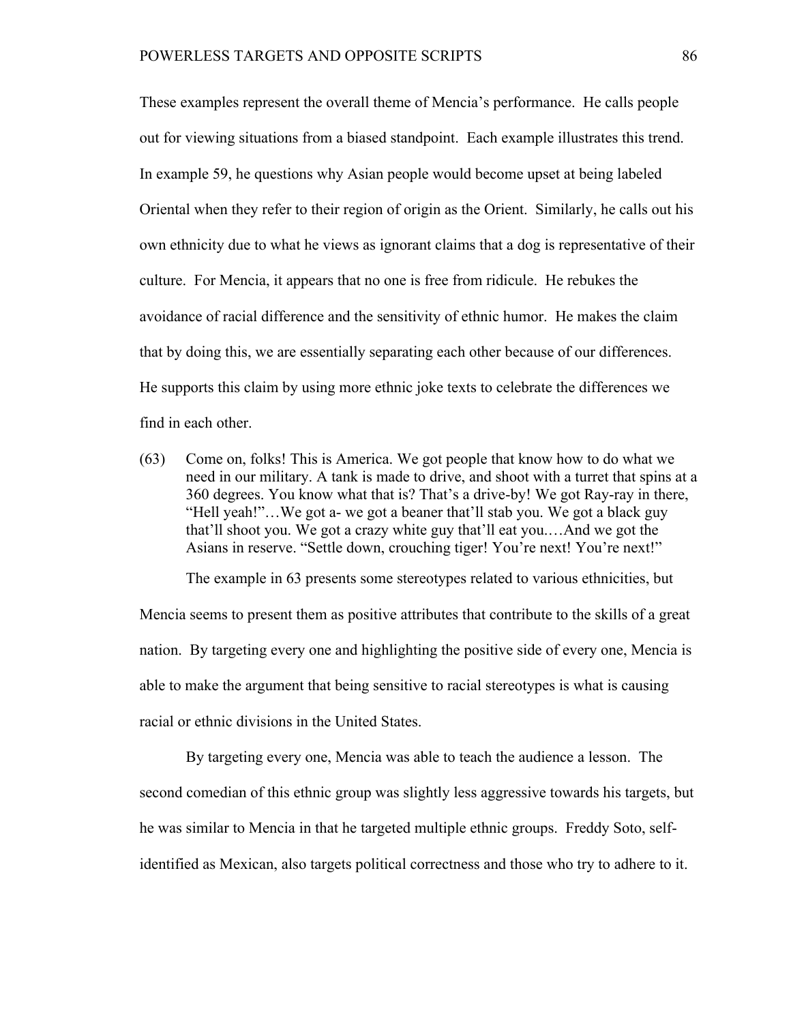These examples represent the overall theme of Mencia's performance. He calls people out for viewing situations from a biased standpoint. Each example illustrates this trend. In example 59, he questions why Asian people would become upset at being labeled Oriental when they refer to their region of origin as the Orient. Similarly, he calls out his own ethnicity due to what he views as ignorant claims that a dog is representative of their culture. For Mencia, it appears that no one is free from ridicule. He rebukes the avoidance of racial difference and the sensitivity of ethnic humor. He makes the claim that by doing this, we are essentially separating each other because of our differences. He supports this claim by using more ethnic joke texts to celebrate the differences we find in each other.

(63) Come on, folks! This is America. We got people that know how to do what we need in our military. A tank is made to drive, and shoot with a turret that spins at a 360 degrees. You know what that is? That's a drive-by! We got Ray-ray in there, "Hell yeah!"…We got a- we got a beaner that'll stab you. We got a black guy that'll shoot you. We got a crazy white guy that'll eat you.…And we got the Asians in reserve. "Settle down, crouching tiger! You're next! You're next!"

The example in 63 presents some stereotypes related to various ethnicities, but Mencia seems to present them as positive attributes that contribute to the skills of a great nation. By targeting every one and highlighting the positive side of every one, Mencia is able to make the argument that being sensitive to racial stereotypes is what is causing racial or ethnic divisions in the United States.

By targeting every one, Mencia was able to teach the audience a lesson. The second comedian of this ethnic group was slightly less aggressive towards his targets, but he was similar to Mencia in that he targeted multiple ethnic groups. Freddy Soto, selfidentified as Mexican, also targets political correctness and those who try to adhere to it.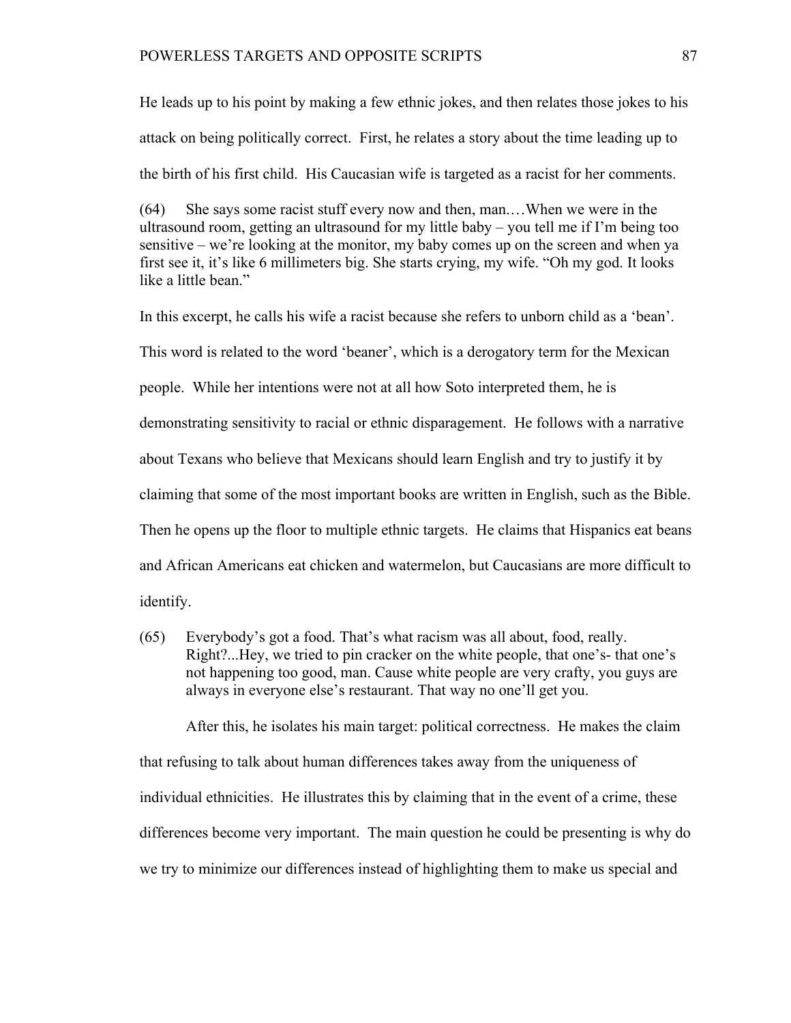He leads up to his point by making a few ethnic jokes, and then relates those jokes to his attack on being politically correct. First, he relates a story about the time leading up to the birth of his first child. His Caucasian wife is targeted as a racist for her comments.

(64) She says some racist stuff every now and then, man.…When we were in the ultrasound room, getting an ultrasound for my little baby – you tell me if I'm being too sensitive – we're looking at the monitor, my baby comes up on the screen and when ya first see it, it's like 6 millimeters big. She starts crying, my wife. "Oh my god. It looks like a little bean."

In this excerpt, he calls his wife a racist because she refers to unborn child as a 'bean'. This word is related to the word 'beaner', which is a derogatory term for the Mexican people. While her intentions were not at all how Soto interpreted them, he is demonstrating sensitivity to racial or ethnic disparagement. He follows with a narrative about Texans who believe that Mexicans should learn English and try to justify it by claiming that some of the most important books are written in English, such as the Bible. Then he opens up the floor to multiple ethnic targets. He claims that Hispanics eat beans and African Americans eat chicken and watermelon, but Caucasians are more difficult to identify.

(65) Everybody's got a food. That's what racism was all about, food, really. Right?...Hey, we tried to pin cracker on the white people, that one's- that one's not happening too good, man. Cause white people are very crafty, you guys are always in everyone else's restaurant. That way no one'll get you.

After this, he isolates his main target: political correctness. He makes the claim that refusing to talk about human differences takes away from the uniqueness of individual ethnicities. He illustrates this by claiming that in the event of a crime, these differences become very important. The main question he could be presenting is why do we try to minimize our differences instead of highlighting them to make us special and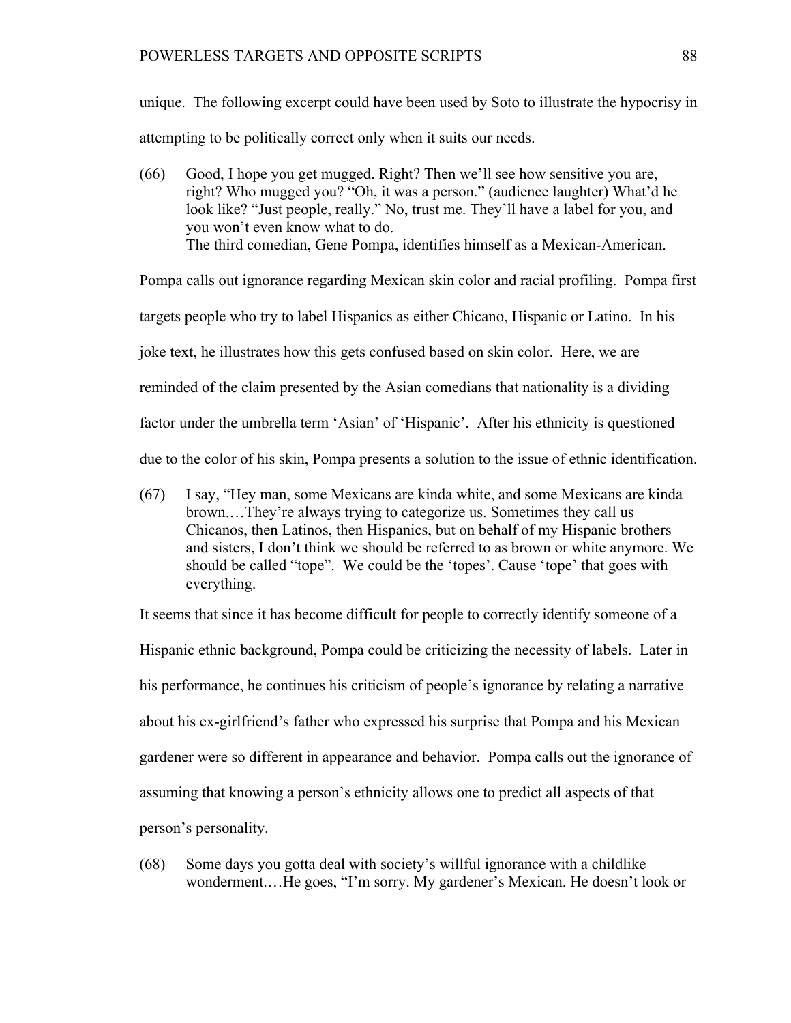unique. The following excerpt could have been used by Soto to illustrate the hypocrisy in attempting to be politically correct only when it suits our needs.

(66) Good, I hope you get mugged. Right? Then we'll see how sensitive you are, right? Who mugged you? "Oh, it was a person." (audience laughter) What'd he look like? "Just people, really." No, trust me. They'll have a label for you, and you won't even know what to do. The third comedian, Gene Pompa, identifies himself as a Mexican-American.

Pompa calls out ignorance regarding Mexican skin color and racial profiling. Pompa first targets people who try to label Hispanics as either Chicano, Hispanic or Latino. In his joke text, he illustrates how this gets confused based on skin color. Here, we are reminded of the claim presented by the Asian comedians that nationality is a dividing factor under the umbrella term 'Asian' of 'Hispanic'. After his ethnicity is questioned due to the color of his skin, Pompa presents a solution to the issue of ethnic identification.

(67) I say, "Hey man, some Mexicans are kinda white, and some Mexicans are kinda brown.…They're always trying to categorize us. Sometimes they call us Chicanos, then Latinos, then Hispanics, but on behalf of my Hispanic brothers and sisters, I don't think we should be referred to as brown or white anymore. We should be called "tope". We could be the 'topes'. Cause 'tope' that goes with everything.

It seems that since it has become difficult for people to correctly identify someone of a Hispanic ethnic background, Pompa could be criticizing the necessity of labels. Later in his performance, he continues his criticism of people's ignorance by relating a narrative about his ex-girlfriend's father who expressed his surprise that Pompa and his Mexican gardener were so different in appearance and behavior. Pompa calls out the ignorance of assuming that knowing a person's ethnicity allows one to predict all aspects of that person's personality.

(68) Some days you gotta deal with society's willful ignorance with a childlike wonderment.…He goes, "I'm sorry. My gardener's Mexican. He doesn't look or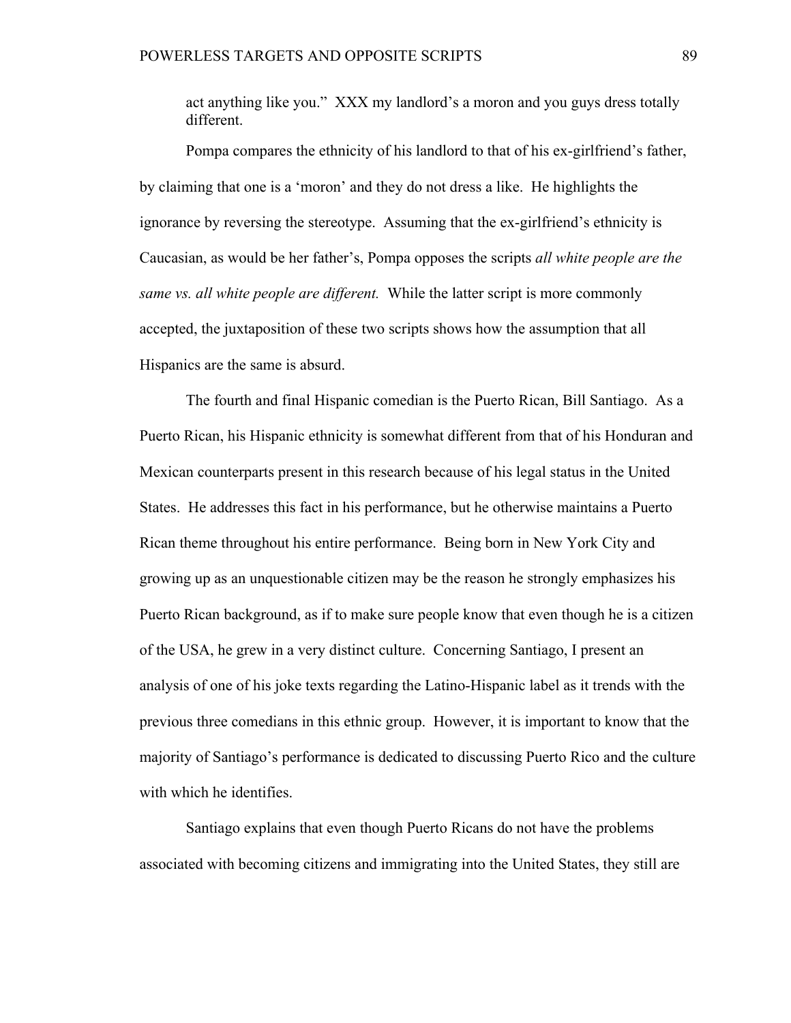act anything like you." XXX my landlord's a moron and you guys dress totally different.

Pompa compares the ethnicity of his landlord to that of his ex-girlfriend's father, by claiming that one is a 'moron' and they do not dress a like. He highlights the ignorance by reversing the stereotype. Assuming that the ex-girlfriend's ethnicity is Caucasian, as would be her father's, Pompa opposes the scripts *all white people are the same vs. all white people are different.* While the latter script is more commonly accepted, the juxtaposition of these two scripts shows how the assumption that all Hispanics are the same is absurd.

The fourth and final Hispanic comedian is the Puerto Rican, Bill Santiago. As a Puerto Rican, his Hispanic ethnicity is somewhat different from that of his Honduran and Mexican counterparts present in this research because of his legal status in the United States. He addresses this fact in his performance, but he otherwise maintains a Puerto Rican theme throughout his entire performance. Being born in New York City and growing up as an unquestionable citizen may be the reason he strongly emphasizes his Puerto Rican background, as if to make sure people know that even though he is a citizen of the USA, he grew in a very distinct culture. Concerning Santiago, I present an analysis of one of his joke texts regarding the Latino-Hispanic label as it trends with the previous three comedians in this ethnic group. However, it is important to know that the majority of Santiago's performance is dedicated to discussing Puerto Rico and the culture with which he identifies.

Santiago explains that even though Puerto Ricans do not have the problems associated with becoming citizens and immigrating into the United States, they still are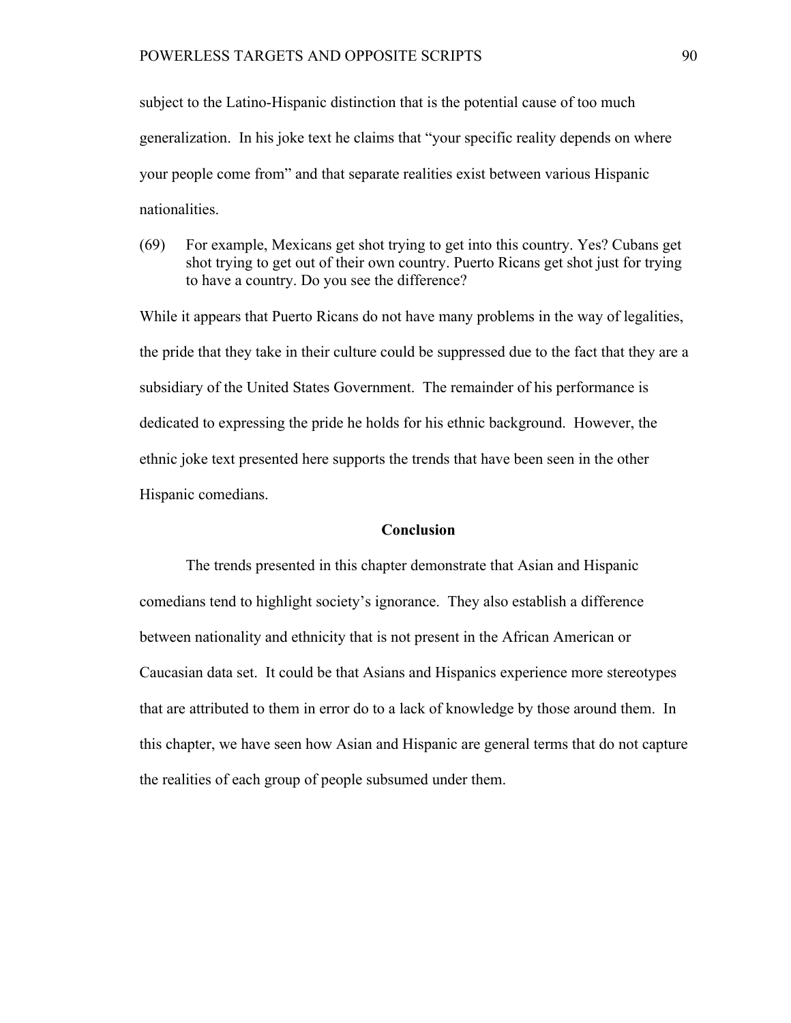subject to the Latino-Hispanic distinction that is the potential cause of too much generalization. In his joke text he claims that "your specific reality depends on where your people come from" and that separate realities exist between various Hispanic nationalities.

(69) For example, Mexicans get shot trying to get into this country. Yes? Cubans get shot trying to get out of their own country. Puerto Ricans get shot just for trying to have a country. Do you see the difference?

While it appears that Puerto Ricans do not have many problems in the way of legalities, the pride that they take in their culture could be suppressed due to the fact that they are a subsidiary of the United States Government. The remainder of his performance is dedicated to expressing the pride he holds for his ethnic background. However, the ethnic joke text presented here supports the trends that have been seen in the other Hispanic comedians.

## **Conclusion**

The trends presented in this chapter demonstrate that Asian and Hispanic comedians tend to highlight society's ignorance. They also establish a difference between nationality and ethnicity that is not present in the African American or Caucasian data set. It could be that Asians and Hispanics experience more stereotypes that are attributed to them in error do to a lack of knowledge by those around them. In this chapter, we have seen how Asian and Hispanic are general terms that do not capture the realities of each group of people subsumed under them.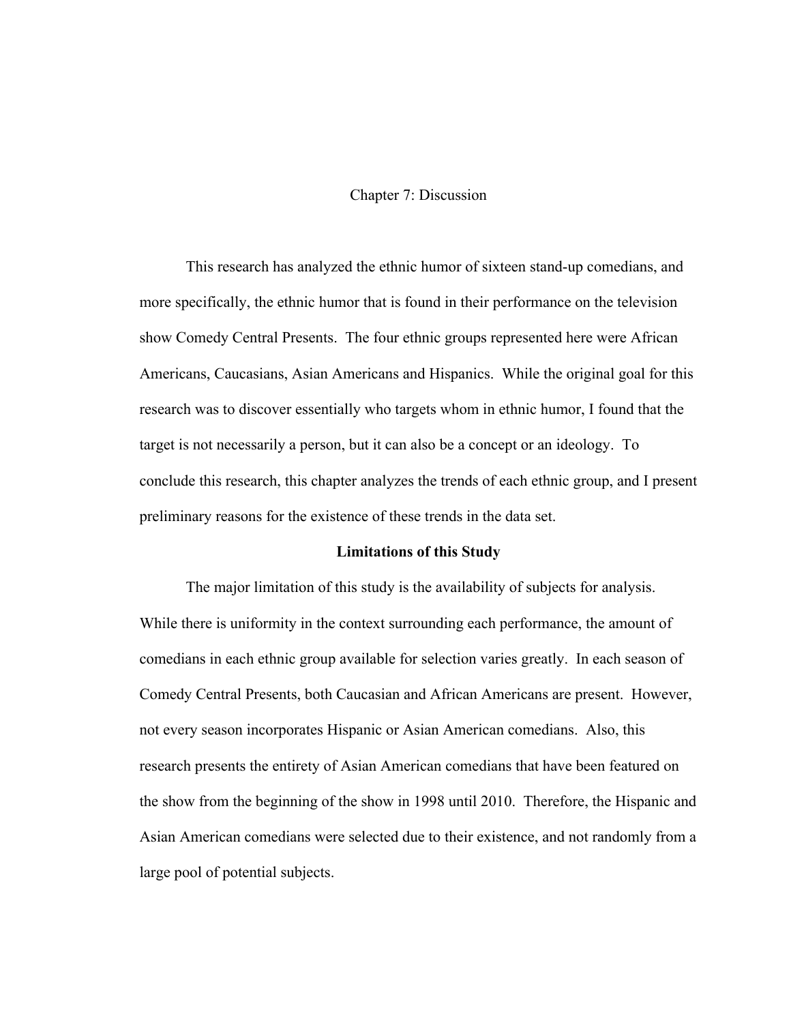# Chapter 7: Discussion

This research has analyzed the ethnic humor of sixteen stand-up comedians, and more specifically, the ethnic humor that is found in their performance on the television show Comedy Central Presents. The four ethnic groups represented here were African Americans, Caucasians, Asian Americans and Hispanics. While the original goal for this research was to discover essentially who targets whom in ethnic humor, I found that the target is not necessarily a person, but it can also be a concept or an ideology. To conclude this research, this chapter analyzes the trends of each ethnic group, and I present preliminary reasons for the existence of these trends in the data set.

### **Limitations of this Study**

The major limitation of this study is the availability of subjects for analysis. While there is uniformity in the context surrounding each performance, the amount of comedians in each ethnic group available for selection varies greatly. In each season of Comedy Central Presents, both Caucasian and African Americans are present. However, not every season incorporates Hispanic or Asian American comedians. Also, this research presents the entirety of Asian American comedians that have been featured on the show from the beginning of the show in 1998 until 2010. Therefore, the Hispanic and Asian American comedians were selected due to their existence, and not randomly from a large pool of potential subjects.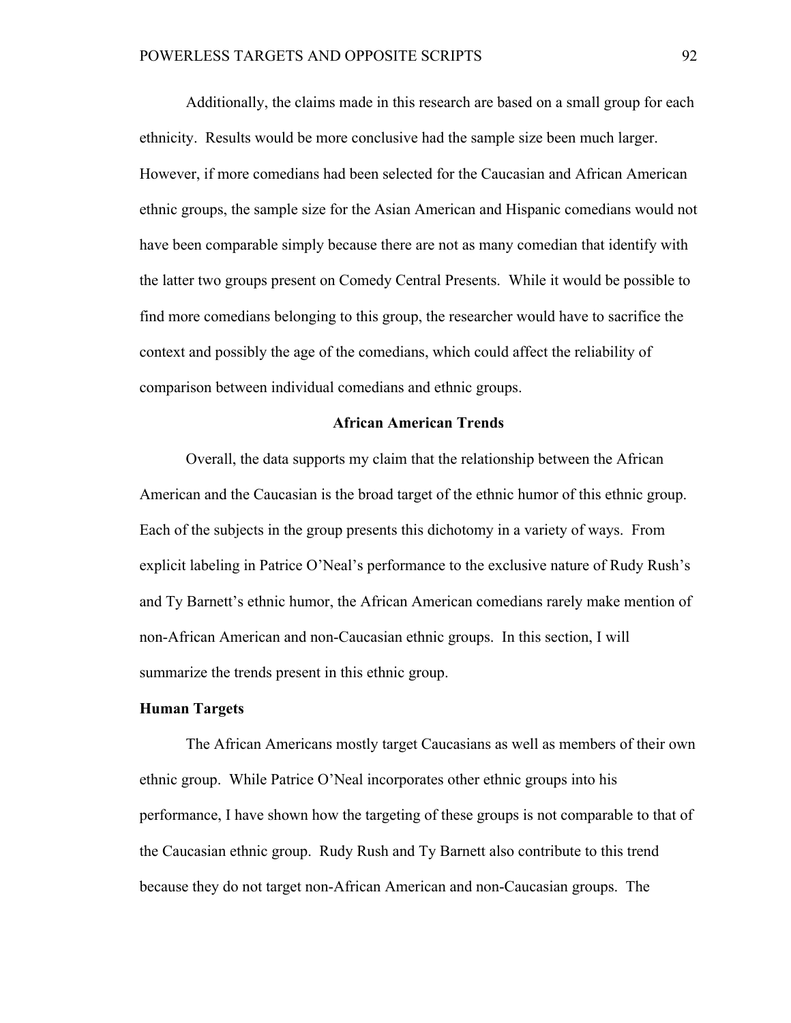Additionally, the claims made in this research are based on a small group for each ethnicity. Results would be more conclusive had the sample size been much larger. However, if more comedians had been selected for the Caucasian and African American ethnic groups, the sample size for the Asian American and Hispanic comedians would not have been comparable simply because there are not as many comedian that identify with the latter two groups present on Comedy Central Presents. While it would be possible to find more comedians belonging to this group, the researcher would have to sacrifice the context and possibly the age of the comedians, which could affect the reliability of comparison between individual comedians and ethnic groups.

## **African American Trends**

Overall, the data supports my claim that the relationship between the African American and the Caucasian is the broad target of the ethnic humor of this ethnic group. Each of the subjects in the group presents this dichotomy in a variety of ways. From explicit labeling in Patrice O'Neal's performance to the exclusive nature of Rudy Rush's and Ty Barnett's ethnic humor, the African American comedians rarely make mention of non-African American and non-Caucasian ethnic groups. In this section, I will summarize the trends present in this ethnic group.

### **Human Targets**

The African Americans mostly target Caucasians as well as members of their own ethnic group. While Patrice O'Neal incorporates other ethnic groups into his performance, I have shown how the targeting of these groups is not comparable to that of the Caucasian ethnic group. Rudy Rush and Ty Barnett also contribute to this trend because they do not target non-African American and non-Caucasian groups. The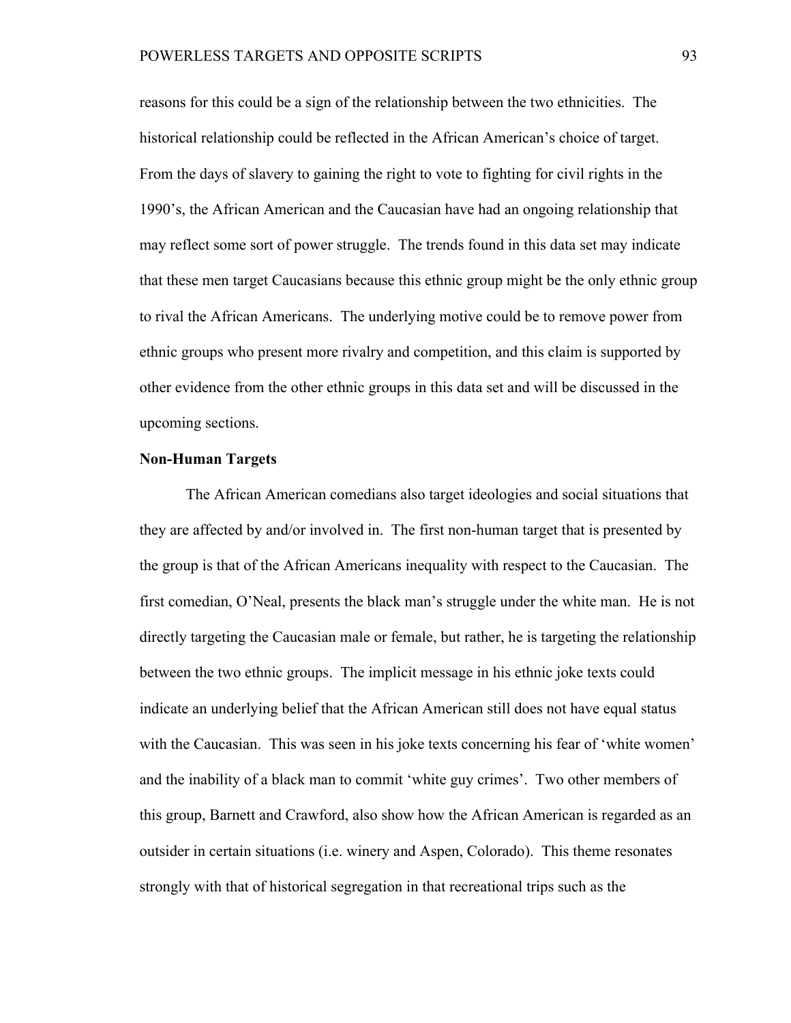reasons for this could be a sign of the relationship between the two ethnicities. The historical relationship could be reflected in the African American's choice of target. From the days of slavery to gaining the right to vote to fighting for civil rights in the 1990's, the African American and the Caucasian have had an ongoing relationship that may reflect some sort of power struggle. The trends found in this data set may indicate that these men target Caucasians because this ethnic group might be the only ethnic group to rival the African Americans. The underlying motive could be to remove power from ethnic groups who present more rivalry and competition, and this claim is supported by other evidence from the other ethnic groups in this data set and will be discussed in the upcoming sections.

### **Non-Human Targets**

The African American comedians also target ideologies and social situations that they are affected by and/or involved in. The first non-human target that is presented by the group is that of the African Americans inequality with respect to the Caucasian. The first comedian, O'Neal, presents the black man's struggle under the white man. He is not directly targeting the Caucasian male or female, but rather, he is targeting the relationship between the two ethnic groups. The implicit message in his ethnic joke texts could indicate an underlying belief that the African American still does not have equal status with the Caucasian. This was seen in his joke texts concerning his fear of 'white women' and the inability of a black man to commit 'white guy crimes'. Two other members of this group, Barnett and Crawford, also show how the African American is regarded as an outsider in certain situations (i.e. winery and Aspen, Colorado). This theme resonates strongly with that of historical segregation in that recreational trips such as the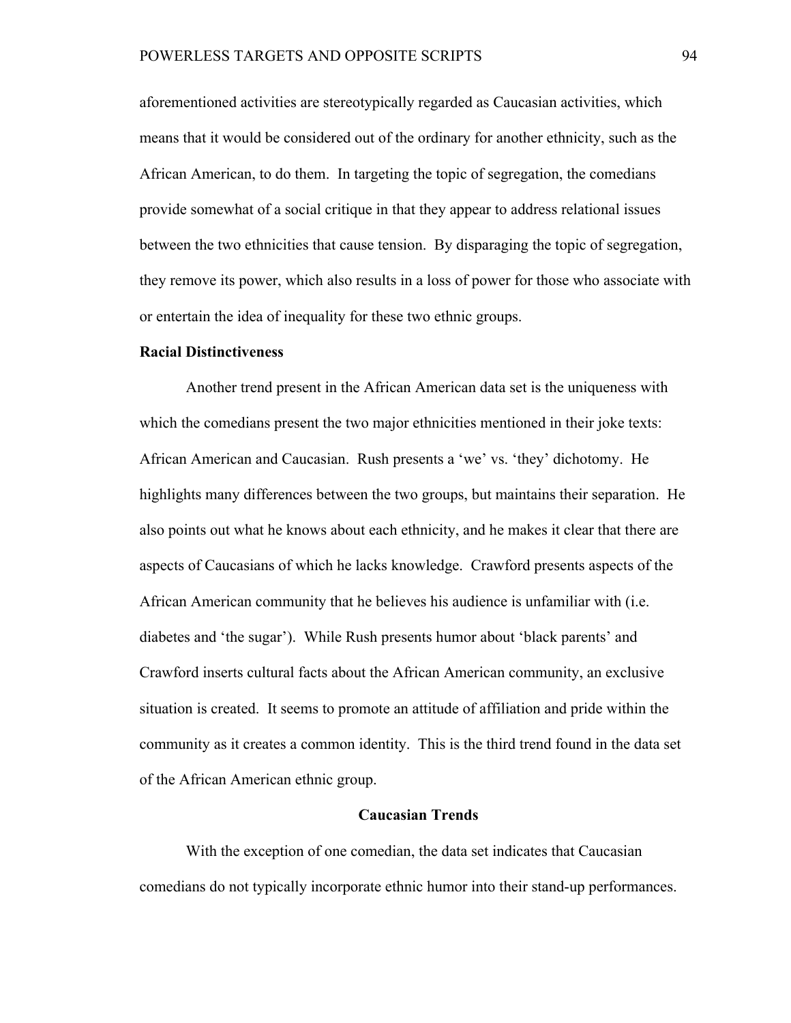aforementioned activities are stereotypically regarded as Caucasian activities, which means that it would be considered out of the ordinary for another ethnicity, such as the African American, to do them. In targeting the topic of segregation, the comedians provide somewhat of a social critique in that they appear to address relational issues between the two ethnicities that cause tension. By disparaging the topic of segregation, they remove its power, which also results in a loss of power for those who associate with or entertain the idea of inequality for these two ethnic groups.

## **Racial Distinctiveness**

Another trend present in the African American data set is the uniqueness with which the comedians present the two major ethnicities mentioned in their joke texts: African American and Caucasian. Rush presents a 'we' vs. 'they' dichotomy. He highlights many differences between the two groups, but maintains their separation. He also points out what he knows about each ethnicity, and he makes it clear that there are aspects of Caucasians of which he lacks knowledge. Crawford presents aspects of the African American community that he believes his audience is unfamiliar with (i.e. diabetes and 'the sugar'). While Rush presents humor about 'black parents' and Crawford inserts cultural facts about the African American community, an exclusive situation is created. It seems to promote an attitude of affiliation and pride within the community as it creates a common identity. This is the third trend found in the data set of the African American ethnic group.

## **Caucasian Trends**

With the exception of one comedian, the data set indicates that Caucasian comedians do not typically incorporate ethnic humor into their stand-up performances.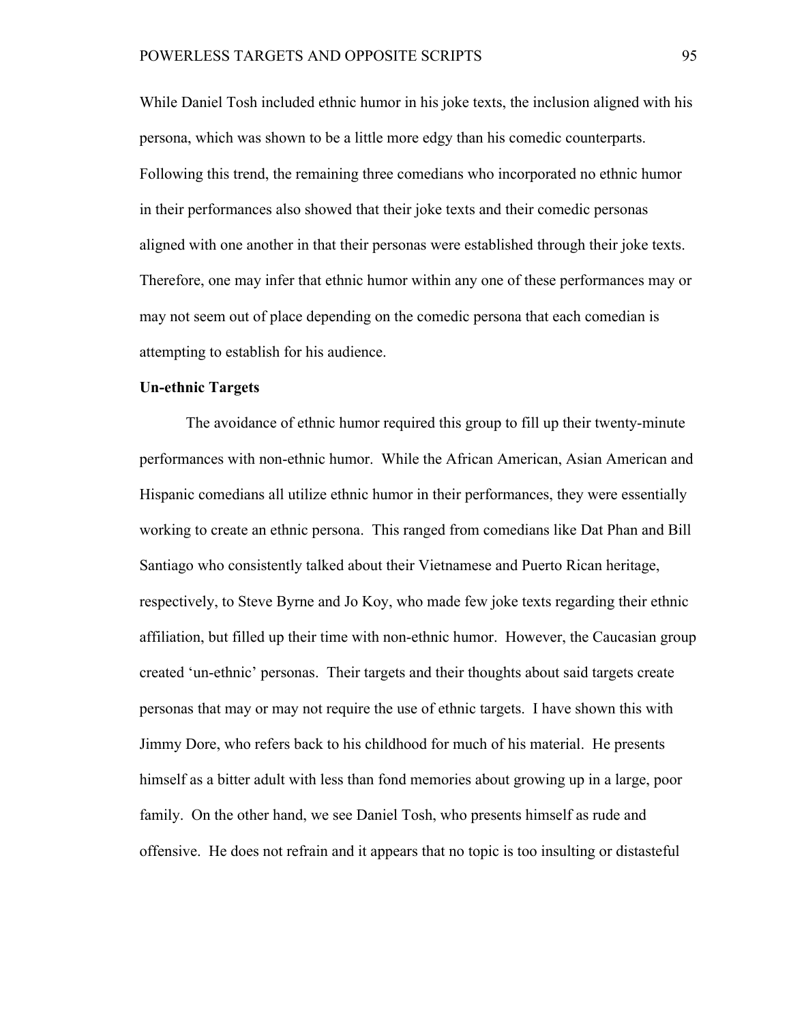While Daniel Tosh included ethnic humor in his joke texts, the inclusion aligned with his persona, which was shown to be a little more edgy than his comedic counterparts. Following this trend, the remaining three comedians who incorporated no ethnic humor in their performances also showed that their joke texts and their comedic personas aligned with one another in that their personas were established through their joke texts. Therefore, one may infer that ethnic humor within any one of these performances may or may not seem out of place depending on the comedic persona that each comedian is attempting to establish for his audience.

# **Un-ethnic Targets**

The avoidance of ethnic humor required this group to fill up their twenty-minute performances with non-ethnic humor. While the African American, Asian American and Hispanic comedians all utilize ethnic humor in their performances, they were essentially working to create an ethnic persona. This ranged from comedians like Dat Phan and Bill Santiago who consistently talked about their Vietnamese and Puerto Rican heritage, respectively, to Steve Byrne and Jo Koy, who made few joke texts regarding their ethnic affiliation, but filled up their time with non-ethnic humor. However, the Caucasian group created 'un-ethnic' personas. Their targets and their thoughts about said targets create personas that may or may not require the use of ethnic targets. I have shown this with Jimmy Dore, who refers back to his childhood for much of his material. He presents himself as a bitter adult with less than fond memories about growing up in a large, poor family. On the other hand, we see Daniel Tosh, who presents himself as rude and offensive. He does not refrain and it appears that no topic is too insulting or distasteful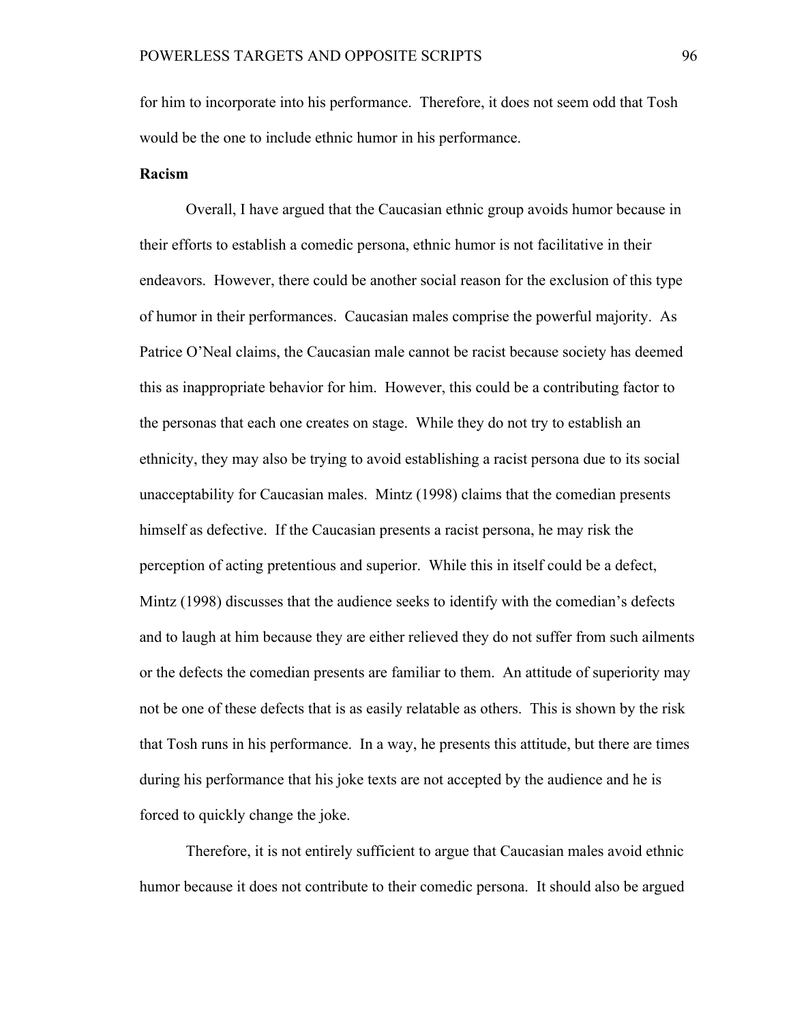for him to incorporate into his performance. Therefore, it does not seem odd that Tosh would be the one to include ethnic humor in his performance.

# **Racism**

Overall, I have argued that the Caucasian ethnic group avoids humor because in their efforts to establish a comedic persona, ethnic humor is not facilitative in their endeavors. However, there could be another social reason for the exclusion of this type of humor in their performances. Caucasian males comprise the powerful majority. As Patrice O'Neal claims, the Caucasian male cannot be racist because society has deemed this as inappropriate behavior for him. However, this could be a contributing factor to the personas that each one creates on stage. While they do not try to establish an ethnicity, they may also be trying to avoid establishing a racist persona due to its social unacceptability for Caucasian males. Mintz (1998) claims that the comedian presents himself as defective. If the Caucasian presents a racist persona, he may risk the perception of acting pretentious and superior. While this in itself could be a defect, Mintz (1998) discusses that the audience seeks to identify with the comedian's defects and to laugh at him because they are either relieved they do not suffer from such ailments or the defects the comedian presents are familiar to them. An attitude of superiority may not be one of these defects that is as easily relatable as others. This is shown by the risk that Tosh runs in his performance. In a way, he presents this attitude, but there are times during his performance that his joke texts are not accepted by the audience and he is forced to quickly change the joke.

Therefore, it is not entirely sufficient to argue that Caucasian males avoid ethnic humor because it does not contribute to their comedic persona. It should also be argued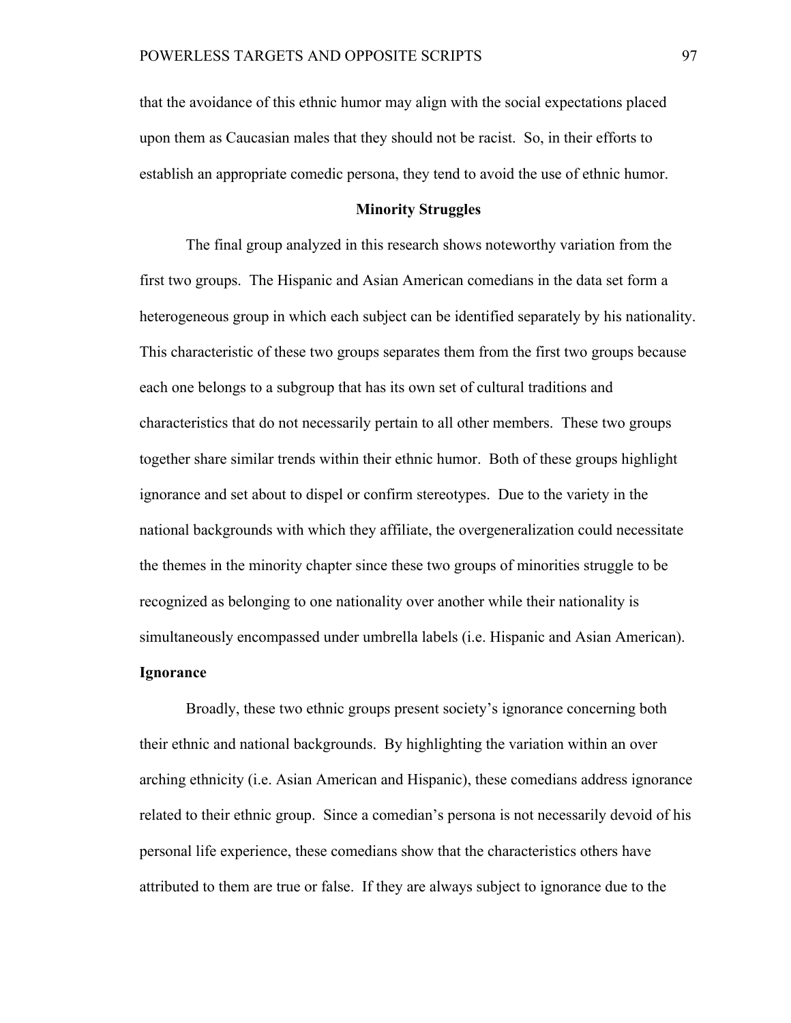that the avoidance of this ethnic humor may align with the social expectations placed upon them as Caucasian males that they should not be racist. So, in their efforts to establish an appropriate comedic persona, they tend to avoid the use of ethnic humor.

## **Minority Struggles**

The final group analyzed in this research shows noteworthy variation from the first two groups. The Hispanic and Asian American comedians in the data set form a heterogeneous group in which each subject can be identified separately by his nationality. This characteristic of these two groups separates them from the first two groups because each one belongs to a subgroup that has its own set of cultural traditions and characteristics that do not necessarily pertain to all other members. These two groups together share similar trends within their ethnic humor. Both of these groups highlight ignorance and set about to dispel or confirm stereotypes. Due to the variety in the national backgrounds with which they affiliate, the overgeneralization could necessitate the themes in the minority chapter since these two groups of minorities struggle to be recognized as belonging to one nationality over another while their nationality is simultaneously encompassed under umbrella labels (i.e. Hispanic and Asian American).

# **Ignorance**

Broadly, these two ethnic groups present society's ignorance concerning both their ethnic and national backgrounds. By highlighting the variation within an over arching ethnicity (i.e. Asian American and Hispanic), these comedians address ignorance related to their ethnic group. Since a comedian's persona is not necessarily devoid of his personal life experience, these comedians show that the characteristics others have attributed to them are true or false. If they are always subject to ignorance due to the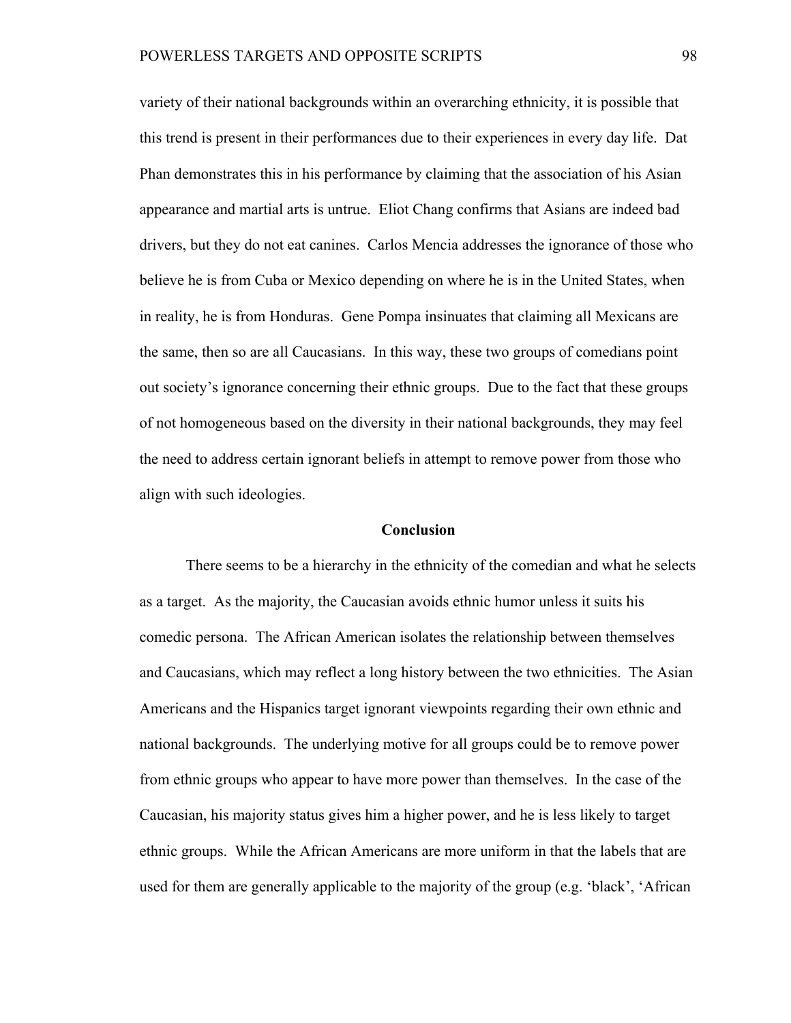variety of their national backgrounds within an overarching ethnicity, it is possible that this trend is present in their performances due to their experiences in every day life. Dat Phan demonstrates this in his performance by claiming that the association of his Asian appearance and martial arts is untrue. Eliot Chang confirms that Asians are indeed bad drivers, but they do not eat canines. Carlos Mencia addresses the ignorance of those who believe he is from Cuba or Mexico depending on where he is in the United States, when in reality, he is from Honduras. Gene Pompa insinuates that claiming all Mexicans are the same, then so are all Caucasians. In this way, these two groups of comedians point out society's ignorance concerning their ethnic groups. Due to the fact that these groups of not homogeneous based on the diversity in their national backgrounds, they may feel the need to address certain ignorant beliefs in attempt to remove power from those who align with such ideologies.

### **Conclusion**

There seems to be a hierarchy in the ethnicity of the comedian and what he selects as a target. As the majority, the Caucasian avoids ethnic humor unless it suits his comedic persona. The African American isolates the relationship between themselves and Caucasians, which may reflect a long history between the two ethnicities. The Asian Americans and the Hispanics target ignorant viewpoints regarding their own ethnic and national backgrounds. The underlying motive for all groups could be to remove power from ethnic groups who appear to have more power than themselves. In the case of the Caucasian, his majority status gives him a higher power, and he is less likely to target ethnic groups. While the African Americans are more uniform in that the labels that are used for them are generally applicable to the majority of the group (e.g. 'black', 'African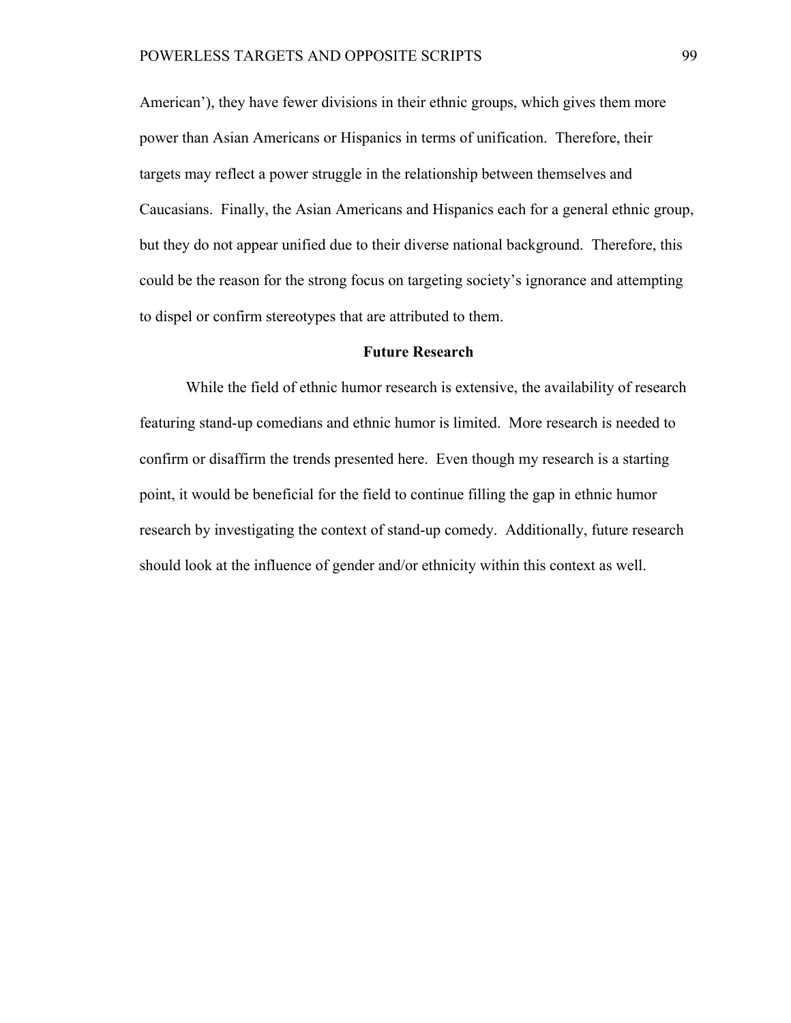American'), they have fewer divisions in their ethnic groups, which gives them more power than Asian Americans or Hispanics in terms of unification. Therefore, their targets may reflect a power struggle in the relationship between themselves and Caucasians. Finally, the Asian Americans and Hispanics each for a general ethnic group, but they do not appear unified due to their diverse national background. Therefore, this could be the reason for the strong focus on targeting society's ignorance and attempting to dispel or confirm stereotypes that are attributed to them.

### **Future Research**

While the field of ethnic humor research is extensive, the availability of research featuring stand-up comedians and ethnic humor is limited. More research is needed to confirm or disaffirm the trends presented here. Even though my research is a starting point, it would be beneficial for the field to continue filling the gap in ethnic humor research by investigating the context of stand-up comedy. Additionally, future research should look at the influence of gender and/or ethnicity within this context as well.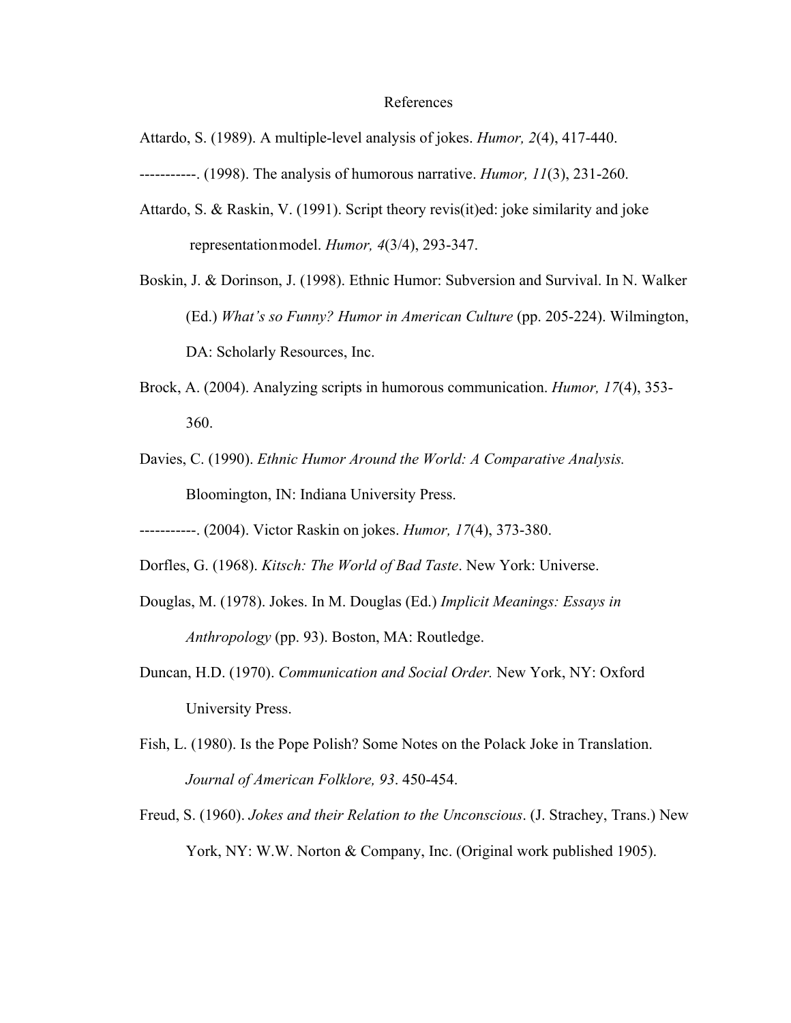### References

Attardo, S. (1989). A multiple-level analysis of jokes. *Humor, 2*(4), 417-440.

-----------. (1998). The analysis of humorous narrative. *Humor, 11*(3), 231-260.

- Attardo, S. & Raskin, V. (1991). Script theory revis(it)ed: joke similarity and joke representationmodel. *Humor, 4*(3/4), 293-347.
- Boskin, J. & Dorinson, J. (1998). Ethnic Humor: Subversion and Survival. In N. Walker (Ed.) *What's so Funny? Humor in American Culture* (pp. 205-224). Wilmington, DA: Scholarly Resources, Inc.
- Brock, A. (2004). Analyzing scripts in humorous communication. *Humor, 17*(4), 353- 360.
- Davies, C. (1990). *Ethnic Humor Around the World: A Comparative Analysis.* Bloomington, IN: Indiana University Press.
- -----------. (2004). Victor Raskin on jokes. *Humor, 17*(4), 373-380.
- Dorfles, G. (1968). *Kitsch: The World of Bad Taste*. New York: Universe.
- Douglas, M. (1978). Jokes. In M. Douglas (Ed.) *Implicit Meanings: Essays in Anthropology* (pp. 93). Boston, MA: Routledge.
- Duncan, H.D. (1970). *Communication and Social Order.* New York, NY: Oxford University Press.
- Fish, L. (1980). Is the Pope Polish? Some Notes on the Polack Joke in Translation. *Journal of American Folklore, 93*. 450-454.
- Freud, S. (1960). *Jokes and their Relation to the Unconscious*. (J. Strachey, Trans.) New York, NY: W.W. Norton & Company, Inc. (Original work published 1905).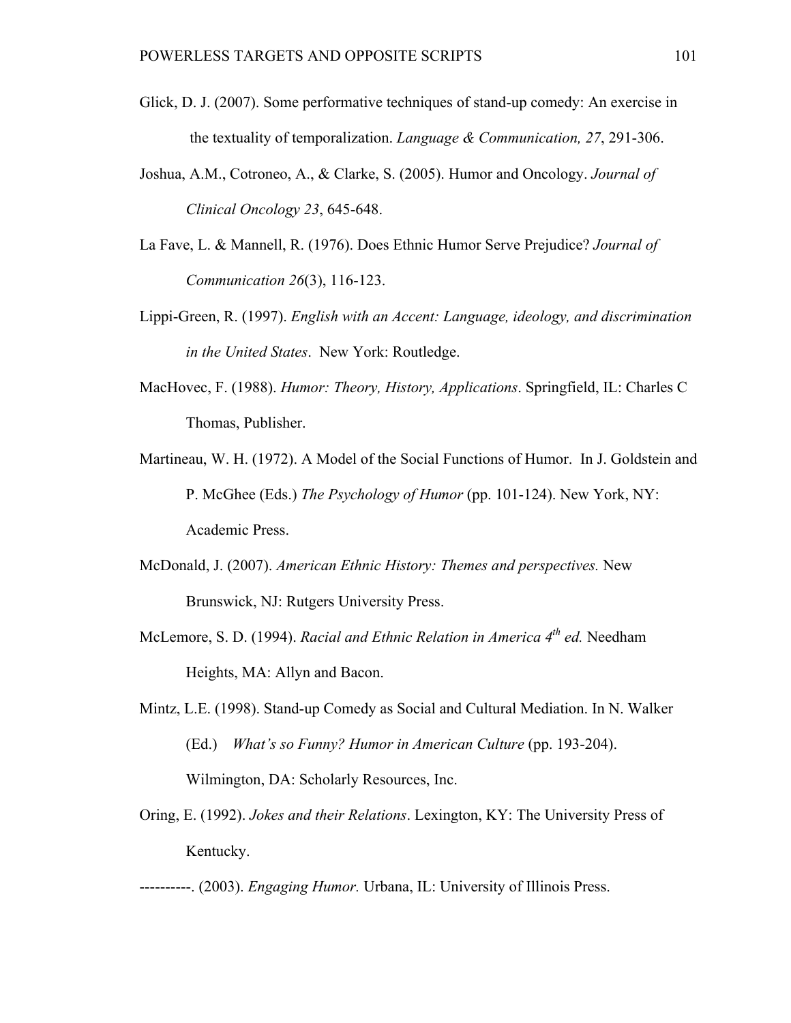- Glick, D. J. (2007). Some performative techniques of stand-up comedy: An exercise in the textuality of temporalization. *Language & Communication, 27*, 291-306.
- Joshua, A.M., Cotroneo, A., & Clarke, S. (2005). Humor and Oncology. *Journal of Clinical Oncology 23*, 645-648.
- La Fave, L. & Mannell, R. (1976). Does Ethnic Humor Serve Prejudice? *Journal of Communication 26*(3), 116-123.
- Lippi-Green, R. (1997). *English with an Accent: Language, ideology, and discrimination in the United States*. New York: Routledge.
- MacHovec, F. (1988). *Humor: Theory, History, Applications*. Springfield, IL: Charles C Thomas, Publisher.
- Martineau, W. H. (1972). A Model of the Social Functions of Humor. In J. Goldstein and P. McGhee (Eds.) *The Psychology of Humor* (pp. 101-124). New York, NY: Academic Press.
- McDonald, J. (2007). *American Ethnic History: Themes and perspectives.* New Brunswick, NJ: Rutgers University Press.
- McLemore, S. D. (1994). *Racial and Ethnic Relation in America 4<sup>th</sup> ed.* Needham Heights, MA: Allyn and Bacon.
- Mintz, L.E. (1998). Stand-up Comedy as Social and Cultural Mediation. In N. Walker (Ed.) *What's so Funny? Humor in American Culture* (pp. 193-204). Wilmington, DA: Scholarly Resources, Inc.
- Oring, E. (1992). *Jokes and their Relations*. Lexington, KY: The University Press of Kentucky.

----------. (2003). *Engaging Humor.* Urbana, IL: University of Illinois Press.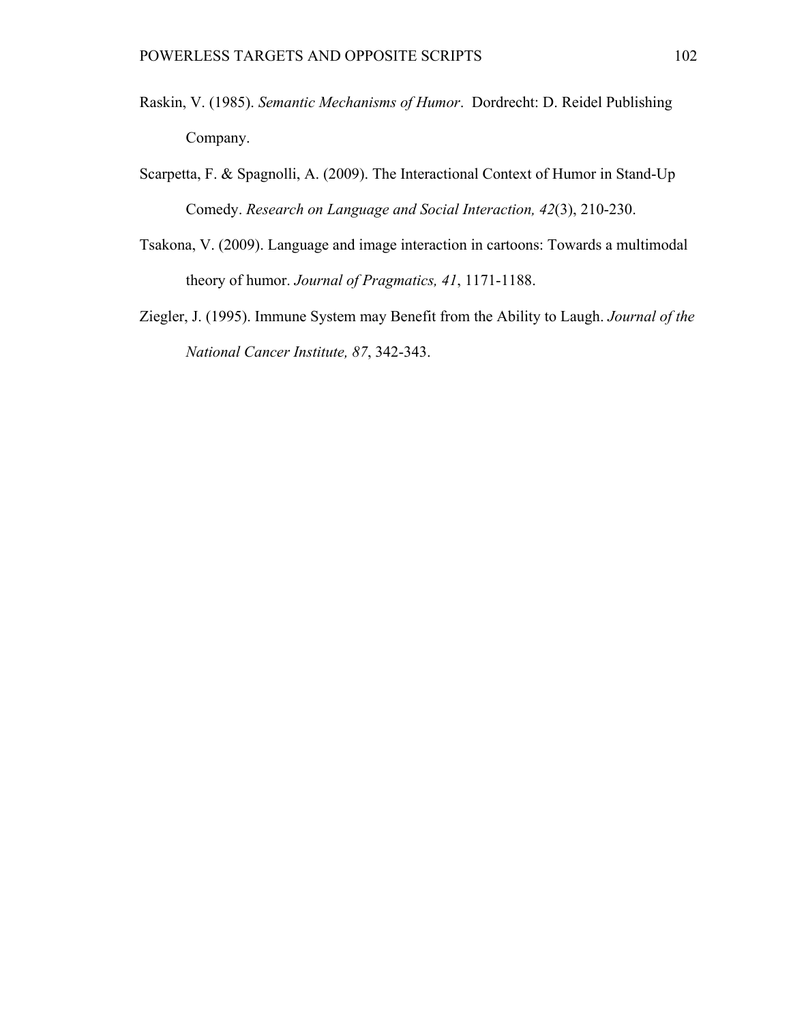- Raskin, V. (1985). *Semantic Mechanisms of Humor*. Dordrecht: D. Reidel Publishing Company.
- Scarpetta, F. & Spagnolli, A. (2009). The Interactional Context of Humor in Stand-Up Comedy. *Research on Language and Social Interaction, 42*(3), 210-230.
- Tsakona, V. (2009). Language and image interaction in cartoons: Towards a multimodal theory of humor. *Journal of Pragmatics, 41*, 1171-1188.
- Ziegler, J. (1995). Immune System may Benefit from the Ability to Laugh. *Journal of the National Cancer Institute, 87*, 342-343.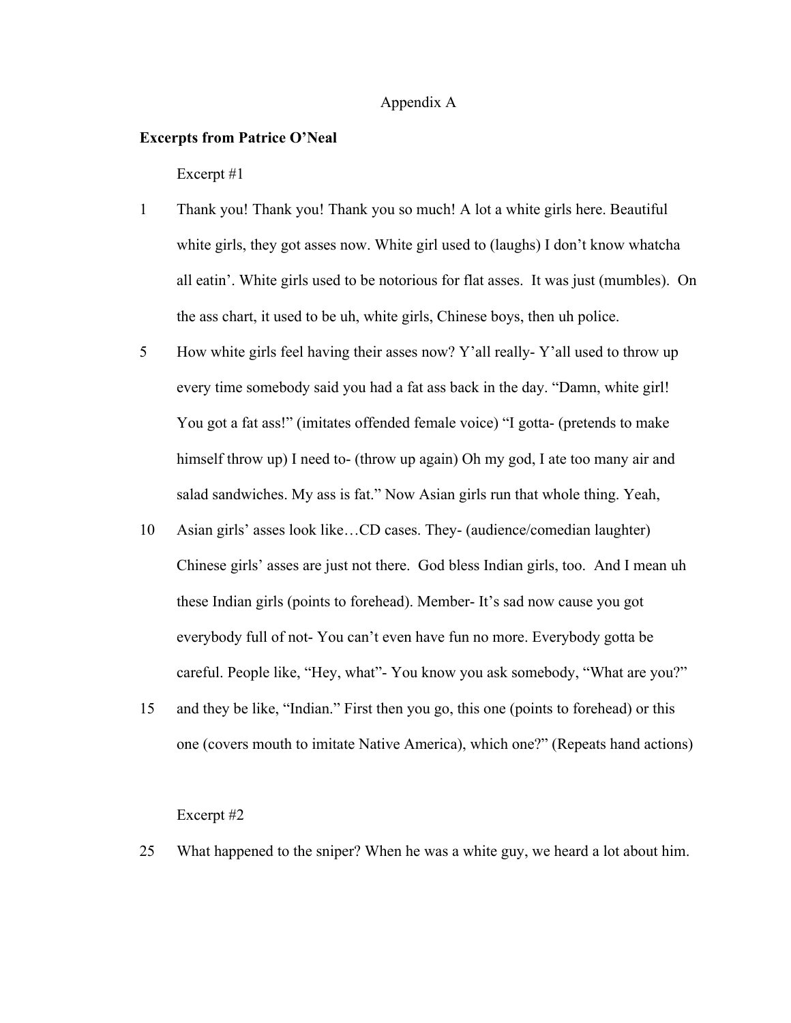# Appendix A

### **Excerpts from Patrice O'Neal**

Excerpt #1

- 1 Thank you! Thank you! Thank you so much! A lot a white girls here. Beautiful white girls, they got asses now. White girl used to (laughs) I don't know whatcha all eatin'. White girls used to be notorious for flat asses. It was just (mumbles). On the ass chart, it used to be uh, white girls, Chinese boys, then uh police.
- 5 How white girls feel having their asses now? Y'all really- Y'all used to throw up every time somebody said you had a fat ass back in the day. "Damn, white girl! You got a fat ass!" (imitates offended female voice) "I gotta- (pretends to make himself throw up) I need to- (throw up again) Oh my god, I ate too many air and salad sandwiches. My ass is fat." Now Asian girls run that whole thing. Yeah,
- 10 Asian girls' asses look like…CD cases. They- (audience/comedian laughter) Chinese girls' asses are just not there. God bless Indian girls, too. And I mean uh these Indian girls (points to forehead). Member- It's sad now cause you got everybody full of not- You can't even have fun no more. Everybody gotta be careful. People like, "Hey, what"- You know you ask somebody, "What are you?"
- 15 and they be like, "Indian." First then you go, this one (points to forehead) or this one (covers mouth to imitate Native America), which one?" (Repeats hand actions)

### Excerpt #2

25 What happened to the sniper? When he was a white guy, we heard a lot about him.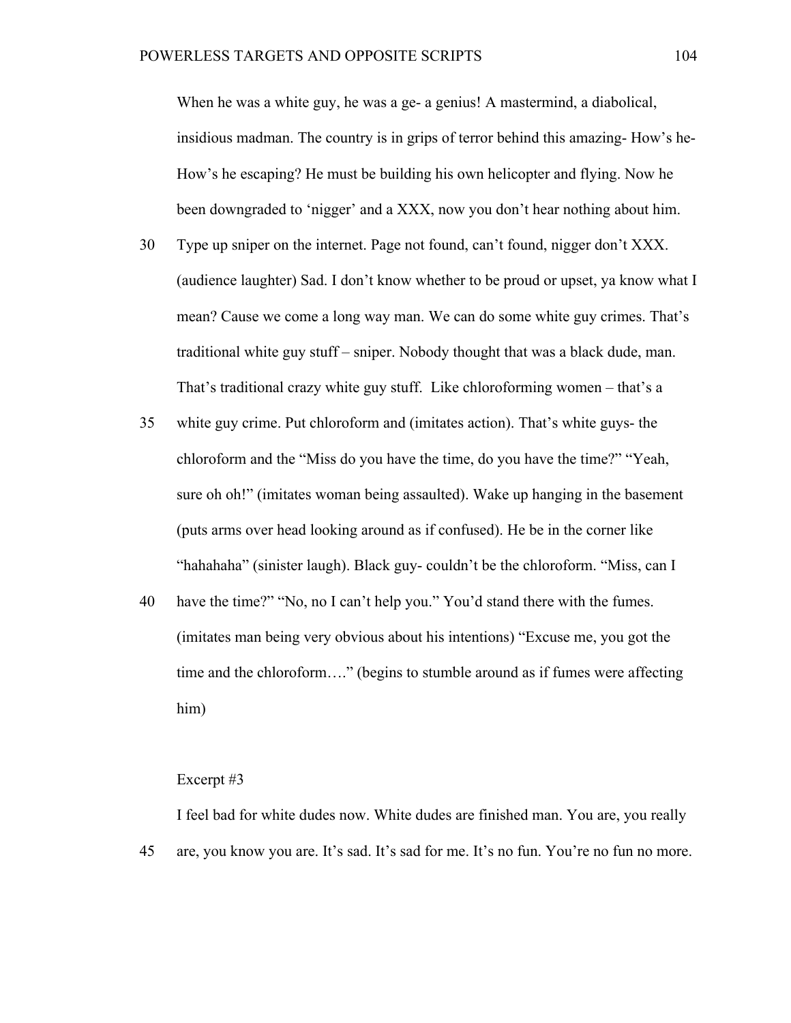When he was a white guy, he was a ge- a genius! A mastermind, a diabolical, insidious madman. The country is in grips of terror behind this amazing- How's he-How's he escaping? He must be building his own helicopter and flying. Now he been downgraded to 'nigger' and a XXX, now you don't hear nothing about him.

- 30 Type up sniper on the internet. Page not found, can't found, nigger don't XXX. (audience laughter) Sad. I don't know whether to be proud or upset, ya know what I mean? Cause we come a long way man. We can do some white guy crimes. That's traditional white guy stuff – sniper. Nobody thought that was a black dude, man. That's traditional crazy white guy stuff. Like chloroforming women – that's a
- 35 white guy crime. Put chloroform and (imitates action). That's white guys- the chloroform and the "Miss do you have the time, do you have the time?" "Yeah, sure oh oh!" (imitates woman being assaulted). Wake up hanging in the basement (puts arms over head looking around as if confused). He be in the corner like "hahahaha" (sinister laugh). Black guy- couldn't be the chloroform. "Miss, can I
- 40 have the time?" "No, no I can't help you." You'd stand there with the fumes. (imitates man being very obvious about his intentions) "Excuse me, you got the time and the chloroform…." (begins to stumble around as if fumes were affecting him)

#### Excerpt #3

45 I feel bad for white dudes now. White dudes are finished man. You are, you really are, you know you are. It's sad. It's sad for me. It's no fun. You're no fun no more.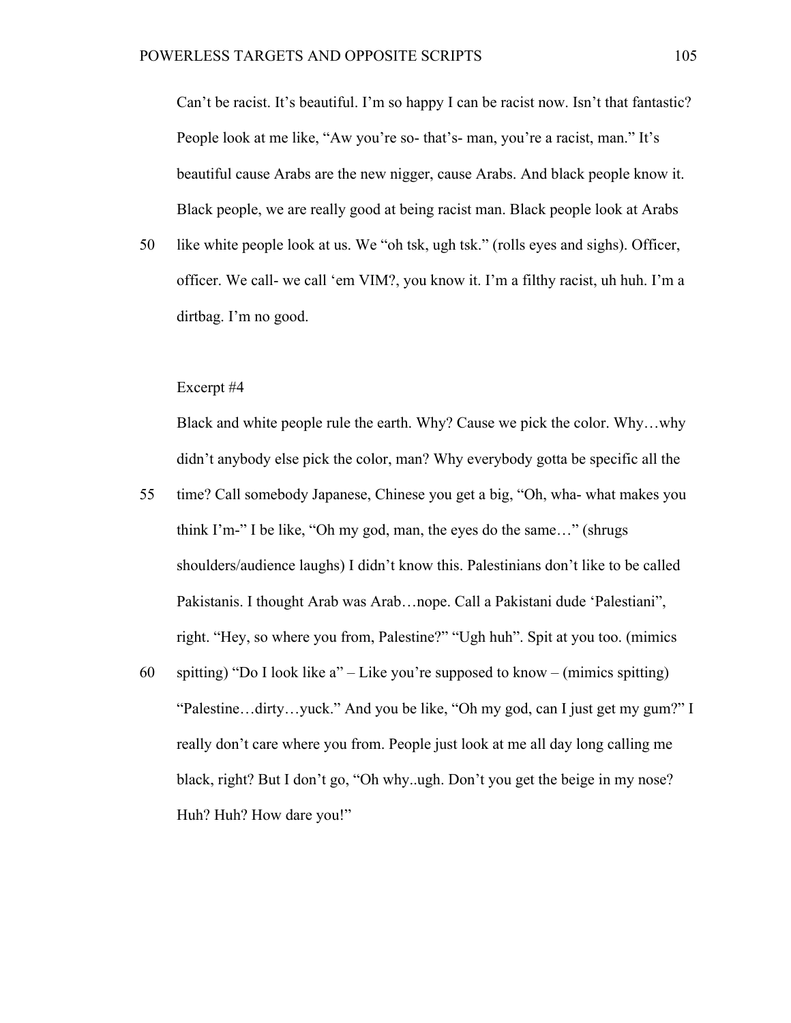Can't be racist. It's beautiful. I'm so happy I can be racist now. Isn't that fantastic? People look at me like, "Aw you're so- that's- man, you're a racist, man." It's beautiful cause Arabs are the new nigger, cause Arabs. And black people know it. Black people, we are really good at being racist man. Black people look at Arabs

50 like white people look at us. We "oh tsk, ugh tsk." (rolls eyes and sighs). Officer, officer. We call- we call 'em VIM?, you know it. I'm a filthy racist, uh huh. I'm a dirtbag. I'm no good.

### Excerpt #4

Black and white people rule the earth. Why? Cause we pick the color. Why…why didn't anybody else pick the color, man? Why everybody gotta be specific all the

- 55 time? Call somebody Japanese, Chinese you get a big, "Oh, wha- what makes you think I'm-" I be like, "Oh my god, man, the eyes do the same…" (shrugs shoulders/audience laughs) I didn't know this. Palestinians don't like to be called Pakistanis. I thought Arab was Arab…nope. Call a Pakistani dude 'Palestiani", right. "Hey, so where you from, Palestine?" "Ugh huh". Spit at you too. (mimics
- 60 spitting) "Do I look like a" – Like you're supposed to know – (mimics spitting) "Palestine…dirty…yuck." And you be like, "Oh my god, can I just get my gum?" I really don't care where you from. People just look at me all day long calling me black, right? But I don't go, "Oh why..ugh. Don't you get the beige in my nose? Huh? Huh? How dare you!"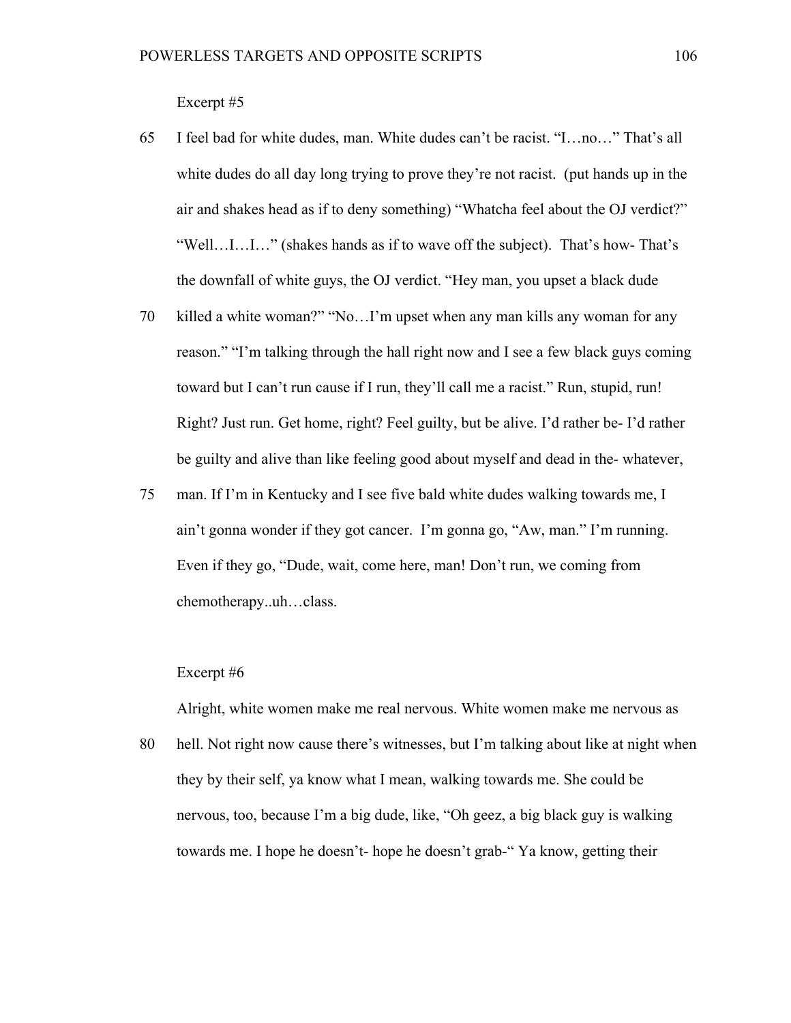Excerpt #5

- 65 I feel bad for white dudes, man. White dudes can't be racist. "I…no…" That's all white dudes do all day long trying to prove they're not racist. (put hands up in the air and shakes head as if to deny something) "Whatcha feel about the OJ verdict?" "Well…I…I…" (shakes hands as if to wave off the subject). That's how- That's the downfall of white guys, the OJ verdict. "Hey man, you upset a black dude
- 70 killed a white woman?" "No...I'm upset when any man kills any woman for any reason." "I'm talking through the hall right now and I see a few black guys coming toward but I can't run cause if I run, they'll call me a racist." Run, stupid, run! Right? Just run. Get home, right? Feel guilty, but be alive. I'd rather be- I'd rather be guilty and alive than like feeling good about myself and dead in the- whatever,
- 75 man. If I'm in Kentucky and I see five bald white dudes walking towards me, I ain't gonna wonder if they got cancer. I'm gonna go, "Aw, man." I'm running. Even if they go, "Dude, wait, come here, man! Don't run, we coming from chemotherapy..uh…class.

### Excerpt #6

Alright, white women make me real nervous. White women make me nervous as

80 hell. Not right now cause there's witnesses, but I'm talking about like at night when they by their self, ya know what I mean, walking towards me. She could be nervous, too, because I'm a big dude, like, "Oh geez, a big black guy is walking towards me. I hope he doesn't- hope he doesn't grab-" Ya know, getting their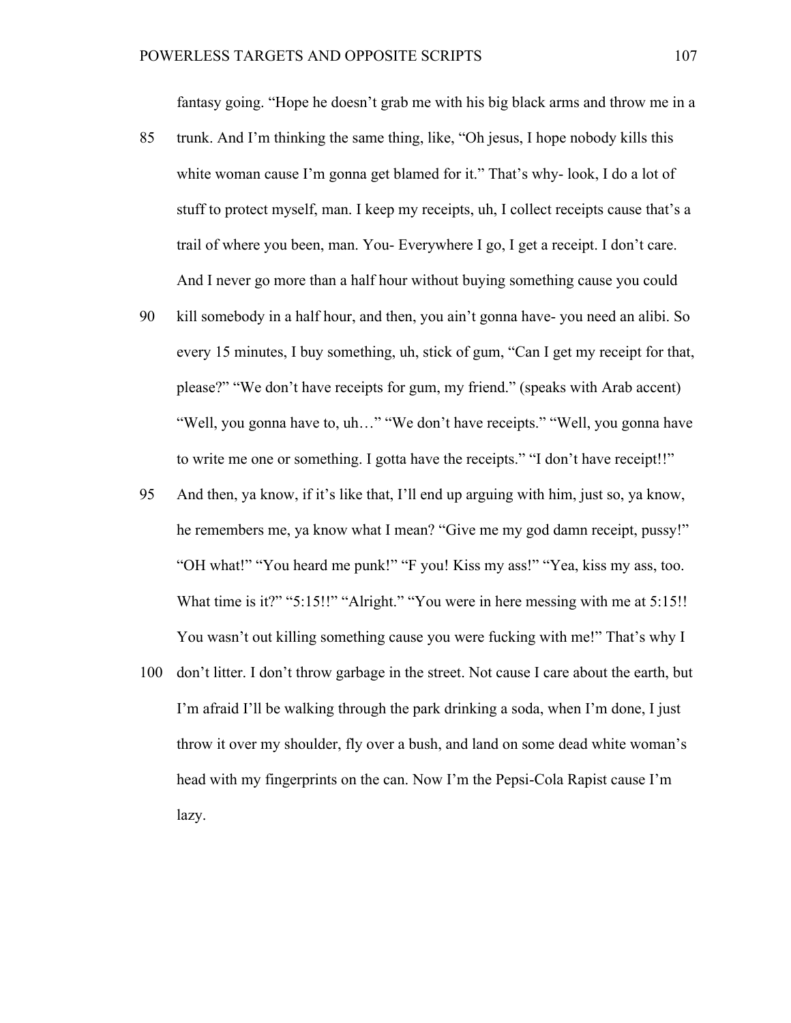fantasy going. "Hope he doesn't grab me with his big black arms and throw me in a

- 85 trunk. And I'm thinking the same thing, like, "Oh jesus, I hope nobody kills this white woman cause I'm gonna get blamed for it." That's why-look, I do a lot of stuff to protect myself, man. I keep my receipts, uh, I collect receipts cause that's a trail of where you been, man. You- Everywhere I go, I get a receipt. I don't care. And I never go more than a half hour without buying something cause you could
- 90 kill somebody in a half hour, and then, you ain't gonna have- you need an alibi. So every 15 minutes, I buy something, uh, stick of gum, "Can I get my receipt for that, please?" "We don't have receipts for gum, my friend." (speaks with Arab accent) "Well, you gonna have to, uh…" "We don't have receipts." "Well, you gonna have to write me one or something. I gotta have the receipts." "I don't have receipt!!"
- 95 And then, ya know, if it's like that, I'll end up arguing with him, just so, ya know, he remembers me, ya know what I mean? "Give me my god damn receipt, pussy!" "OH what!" "You heard me punk!" "F you! Kiss my ass!" "Yea, kiss my ass, too. What time is it?" "5:15!!" "Alright." "You were in here messing with me at 5:15!! You wasn't out killing something cause you were fucking with me!" That's why I
- 100 don't litter. I don't throw garbage in the street. Not cause I care about the earth, but I'm afraid I'll be walking through the park drinking a soda, when I'm done, I just throw it over my shoulder, fly over a bush, and land on some dead white woman's head with my fingerprints on the can. Now I'm the Pepsi-Cola Rapist cause I'm lazy.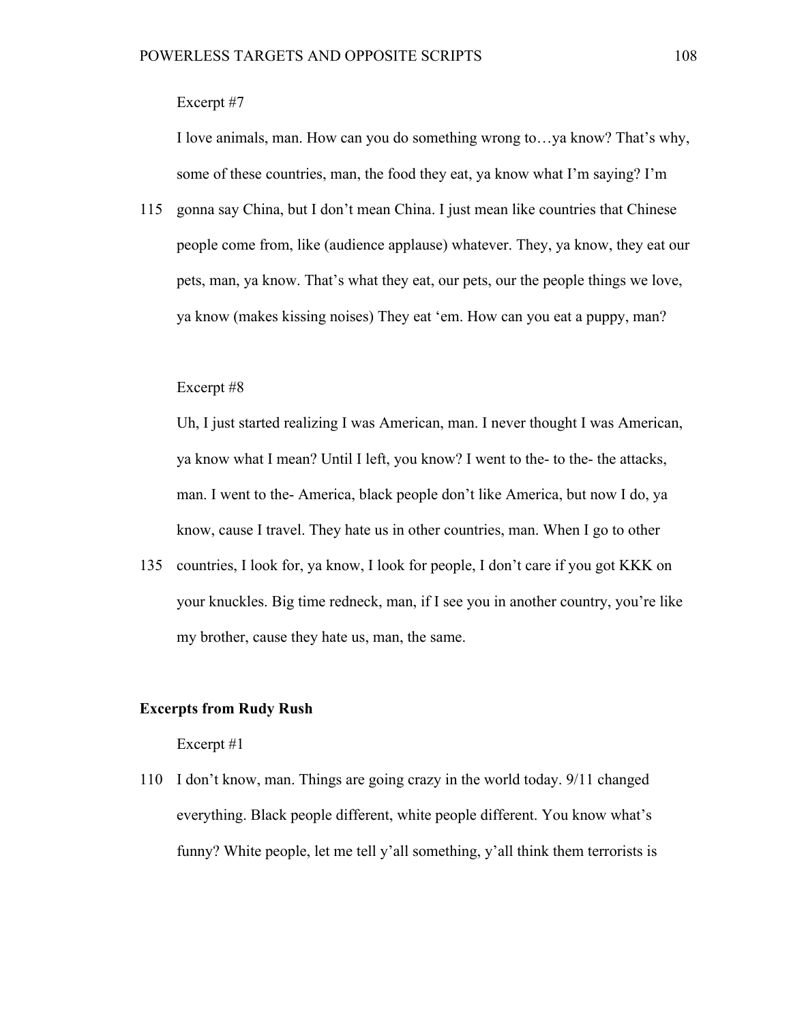# Excerpt #7

I love animals, man. How can you do something wrong to…ya know? That's why, some of these countries, man, the food they eat, ya know what I'm saying? I'm

115 gonna say China, but I don't mean China. I just mean like countries that Chinese people come from, like (audience applause) whatever. They, ya know, they eat our pets, man, ya know. That's what they eat, our pets, our the people things we love, ya know (makes kissing noises) They eat 'em. How can you eat a puppy, man?

### Excerpt #8

Uh, I just started realizing I was American, man. I never thought I was American, ya know what I mean? Until I left, you know? I went to the- to the- the attacks, man. I went to the- America, black people don't like America, but now I do, ya know, cause I travel. They hate us in other countries, man. When I go to other

135 countries, I look for, ya know, I look for people, I don't care if you got KKK on your knuckles. Big time redneck, man, if I see you in another country, you're like my brother, cause they hate us, man, the same.

# **Excerpts from Rudy Rush**

### Excerpt #1

110 I don't know, man. Things are going crazy in the world today. 9/11 changed everything. Black people different, white people different. You know what's funny? White people, let me tell y'all something, y'all think them terrorists is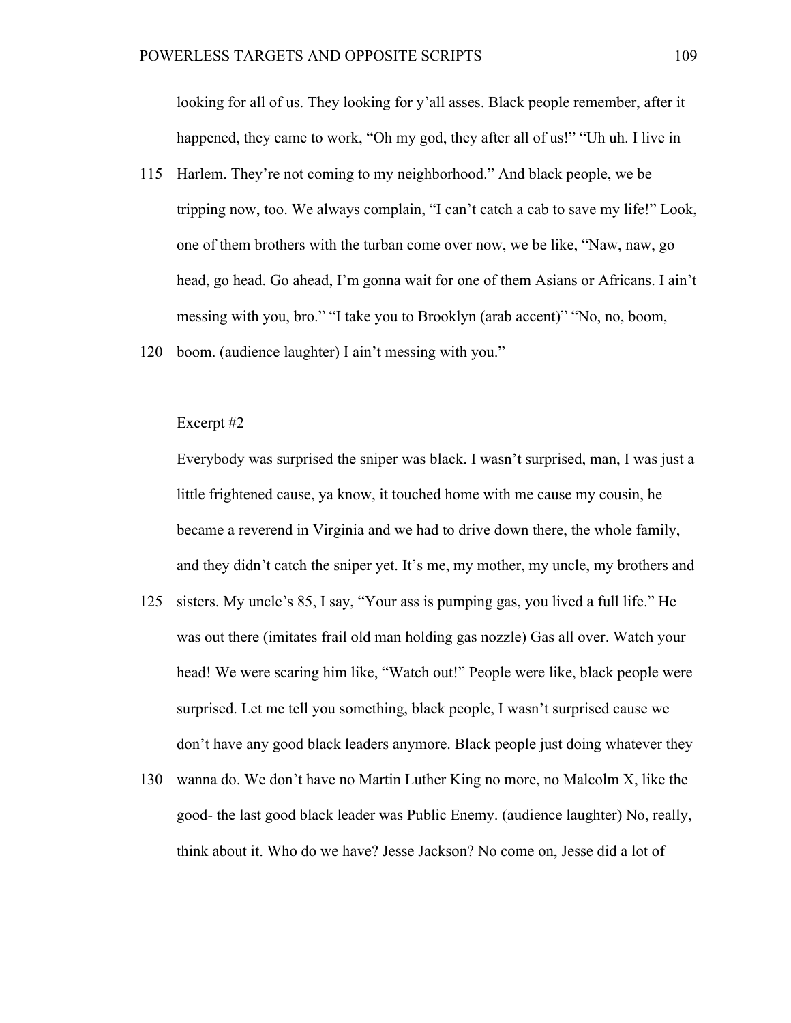looking for all of us. They looking for y'all asses. Black people remember, after it happened, they came to work, "Oh my god, they after all of us!" "Uh uh. I live in

- 115 Harlem. They're not coming to my neighborhood." And black people, we be tripping now, too. We always complain, "I can't catch a cab to save my life!" Look, one of them brothers with the turban come over now, we be like, "Naw, naw, go head, go head. Go ahead, I'm gonna wait for one of them Asians or Africans. I ain't messing with you, bro." "I take you to Brooklyn (arab accent)" "No, no, boom,
- 120 boom. (audience laughter) I ain't messing with you."

# Excerpt #2

Everybody was surprised the sniper was black. I wasn't surprised, man, I was just a little frightened cause, ya know, it touched home with me cause my cousin, he became a reverend in Virginia and we had to drive down there, the whole family, and they didn't catch the sniper yet. It's me, my mother, my uncle, my brothers and

- 125 sisters. My uncle's 85, I say, "Your ass is pumping gas, you lived a full life." He was out there (imitates frail old man holding gas nozzle) Gas all over. Watch your head! We were scaring him like, "Watch out!" People were like, black people were surprised. Let me tell you something, black people, I wasn't surprised cause we don't have any good black leaders anymore. Black people just doing whatever they
- 130 wanna do. We don't have no Martin Luther King no more, no Malcolm X, like the good- the last good black leader was Public Enemy. (audience laughter) No, really, think about it. Who do we have? Jesse Jackson? No come on, Jesse did a lot of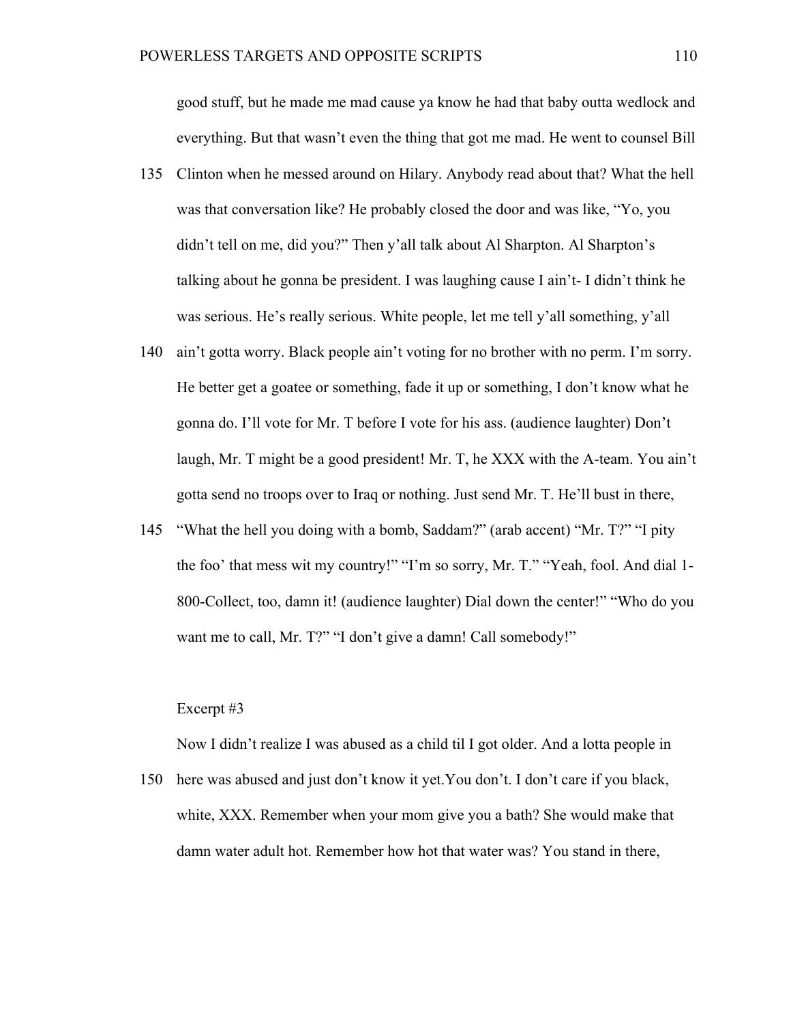good stuff, but he made me mad cause ya know he had that baby outta wedlock and everything. But that wasn't even the thing that got me mad. He went to counsel Bill

- 135 Clinton when he messed around on Hilary. Anybody read about that? What the hell was that conversation like? He probably closed the door and was like, "Yo, you didn't tell on me, did you?" Then y'all talk about Al Sharpton. Al Sharpton's talking about he gonna be president. I was laughing cause I ain't- I didn't think he was serious. He's really serious. White people, let me tell y'all something, y'all
- 140 ain't gotta worry. Black people ain't voting for no brother with no perm. I'm sorry. He better get a goatee or something, fade it up or something, I don't know what he gonna do. I'll vote for Mr. T before I vote for his ass. (audience laughter) Don't laugh, Mr. T might be a good president! Mr. T, he XXX with the A-team. You ain't gotta send no troops over to Iraq or nothing. Just send Mr. T. He'll bust in there,
- 145 "What the hell you doing with a bomb, Saddam?" (arab accent) "Mr. T?" "I pity the foo' that mess wit my country!" "I'm so sorry, Mr. T." "Yeah, fool. And dial 1- 800-Collect, too, damn it! (audience laughter) Dial down the center!" "Who do you want me to call, Mr. T?" "I don't give a damn! Call somebody!"

# Excerpt #3

Now I didn't realize I was abused as a child til I got older. And a lotta people in

150 here was abused and just don't know it yet.You don't. I don't care if you black, white, XXX. Remember when your mom give you a bath? She would make that damn water adult hot. Remember how hot that water was? You stand in there,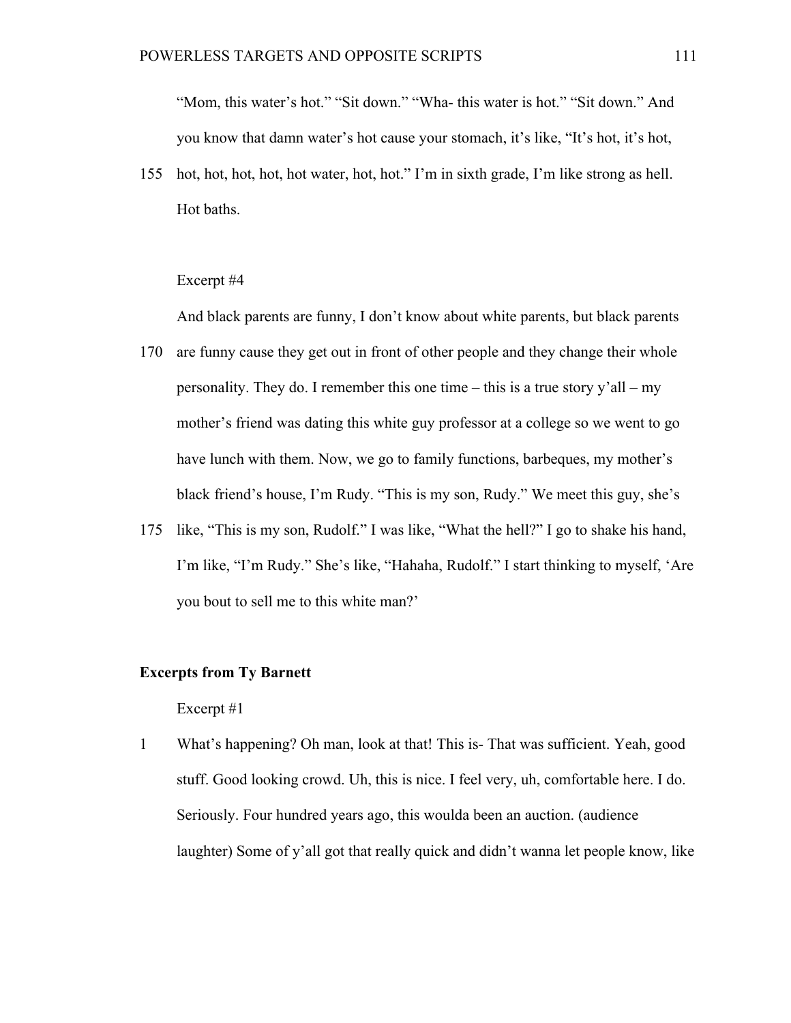"Mom, this water's hot." "Sit down." "Wha- this water is hot." "Sit down." And you know that damn water's hot cause your stomach, it's like, "It's hot, it's hot,

155 hot, hot, hot, hot, hot water, hot, hot." I'm in sixth grade, I'm like strong as hell. Hot baths.

#### Excerpt #4

And black parents are funny, I don't know about white parents, but black parents

- 170 are funny cause they get out in front of other people and they change their whole personality. They do. I remember this one time – this is a true story y'all – my mother's friend was dating this white guy professor at a college so we went to go have lunch with them. Now, we go to family functions, barbeques, my mother's black friend's house, I'm Rudy. "This is my son, Rudy." We meet this guy, she's
- 175 like, "This is my son, Rudolf." I was like, "What the hell?" I go to shake his hand, I'm like, "I'm Rudy." She's like, "Hahaha, Rudolf." I start thinking to myself, 'Are you bout to sell me to this white man?'

# **Excerpts from Ty Barnett**

## Excerpt #1

1 What's happening? Oh man, look at that! This is-That was sufficient. Yeah, good stuff. Good looking crowd. Uh, this is nice. I feel very, uh, comfortable here. I do. Seriously. Four hundred years ago, this woulda been an auction. (audience laughter) Some of y'all got that really quick and didn't wanna let people know, like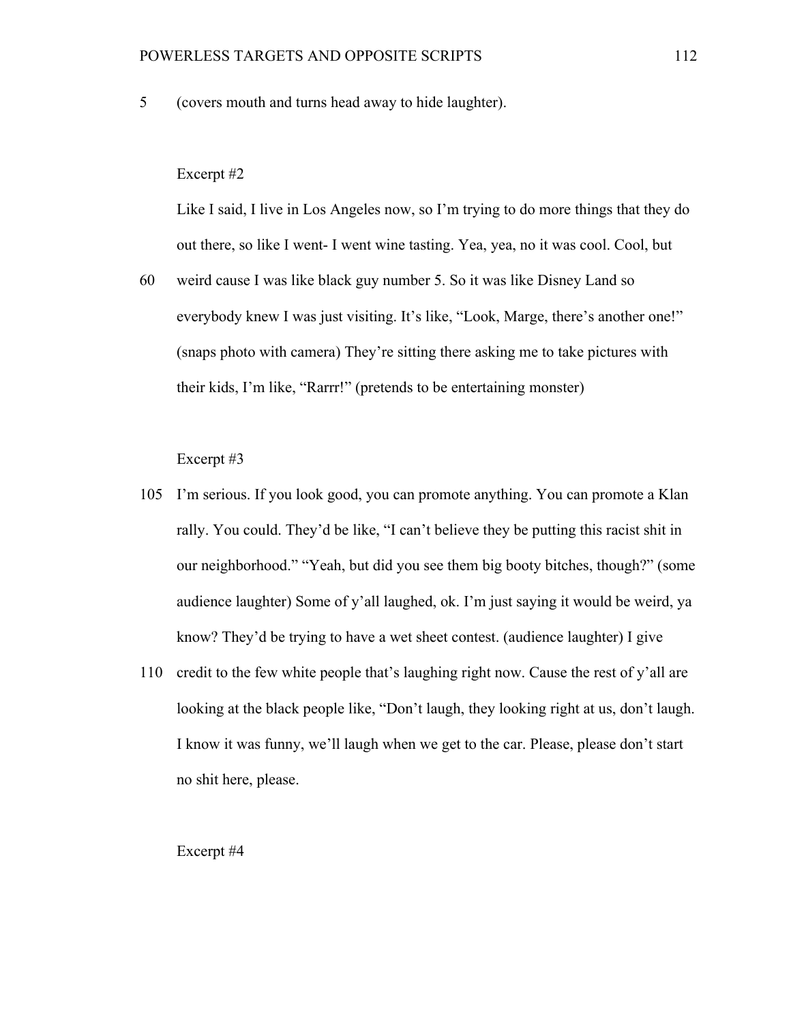5 (covers mouth and turns head away to hide laughter).

#### Excerpt #2

Like I said, I live in Los Angeles now, so I'm trying to do more things that they do out there, so like I went- I went wine tasting. Yea, yea, no it was cool. Cool, but

60 weird cause I was like black guy number 5. So it was like Disney Land so everybody knew I was just visiting. It's like, "Look, Marge, there's another one!" (snaps photo with camera) They're sitting there asking me to take pictures with their kids, I'm like, "Rarrr!" (pretends to be entertaining monster)

Excerpt #3

- 105 I'm serious. If you look good, you can promote anything. You can promote a Klan rally. You could. They'd be like, "I can't believe they be putting this racist shit in our neighborhood." "Yeah, but did you see them big booty bitches, though?" (some audience laughter) Some of y'all laughed, ok. I'm just saying it would be weird, ya know? They'd be trying to have a wet sheet contest. (audience laughter) I give
- 110 credit to the few white people that's laughing right now. Cause the rest of y'all are looking at the black people like, "Don't laugh, they looking right at us, don't laugh. I know it was funny, we'll laugh when we get to the car. Please, please don't start no shit here, please.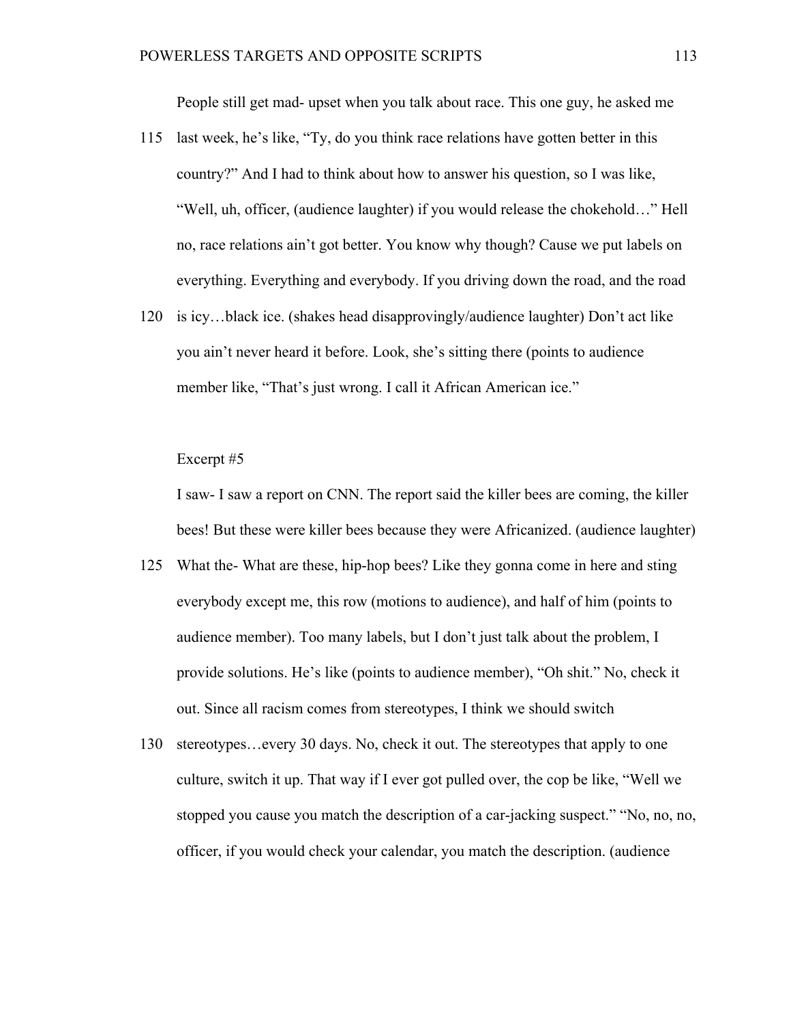People still get mad- upset when you talk about race. This one guy, he asked me

- 115 last week, he's like, "Ty, do you think race relations have gotten better in this country?" And I had to think about how to answer his question, so I was like, "Well, uh, officer, (audience laughter) if you would release the chokehold…" Hell no, race relations ain't got better. You know why though? Cause we put labels on everything. Everything and everybody. If you driving down the road, and the road
- 120 is icy…black ice. (shakes head disapprovingly/audience laughter) Don't act like you ain't never heard it before. Look, she's sitting there (points to audience member like, "That's just wrong. I call it African American ice."

#### Excerpt #5

I saw- I saw a report on CNN. The report said the killer bees are coming, the killer bees! But these were killer bees because they were Africanized. (audience laughter)

- 125 What the- What are these, hip-hop bees? Like they gonna come in here and sting everybody except me, this row (motions to audience), and half of him (points to audience member). Too many labels, but I don't just talk about the problem, I provide solutions. He's like (points to audience member), "Oh shit." No, check it out. Since all racism comes from stereotypes, I think we should switch
- 130 stereotypes…every 30 days. No, check it out. The stereotypes that apply to one culture, switch it up. That way if I ever got pulled over, the cop be like, "Well we stopped you cause you match the description of a car-jacking suspect." "No, no, no, officer, if you would check your calendar, you match the description. (audience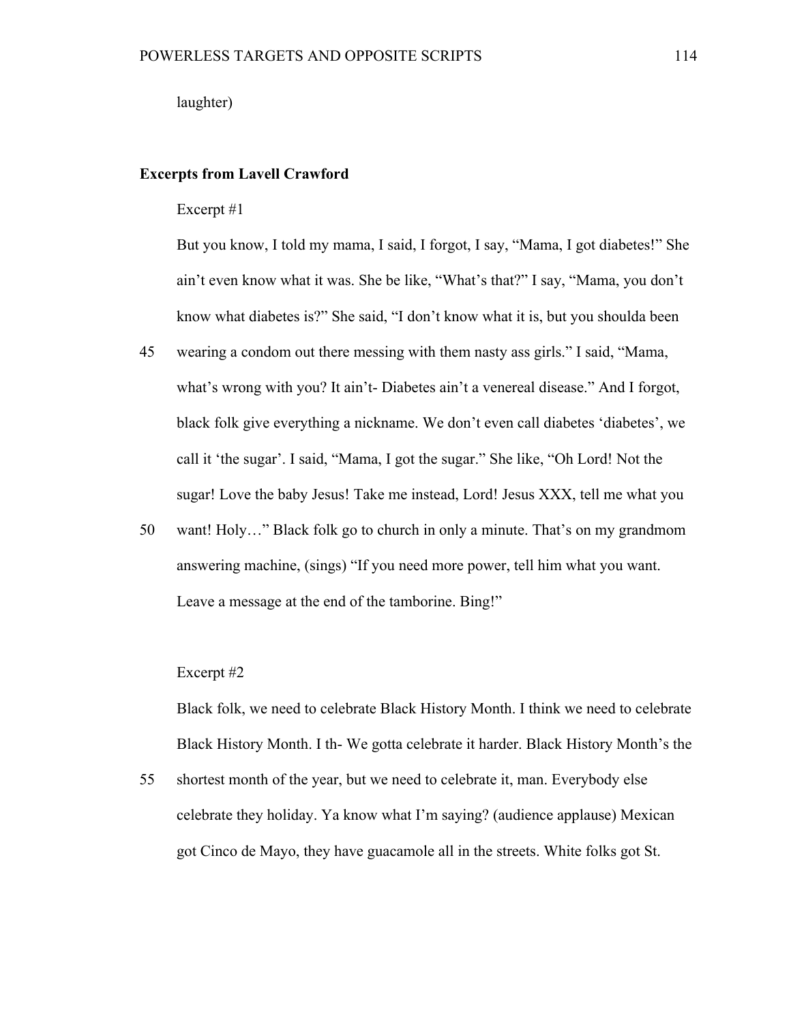laughter)

# **Excerpts from Lavell Crawford**

### Excerpt #1

But you know, I told my mama, I said, I forgot, I say, "Mama, I got diabetes!" She ain't even know what it was. She be like, "What's that?" I say, "Mama, you don't know what diabetes is?" She said, "I don't know what it is, but you shoulda been

- 45 wearing a condom out there messing with them nasty ass girls." I said, "Mama, what's wrong with you? It ain't- Diabetes ain't a venereal disease." And I forgot, black folk give everything a nickname. We don't even call diabetes 'diabetes', we call it 'the sugar'. I said, "Mama, I got the sugar." She like, "Oh Lord! Not the sugar! Love the baby Jesus! Take me instead, Lord! Jesus XXX, tell me what you
- 50 want! Holy…" Black folk go to church in only a minute. That's on my grandmom answering machine, (sings) "If you need more power, tell him what you want. Leave a message at the end of the tamborine. Bing!"

### Excerpt #2

Black folk, we need to celebrate Black History Month. I think we need to celebrate Black History Month. I th- We gotta celebrate it harder. Black History Month's the

55 shortest month of the year, but we need to celebrate it, man. Everybody else celebrate they holiday. Ya know what I'm saying? (audience applause) Mexican got Cinco de Mayo, they have guacamole all in the streets. White folks got St.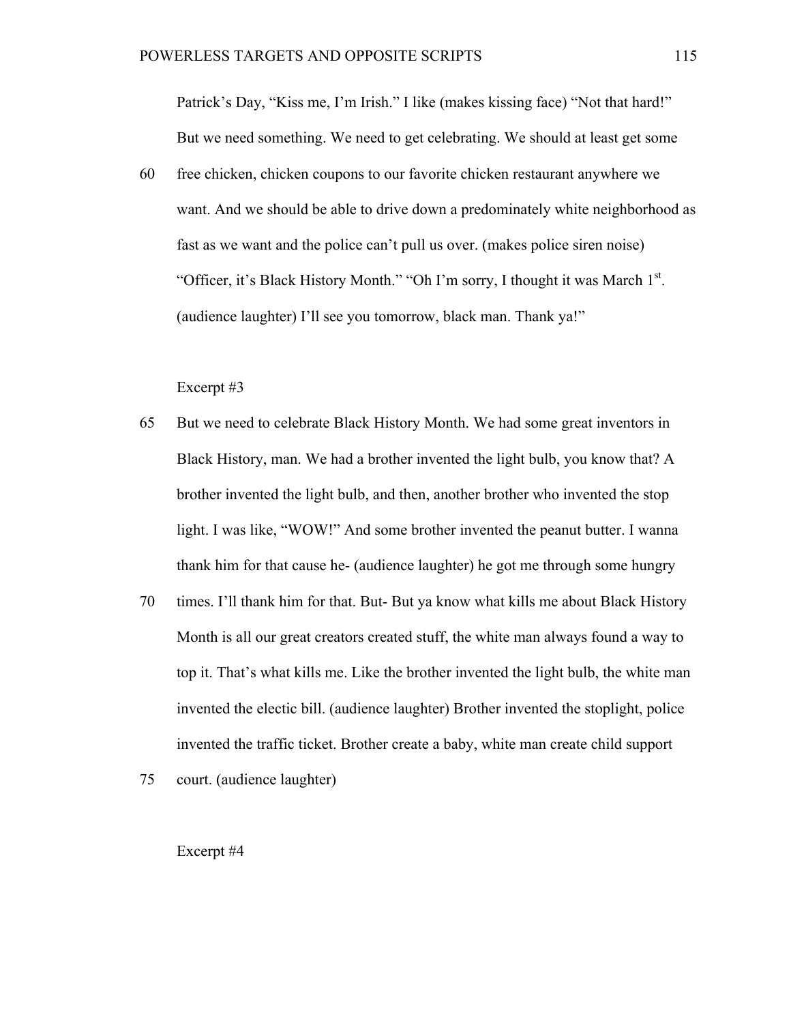Patrick's Day, "Kiss me, I'm Irish." I like (makes kissing face) "Not that hard!" But we need something. We need to get celebrating. We should at least get some

60 free chicken, chicken coupons to our favorite chicken restaurant anywhere we want. And we should be able to drive down a predominately white neighborhood as fast as we want and the police can't pull us over. (makes police siren noise) "Officer, it's Black History Month." "Oh I'm sorry, I thought it was March 1<sup>st</sup>. (audience laughter) I'll see you tomorrow, black man. Thank ya!"

## Excerpt #3

- 65 But we need to celebrate Black History Month. We had some great inventors in Black History, man. We had a brother invented the light bulb, you know that? A brother invented the light bulb, and then, another brother who invented the stop light. I was like, "WOW!" And some brother invented the peanut butter. I wanna thank him for that cause he- (audience laughter) he got me through some hungry
- 70 times. I'll thank him for that. But- But ya know what kills me about Black History Month is all our great creators created stuff, the white man always found a way to top it. That's what kills me. Like the brother invented the light bulb, the white man invented the electic bill. (audience laughter) Brother invented the stoplight, police invented the traffic ticket. Brother create a baby, white man create child support
- 75 court. (audience laughter)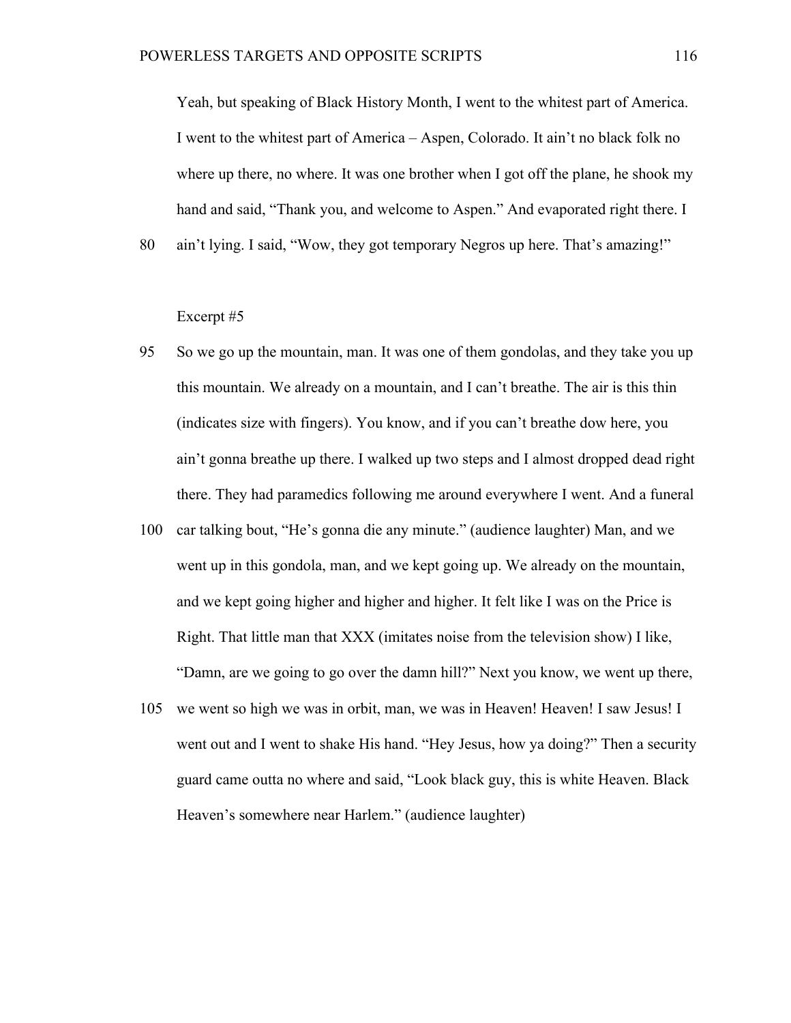Yeah, but speaking of Black History Month, I went to the whitest part of America. I went to the whitest part of America – Aspen, Colorado. It ain't no black folk no where up there, no where. It was one brother when I got off the plane, he shook my hand and said, "Thank you, and welcome to Aspen." And evaporated right there. I

80 ain't lying. I said, "Wow, they got temporary Negros up here. That's amazing!"

- 95 So we go up the mountain, man. It was one of them gondolas, and they take you up this mountain. We already on a mountain, and I can't breathe. The air is this thin (indicates size with fingers). You know, and if you can't breathe dow here, you ain't gonna breathe up there. I walked up two steps and I almost dropped dead right there. They had paramedics following me around everywhere I went. And a funeral
- 100 car talking bout, "He's gonna die any minute." (audience laughter) Man, and we went up in this gondola, man, and we kept going up. We already on the mountain, and we kept going higher and higher and higher. It felt like I was on the Price is Right. That little man that XXX (imitates noise from the television show) I like, "Damn, are we going to go over the damn hill?" Next you know, we went up there,
- 105 we went so high we was in orbit, man, we was in Heaven! Heaven! I saw Jesus! I went out and I went to shake His hand. "Hey Jesus, how ya doing?" Then a security guard came outta no where and said, "Look black guy, this is white Heaven. Black Heaven's somewhere near Harlem." (audience laughter)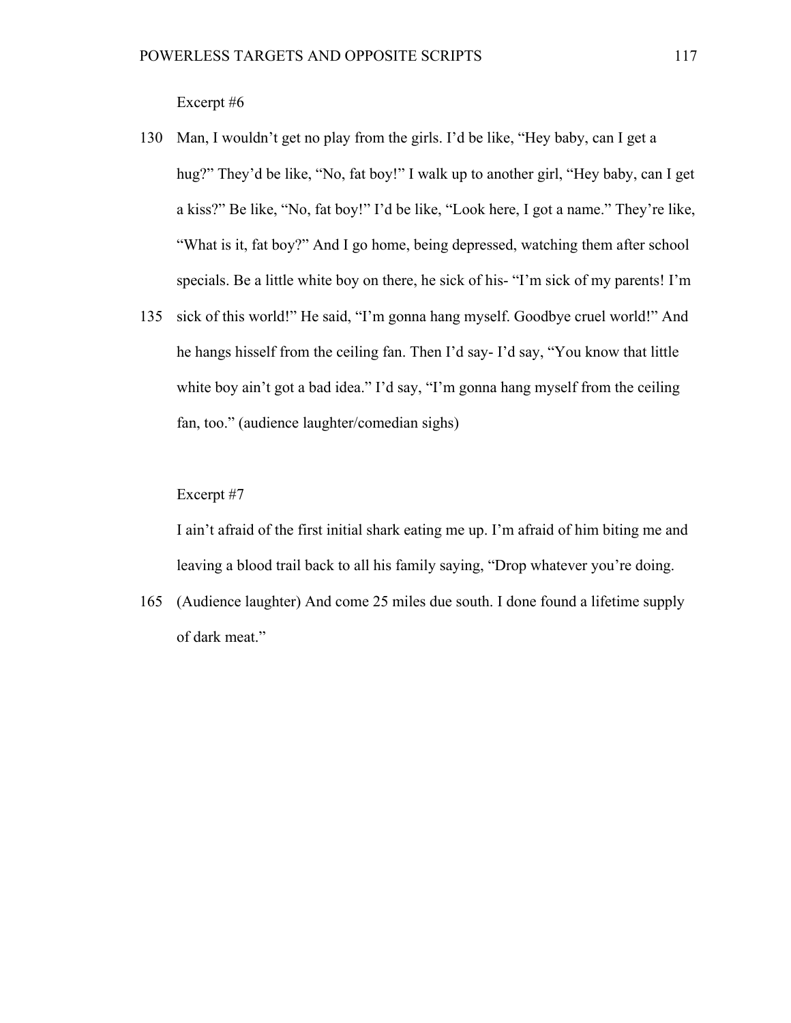Excerpt #6

- 130 Man, I wouldn't get no play from the girls. I'd be like, "Hey baby, can I get a hug?" They'd be like, "No, fat boy!" I walk up to another girl, "Hey baby, can I get a kiss?" Be like, "No, fat boy!" I'd be like, "Look here, I got a name." They're like, "What is it, fat boy?" And I go home, being depressed, watching them after school specials. Be a little white boy on there, he sick of his- "I'm sick of my parents! I'm
- 135 sick of this world!" He said, "I'm gonna hang myself. Goodbye cruel world!" And he hangs hisself from the ceiling fan. Then I'd say- I'd say, "You know that little white boy ain't got a bad idea." I'd say, "I'm gonna hang myself from the ceiling fan, too." (audience laughter/comedian sighs)

# Excerpt #7

I ain't afraid of the first initial shark eating me up. I'm afraid of him biting me and leaving a blood trail back to all his family saying, "Drop whatever you're doing.

165 (Audience laughter) And come 25 miles due south. I done found a lifetime supply of dark meat."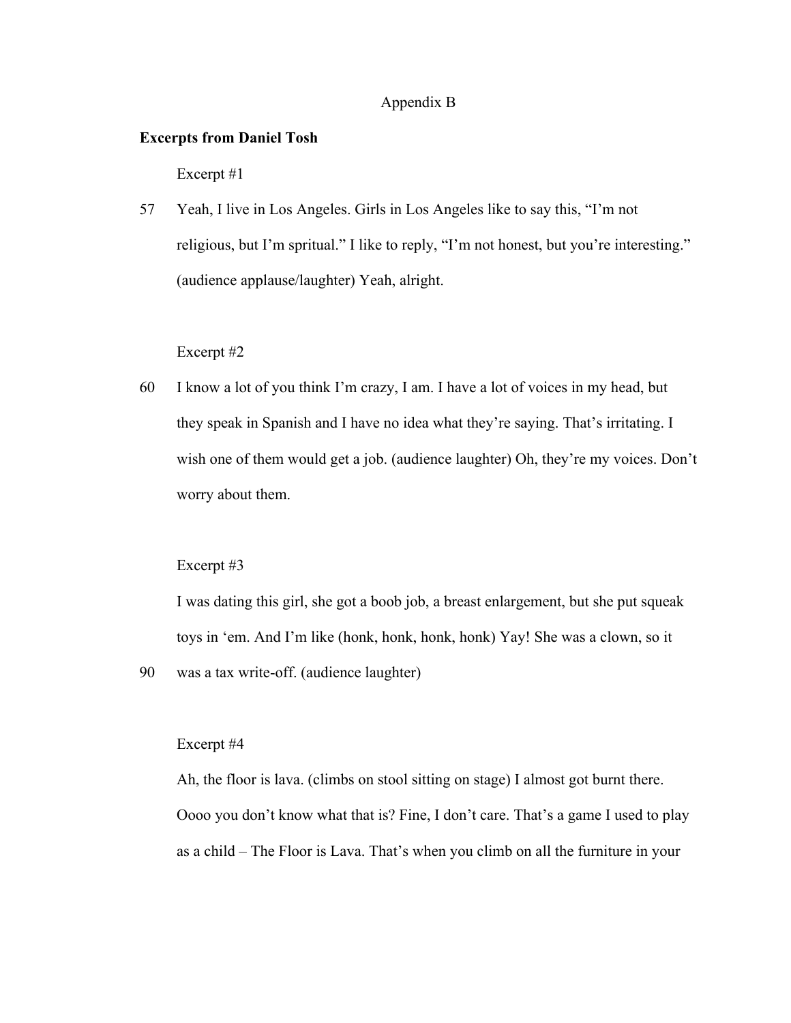# Appendix B

# **Excerpts from Daniel Tosh**

Excerpt #1

57 Yeah, I live in Los Angeles. Girls in Los Angeles like to say this, "I'm not religious, but I'm spritual." I like to reply, "I'm not honest, but you're interesting." (audience applause/laughter) Yeah, alright.

### Excerpt #2

60 I know a lot of you think I'm crazy, I am. I have a lot of voices in my head, but they speak in Spanish and I have no idea what they're saying. That's irritating. I wish one of them would get a job. (audience laughter) Oh, they're my voices. Don't worry about them.

#### Excerpt #3

I was dating this girl, she got a boob job, a breast enlargement, but she put squeak toys in 'em. And I'm like (honk, honk, honk, honk) Yay! She was a clown, so it

90 was a tax write-off. (audience laughter)

# Excerpt #4

Ah, the floor is lava. (climbs on stool sitting on stage) I almost got burnt there. Oooo you don't know what that is? Fine, I don't care. That's a game I used to play as a child – The Floor is Lava. That's when you climb on all the furniture in your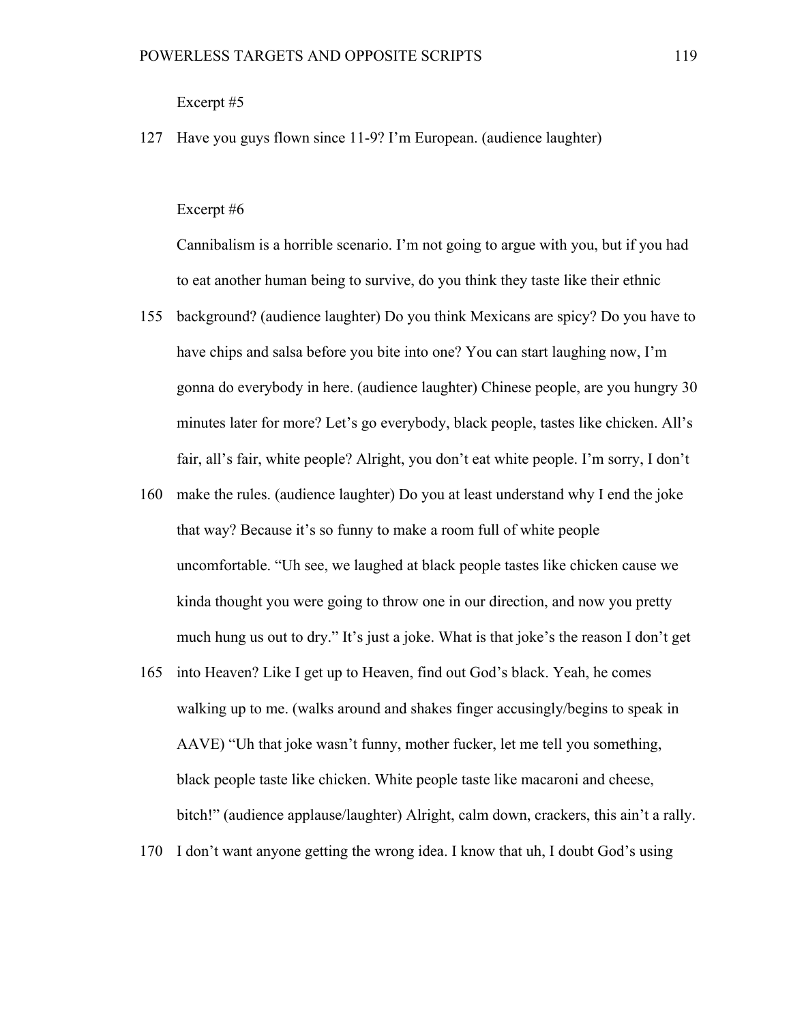# Excerpt #5

127 Have you guys flown since 11-9? I'm European. (audience laughter)

# Excerpt #6

Cannibalism is a horrible scenario. I'm not going to argue with you, but if you had to eat another human being to survive, do you think they taste like their ethnic

- 155 background? (audience laughter) Do you think Mexicans are spicy? Do you have to have chips and salsa before you bite into one? You can start laughing now, I'm gonna do everybody in here. (audience laughter) Chinese people, are you hungry 30 minutes later for more? Let's go everybody, black people, tastes like chicken. All's fair, all's fair, white people? Alright, you don't eat white people. I'm sorry, I don't
- 160 make the rules. (audience laughter) Do you at least understand why I end the joke that way? Because it's so funny to make a room full of white people uncomfortable. "Uh see, we laughed at black people tastes like chicken cause we kinda thought you were going to throw one in our direction, and now you pretty much hung us out to dry." It's just a joke. What is that joke's the reason I don't get
- 165 into Heaven? Like I get up to Heaven, find out God's black. Yeah, he comes walking up to me. (walks around and shakes finger accusingly/begins to speak in AAVE) "Uh that joke wasn't funny, mother fucker, let me tell you something, black people taste like chicken. White people taste like macaroni and cheese, bitch!" (audience applause/laughter) Alright, calm down, crackers, this ain't a rally.
- 170 I don't want anyone getting the wrong idea. I know that uh, I doubt God's using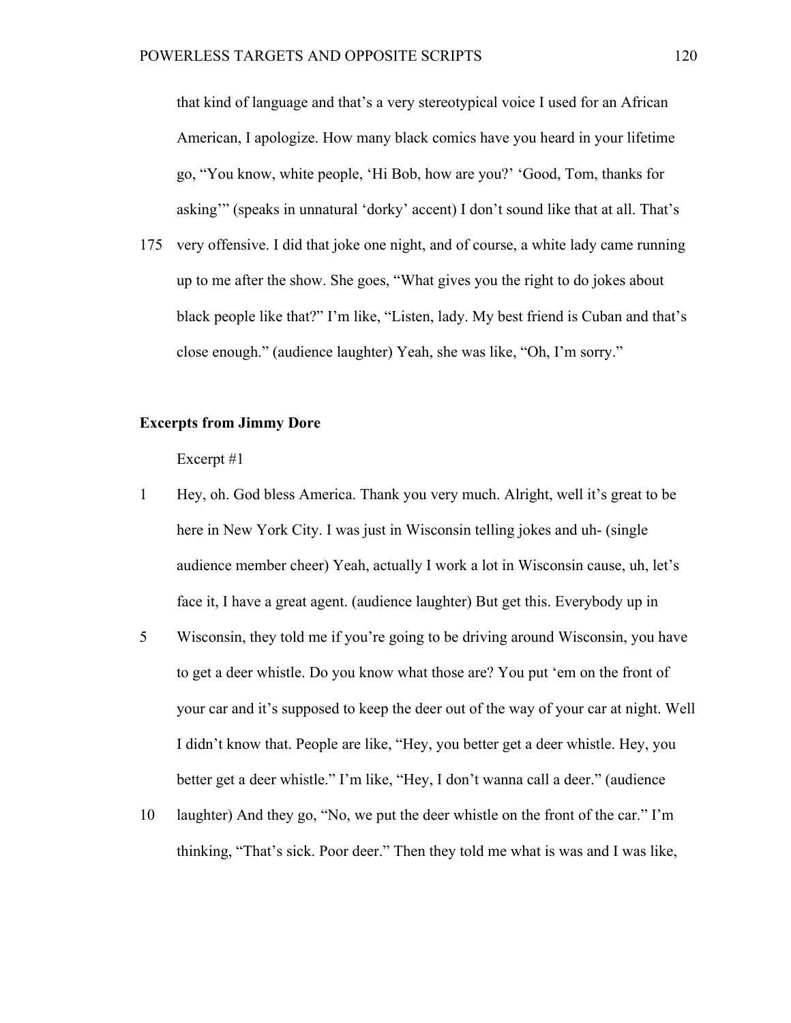that kind of language and that's a very stereotypical voice I used for an African American, I apologize. How many black comics have you heard in your lifetime go, "You know, white people, 'Hi Bob, how are you?' 'Good, Tom, thanks for asking'" (speaks in unnatural 'dorky' accent) I don't sound like that at all. That's

175 very offensive. I did that joke one night, and of course, a white lady came running up to me after the show. She goes, "What gives you the right to do jokes about black people like that?" I'm like, "Listen, lady. My best friend is Cuban and that's close enough." (audience laughter) Yeah, she was like, "Oh, I'm sorry."

# **Excerpts from Jimmy Dore**

- 1 Hey, oh. God bless America. Thank you very much. Alright, well it's great to be here in New York City. I was just in Wisconsin telling jokes and uh- (single audience member cheer) Yeah, actually I work a lot in Wisconsin cause, uh, let's face it, I have a great agent. (audience laughter) But get this. Everybody up in
- 5 Wisconsin, they told me if you're going to be driving around Wisconsin, you have to get a deer whistle. Do you know what those are? You put 'em on the front of your car and it's supposed to keep the deer out of the way of your car at night. Well I didn't know that. People are like, "Hey, you better get a deer whistle. Hey, you better get a deer whistle." I'm like, "Hey, I don't wanna call a deer." (audience
- 10 laughter) And they go, "No, we put the deer whistle on the front of the car." I'm thinking, "That's sick. Poor deer." Then they told me what is was and I was like,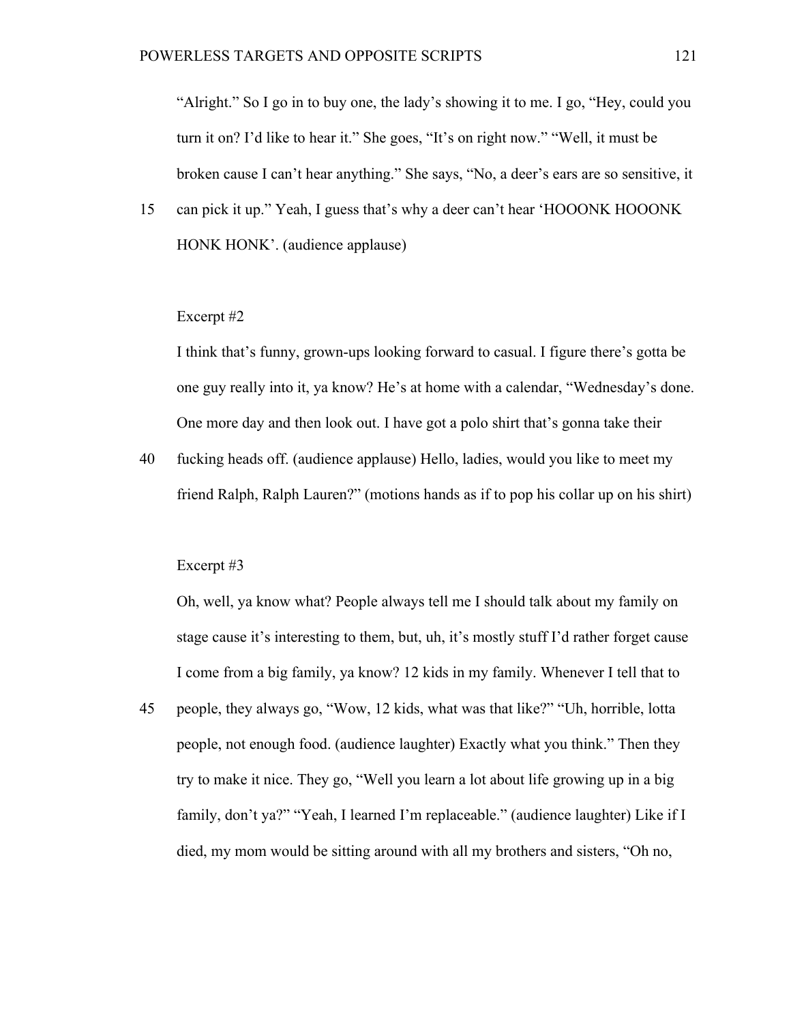"Alright." So I go in to buy one, the lady's showing it to me. I go, "Hey, could you turn it on? I'd like to hear it." She goes, "It's on right now." "Well, it must be broken cause I can't hear anything." She says, "No, a deer's ears are so sensitive, it

15 can pick it up." Yeah, I guess that's why a deer can't hear 'HOOONK HOOONK HONK HONK'. (audience applause)

## Excerpt #2

I think that's funny, grown-ups looking forward to casual. I figure there's gotta be one guy really into it, ya know? He's at home with a calendar, "Wednesday's done. One more day and then look out. I have got a polo shirt that's gonna take their

40 fucking heads off. (audience applause) Hello, ladies, would you like to meet my friend Ralph, Ralph Lauren?" (motions hands as if to pop his collar up on his shirt)

#### Excerpt #3

Oh, well, ya know what? People always tell me I should talk about my family on stage cause it's interesting to them, but, uh, it's mostly stuff I'd rather forget cause I come from a big family, ya know? 12 kids in my family. Whenever I tell that to

45 people, they always go, "Wow, 12 kids, what was that like?" "Uh, horrible, lotta people, not enough food. (audience laughter) Exactly what you think." Then they try to make it nice. They go, "Well you learn a lot about life growing up in a big family, don't ya?" "Yeah, I learned I'm replaceable." (audience laughter) Like if I died, my mom would be sitting around with all my brothers and sisters, "Oh no,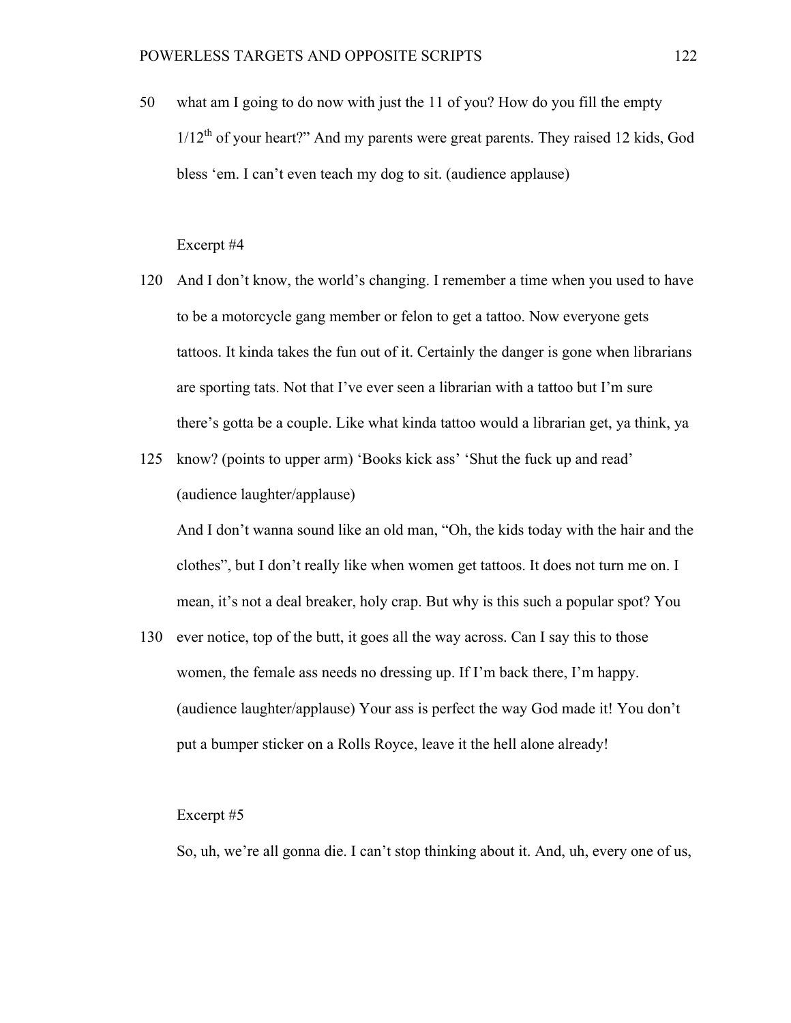50 what am I going to do now with just the 11 of you? How do you fill the empty  $1/12<sup>th</sup>$  of your heart?" And my parents were great parents. They raised 12 kids, God bless 'em. I can't even teach my dog to sit. (audience applause)

# Excerpt #4

- 120 And I don't know, the world's changing. I remember a time when you used to have to be a motorcycle gang member or felon to get a tattoo. Now everyone gets tattoos. It kinda takes the fun out of it. Certainly the danger is gone when librarians are sporting tats. Not that I've ever seen a librarian with a tattoo but I'm sure there's gotta be a couple. Like what kinda tattoo would a librarian get, ya think, ya
- 125 know? (points to upper arm) 'Books kick ass' 'Shut the fuck up and read' (audience laughter/applause)

And I don't wanna sound like an old man, "Oh, the kids today with the hair and the clothes", but I don't really like when women get tattoos. It does not turn me on. I mean, it's not a deal breaker, holy crap. But why is this such a popular spot? You

130 ever notice, top of the butt, it goes all the way across. Can I say this to those women, the female ass needs no dressing up. If I'm back there, I'm happy. (audience laughter/applause) Your ass is perfect the way God made it! You don't put a bumper sticker on a Rolls Royce, leave it the hell alone already!

### Excerpt #5

So, uh, we're all gonna die. I can't stop thinking about it. And, uh, every one of us,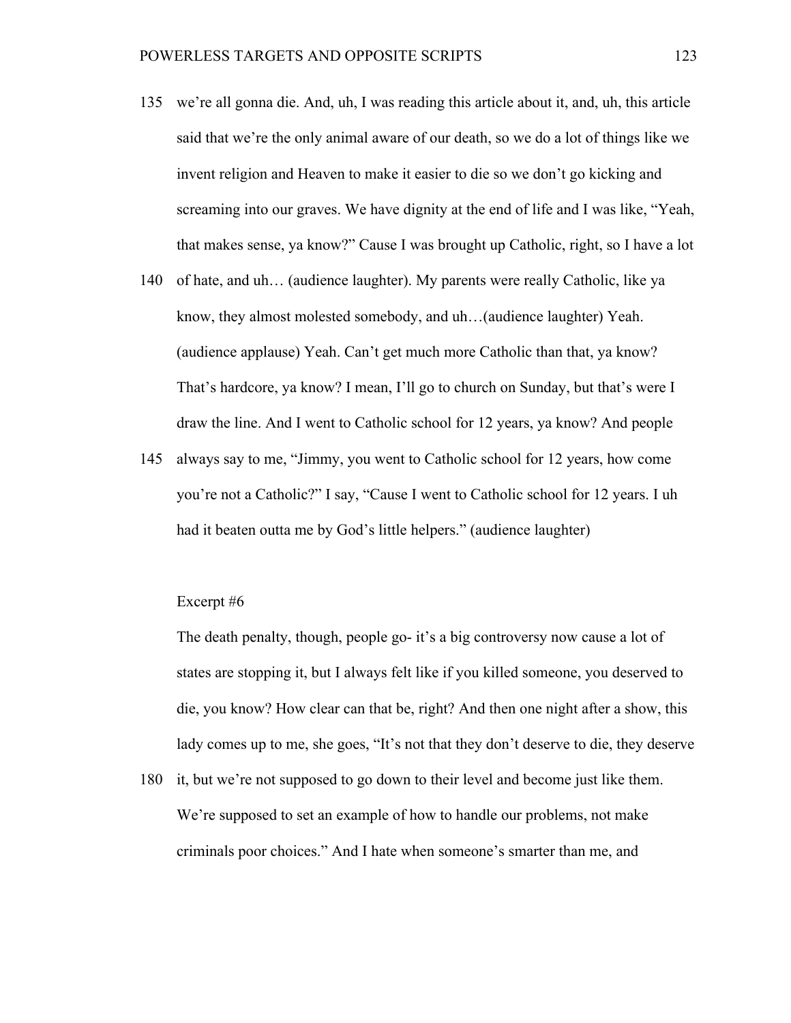- 135 we're all gonna die. And, uh, I was reading this article about it, and, uh, this article said that we're the only animal aware of our death, so we do a lot of things like we invent religion and Heaven to make it easier to die so we don't go kicking and screaming into our graves. We have dignity at the end of life and I was like, "Yeah, that makes sense, ya know?" Cause I was brought up Catholic, right, so I have a lot
- 140 of hate, and uh… (audience laughter). My parents were really Catholic, like ya know, they almost molested somebody, and uh…(audience laughter) Yeah. (audience applause) Yeah. Can't get much more Catholic than that, ya know? That's hardcore, ya know? I mean, I'll go to church on Sunday, but that's were I draw the line. And I went to Catholic school for 12 years, ya know? And people
- 145 always say to me, "Jimmy, you went to Catholic school for 12 years, how come you're not a Catholic?" I say, "Cause I went to Catholic school for 12 years. I uh had it beaten outta me by God's little helpers." (audience laughter)

# Excerpt #6

The death penalty, though, people go- it's a big controversy now cause a lot of states are stopping it, but I always felt like if you killed someone, you deserved to die, you know? How clear can that be, right? And then one night after a show, this lady comes up to me, she goes, "It's not that they don't deserve to die, they deserve

180 it, but we're not supposed to go down to their level and become just like them. We're supposed to set an example of how to handle our problems, not make criminals poor choices." And I hate when someone's smarter than me, and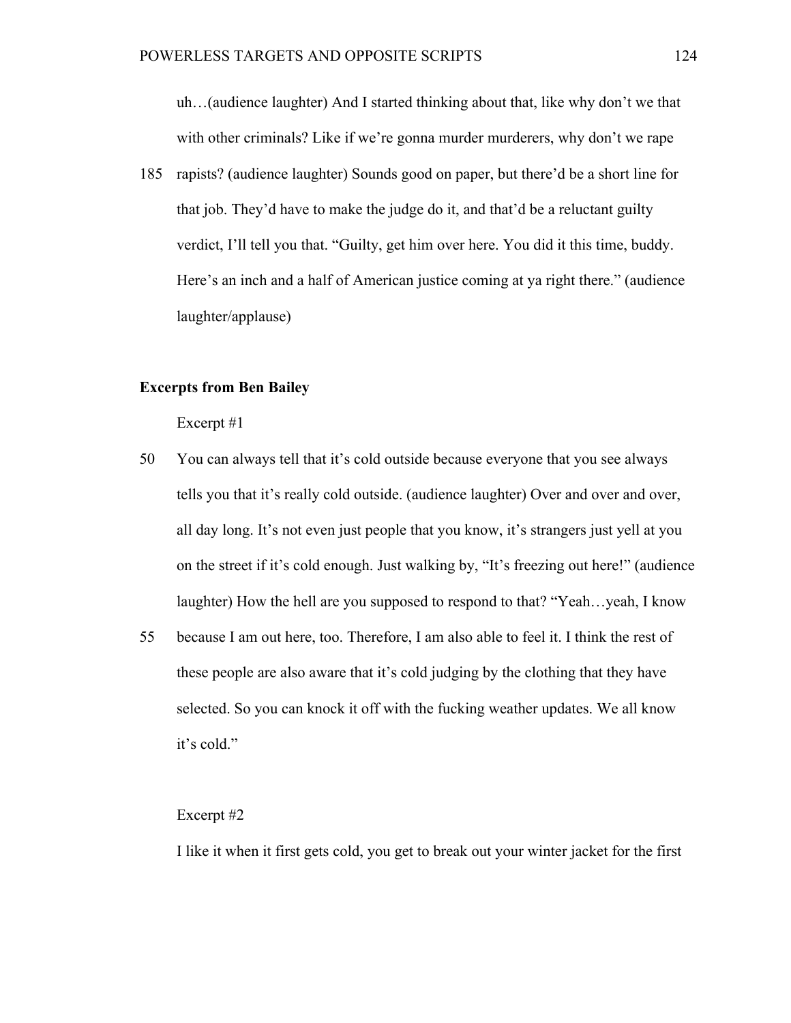uh…(audience laughter) And I started thinking about that, like why don't we that with other criminals? Like if we're gonna murder murderers, why don't we rape

185 rapists? (audience laughter) Sounds good on paper, but there'd be a short line for that job. They'd have to make the judge do it, and that'd be a reluctant guilty verdict, I'll tell you that. "Guilty, get him over here. You did it this time, buddy. Here's an inch and a half of American justice coming at ya right there." (audience laughter/applause)

# **Excerpts from Ben Bailey**

Excerpt #1

- 50 You can always tell that it's cold outside because everyone that you see always tells you that it's really cold outside. (audience laughter) Over and over and over, all day long. It's not even just people that you know, it's strangers just yell at you on the street if it's cold enough. Just walking by, "It's freezing out here!" (audience laughter) How the hell are you supposed to respond to that? "Yeah…yeah, I know
- 55 because I am out here, too. Therefore, I am also able to feel it. I think the rest of these people are also aware that it's cold judging by the clothing that they have selected. So you can knock it off with the fucking weather updates. We all know it's cold."

### Excerpt #2

I like it when it first gets cold, you get to break out your winter jacket for the first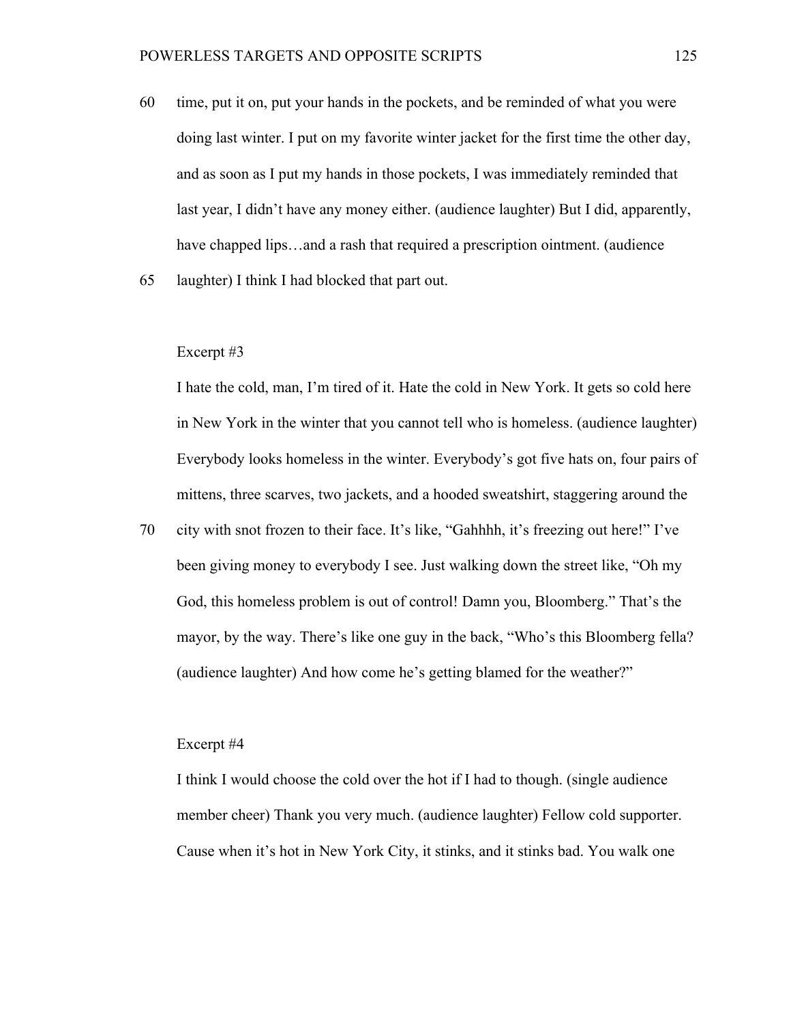- 60 time, put it on, put your hands in the pockets, and be reminded of what you were doing last winter. I put on my favorite winter jacket for the first time the other day, and as soon as I put my hands in those pockets, I was immediately reminded that last year, I didn't have any money either. (audience laughter) But I did, apparently, have chapped lips…and a rash that required a prescription ointment. (audience
- 65 laughter) I think I had blocked that part out.

#### Excerpt #3

I hate the cold, man, I'm tired of it. Hate the cold in New York. It gets so cold here in New York in the winter that you cannot tell who is homeless. (audience laughter) Everybody looks homeless in the winter. Everybody's got five hats on, four pairs of mittens, three scarves, two jackets, and a hooded sweatshirt, staggering around the

70 city with snot frozen to their face. It's like, "Gahhhh, it's freezing out here!" I've been giving money to everybody I see. Just walking down the street like, "Oh my God, this homeless problem is out of control! Damn you, Bloomberg." That's the mayor, by the way. There's like one guy in the back, "Who's this Bloomberg fella? (audience laughter) And how come he's getting blamed for the weather?"

# Excerpt #4

I think I would choose the cold over the hot if I had to though. (single audience member cheer) Thank you very much. (audience laughter) Fellow cold supporter. Cause when it's hot in New York City, it stinks, and it stinks bad. You walk one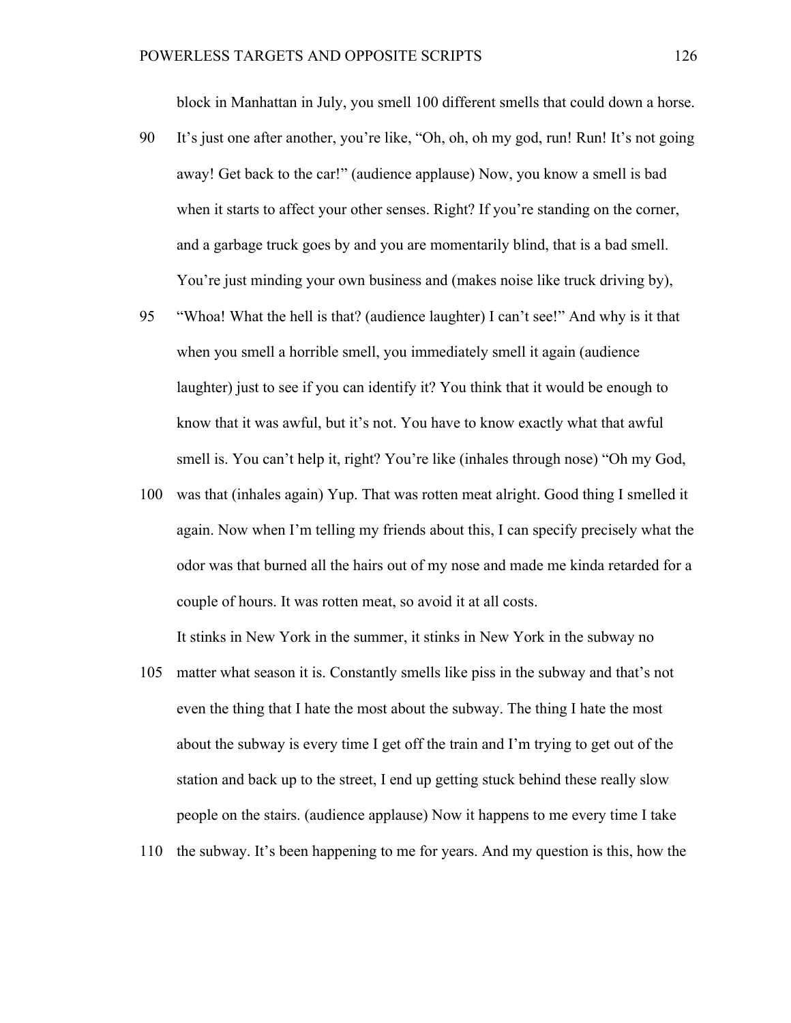block in Manhattan in July, you smell 100 different smells that could down a horse.

- 90 It's just one after another, you're like, "Oh, oh, oh my god, run! Run! It's not going away! Get back to the car!" (audience applause) Now, you know a smell is bad when it starts to affect your other senses. Right? If you're standing on the corner, and a garbage truck goes by and you are momentarily blind, that is a bad smell. You're just minding your own business and (makes noise like truck driving by),
- 95 "Whoa! What the hell is that? (audience laughter) I can't see!" And why is it that when you smell a horrible smell, you immediately smell it again (audience) laughter) just to see if you can identify it? You think that it would be enough to know that it was awful, but it's not. You have to know exactly what that awful smell is. You can't help it, right? You're like (inhales through nose) "Oh my God,
- 100 was that (inhales again) Yup. That was rotten meat alright. Good thing I smelled it again. Now when I'm telling my friends about this, I can specify precisely what the odor was that burned all the hairs out of my nose and made me kinda retarded for a couple of hours. It was rotten meat, so avoid it at all costs.

It stinks in New York in the summer, it stinks in New York in the subway no

- 105 matter what season it is. Constantly smells like piss in the subway and that's not even the thing that I hate the most about the subway. The thing I hate the most about the subway is every time I get off the train and I'm trying to get out of the station and back up to the street, I end up getting stuck behind these really slow people on the stairs. (audience applause) Now it happens to me every time I take
- 110 the subway. It's been happening to me for years. And my question is this, how the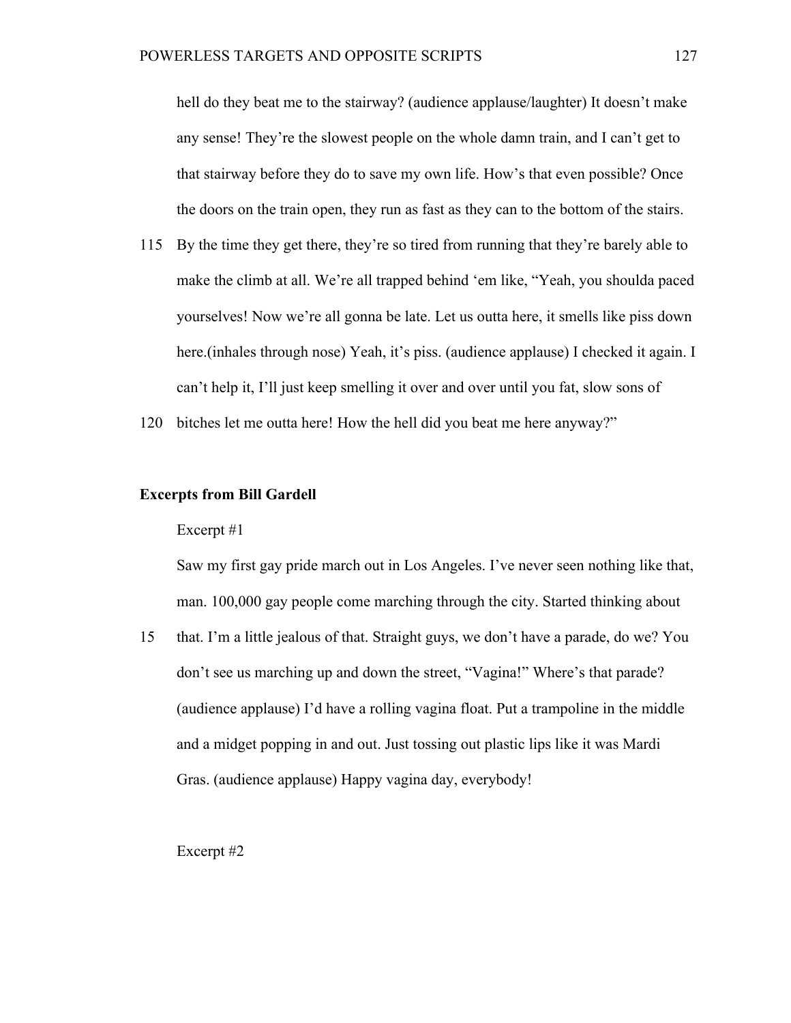hell do they beat me to the stairway? (audience applause/laughter) It doesn't make any sense! They're the slowest people on the whole damn train, and I can't get to that stairway before they do to save my own life. How's that even possible? Once the doors on the train open, they run as fast as they can to the bottom of the stairs.

- 115 By the time they get there, they're so tired from running that they're barely able to make the climb at all. We're all trapped behind 'em like, "Yeah, you shoulda paced yourselves! Now we're all gonna be late. Let us outta here, it smells like piss down here.(inhales through nose) Yeah, it's piss. (audience applause) I checked it again. I can't help it, I'll just keep smelling it over and over until you fat, slow sons of
- 120 bitches let me outta here! How the hell did you beat me here anyway?"

# **Excerpts from Bill Gardell**

# Excerpt #1

Saw my first gay pride march out in Los Angeles. I've never seen nothing like that, man. 100,000 gay people come marching through the city. Started thinking about

15 that. I'm a little jealous of that. Straight guys, we don't have a parade, do we? You don't see us marching up and down the street, "Vagina!" Where's that parade? (audience applause) I'd have a rolling vagina float. Put a trampoline in the middle and a midget popping in and out. Just tossing out plastic lips like it was Mardi Gras. (audience applause) Happy vagina day, everybody!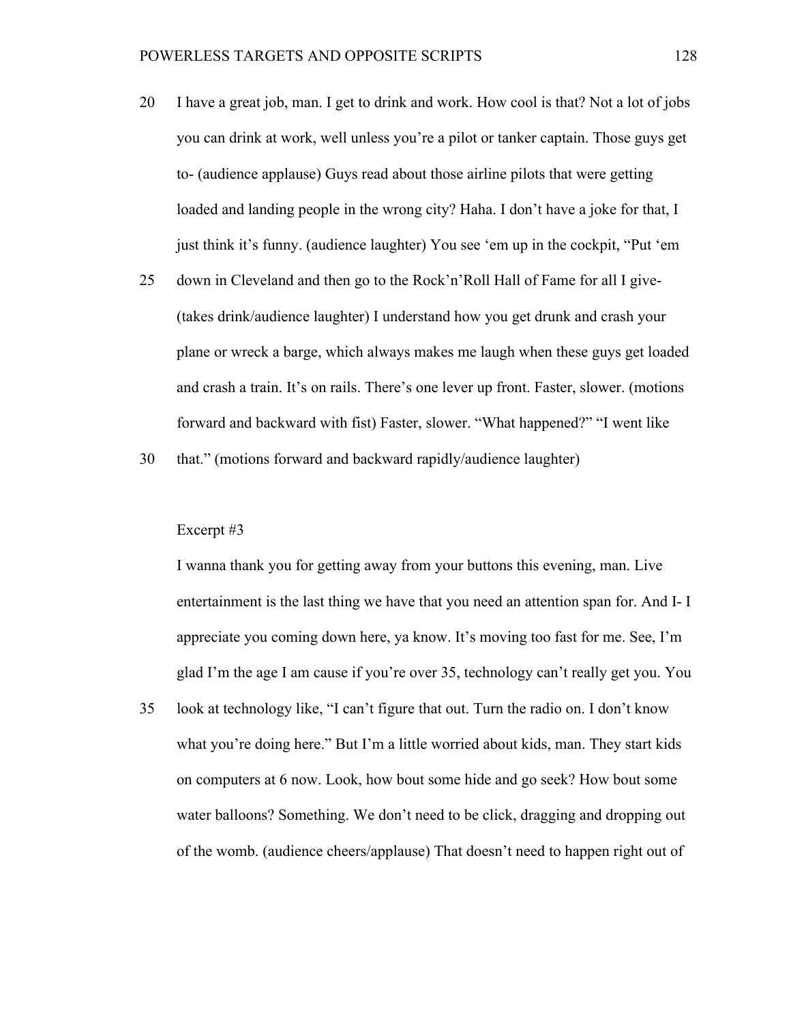- 20 I have a great job, man. I get to drink and work. How cool is that? Not a lot of jobs you can drink at work, well unless you're a pilot or tanker captain. Those guys get to- (audience applause) Guys read about those airline pilots that were getting loaded and landing people in the wrong city? Haha. I don't have a joke for that, I just think it's funny. (audience laughter) You see 'em up in the cockpit, "Put 'em
- 25 down in Cleveland and then go to the Rock'n'Roll Hall of Fame for all I give- (takes drink/audience laughter) I understand how you get drunk and crash your plane or wreck a barge, which always makes me laugh when these guys get loaded and crash a train. It's on rails. There's one lever up front. Faster, slower. (motions forward and backward with fist) Faster, slower. "What happened?" "I went like

30 that." (motions forward and backward rapidly/audience laughter)

### Excerpt #3

I wanna thank you for getting away from your buttons this evening, man. Live entertainment is the last thing we have that you need an attention span for. And I- I appreciate you coming down here, ya know. It's moving too fast for me. See, I'm glad I'm the age I am cause if you're over 35, technology can't really get you. You

35 look at technology like, "I can't figure that out. Turn the radio on. I don't know what you're doing here." But I'm a little worried about kids, man. They start kids on computers at 6 now. Look, how bout some hide and go seek? How bout some water balloons? Something. We don't need to be click, dragging and dropping out of the womb. (audience cheers/applause) That doesn't need to happen right out of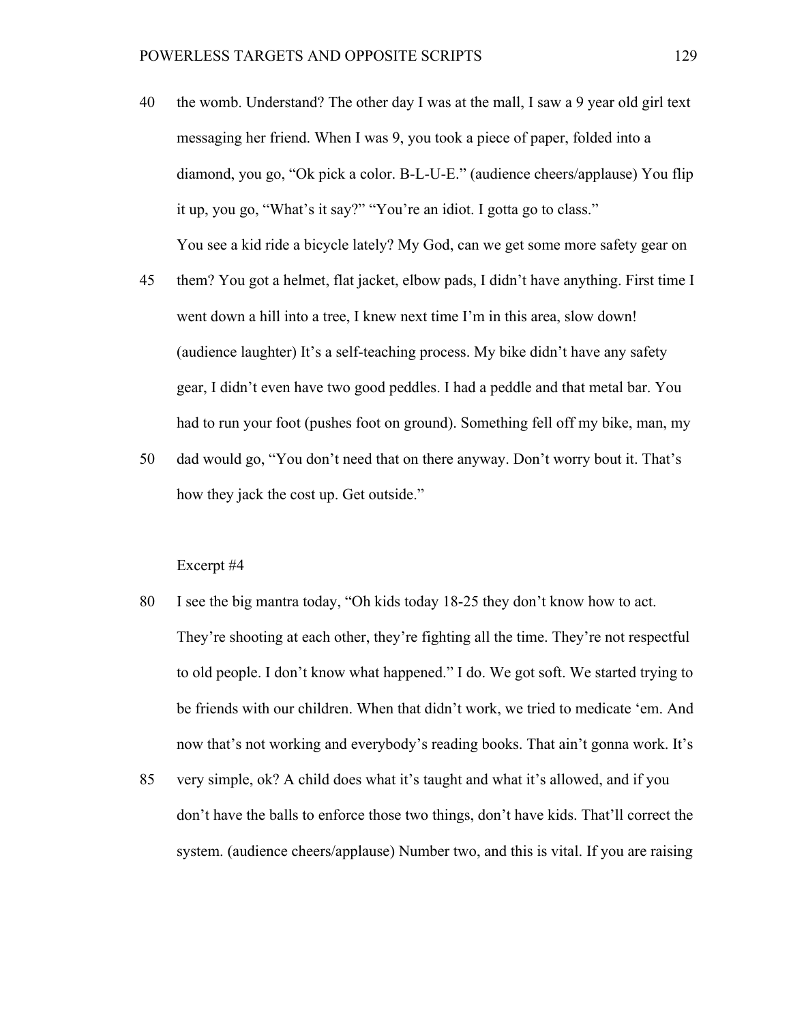- 40 the womb. Understand? The other day I was at the mall, I saw a 9 year old girl text messaging her friend. When I was 9, you took a piece of paper, folded into a diamond, you go, "Ok pick a color. B-L-U-E." (audience cheers/applause) You flip it up, you go, "What's it say?" "You're an idiot. I gotta go to class." You see a kid ride a bicycle lately? My God, can we get some more safety gear on
- 45 them? You got a helmet, flat jacket, elbow pads, I didn't have anything. First time I went down a hill into a tree, I knew next time I'm in this area, slow down! (audience laughter) It's a self-teaching process. My bike didn't have any safety gear, I didn't even have two good peddles. I had a peddle and that metal bar. You had to run your foot (pushes foot on ground). Something fell off my bike, man, my
- 50 dad would go, "You don't need that on there anyway. Don't worry bout it. That's how they jack the cost up. Get outside."

- 80 I see the big mantra today, "Oh kids today 18-25 they don't know how to act. They're shooting at each other, they're fighting all the time. They're not respectful to old people. I don't know what happened." I do. We got soft. We started trying to be friends with our children. When that didn't work, we tried to medicate 'em. And now that's not working and everybody's reading books. That ain't gonna work. It's
- 85 very simple, ok? A child does what it's taught and what it's allowed, and if you don't have the balls to enforce those two things, don't have kids. That'll correct the system. (audience cheers/applause) Number two, and this is vital. If you are raising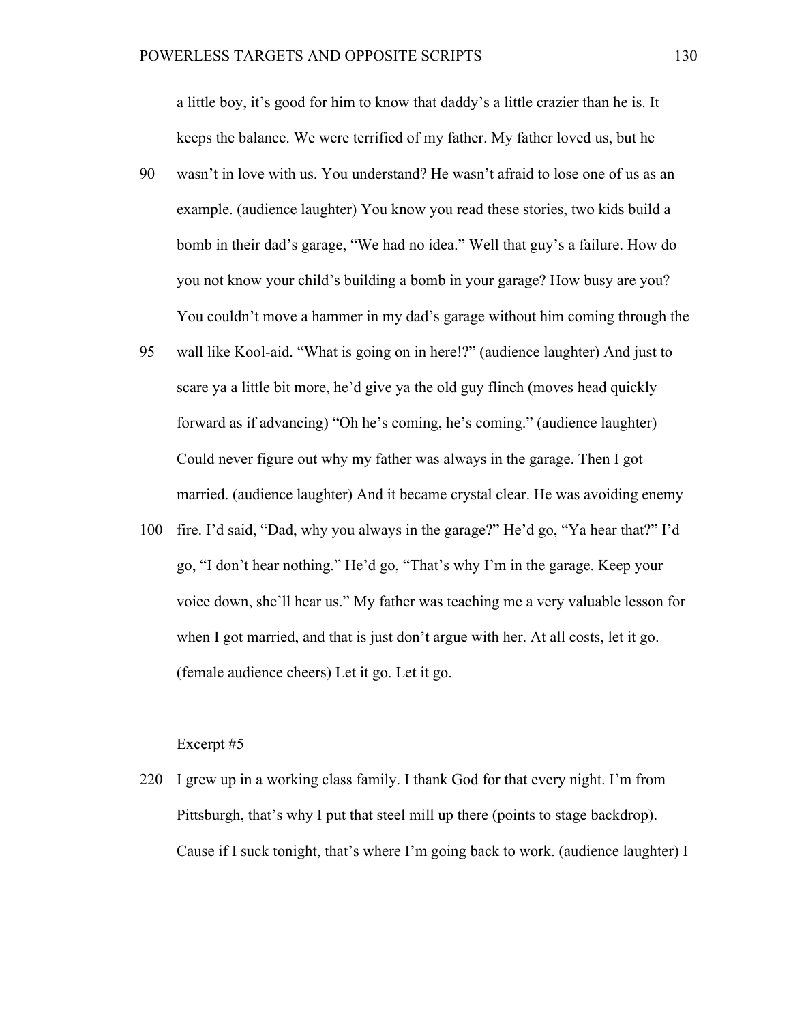a little boy, it's good for him to know that daddy's a little crazier than he is. It keeps the balance. We were terrified of my father. My father loved us, but he

- 90 wasn't in love with us. You understand? He wasn't afraid to lose one of us as an example. (audience laughter) You know you read these stories, two kids build a bomb in their dad's garage, "We had no idea." Well that guy's a failure. How do you not know your child's building a bomb in your garage? How busy are you? You couldn't move a hammer in my dad's garage without him coming through the
- 95 wall like Kool-aid. "What is going on in here!?" (audience laughter) And just to scare ya a little bit more, he'd give ya the old guy flinch (moves head quickly forward as if advancing) "Oh he's coming, he's coming." (audience laughter) Could never figure out why my father was always in the garage. Then I got married. (audience laughter) And it became crystal clear. He was avoiding enemy
- 100 fire. I'd said, "Dad, why you always in the garage?" He'd go, "Ya hear that?" I'd go, "I don't hear nothing." He'd go, "That's why I'm in the garage. Keep your voice down, she'll hear us." My father was teaching me a very valuable lesson for when I got married, and that is just don't argue with her. At all costs, let it go. (female audience cheers) Let it go. Let it go.

# Excerpt #5

220 I grew up in a working class family. I thank God for that every night. I'm from Pittsburgh, that's why I put that steel mill up there (points to stage backdrop). Cause if I suck tonight, that's where I'm going back to work. (audience laughter) I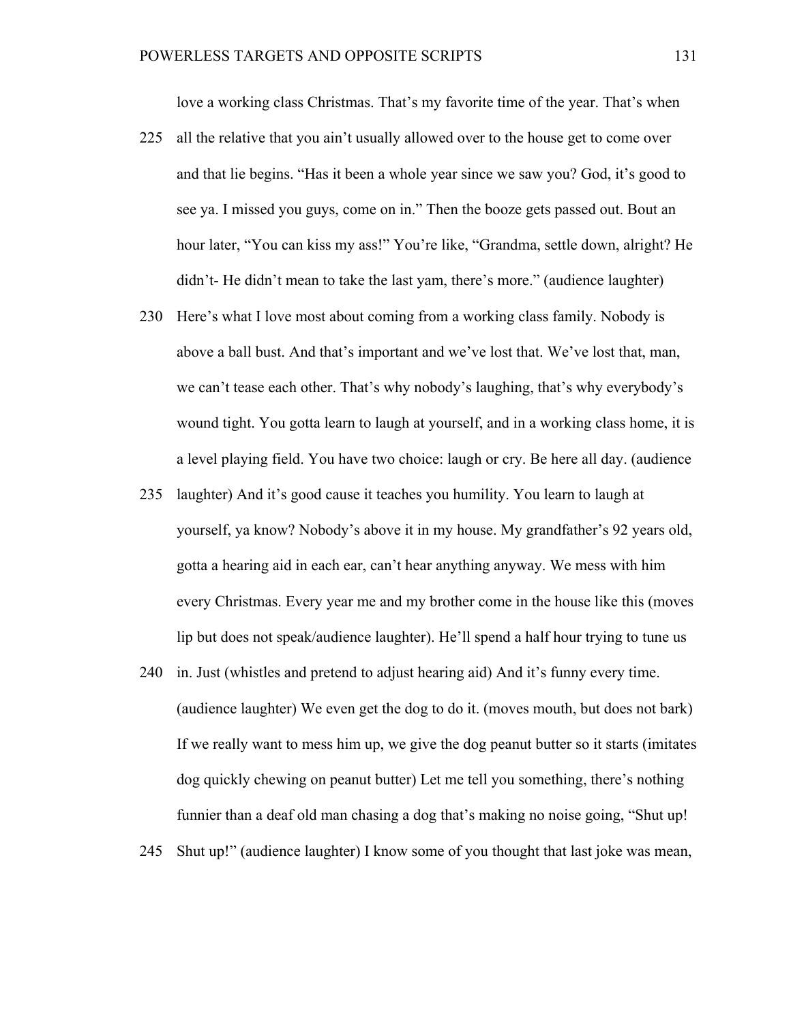love a working class Christmas. That's my favorite time of the year. That's when

- 225 all the relative that you ain't usually allowed over to the house get to come over and that lie begins. "Has it been a whole year since we saw you? God, it's good to see ya. I missed you guys, come on in." Then the booze gets passed out. Bout an hour later, "You can kiss my ass!" You're like, "Grandma, settle down, alright? He didn't- He didn't mean to take the last yam, there's more." (audience laughter)
- 230 Here's what I love most about coming from a working class family. Nobody is above a ball bust. And that's important and we've lost that. We've lost that, man, we can't tease each other. That's why nobody's laughing, that's why everybody's wound tight. You gotta learn to laugh at yourself, and in a working class home, it is a level playing field. You have two choice: laugh or cry. Be here all day. (audience
- 235 laughter) And it's good cause it teaches you humility. You learn to laugh at yourself, ya know? Nobody's above it in my house. My grandfather's 92 years old, gotta a hearing aid in each ear, can't hear anything anyway. We mess with him every Christmas. Every year me and my brother come in the house like this (moves lip but does not speak/audience laughter). He'll spend a half hour trying to tune us
- 240 in. Just (whistles and pretend to adjust hearing aid) And it's funny every time. (audience laughter) We even get the dog to do it. (moves mouth, but does not bark) If we really want to mess him up, we give the dog peanut butter so it starts (imitates dog quickly chewing on peanut butter) Let me tell you something, there's nothing funnier than a deaf old man chasing a dog that's making no noise going, "Shut up!
- 245 Shut up!" (audience laughter) I know some of you thought that last joke was mean,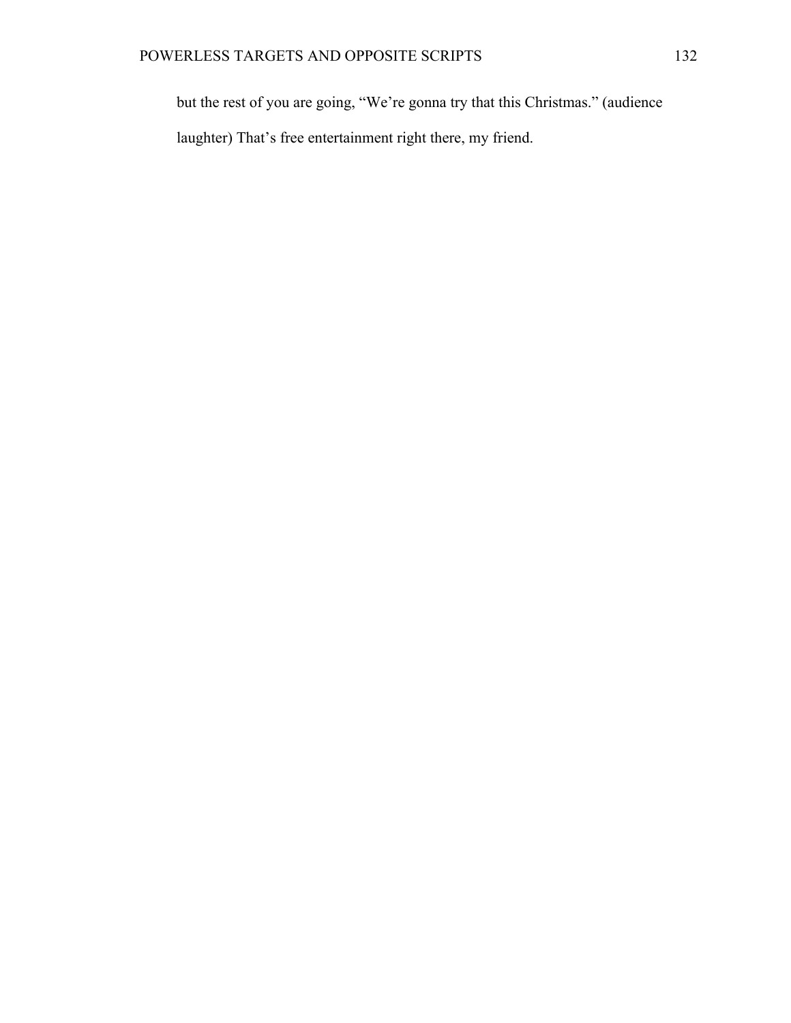but the rest of you are going, "We're gonna try that this Christmas." (audience

laughter) That's free entertainment right there, my friend.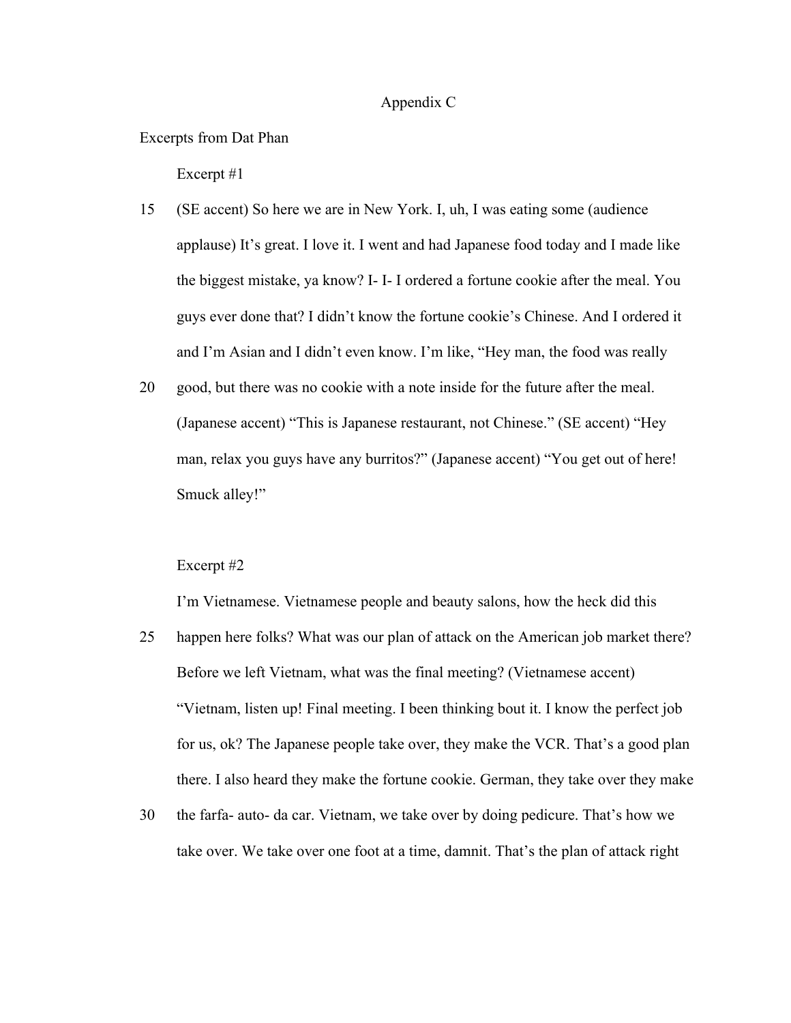# Appendix C

Excerpts from Dat Phan

Excerpt #1

- 15 (SE accent) So here we are in New York. I, uh, I was eating some (audience applause) It's great. I love it. I went and had Japanese food today and I made like the biggest mistake, ya know? I- I- I ordered a fortune cookie after the meal. You guys ever done that? I didn't know the fortune cookie's Chinese. And I ordered it and I'm Asian and I didn't even know. I'm like, "Hey man, the food was really
- 20 good, but there was no cookie with a note inside for the future after the meal. (Japanese accent) "This is Japanese restaurant, not Chinese." (SE accent) "Hey man, relax you guys have any burritos?" (Japanese accent) "You get out of here! Smuck alley!"

#### Excerpt #2

I'm Vietnamese. Vietnamese people and beauty salons, how the heck did this

- 25 happen here folks? What was our plan of attack on the American job market there? Before we left Vietnam, what was the final meeting? (Vietnamese accent) "Vietnam, listen up! Final meeting. I been thinking bout it. I know the perfect job for us, ok? The Japanese people take over, they make the VCR. That's a good plan there. I also heard they make the fortune cookie. German, they take over they make
- 30 the farfa- auto- da car. Vietnam, we take over by doing pedicure. That's how we take over. We take over one foot at a time, damnit. That's the plan of attack right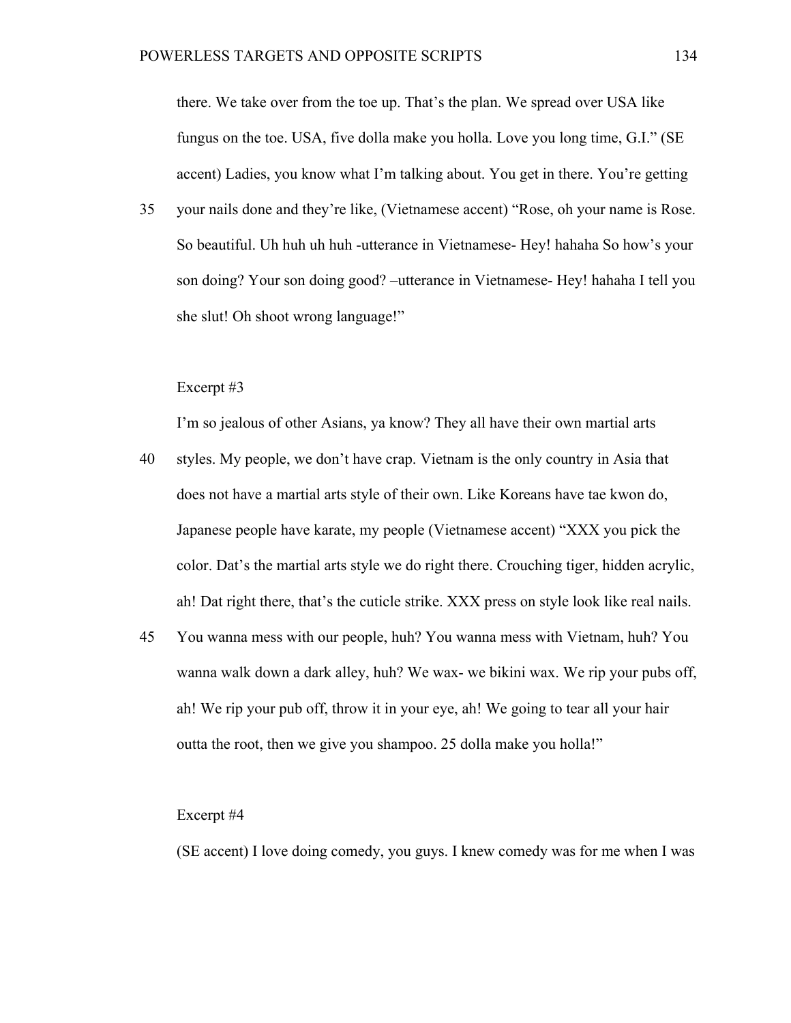there. We take over from the toe up. That's the plan. We spread over USA like fungus on the toe. USA, five dolla make you holla. Love you long time, G.I." (SE accent) Ladies, you know what I'm talking about. You get in there. You're getting

35 your nails done and they're like, (Vietnamese accent) "Rose, oh your name is Rose. So beautiful. Uh huh uh huh -utterance in Vietnamese- Hey! hahaha So how's your son doing? Your son doing good? –utterance in Vietnamese- Hey! hahaha I tell you she slut! Oh shoot wrong language!"

### Excerpt #3

I'm so jealous of other Asians, ya know? They all have their own martial arts

- 40 styles. My people, we don't have crap. Vietnam is the only country in Asia that does not have a martial arts style of their own. Like Koreans have tae kwon do, Japanese people have karate, my people (Vietnamese accent) "XXX you pick the color. Dat's the martial arts style we do right there. Crouching tiger, hidden acrylic, ah! Dat right there, that's the cuticle strike. XXX press on style look like real nails.
- 45 You wanna mess with our people, huh? You wanna mess with Vietnam, huh? You wanna walk down a dark alley, huh? We wax- we bikini wax. We rip your pubs off, ah! We rip your pub off, throw it in your eye, ah! We going to tear all your hair outta the root, then we give you shampoo. 25 dolla make you holla!"

### Excerpt #4

(SE accent) I love doing comedy, you guys. I knew comedy was for me when I was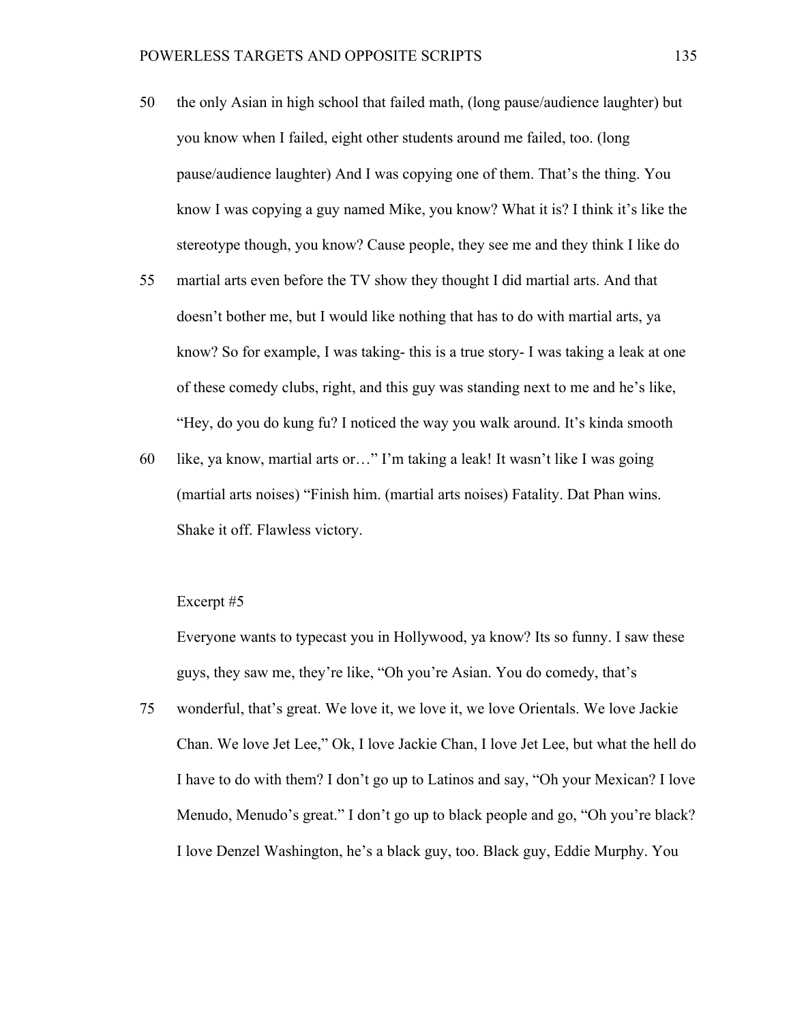- 50 the only Asian in high school that failed math, (long pause/audience laughter) but you know when I failed, eight other students around me failed, too. (long pause/audience laughter) And I was copying one of them. That's the thing. You know I was copying a guy named Mike, you know? What it is? I think it's like the stereotype though, you know? Cause people, they see me and they think I like do
- 55 martial arts even before the TV show they thought I did martial arts. And that doesn't bother me, but I would like nothing that has to do with martial arts, ya know? So for example, I was taking- this is a true story- I was taking a leak at one of these comedy clubs, right, and this guy was standing next to me and he's like, "Hey, do you do kung fu? I noticed the way you walk around. It's kinda smooth
- 60 like, ya know, martial arts or…" I'm taking a leak! It wasn't like I was going (martial arts noises) "Finish him. (martial arts noises) Fatality. Dat Phan wins. Shake it off. Flawless victory.

# Excerpt #5

Everyone wants to typecast you in Hollywood, ya know? Its so funny. I saw these guys, they saw me, they're like, "Oh you're Asian. You do comedy, that's

75 wonderful, that's great. We love it, we love it, we love Orientals. We love Jackie Chan. We love Jet Lee," Ok, I love Jackie Chan, I love Jet Lee, but what the hell do I have to do with them? I don't go up to Latinos and say, "Oh your Mexican? I love Menudo, Menudo's great." I don't go up to black people and go, "Oh you're black? I love Denzel Washington, he's a black guy, too. Black guy, Eddie Murphy. You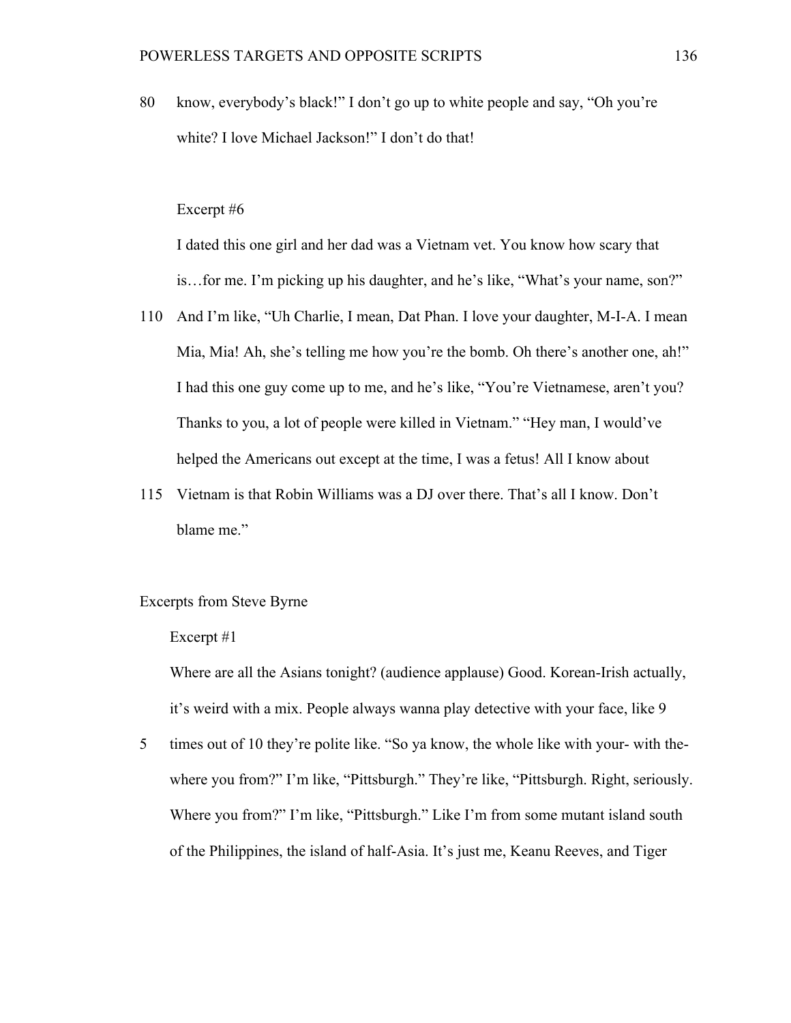80 know, everybody's black!" I don't go up to white people and say, "Oh you're white? I love Michael Jackson!" I don't do that!

# Excerpt #6

I dated this one girl and her dad was a Vietnam vet. You know how scary that is…for me. I'm picking up his daughter, and he's like, "What's your name, son?"

- 110 And I'm like, "Uh Charlie, I mean, Dat Phan. I love your daughter, M-I-A. I mean Mia, Mia! Ah, she's telling me how you're the bomb. Oh there's another one, ah!" I had this one guy come up to me, and he's like, "You're Vietnamese, aren't you? Thanks to you, a lot of people were killed in Vietnam." "Hey man, I would've helped the Americans out except at the time, I was a fetus! All I know about
- 115 Vietnam is that Robin Williams was a DJ over there. That's all I know. Don't blame me."

# Excerpts from Steve Byrne

### Excerpt #1

Where are all the Asians tonight? (audience applause) Good. Korean-Irish actually, it's weird with a mix. People always wanna play detective with your face, like 9

5 times out of 10 they're polite like. "So ya know, the whole like with your- with thewhere you from?" I'm like, "Pittsburgh." They're like, "Pittsburgh. Right, seriously. Where you from?" I'm like, "Pittsburgh." Like I'm from some mutant island south of the Philippines, the island of half-Asia. It's just me, Keanu Reeves, and Tiger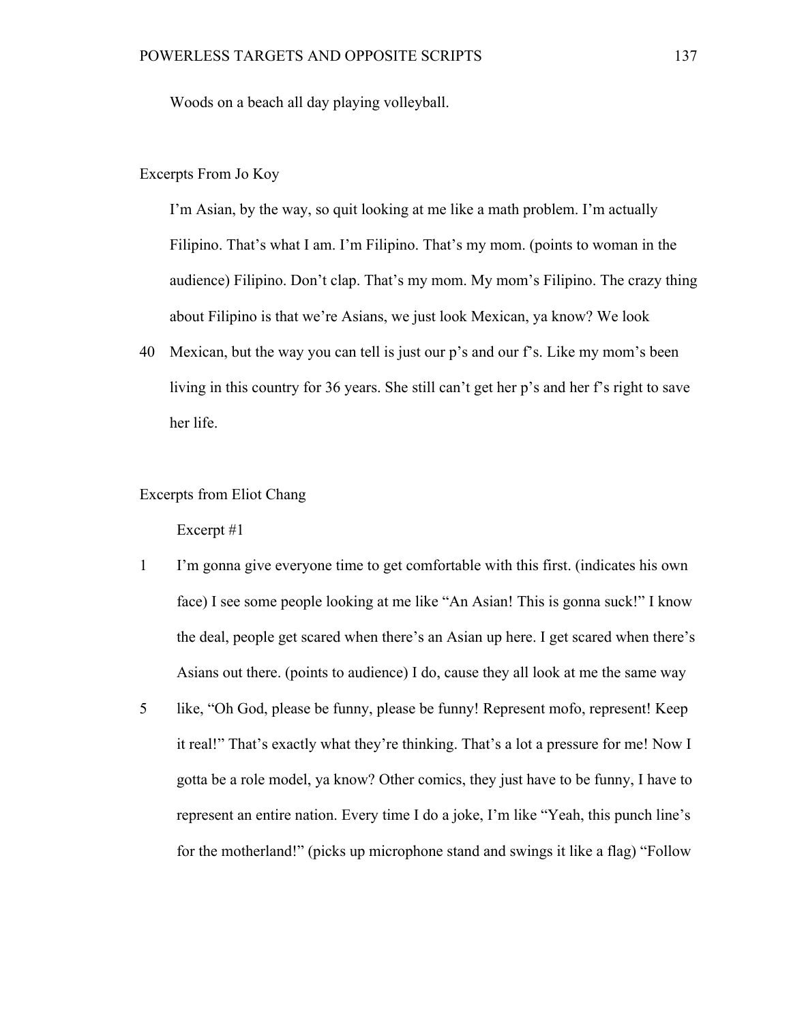Woods on a beach all day playing volleyball.

# Excerpts From Jo Koy

I'm Asian, by the way, so quit looking at me like a math problem. I'm actually Filipino. That's what I am. I'm Filipino. That's my mom. (points to woman in the audience) Filipino. Don't clap. That's my mom. My mom's Filipino. The crazy thing about Filipino is that we're Asians, we just look Mexican, ya know? We look

40 Mexican, but the way you can tell is just our p's and our f's. Like my mom's been living in this country for 36 years. She still can't get her p's and her f's right to save her life.

# Excerpts from Eliot Chang

- 1 I'm gonna give everyone time to get comfortable with this first. (indicates his own face) I see some people looking at me like "An Asian! This is gonna suck!" I know the deal, people get scared when there's an Asian up here. I get scared when there's Asians out there. (points to audience) I do, cause they all look at me the same way
- 5 like, "Oh God, please be funny, please be funny! Represent mofo, represent! Keep it real!" That's exactly what they're thinking. That's a lot a pressure for me! Now I gotta be a role model, ya know? Other comics, they just have to be funny, I have to represent an entire nation. Every time I do a joke, I'm like "Yeah, this punch line's for the motherland!" (picks up microphone stand and swings it like a flag) "Follow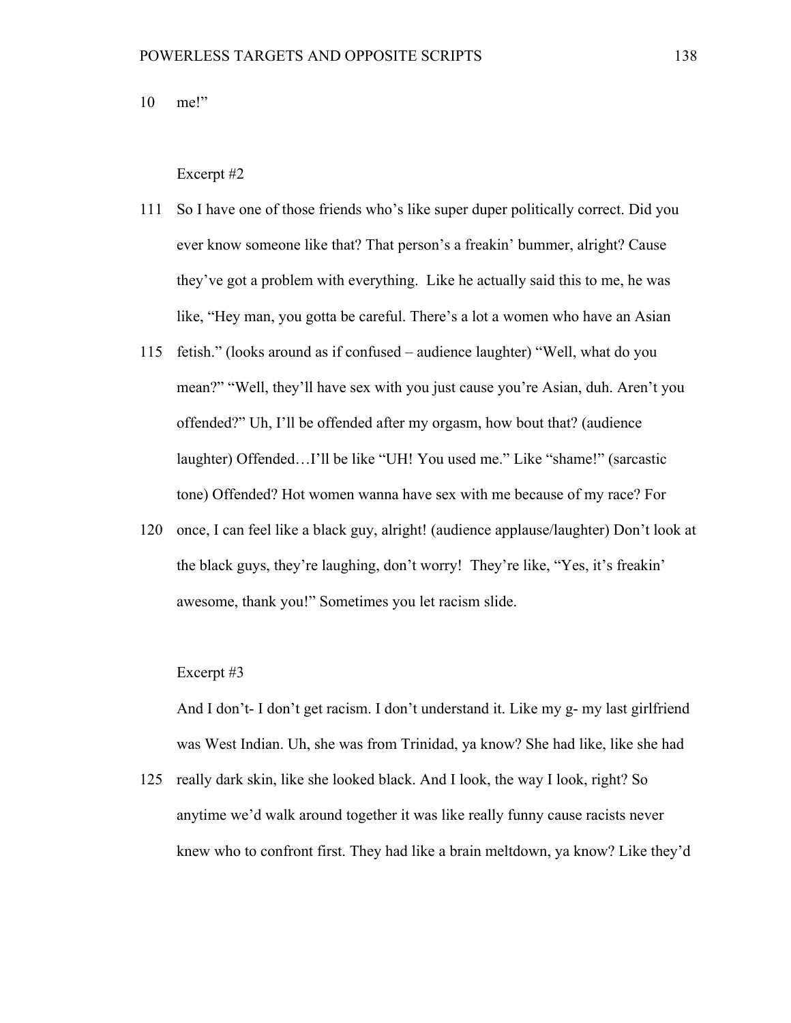10 me!"

#### Excerpt #2

- 111 So I have one of those friends who's like super duper politically correct. Did you ever know someone like that? That person's a freakin' bummer, alright? Cause they've got a problem with everything. Like he actually said this to me, he was like, "Hey man, you gotta be careful. There's a lot a women who have an Asian
- 115 fetish." (looks around as if confused audience laughter) "Well, what do you mean?" "Well, they'll have sex with you just cause you're Asian, duh. Aren't you offended?" Uh, I'll be offended after my orgasm, how bout that? (audience laughter) Offended…I'll be like "UH! You used me." Like "shame!" (sarcastic tone) Offended? Hot women wanna have sex with me because of my race? For
- 120 once, I can feel like a black guy, alright! (audience applause/laughter) Don't look at the black guys, they're laughing, don't worry! They're like, "Yes, it's freakin' awesome, thank you!" Sometimes you let racism slide.

# Excerpt #3

And I don't- I don't get racism. I don't understand it. Like my g- my last girlfriend was West Indian. Uh, she was from Trinidad, ya know? She had like, like she had

125 really dark skin, like she looked black. And I look, the way I look, right? So anytime we'd walk around together it was like really funny cause racists never knew who to confront first. They had like a brain meltdown, ya know? Like they'd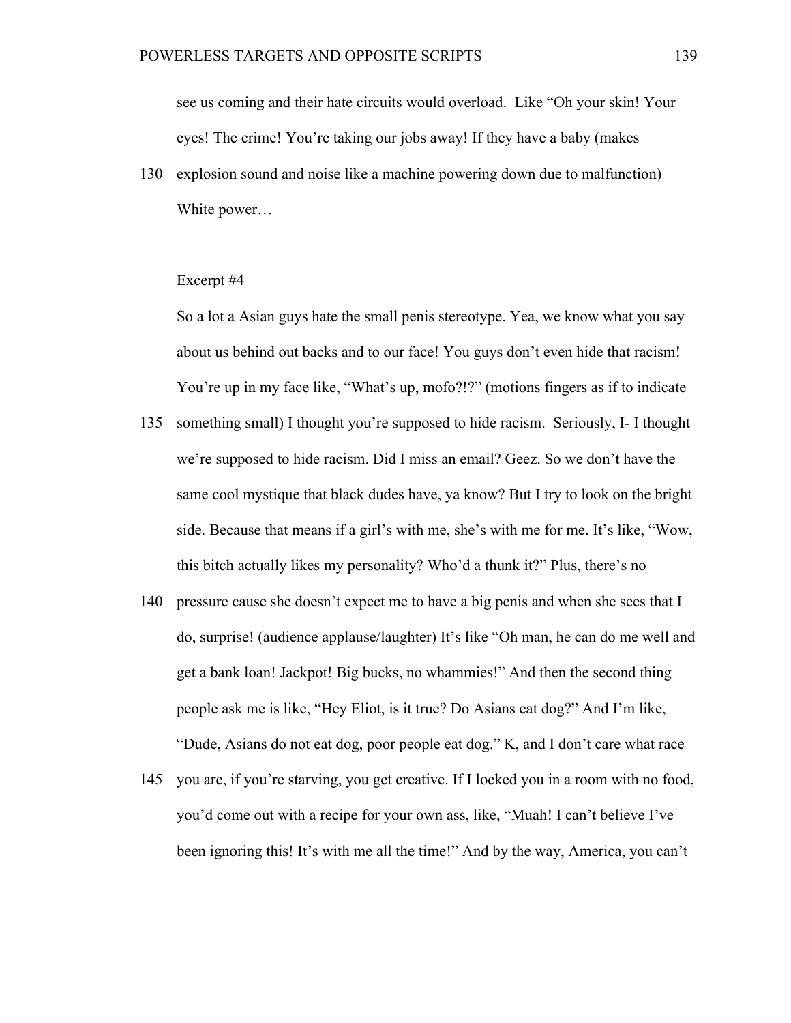see us coming and their hate circuits would overload. Like "Oh your skin! Your eyes! The crime! You're taking our jobs away! If they have a baby (makes

130 explosion sound and noise like a machine powering down due to malfunction) White power…

#### Excerpt #4

So a lot a Asian guys hate the small penis stereotype. Yea, we know what you say about us behind out backs and to our face! You guys don't even hide that racism! You're up in my face like, "What's up, mofo?!?" (motions fingers as if to indicate

- 135 something small) I thought you're supposed to hide racism. Seriously, I- I thought we're supposed to hide racism. Did I miss an email? Geez. So we don't have the same cool mystique that black dudes have, ya know? But I try to look on the bright side. Because that means if a girl's with me, she's with me for me. It's like, "Wow, this bitch actually likes my personality? Who'd a thunk it?" Plus, there's no
- 140 pressure cause she doesn't expect me to have a big penis and when she sees that I do, surprise! (audience applause/laughter) It's like "Oh man, he can do me well and get a bank loan! Jackpot! Big bucks, no whammies!" And then the second thing people ask me is like, "Hey Eliot, is it true? Do Asians eat dog?" And I'm like, "Dude, Asians do not eat dog, poor people eat dog." K, and I don't care what race
- 145 you are, if you're starving, you get creative. If I locked you in a room with no food, you'd come out with a recipe for your own ass, like, "Muah! I can't believe I've been ignoring this! It's with me all the time!" And by the way, America, you can't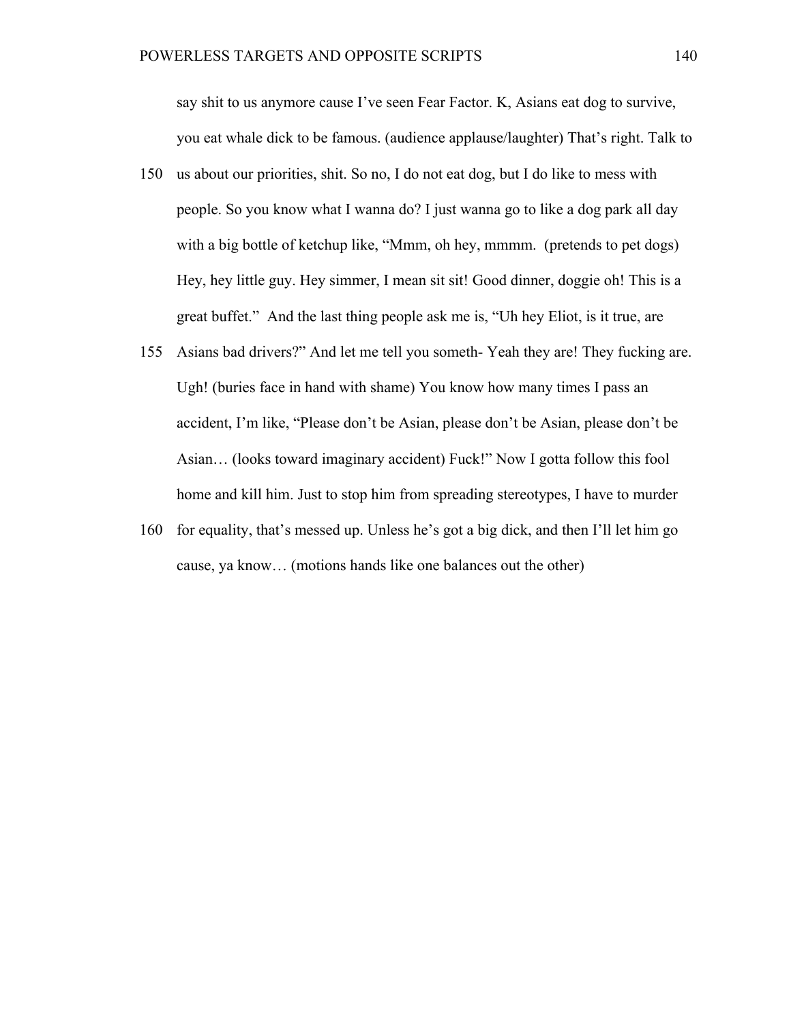say shit to us anymore cause I've seen Fear Factor. K, Asians eat dog to survive, you eat whale dick to be famous. (audience applause/laughter) That's right. Talk to

- 150 us about our priorities, shit. So no, I do not eat dog, but I do like to mess with people. So you know what I wanna do? I just wanna go to like a dog park all day with a big bottle of ketchup like, "Mmm, oh hey, mmmm. (pretends to pet dogs) Hey, hey little guy. Hey simmer, I mean sit sit! Good dinner, doggie oh! This is a great buffet." And the last thing people ask me is, "Uh hey Eliot, is it true, are
- 155 Asians bad drivers?" And let me tell you someth- Yeah they are! They fucking are. Ugh! (buries face in hand with shame) You know how many times I pass an accident, I'm like, "Please don't be Asian, please don't be Asian, please don't be Asian… (looks toward imaginary accident) Fuck!" Now I gotta follow this fool home and kill him. Just to stop him from spreading stereotypes, I have to murder
- 160 for equality, that's messed up. Unless he's got a big dick, and then I'll let him go cause, ya know… (motions hands like one balances out the other)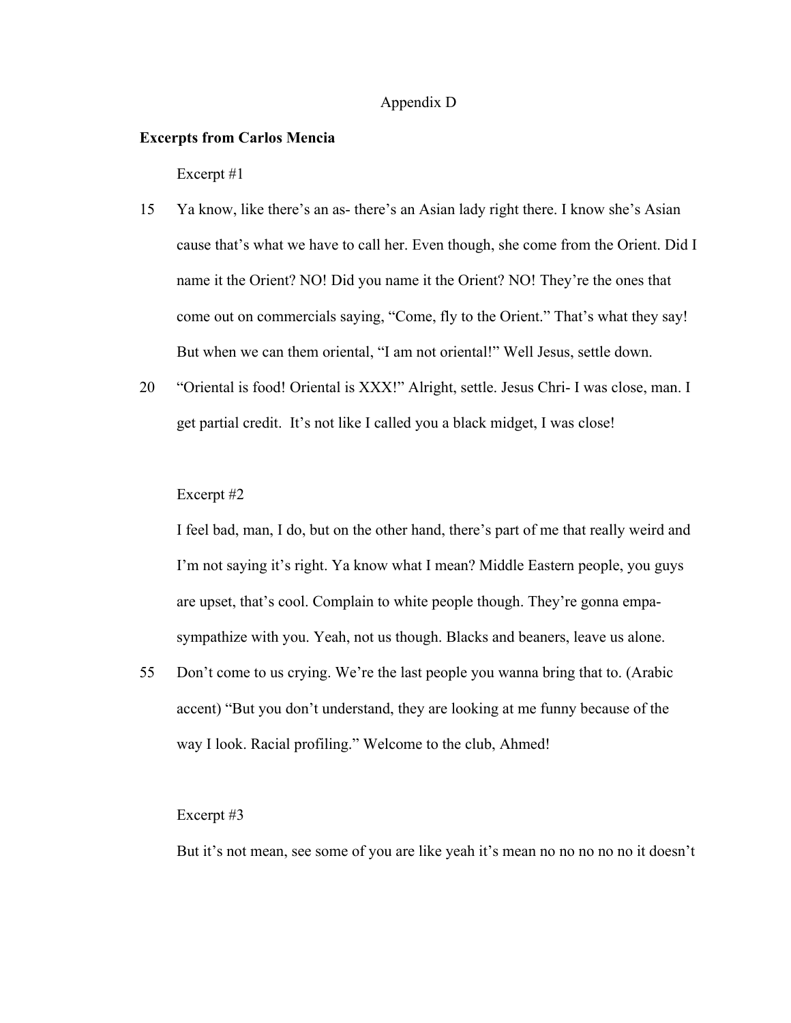# Appendix D

# **Excerpts from Carlos Mencia**

Excerpt #1

- 15 Ya know, like there's an as- there's an Asian lady right there. I know she's Asian cause that's what we have to call her. Even though, she come from the Orient. Did I name it the Orient? NO! Did you name it the Orient? NO! They're the ones that come out on commercials saying, "Come, fly to the Orient." That's what they say! But when we can them oriental, "I am not oriental!" Well Jesus, settle down.
- 20 "Oriental is food! Oriental is XXX!" Alright, settle. Jesus Chri- I was close, man. I get partial credit. It's not like I called you a black midget, I was close!

### Excerpt #2

I feel bad, man, I do, but on the other hand, there's part of me that really weird and I'm not saying it's right. Ya know what I mean? Middle Eastern people, you guys are upset, that's cool. Complain to white people though. They're gonna empasympathize with you. Yeah, not us though. Blacks and beaners, leave us alone.

55 Don't come to us crying. We're the last people you wanna bring that to. (Arabic accent) "But you don't understand, they are looking at me funny because of the way I look. Racial profiling." Welcome to the club, Ahmed!

#### Excerpt #3

But it's not mean, see some of you are like yeah it's mean no no no no no it doesn't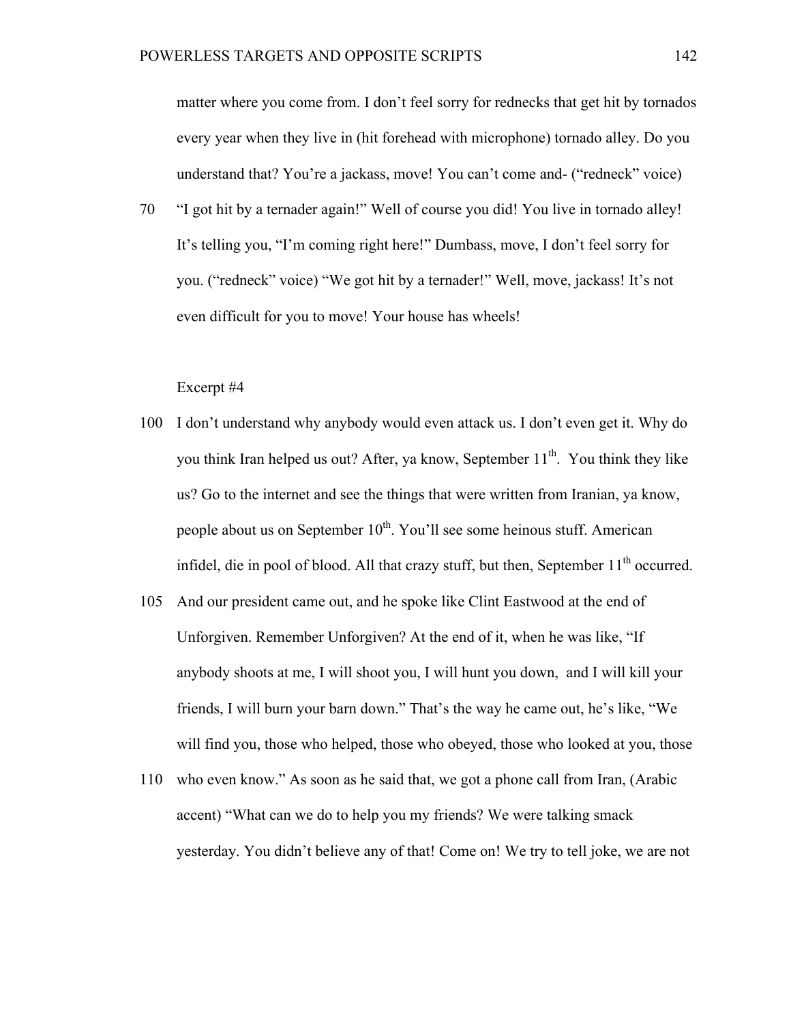matter where you come from. I don't feel sorry for rednecks that get hit by tornados every year when they live in (hit forehead with microphone) tornado alley. Do you understand that? You're a jackass, move! You can't come and- ("redneck" voice)

70 "I got hit by a ternader again!" Well of course you did! You live in tornado alley! It's telling you, "I'm coming right here!" Dumbass, move, I don't feel sorry for you. ("redneck" voice) "We got hit by a ternader!" Well, move, jackass! It's not even difficult for you to move! Your house has wheels!

- 100 I don't understand why anybody would even attack us. I don't even get it. Why do you think Iran helped us out? After, ya know, September  $11<sup>th</sup>$ . You think they like us? Go to the internet and see the things that were written from Iranian, ya know, people about us on September  $10^{th}$ . You'll see some heinous stuff. American infidel, die in pool of blood. All that crazy stuff, but then, September  $11<sup>th</sup>$  occurred.
- 105 And our president came out, and he spoke like Clint Eastwood at the end of Unforgiven. Remember Unforgiven? At the end of it, when he was like, "If anybody shoots at me, I will shoot you, I will hunt you down, and I will kill your friends, I will burn your barn down." That's the way he came out, he's like, "We will find you, those who helped, those who obeyed, those who looked at you, those
- 110 who even know." As soon as he said that, we got a phone call from Iran, (Arabic accent) "What can we do to help you my friends? We were talking smack yesterday. You didn't believe any of that! Come on! We try to tell joke, we are not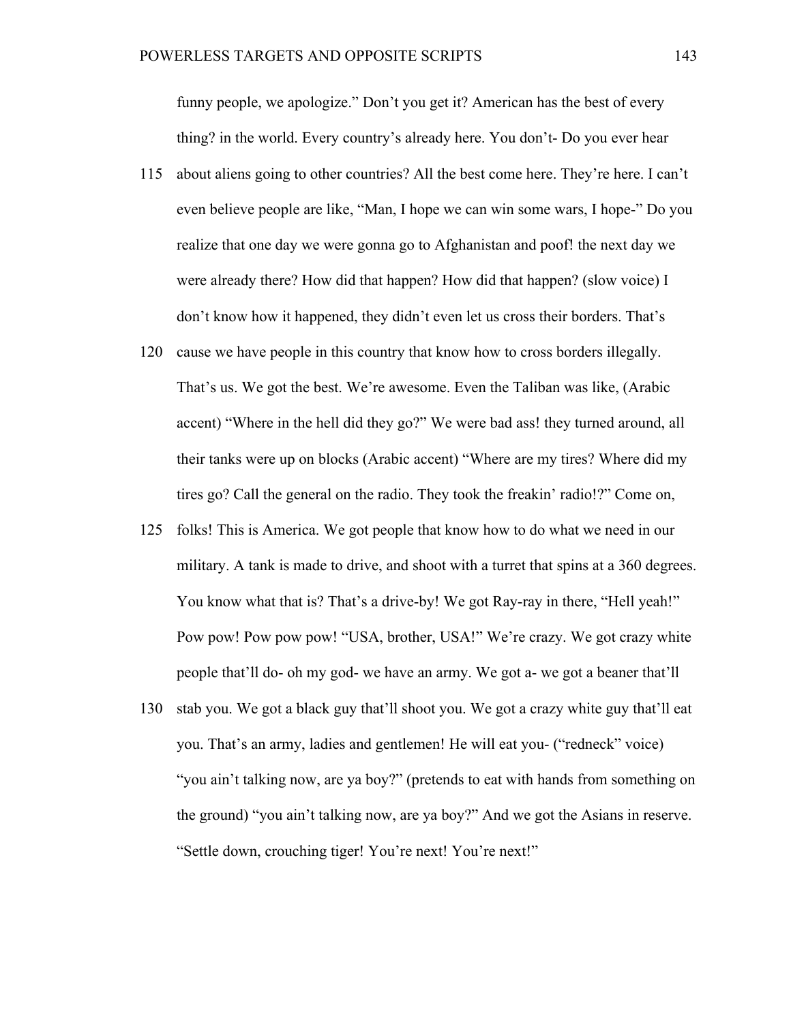funny people, we apologize." Don't you get it? American has the best of every thing? in the world. Every country's already here. You don't- Do you ever hear

- 115 about aliens going to other countries? All the best come here. They're here. I can't even believe people are like, "Man, I hope we can win some wars, I hope-" Do you realize that one day we were gonna go to Afghanistan and poof! the next day we were already there? How did that happen? How did that happen? (slow voice) I don't know how it happened, they didn't even let us cross their borders. That's
- 120 cause we have people in this country that know how to cross borders illegally. That's us. We got the best. We're awesome. Even the Taliban was like, (Arabic accent) "Where in the hell did they go?" We were bad ass! they turned around, all their tanks were up on blocks (Arabic accent) "Where are my tires? Where did my tires go? Call the general on the radio. They took the freakin' radio!?" Come on,
- 125 folks! This is America. We got people that know how to do what we need in our military. A tank is made to drive, and shoot with a turret that spins at a 360 degrees. You know what that is? That's a drive-by! We got Ray-ray in there, "Hell yeah!" Pow pow! Pow pow pow! "USA, brother, USA!" We're crazy. We got crazy white people that'll do- oh my god- we have an army. We got a- we got a beaner that'll
- 130 stab you. We got a black guy that'll shoot you. We got a crazy white guy that'll eat you. That's an army, ladies and gentlemen! He will eat you- ("redneck" voice) "you ain't talking now, are ya boy?" (pretends to eat with hands from something on the ground) "you ain't talking now, are ya boy?" And we got the Asians in reserve. "Settle down, crouching tiger! You're next! You're next!"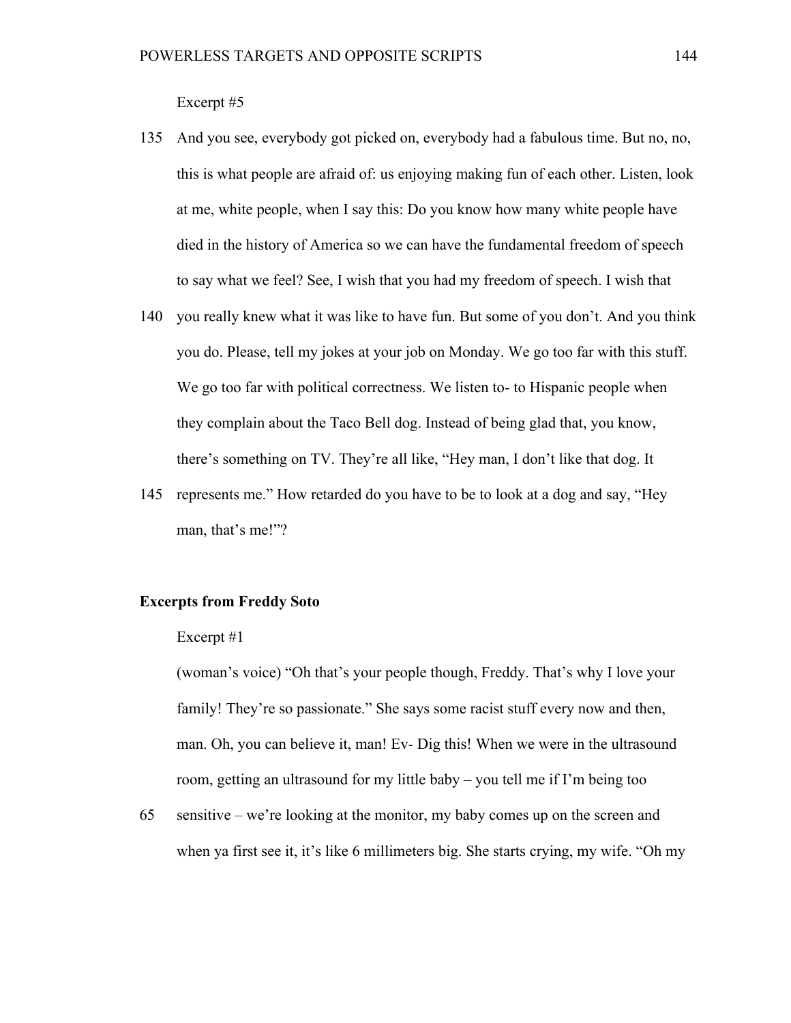Excerpt #5

- 135 And you see, everybody got picked on, everybody had a fabulous time. But no, no, this is what people are afraid of: us enjoying making fun of each other. Listen, look at me, white people, when I say this: Do you know how many white people have died in the history of America so we can have the fundamental freedom of speech to say what we feel? See, I wish that you had my freedom of speech. I wish that
- 140 you really knew what it was like to have fun. But some of you don't. And you think you do. Please, tell my jokes at your job on Monday. We go too far with this stuff. We go too far with political correctness. We listen to- to Hispanic people when they complain about the Taco Bell dog. Instead of being glad that, you know, there's something on TV. They're all like, "Hey man, I don't like that dog. It
- 145 represents me." How retarded do you have to be to look at a dog and say, "Hey man, that's me!"?

# **Excerpts from Freddy Soto**

#### Excerpt #1

(woman's voice) "Oh that's your people though, Freddy. That's why I love your family! They're so passionate." She says some racist stuff every now and then, man. Oh, you can believe it, man! Ev- Dig this! When we were in the ultrasound room, getting an ultrasound for my little baby – you tell me if I'm being too

65 sensitive – we're looking at the monitor, my baby comes up on the screen and when ya first see it, it's like 6 millimeters big. She starts crying, my wife. "Oh my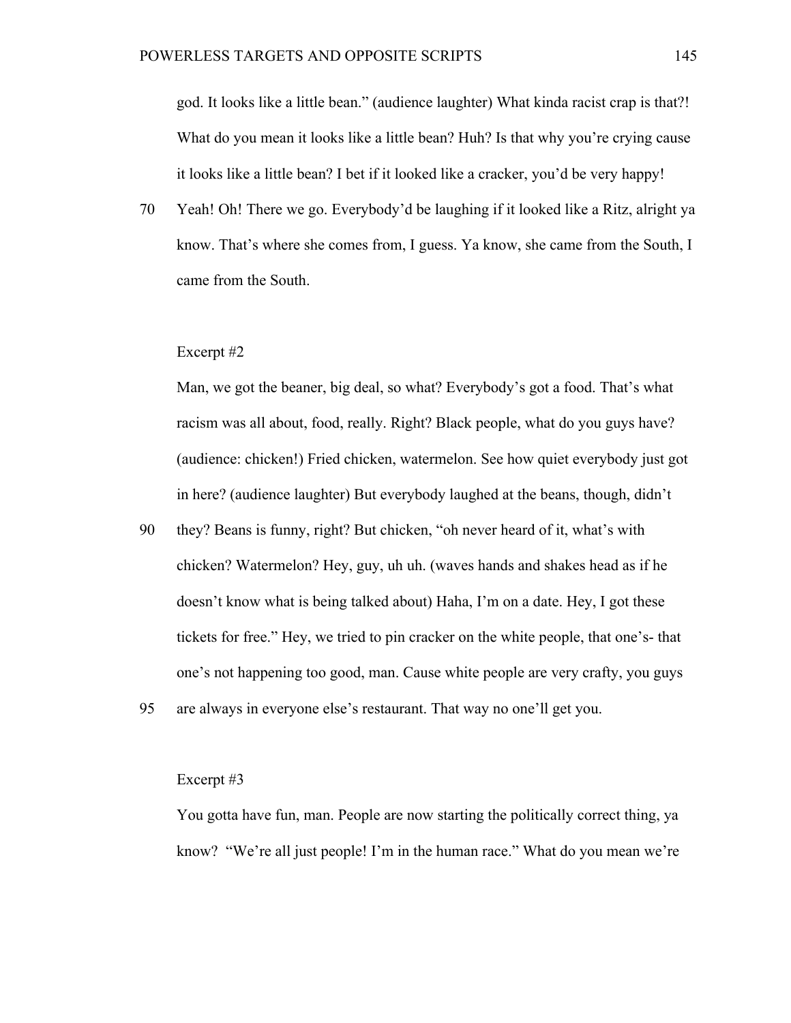god. It looks like a little bean." (audience laughter) What kinda racist crap is that?! What do you mean it looks like a little bean? Huh? Is that why you're crying cause it looks like a little bean? I bet if it looked like a cracker, you'd be very happy!

70 Yeah! Oh! There we go. Everybody'd be laughing if it looked like a Ritz, alright ya know. That's where she comes from, I guess. Ya know, she came from the South, I came from the South.

#### Excerpt #2

Man, we got the beaner, big deal, so what? Everybody's got a food. That's what racism was all about, food, really. Right? Black people, what do you guys have? (audience: chicken!) Fried chicken, watermelon. See how quiet everybody just got in here? (audience laughter) But everybody laughed at the beans, though, didn't

- 90 they? Beans is funny, right? But chicken, "oh never heard of it, what's with chicken? Watermelon? Hey, guy, uh uh. (waves hands and shakes head as if he doesn't know what is being talked about) Haha, I'm on a date. Hey, I got these tickets for free." Hey, we tried to pin cracker on the white people, that one's- that one's not happening too good, man. Cause white people are very crafty, you guys
- 95 are always in everyone else's restaurant. That way no one'll get you.

## Excerpt #3

You gotta have fun, man. People are now starting the politically correct thing, ya know? "We're all just people! I'm in the human race." What do you mean we're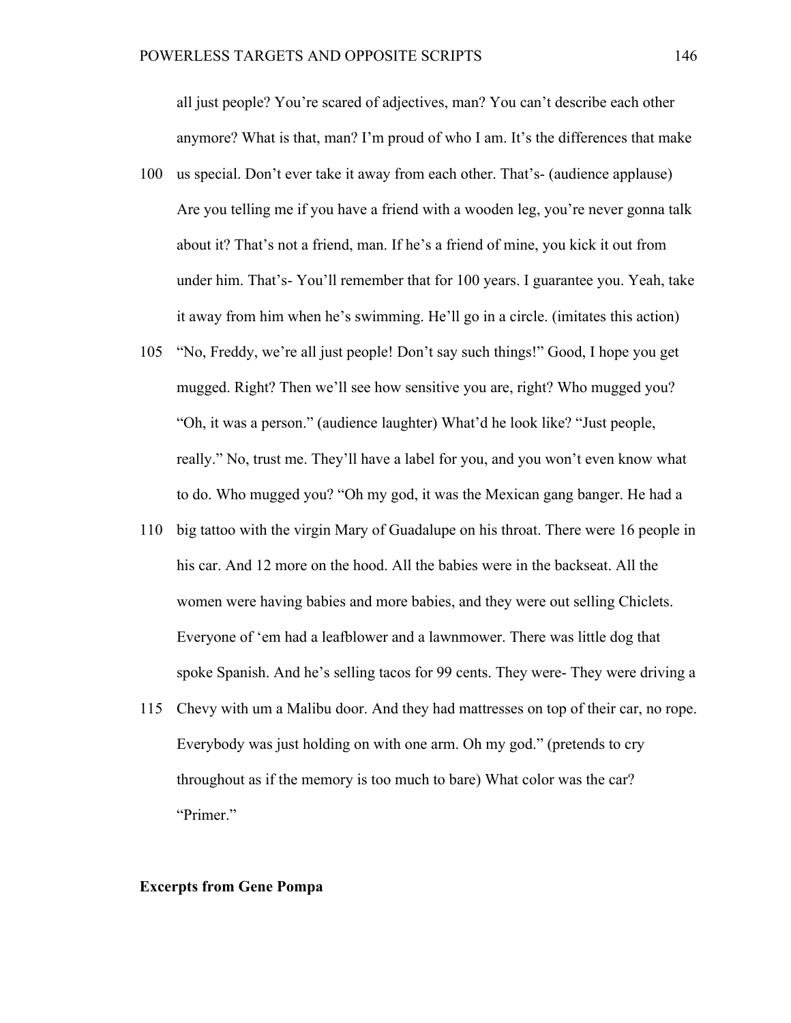all just people? You're scared of adjectives, man? You can't describe each other anymore? What is that, man? I'm proud of who I am. It's the differences that make

- 100 us special. Don't ever take it away from each other. That's- (audience applause) Are you telling me if you have a friend with a wooden leg, you're never gonna talk about it? That's not a friend, man. If he's a friend of mine, you kick it out from under him. That's- You'll remember that for 100 years. I guarantee you. Yeah, take it away from him when he's swimming. He'll go in a circle. (imitates this action)
- 105 "No, Freddy, we're all just people! Don't say such things!" Good, I hope you get mugged. Right? Then we'll see how sensitive you are, right? Who mugged you? "Oh, it was a person." (audience laughter) What'd he look like? "Just people, really." No, trust me. They'll have a label for you, and you won't even know what to do. Who mugged you? "Oh my god, it was the Mexican gang banger. He had a
- 110 big tattoo with the virgin Mary of Guadalupe on his throat. There were 16 people in his car. And 12 more on the hood. All the babies were in the backseat. All the women were having babies and more babies, and they were out selling Chiclets. Everyone of 'em had a leafblower and a lawnmower. There was little dog that spoke Spanish. And he's selling tacos for 99 cents. They were- They were driving a
- 115 Chevy with um a Malibu door. And they had mattresses on top of their car, no rope. Everybody was just holding on with one arm. Oh my god." (pretends to cry throughout as if the memory is too much to bare) What color was the car? "Primer."

### **Excerpts from Gene Pompa**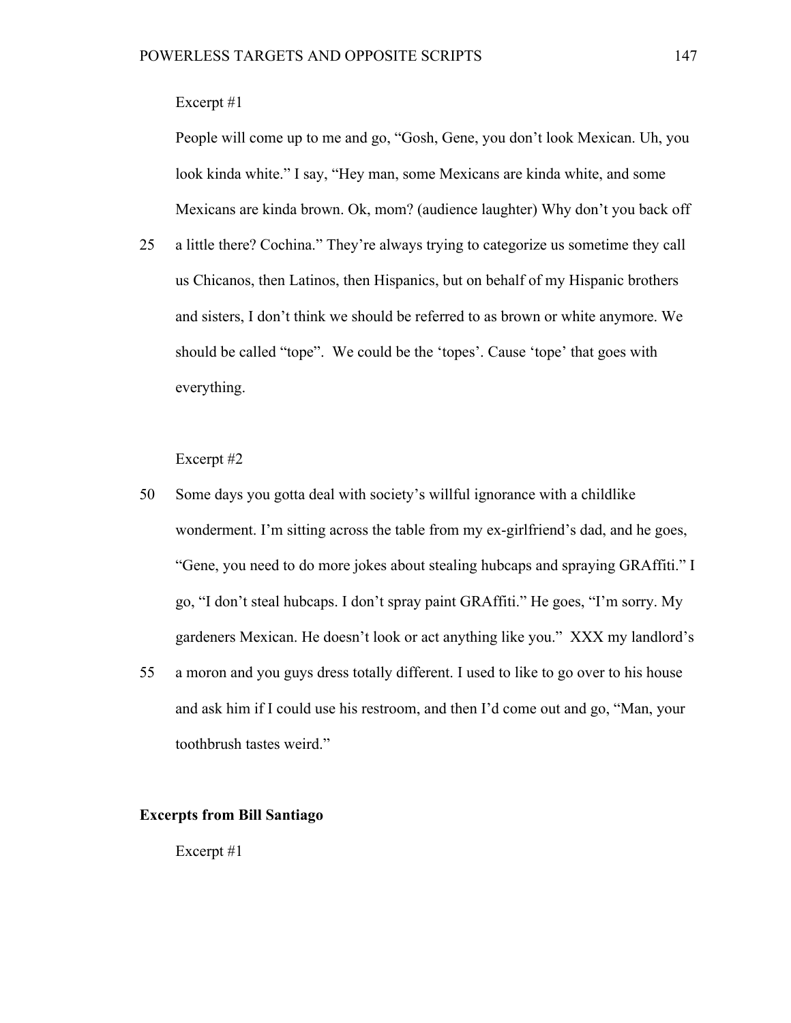# Excerpt #1

People will come up to me and go, "Gosh, Gene, you don't look Mexican. Uh, you look kinda white." I say, "Hey man, some Mexicans are kinda white, and some Mexicans are kinda brown. Ok, mom? (audience laughter) Why don't you back off

25 a little there? Cochina." They're always trying to categorize us sometime they call us Chicanos, then Latinos, then Hispanics, but on behalf of my Hispanic brothers and sisters, I don't think we should be referred to as brown or white anymore. We should be called "tope". We could be the 'topes'. Cause 'tope' that goes with everything.

Excerpt #2

- 50 Some days you gotta deal with society's willful ignorance with a childlike wonderment. I'm sitting across the table from my ex-girlfriend's dad, and he goes, "Gene, you need to do more jokes about stealing hubcaps and spraying GRAffiti." I go, "I don't steal hubcaps. I don't spray paint GRAffiti." He goes, "I'm sorry. My gardeners Mexican. He doesn't look or act anything like you." XXX my landlord's
- 55 a moron and you guys dress totally different. I used to like to go over to his house and ask him if I could use his restroom, and then I'd come out and go, "Man, your toothbrush tastes weird."

## **Excerpts from Bill Santiago**

Excerpt #1